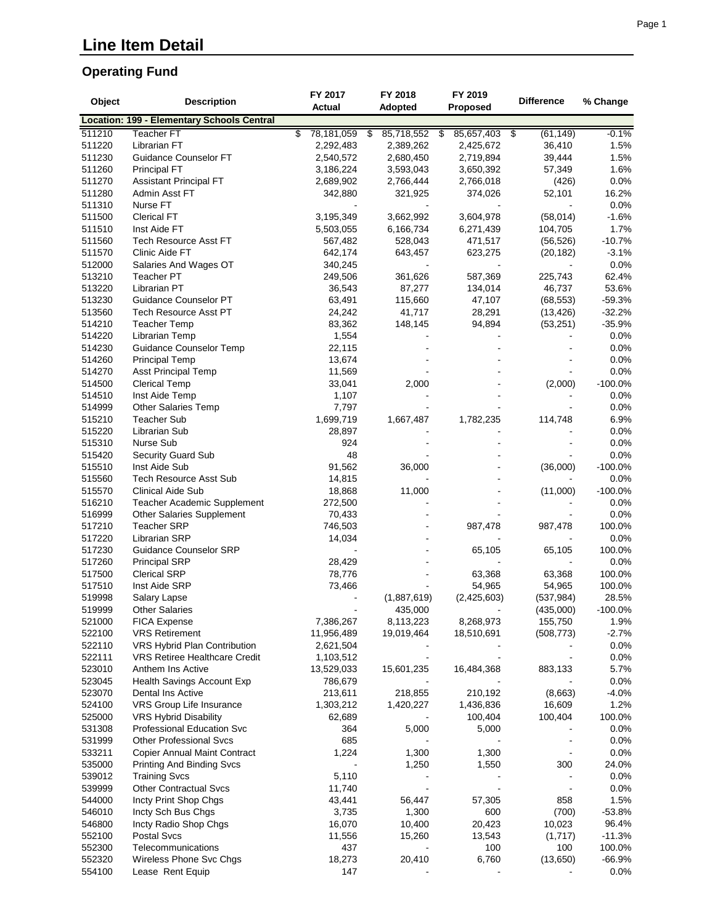### **Operating Fund**

| Object           | <b>Description</b>                         | FY 2017<br><b>Actual</b> | FY 2018<br>Adopted | FY 2019<br>Proposed | <b>Difference</b> | % Change           |
|------------------|--------------------------------------------|--------------------------|--------------------|---------------------|-------------------|--------------------|
|                  | Location: 199 - Elementary Schools Central |                          |                    |                     |                   |                    |
| 511210           | <b>Teacher FT</b>                          | \$<br>78,181,059<br>s,   | 85,718,552         | \$<br>85,657,403    | (61, 149)<br>\$   | $-0.1%$            |
| 511220           | Librarian FT                               | 2,292,483                | 2,389,262          | 2,425,672           | 36,410            | 1.5%               |
| 511230           | Guidance Counselor FT                      | 2,540,572                | 2,680,450          | 2,719,894           | 39,444            | 1.5%               |
| 511260           | <b>Principal FT</b>                        | 3,186,224                | 3,593,043          | 3,650,392           | 57,349            | 1.6%               |
| 511270           | <b>Assistant Principal FT</b>              | 2,689,902                | 2,766,444          | 2,766,018           | (426)             | 0.0%               |
| 511280           | Admin Asst FT                              | 342,880                  | 321,925            | 374,026             | 52,101            | 16.2%              |
| 511310           | Nurse FT                                   |                          |                    |                     |                   | 0.0%               |
| 511500           | <b>Clerical FT</b>                         | 3,195,349                | 3,662,992          | 3,604,978           | (58,014)          | $-1.6%$            |
| 511510           | Inst Aide FT                               | 5,503,055                | 6,166,734          | 6,271,439           | 104,705           | 1.7%               |
| 511560           | Tech Resource Asst FT                      | 567,482                  | 528,043            | 471,517             | (56, 526)         | $-10.7%$           |
| 511570           | Clinic Aide FT                             | 642,174                  | 643,457            | 623,275             | (20, 182)         | $-3.1%$            |
| 512000           | Salaries And Wages OT                      | 340,245                  |                    |                     |                   | 0.0%               |
| 513210           | <b>Teacher PT</b>                          | 249,506                  | 361,626            | 587,369             | 225,743           | 62.4%              |
| 513220           | Librarian PT                               | 36,543                   | 87,277             | 134,014             | 46,737            | 53.6%              |
| 513230           | Guidance Counselor PT                      | 63,491                   | 115,660            | 47,107              | (68, 553)         | $-59.3%$           |
| 513560           | <b>Tech Resource Asst PT</b>               | 24,242                   | 41,717             | 28,291              | (13, 426)         | $-32.2%$           |
| 514210           | <b>Teacher Temp</b>                        | 83,362                   | 148,145            | 94,894              | (53, 251)         | $-35.9%$           |
| 514220           | Librarian Temp                             | 1,554                    |                    |                     |                   | 0.0%               |
| 514230           | Guidance Counselor Temp                    | 22,115                   |                    |                     |                   | 0.0%               |
| 514260           | <b>Principal Temp</b>                      | 13,674                   |                    |                     |                   | 0.0%               |
| 514270           | <b>Asst Principal Temp</b>                 | 11,569                   |                    |                     |                   | 0.0%               |
| 514500<br>514510 | <b>Clerical Temp</b><br>Inst Aide Temp     | 33,041<br>1,107          | 2,000              |                     | (2,000)           | $-100.0\%$<br>0.0% |
| 514999           |                                            | 7,797                    |                    |                     |                   | 0.0%               |
| 515210           | Other Salaries Temp<br><b>Teacher Sub</b>  | 1,699,719                |                    |                     |                   | 6.9%               |
| 515220           | Librarian Sub                              | 28,897                   | 1,667,487          | 1,782,235           | 114,748           | 0.0%               |
| 515310           | <b>Nurse Sub</b>                           | 924                      |                    |                     |                   | 0.0%               |
| 515420           | Security Guard Sub                         | 48                       |                    |                     |                   | 0.0%               |
| 515510           | Inst Aide Sub                              | 91,562                   | 36,000             |                     | (36,000)          | $-100.0%$          |
| 515560           | <b>Tech Resource Asst Sub</b>              | 14,815                   |                    |                     |                   | 0.0%               |
| 515570           | <b>Clinical Aide Sub</b>                   | 18,868                   | 11,000             |                     | (11,000)          | $-100.0\%$         |
| 516210           | Teacher Academic Supplement                | 272,500                  |                    |                     |                   | 0.0%               |
| 516999           | <b>Other Salaries Supplement</b>           | 70,433                   |                    |                     |                   | 0.0%               |
| 517210           | <b>Teacher SRP</b>                         | 746,503                  |                    | 987,478             | 987,478           | 100.0%             |
| 517220           | <b>Librarian SRP</b>                       | 14,034                   |                    |                     |                   | 0.0%               |
| 517230           | <b>Guidance Counselor SRP</b>              |                          |                    | 65,105              | 65,105            | 100.0%             |
| 517260           | <b>Principal SRP</b>                       | 28,429                   |                    |                     |                   | 0.0%               |
| 517500           | <b>Clerical SRP</b>                        | 78,776                   |                    | 63,368              | 63,368            | 100.0%             |
| 517510           | Inst Aide SRP                              | 73,466                   |                    | 54,965              | 54,965            | 100.0%             |
| 519998           | Salary Lapse                               | $\blacksquare$           | (1,887,619)        | (2,425,603)         | (537, 984)        | 28.5%              |
| 519999           | <b>Other Salaries</b>                      |                          | 435,000            |                     | (435,000)         | $-100.0\%$         |
| 521000           | <b>FICA Expense</b>                        | 7,386,267                | 8,113,223          | 8,268,973           | 155,750           | 1.9%               |
| 522100           | <b>VRS Retirement</b>                      | 11,956,489               | 19,019,464         | 18,510,691          | (508, 773)        | $-2.7%$            |
| 522110           | VRS Hybrid Plan Contribution               | 2,621,504                |                    |                     |                   | 0.0%               |
| 522111           | <b>VRS Retiree Healthcare Credit</b>       | 1,103,512                |                    |                     |                   | 0.0%               |
| 523010           | Anthem Ins Active                          | 13,529,033               | 15,601,235         | 16,484,368          | 883,133           | 5.7%               |
| 523045           | Health Savings Account Exp                 | 786,679                  |                    |                     |                   | 0.0%               |
| 523070           | Dental Ins Active                          | 213,611                  | 218,855            | 210,192             | (8,663)           | $-4.0%$            |
| 524100           | VRS Group Life Insurance                   | 1,303,212                | 1,420,227          | 1,436,836           | 16,609            | 1.2%               |
| 525000           | VRS Hybrid Disability                      | 62,689                   |                    | 100,404             | 100,404           | 100.0%             |
| 531308           | Professional Education Svc                 | 364                      | 5,000              | 5,000               |                   | 0.0%               |
| 531999           | <b>Other Professional Svcs</b>             | 685                      |                    |                     |                   | 0.0%               |
| 533211           | <b>Copier Annual Maint Contract</b>        | 1,224                    | 1,300              | 1,300               |                   | $0.0\%$            |
| 535000           | <b>Printing And Binding Svcs</b>           |                          | 1,250              | 1,550               | 300               | 24.0%              |
| 539012           | <b>Training Svcs</b>                       | 5,110                    |                    |                     |                   | 0.0%               |
| 539999           | <b>Other Contractual Svcs</b>              | 11,740                   |                    |                     |                   | $0.0\%$            |
| 544000           | Incty Print Shop Chgs                      | 43,441                   | 56,447             | 57,305              | 858               | 1.5%               |
| 546010           | Incty Sch Bus Chgs                         | 3,735                    | 1,300              | 600                 | (700)             | $-53.8%$           |
| 546800           | Incty Radio Shop Chgs                      | 16,070                   | 10,400             | 20,423              | 10,023            | 96.4%              |
| 552100           | Postal Svcs                                | 11,556                   | 15,260             | 13,543              | (1,717)           | $-11.3%$           |
| 552300           | Telecommunications                         | 437                      |                    | 100                 | 100               | 100.0%             |
| 552320           | Wireless Phone Svc Chgs                    | 18,273                   | 20,410             | 6,760               | (13,650)          | $-66.9%$           |
| 554100           | Lease Rent Equip                           | 147                      |                    |                     |                   | 0.0%               |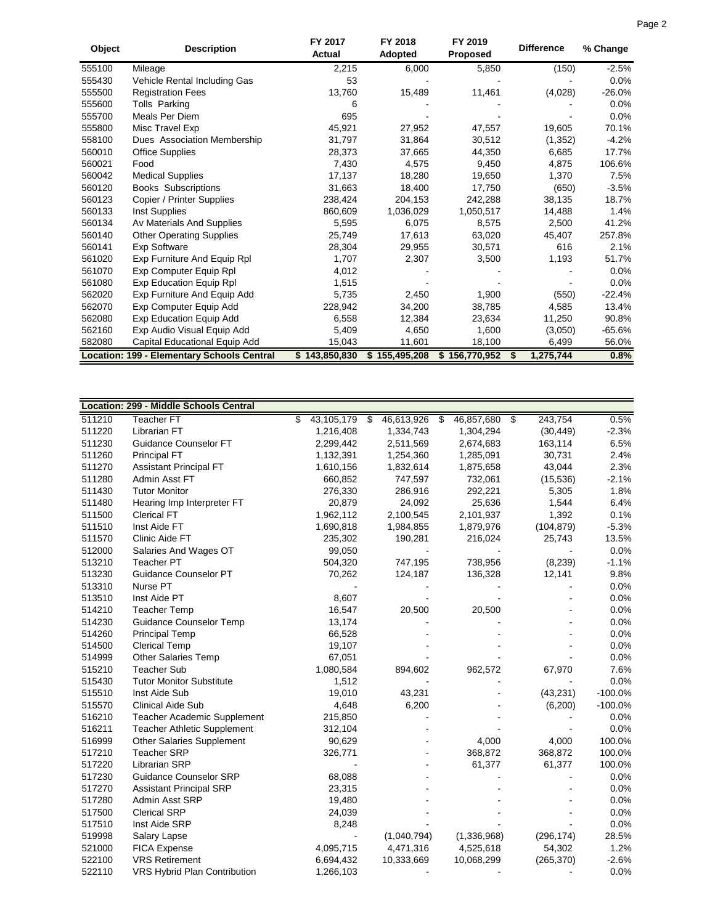| Object    | <b>Description</b>               | FY 2017<br><b>Actual</b> | FY 2018<br>Adopted | FY 2019<br><b>Proposed</b> | <b>Difference</b> | % Change |
|-----------|----------------------------------|--------------------------|--------------------|----------------------------|-------------------|----------|
| 555100    | Mileage                          | 2,215                    | 6,000              | 5,850                      | (150)             | $-2.5%$  |
| 555430    | Vehicle Rental Including Gas     | 53                       |                    |                            |                   | 0.0%     |
| 555500    | <b>Registration Fees</b>         | 13,760                   | 15,489             | 11,461                     | (4,028)           | $-26.0%$ |
| 555600    | Tolls Parking                    | 6                        |                    |                            |                   | 0.0%     |
| 555700    | Meals Per Diem                   | 695                      |                    |                            |                   | 0.0%     |
| 555800    | Misc Travel Exp                  | 45.921                   | 27,952             | 47,557                     | 19,605            | 70.1%    |
| 558100    | Dues Association Membership      | 31,797                   | 31,864             | 30,512                     | (1, 352)          | $-4.2%$  |
| 560010    | <b>Office Supplies</b>           | 28,373                   | 37,665             | 44,350                     | 6,685             | 17.7%    |
| 560021    | Food                             | 7,430                    | 4,575              | 9,450                      | 4,875             | 106.6%   |
| 560042    | <b>Medical Supplies</b>          | 17,137                   | 18,280             | 19,650                     | 1,370             | 7.5%     |
| 560120    | <b>Books Subscriptions</b>       | 31,663                   | 18,400             | 17,750                     | (650)             | $-3.5%$  |
| 560123    | Copier / Printer Supplies        | 238,424                  | 204,153            | 242,288                    | 38,135            | 18.7%    |
| 560133    | Inst Supplies                    | 860.609                  | 1,036,029          | 1,050,517                  | 14,488            | 1.4%     |
| 560134    | Av Materials And Supplies        | 5,595                    | 6,075              | 8,575                      | 2,500             | 41.2%    |
| 560140    | <b>Other Operating Supplies</b>  | 25,749                   | 17,613             | 63,020                     | 45,407            | 257.8%   |
| 560141    | <b>Exp Software</b>              | 28,304                   | 29,955             | 30,571                     | 616               | 2.1%     |
| 561020    | Exp Furniture And Equip Rpl      | 1,707                    | 2,307              | 3,500                      | 1,193             | 51.7%    |
| 561070    | Exp Computer Equip Rpl           | 4,012                    |                    |                            |                   | 0.0%     |
| 561080    | Exp Education Equip Rpl          | 1,515                    |                    |                            |                   | 0.0%     |
| 562020    | Exp Furniture And Equip Add      | 5.735                    | 2,450              | 1,900                      | (550)             | $-22.4%$ |
| 562070    | Exp Computer Equip Add           | 228,942                  | 34,200             | 38,785                     | 4,585             | 13.4%    |
| 562080    | <b>Exp Education Equip Add</b>   | 6.558                    | 12,384             | 23,634                     | 11,250            | 90.8%    |
| 562160    | Exp Audio Visual Equip Add       | 5,409                    | 4,650              | 1,600                      | (3,050)           | $-65.6%$ |
| 582080    | Capital Educational Equip Add    | 15,043                   | 11,601             | 18,100                     | 6,499             | 56.0%    |
| Location: | 199 - Elementary Schools Central | \$143,850,830            | \$155,495,208      | \$156,770,952              | 1,275,744<br>S    | 0.8%     |

|        | Location: 299 - Middle Schools Central |                  |                     |             |               |           |
|--------|----------------------------------------|------------------|---------------------|-------------|---------------|-----------|
| 511210 | <b>Teacher FT</b>                      | \$<br>43,105,179 | \$<br>46,613,926 \$ | 46,857,680  | \$<br>243,754 | 0.5%      |
| 511220 | Librarian FT                           | 1,216,408        | 1,334,743           | 1,304,294   | (30, 449)     | $-2.3%$   |
| 511230 | Guidance Counselor FT                  | 2,299,442        | 2,511,569           | 2,674,683   | 163,114       | 6.5%      |
| 511260 | <b>Principal FT</b>                    | 1,132,391        | 1,254,360           | 1,285,091   | 30,731        | 2.4%      |
| 511270 | Assistant Principal FT                 | 1,610,156        | 1,832,614           | 1,875,658   | 43,044        | 2.3%      |
| 511280 | Admin Asst FT                          | 660,852          | 747,597             | 732,061     | (15, 536)     | $-2.1%$   |
| 511430 | <b>Tutor Monitor</b>                   | 276,330          | 286,916             | 292,221     | 5,305         | 1.8%      |
| 511480 | Hearing Imp Interpreter FT             | 20,879           | 24,092              | 25,636      | 1,544         | 6.4%      |
| 511500 | <b>Clerical FT</b>                     | 1,962,112        | 2,100,545           | 2,101,937   | 1,392         | 0.1%      |
| 511510 | Inst Aide FT                           | 1,690,818        | 1,984,855           | 1,879,976   | (104, 879)    | $-5.3%$   |
| 511570 | Clinic Aide FT                         | 235,302          | 190,281             | 216,024     | 25,743        | 13.5%     |
| 512000 | Salaries And Wages OT                  | 99,050           |                     |             |               | 0.0%      |
| 513210 | <b>Teacher PT</b>                      | 504,320          | 747,195             | 738,956     | (8, 239)      | $-1.1%$   |
| 513230 | Guidance Counselor PT                  | 70,262           | 124,187             | 136,328     | 12,141        | 9.8%      |
| 513310 | Nurse PT                               |                  |                     |             |               | 0.0%      |
| 513510 | Inst Aide PT                           | 8,607            |                     |             |               | 0.0%      |
| 514210 | <b>Teacher Temp</b>                    | 16,547           | 20,500              | 20,500      |               | 0.0%      |
| 514230 | <b>Guidance Counselor Temp</b>         | 13,174           |                     |             |               | 0.0%      |
| 514260 | <b>Principal Temp</b>                  | 66,528           |                     |             |               | 0.0%      |
| 514500 | <b>Clerical Temp</b>                   | 19,107           |                     |             |               | 0.0%      |
| 514999 | <b>Other Salaries Temp</b>             | 67,051           |                     |             |               | 0.0%      |
| 515210 | <b>Teacher Sub</b>                     | 1,080,584        | 894,602             | 962,572     | 67,970        | 7.6%      |
| 515430 | <b>Tutor Monitor Substitute</b>        | 1,512            |                     |             |               | 0.0%      |
| 515510 | Inst Aide Sub                          | 19,010           | 43,231              |             | (43, 231)     | $-100.0%$ |
| 515570 | <b>Clinical Aide Sub</b>               | 4,648            | 6,200               |             | (6,200)       | $-100.0%$ |
| 516210 | <b>Teacher Academic Supplement</b>     | 215,850          |                     |             |               | 0.0%      |
| 516211 | <b>Teacher Athletic Supplement</b>     | 312,104          |                     |             |               | 0.0%      |
| 516999 | <b>Other Salaries Supplement</b>       | 90,629           |                     | 4,000       | 4,000         | 100.0%    |
| 517210 | <b>Teacher SRP</b>                     | 326,771          |                     | 368,872     | 368,872       | 100.0%    |
| 517220 | <b>Librarian SRP</b>                   |                  |                     | 61,377      | 61,377        | 100.0%    |
| 517230 | <b>Guidance Counselor SRP</b>          | 68,088           |                     |             |               | 0.0%      |
| 517270 | <b>Assistant Principal SRP</b>         | 23,315           |                     |             |               | 0.0%      |
| 517280 | Admin Asst SRP                         | 19,480           |                     |             |               | 0.0%      |
| 517500 | <b>Clerical SRP</b>                    | 24,039           |                     |             |               | 0.0%      |
| 517510 | Inst Aide SRP                          | 8,248            |                     |             |               | 0.0%      |
| 519998 | Salary Lapse                           |                  | (1,040,794)         | (1,336,968) | (296, 174)    | 28.5%     |
| 521000 | <b>FICA Expense</b>                    | 4,095,715        | 4,471,316           | 4,525,618   | 54,302        | 1.2%      |
| 522100 | <b>VRS Retirement</b>                  | 6,694,432        | 10,333,669          | 10,068,299  | (265, 370)    | $-2.6%$   |
| 522110 | VRS Hybrid Plan Contribution           | 1,266,103        |                     |             |               | 0.0%      |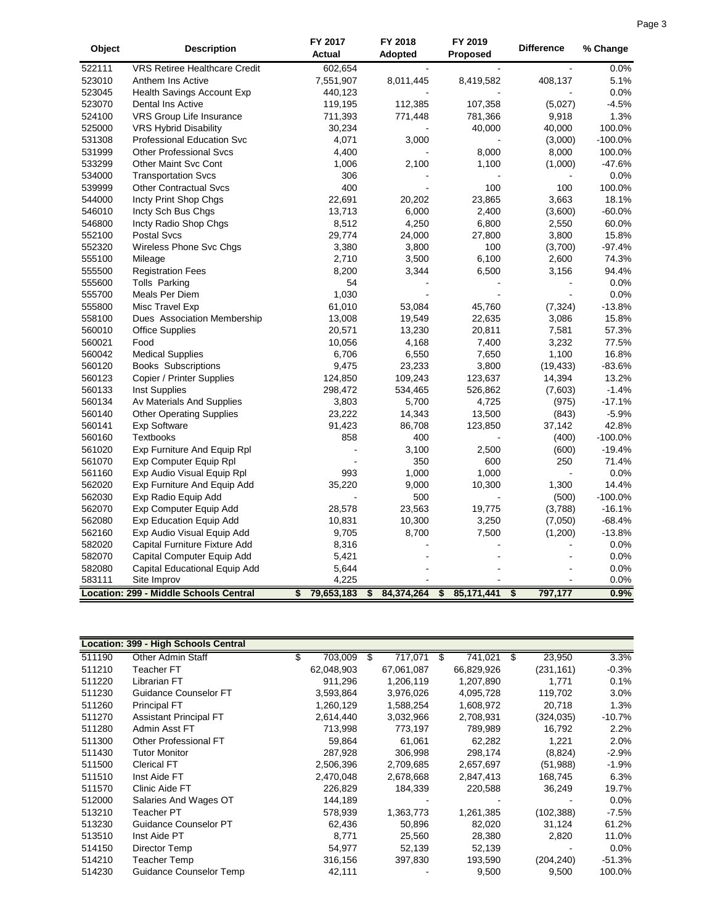|        |                                               | FY 2017          | FY 2018          | FY 2019            | <b>Difference</b> |           |
|--------|-----------------------------------------------|------------------|------------------|--------------------|-------------------|-----------|
| Object | <b>Description</b>                            | Actual           | <b>Adopted</b>   | <b>Proposed</b>    |                   | % Change  |
| 522111 | <b>VRS Retiree Healthcare Credit</b>          | 602,654          |                  |                    |                   | 0.0%      |
| 523010 | Anthem Ins Active                             | 7,551,907        | 8,011,445        | 8,419,582          | 408,137           | 5.1%      |
| 523045 | <b>Health Savings Account Exp</b>             | 440,123          |                  |                    |                   | 0.0%      |
| 523070 | <b>Dental Ins Active</b>                      | 119,195          | 112,385          | 107,358            | (5,027)           | $-4.5%$   |
| 524100 | VRS Group Life Insurance                      | 711,393          | 771,448          | 781,366            | 9,918             | 1.3%      |
| 525000 | <b>VRS Hybrid Disability</b>                  | 30,234           |                  | 40,000             | 40,000            | 100.0%    |
| 531308 | <b>Professional Education Svc</b>             | 4,071            | 3,000            |                    | (3,000)           | $-100.0%$ |
| 531999 | <b>Other Professional Svcs</b>                | 4,400            |                  | 8,000              | 8,000             | 100.0%    |
| 533299 | <b>Other Maint Svc Cont</b>                   | 1,006            | 2,100            | 1,100              | (1,000)           | $-47.6%$  |
| 534000 | <b>Transportation Svcs</b>                    | 306              |                  |                    |                   | 0.0%      |
| 539999 | <b>Other Contractual Svcs</b>                 | 400              |                  | 100                | 100               | 100.0%    |
| 544000 | Incty Print Shop Chgs                         | 22,691           | 20,202           | 23,865             | 3,663             | 18.1%     |
| 546010 | Incty Sch Bus Chgs                            | 13,713           | 6,000            | 2,400              | (3,600)           | $-60.0%$  |
| 546800 | Incty Radio Shop Chgs                         | 8,512            | 4,250            | 6,800              | 2,550             | 60.0%     |
| 552100 | <b>Postal Svcs</b>                            | 29,774           | 24,000           | 27,800             | 3,800             | 15.8%     |
| 552320 | Wireless Phone Svc Chgs                       | 3,380            | 3,800            | 100                | (3,700)           | $-97.4%$  |
| 555100 | Mileage                                       | 2,710            | 3,500            | 6,100              | 2,600             | 74.3%     |
| 555500 | <b>Registration Fees</b>                      | 8,200            | 3,344            | 6,500              | 3,156             | 94.4%     |
| 555600 | Tolls Parking                                 | 54               |                  |                    |                   | 0.0%      |
| 555700 | Meals Per Diem                                | 1,030            |                  |                    |                   | 0.0%      |
| 555800 | Misc Travel Exp                               | 61,010           | 53,084           | 45,760             | (7, 324)          | $-13.8%$  |
| 558100 | Dues Association Membership                   | 13,008           | 19,549           | 22,635             | 3,086             | 15.8%     |
| 560010 | <b>Office Supplies</b>                        | 20,571           | 13,230           | 20,811             | 7,581             | 57.3%     |
| 560021 | Food                                          | 10,056           | 4,168            | 7,400              | 3,232             | 77.5%     |
| 560042 | <b>Medical Supplies</b>                       | 6,706            | 6,550            | 7,650              | 1,100             | 16.8%     |
| 560120 | <b>Books Subscriptions</b>                    | 9,475            | 23,233           | 3,800              | (19, 433)         | $-83.6%$  |
| 560123 | Copier / Printer Supplies                     | 124,850          | 109,243          | 123,637            | 14,394            | 13.2%     |
| 560133 | Inst Supplies                                 | 298,472          | 534,465          | 526,862            | (7,603)           | $-1.4%$   |
| 560134 | Av Materials And Supplies                     | 3,803            | 5,700            | 4,725              |                   | $-17.1%$  |
| 560140 |                                               | 23,222           | 14,343           |                    | (975)             | $-5.9%$   |
| 560141 | <b>Other Operating Supplies</b>               |                  | 86,708           | 13,500             | (843)             | 42.8%     |
| 560160 | <b>Exp Software</b><br><b>Textbooks</b>       | 91,423<br>858    | 400              | 123,850            | 37,142            | $-100.0%$ |
| 561020 |                                               |                  |                  |                    | (400)             | $-19.4%$  |
|        | Exp Furniture And Equip Rpl                   |                  | 3,100            | 2,500              | (600)             |           |
| 561070 | Exp Computer Equip Rpl                        |                  | 350              | 600                | 250               | 71.4%     |
| 561160 | Exp Audio Visual Equip Rpl                    | 993              | 1,000            | 1,000              |                   | 0.0%      |
| 562020 | Exp Furniture And Equip Add                   | 35,220           | 9,000            | 10,300             | 1,300             | 14.4%     |
| 562030 | Exp Radio Equip Add                           |                  | 500              |                    | (500)             | $-100.0%$ |
| 562070 | Exp Computer Equip Add                        | 28,578           | 23,563           | 19,775             | (3,788)           | $-16.1%$  |
| 562080 | <b>Exp Education Equip Add</b>                | 10,831           | 10,300           | 3,250              | (7,050)           | $-68.4%$  |
| 562160 | Exp Audio Visual Equip Add                    | 9,705            | 8,700            | 7,500              | (1,200)           | $-13.8%$  |
| 582020 | Capital Furniture Fixture Add                 | 8,316            |                  |                    |                   | 0.0%      |
| 582070 | Capital Computer Equip Add                    | 5,421            |                  |                    |                   | 0.0%      |
| 582080 | Capital Educational Equip Add                 | 5,644            |                  |                    |                   | 0.0%      |
| 583111 | Site Improv                                   | 4,225            |                  |                    |                   | 0.0%      |
|        | <b>Location: 299 - Middle Schools Central</b> | \$<br>79,653,183 | \$<br>84,374,264 | \$<br>85, 171, 441 | \$<br>797,177     | 0.9%      |

|        | Location: 399 - High Schools Central |     |            |   |            |    |            |     |            |          |
|--------|--------------------------------------|-----|------------|---|------------|----|------------|-----|------------|----------|
| 511190 | <b>Other Admin Staff</b>             | \$. | 703,009    | S | 717,071    | -S | 741,021    | \$. | 23,950     | 3.3%     |
| 511210 | <b>Teacher FT</b>                    |     | 62,048,903 |   | 67,061,087 |    | 66,829,926 |     | (231, 161) | $-0.3%$  |
| 511220 | Librarian FT                         |     | 911,296    |   | 1,206,119  |    | 1,207,890  |     | 1,771      | 0.1%     |
| 511230 | Guidance Counselor FT                |     | 3,593,864  |   | 3,976,026  |    | 4,095,728  |     | 119,702    | 3.0%     |
| 511260 | <b>Principal FT</b>                  |     | 1,260,129  |   | 1,588,254  |    | 1,608,972  |     | 20,718     | 1.3%     |
| 511270 | <b>Assistant Principal FT</b>        |     | 2,614,440  |   | 3,032,966  |    | 2,708,931  |     | (324, 035) | $-10.7%$ |
| 511280 | Admin Asst FT                        |     | 713,998    |   | 773,197    |    | 789,989    |     | 16,792     | 2.2%     |
| 511300 | <b>Other Professional FT</b>         |     | 59,864     |   | 61,061     |    | 62,282     |     | 1,221      | 2.0%     |
| 511430 | <b>Tutor Monitor</b>                 |     | 287,928    |   | 306,998    |    | 298,174    |     | (8,824)    | $-2.9%$  |
| 511500 | <b>Clerical FT</b>                   |     | 2,506,396  |   | 2,709,685  |    | 2,657,697  |     | (51, 988)  | $-1.9%$  |
| 511510 | Inst Aide FT                         |     | 2.470.048  |   | 2,678,668  |    | 2,847,413  |     | 168,745    | 6.3%     |
| 511570 | Clinic Aide FT                       |     | 226,829    |   | 184,339    |    | 220,588    |     | 36,249     | 19.7%    |
| 512000 | Salaries And Wages OT                |     | 144,189    |   |            |    |            |     |            | 0.0%     |
| 513210 | Teacher PT                           |     | 578,939    |   | 1,363,773  |    | 1,261,385  |     | (102, 388) | $-7.5%$  |
| 513230 | Guidance Counselor PT                |     | 62,436     |   | 50,896     |    | 82,020     |     | 31,124     | 61.2%    |
| 513510 | Inst Aide PT                         |     | 8,771      |   | 25,560     |    | 28,380     |     | 2,820      | 11.0%    |
| 514150 | Director Temp                        |     | 54.977     |   | 52,139     |    | 52,139     |     |            | 0.0%     |
| 514210 | Teacher Temp                         |     | 316,156    |   | 397,830    |    | 193,590    |     | (204, 240) | $-51.3%$ |
| 514230 | Guidance Counselor Temp              |     | 42,111     |   |            |    | 9,500      |     | 9,500      | 100.0%   |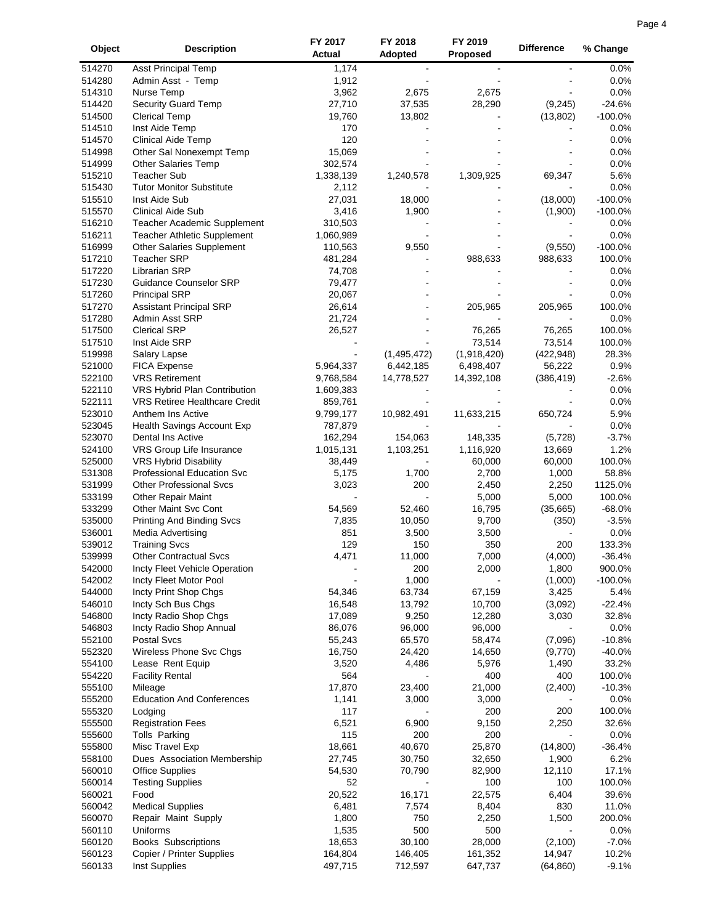|          | Page 4 |
|----------|--------|
| % Change |        |

| Object           | <b>Description</b>                                      | FY 2017<br><b>Actual</b> | FY 2018<br><b>Adopted</b> | FY 2019<br><b>Proposed</b> | <b>Difference</b>   | % Change               |
|------------------|---------------------------------------------------------|--------------------------|---------------------------|----------------------------|---------------------|------------------------|
| 514270           | <b>Asst Principal Temp</b>                              | 1,174                    |                           |                            |                     | 0.0%                   |
| 514280           | Admin Asst - Temp                                       | 1,912                    |                           |                            |                     | 0.0%                   |
| 514310           | Nurse Temp                                              | 3,962                    | 2,675                     | 2,675                      |                     | 0.0%                   |
| 514420           | Security Guard Temp                                     | 27,710                   | 37,535                    | 28,290                     | (9, 245)            | $-24.6%$               |
| 514500           | <b>Clerical Temp</b>                                    | 19,760                   | 13,802                    |                            | (13, 802)           | $-100.0%$              |
| 514510           | Inst Aide Temp                                          | 170                      |                           |                            |                     | 0.0%                   |
| 514570           | <b>Clinical Aide Temp</b>                               | 120                      |                           |                            |                     | 0.0%                   |
| 514998           | Other Sal Nonexempt Temp                                | 15,069                   |                           |                            |                     | 0.0%                   |
| 514999           | <b>Other Salaries Temp</b>                              | 302,574                  |                           |                            |                     | 0.0%                   |
| 515210           | <b>Teacher Sub</b>                                      | 1,338,139                | 1,240,578                 | 1,309,925                  | 69,347              | 5.6%                   |
| 515430           | <b>Tutor Monitor Substitute</b>                         | 2,112                    |                           |                            |                     | 0.0%                   |
| 515510<br>515570 | Inst Aide Sub<br><b>Clinical Aide Sub</b>               | 27,031<br>3,416          | 18,000<br>1,900           |                            | (18,000)            | $-100.0%$<br>$-100.0%$ |
| 516210           | Teacher Academic Supplement                             | 310,503                  |                           |                            | (1,900)             | 0.0%                   |
| 516211           | Teacher Athletic Supplement                             | 1,060,989                |                           |                            |                     | 0.0%                   |
| 516999           | <b>Other Salaries Supplement</b>                        | 110,563                  | 9,550                     |                            | (9,550)             | $-100.0%$              |
| 517210           | <b>Teacher SRP</b>                                      | 481,284                  |                           | 988,633                    | 988,633             | 100.0%                 |
| 517220           | <b>Librarian SRP</b>                                    | 74,708                   |                           |                            |                     | 0.0%                   |
| 517230           | <b>Guidance Counselor SRP</b>                           | 79,477                   |                           |                            |                     | 0.0%                   |
| 517260           | <b>Principal SRP</b>                                    | 20,067                   |                           |                            |                     | 0.0%                   |
| 517270           | <b>Assistant Principal SRP</b>                          | 26,614                   |                           | 205,965                    | 205,965             | 100.0%                 |
| 517280           | Admin Asst SRP                                          | 21,724                   |                           |                            |                     | 0.0%                   |
| 517500           | <b>Clerical SRP</b>                                     | 26,527                   |                           | 76,265                     | 76,265              | 100.0%                 |
| 517510           | Inst Aide SRP                                           |                          |                           | 73,514                     | 73,514              | 100.0%                 |
| 519998           | Salary Lapse                                            |                          | (1,495,472)               | (1,918,420)                | (422, 948)          | 28.3%                  |
| 521000           | <b>FICA Expense</b>                                     | 5,964,337                | 6,442,185                 | 6,498,407                  | 56,222              | 0.9%                   |
| 522100           | <b>VRS Retirement</b>                                   | 9,768,584                | 14,778,527                | 14,392,108                 | (386, 419)          | $-2.6%$                |
| 522110           | VRS Hybrid Plan Contribution                            | 1,609,383                |                           |                            |                     | 0.0%                   |
| 522111           | VRS Retiree Healthcare Credit                           | 859,761                  |                           |                            |                     | 0.0%                   |
| 523010           | Anthem Ins Active                                       | 9,799,177                | 10,982,491                | 11,633,215                 | 650,724             | 5.9%                   |
| 523045           | Health Savings Account Exp                              | 787,879                  |                           |                            |                     | 0.0%                   |
| 523070           | Dental Ins Active                                       | 162,294                  | 154,063                   | 148,335                    | (5,728)             | $-3.7%$                |
| 524100           | VRS Group Life Insurance                                | 1,015,131                | 1,103,251                 | 1,116,920                  | 13,669              | 1.2%                   |
| 525000           | VRS Hybrid Disability                                   | 38,449                   |                           | 60,000                     | 60,000              | 100.0%                 |
| 531308           | <b>Professional Education Svc</b>                       | 5,175                    | 1,700                     | 2,700                      | 1,000               | 58.8%                  |
| 531999<br>533199 | <b>Other Professional Svcs</b>                          | 3,023                    | 200                       | 2,450                      | 2,250<br>5,000      | 1125.0%<br>100.0%      |
| 533299           | <b>Other Repair Maint</b><br>Other Maint Svc Cont       | 54,569                   | 52,460                    | 5,000<br>16,795            | (35,665)            | $-68.0%$               |
| 535000           | <b>Printing And Binding Svcs</b>                        | 7,835                    | 10,050                    | 9,700                      | (350)               | $-3.5%$                |
| 536001           | Media Advertising                                       | 851                      | 3,500                     | 3,500                      |                     | 0.0%                   |
| 539012           | <b>Training Svcs</b>                                    | 129                      | 150                       | 350                        | 200                 | 133.3%                 |
| 539999           | <b>Other Contractual Svcs</b>                           | 4,471                    | 11,000                    | 7,000                      | (4,000)             | $-36.4%$               |
| 542000           | Incty Fleet Vehicle Operation                           |                          | 200                       | 2,000                      | 1,800               | 900.0%                 |
| 542002           | Incty Fleet Motor Pool                                  |                          | 1,000                     |                            | (1,000)             | $-100.0%$              |
| 544000           | Incty Print Shop Chgs                                   | 54,346                   | 63,734                    | 67,159                     | 3,425               | 5.4%                   |
| 546010           | Incty Sch Bus Chgs                                      | 16,548                   | 13,792                    | 10,700                     | (3,092)             | $-22.4%$               |
| 546800           | Incty Radio Shop Chgs                                   | 17,089                   | 9,250                     | 12,280                     | 3,030               | 32.8%                  |
| 546803           | Incty Radio Shop Annual                                 | 86,076                   | 96,000                    | 96,000                     |                     | 0.0%                   |
| 552100           | Postal Svcs                                             | 55,243                   | 65,570                    | 58,474                     | (7,096)             | $-10.8%$               |
| 552320           | Wireless Phone Svc Chgs                                 | 16,750                   | 24,420                    | 14,650                     | (9,770)             | $-40.0%$               |
| 554100           | Lease Rent Equip                                        | 3,520                    | 4,486                     | 5,976                      | 1,490               | 33.2%                  |
| 554220           | <b>Facility Rental</b>                                  | 564                      |                           | 400                        | 400                 | 100.0%                 |
| 555100           | Mileage                                                 | 17,870                   | 23,400                    | 21,000                     | (2,400)             | $-10.3%$               |
| 555200           | <b>Education And Conferences</b>                        | 1,141                    | 3,000                     | 3,000                      |                     | 0.0%                   |
| 555320           | Lodging                                                 | 117                      |                           | 200                        | 200                 | 100.0%                 |
| 555500           | <b>Registration Fees</b>                                | 6,521                    | 6,900                     | 9,150                      | 2,250               | 32.6%                  |
| 555600           | <b>Tolls Parking</b>                                    | 115                      | 200                       | 200                        |                     | 0.0%                   |
| 555800           | Misc Travel Exp                                         | 18,661                   | 40,670                    | 25,870                     | (14,800)            | $-36.4%$               |
| 558100           | Dues Association Membership                             | 27,745                   | 30,750                    | 32,650                     | 1,900               | 6.2%                   |
| 560010           | <b>Office Supplies</b>                                  | 54,530                   | 70,790                    | 82,900                     | 12,110              | 17.1%                  |
| 560014           | <b>Testing Supplies</b>                                 | 52                       |                           | 100                        | 100                 | 100.0%                 |
| 560021           | Food                                                    | 20,522                   | 16,171                    | 22,575                     | 6,404               | 39.6%                  |
| 560042           | <b>Medical Supplies</b>                                 | 6,481                    | 7,574                     | 8,404                      | 830                 | 11.0%                  |
| 560070           | Repair Maint Supply                                     | 1,800                    | 750                       | 2,250                      | 1,500               | 200.0%                 |
| 560110           | Uniforms                                                | 1,535                    | 500                       | 500                        |                     | 0.0%                   |
| 560120<br>560123 | <b>Books Subscriptions</b><br>Copier / Printer Supplies | 18,653                   | 30,100                    | 28,000                     | (2,100)             | $-7.0%$                |
| 560133           | Inst Supplies                                           | 164,804<br>497,715       | 146,405<br>712,597        | 161,352<br>647,737         | 14,947<br>(64, 860) | 10.2%<br>$-9.1%$       |
|                  |                                                         |                          |                           |                            |                     |                        |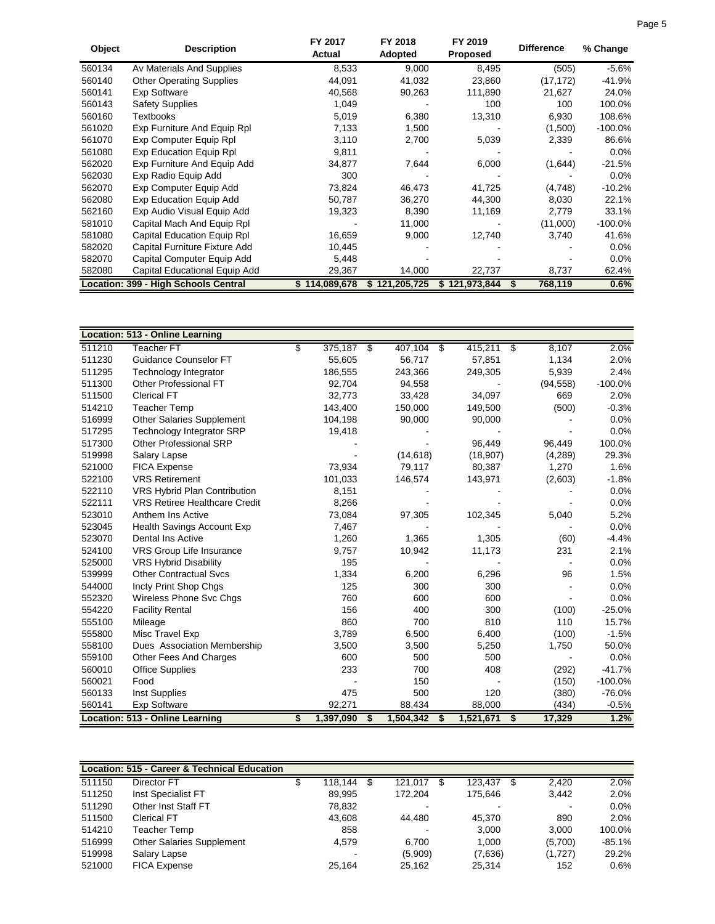| Object | <b>Description</b>                          | FY 2017<br>Actual | FY 2018<br><b>Adopted</b> | FY 2019<br><b>Proposed</b> | <b>Difference</b> | % Change   |
|--------|---------------------------------------------|-------------------|---------------------------|----------------------------|-------------------|------------|
| 560134 | Av Materials And Supplies                   | 8,533             | 9,000                     | 8,495                      | (505)             | $-5.6%$    |
| 560140 | <b>Other Operating Supplies</b>             | 44,091            | 41,032                    | 23,860                     | (17, 172)         | $-41.9%$   |
| 560141 | <b>Exp Software</b>                         | 40,568            | 90,263                    | 111,890                    | 21,627            | 24.0%      |
| 560143 | <b>Safety Supplies</b>                      | 1,049             |                           | 100                        | 100               | 100.0%     |
| 560160 | Textbooks                                   | 5,019             | 6,380                     | 13,310                     | 6,930             | 108.6%     |
| 561020 | Exp Furniture And Equip Rpl                 | 7,133             | 1,500                     |                            | (1,500)           | $-100.0\%$ |
| 561070 | Exp Computer Equip Rpl                      | 3,110             | 2,700                     | 5,039                      | 2,339             | 86.6%      |
| 561080 | Exp Education Equip Rpl                     | 9,811             |                           |                            |                   | 0.0%       |
| 562020 | Exp Furniture And Equip Add                 | 34,877            | 7,644                     | 6,000                      | (1,644)           | $-21.5%$   |
| 562030 | Exp Radio Equip Add                         | 300               |                           |                            |                   | 0.0%       |
| 562070 | Exp Computer Equip Add                      | 73,824            | 46,473                    | 41,725                     | (4,748)           | $-10.2%$   |
| 562080 | <b>Exp Education Equip Add</b>              | 50,787            | 36,270                    | 44,300                     | 8,030             | 22.1%      |
| 562160 | Exp Audio Visual Equip Add                  | 19,323            | 8,390                     | 11,169                     | 2,779             | 33.1%      |
| 581010 | Capital Mach And Equip Rpl                  |                   | 11,000                    |                            | (11,000)          | $-100.0\%$ |
| 581080 | <b>Capital Education Equip Rpl</b>          | 16,659            | 9,000                     | 12,740                     | 3,740             | 41.6%      |
| 582020 | Capital Furniture Fixture Add               | 10,445            |                           |                            |                   | 0.0%       |
| 582070 | Capital Computer Equip Add                  | 5,448             |                           |                            |                   | $0.0\%$    |
| 582080 | Capital Educational Equip Add               | 29,367            | 14,000                    | 22,737                     | 8,737             | 62.4%      |
|        | <b>Location: 399 - High Schools Central</b> | \$114.089.678     | \$121,205,725             | \$121.973.844              | 768,119           | 0.6%       |

|        | Location: 513 - Online Learning        |                 |    |            |     |           |              |           |
|--------|----------------------------------------|-----------------|----|------------|-----|-----------|--------------|-----------|
| 511210 | Teacher <sub>FT</sub>                  | \$<br>375,187   | \$ | 407,104 \$ |     | 415,211   | \$<br>8,107  | 2.0%      |
| 511230 | <b>Guidance Counselor FT</b>           | 55,605          |    | 56,717     |     | 57,851    | 1,134        | 2.0%      |
| 511295 | <b>Technology Integrator</b>           | 186,555         |    | 243,366    |     | 249,305   | 5,939        | 2.4%      |
| 511300 | Other Professional FT                  | 92,704          |    | 94,558     |     |           | (94, 558)    | $-100.0%$ |
| 511500 | <b>Clerical FT</b>                     | 32,773          |    | 33,428     |     | 34,097    | 669          | 2.0%      |
| 514210 | <b>Teacher Temp</b>                    | 143,400         |    | 150,000    |     | 149,500   | (500)        | $-0.3%$   |
| 516999 | <b>Other Salaries Supplement</b>       | 104,198         |    | 90,000     |     | 90,000    |              | 0.0%      |
| 517295 | <b>Technology Integrator SRP</b>       | 19,418          |    |            |     |           |              | 0.0%      |
| 517300 | <b>Other Professional SRP</b>          |                 |    |            |     | 96,449    | 96,449       | 100.0%    |
| 519998 | Salary Lapse                           |                 |    | (14, 618)  |     | (18,907)  | (4,289)      | 29.3%     |
| 521000 | <b>FICA Expense</b>                    | 73,934          |    | 79,117     |     | 80,387    | 1,270        | 1.6%      |
| 522100 | <b>VRS Retirement</b>                  | 101,033         |    | 146,574    |     | 143,971   | (2,603)      | $-1.8%$   |
| 522110 | VRS Hybrid Plan Contribution           | 8,151           |    |            |     |           |              | 0.0%      |
| 522111 | <b>VRS Retiree Healthcare Credit</b>   | 8,266           |    |            |     |           |              | 0.0%      |
| 523010 | Anthem Ins Active                      | 73,084          |    | 97,305     |     | 102,345   | 5,040        | 5.2%      |
| 523045 | <b>Health Savings Account Exp</b>      | 7.467           |    |            |     |           |              | 0.0%      |
| 523070 | Dental Ins Active                      | 1,260           |    | 1,365      |     | 1,305     | (60)         | $-4.4%$   |
| 524100 | VRS Group Life Insurance               | 9,757           |    | 10,942     |     | 11,173    | 231          | 2.1%      |
| 525000 | <b>VRS Hybrid Disability</b>           | 195             |    |            |     |           |              | 0.0%      |
| 539999 | <b>Other Contractual Svcs</b>          | 1,334           |    | 6,200      |     | 6,296     | 96           | 1.5%      |
| 544000 | Incty Print Shop Chgs                  | 125             |    | 300        |     | 300       |              | 0.0%      |
| 552320 | Wireless Phone Svc Chgs                | 760             |    | 600        |     | 600       |              | 0.0%      |
| 554220 | <b>Facility Rental</b>                 | 156             |    | 400        |     | 300       | (100)        | $-25.0%$  |
| 555100 | Mileage                                | 860             |    | 700        |     | 810       | 110          | 15.7%     |
| 555800 | Misc Travel Exp                        | 3,789           |    | 6,500      |     | 6,400     | (100)        | $-1.5%$   |
| 558100 | Dues Association Membership            | 3,500           |    | 3,500      |     | 5,250     | 1,750        | 50.0%     |
| 559100 | Other Fees And Charges                 | 600             |    | 500        |     | 500       |              | 0.0%      |
| 560010 | <b>Office Supplies</b>                 | 233             |    | 700        |     | 408       | (292)        | $-41.7%$  |
| 560021 | Food                                   |                 |    | 150        |     |           | (150)        | $-100.0%$ |
| 560133 | Inst Supplies                          | 475             |    | 500        |     | 120       | (380)        | $-76.0%$  |
| 560141 | Exp Software                           | 92,271          |    | 88,434     |     | 88,000    | (434)        | $-0.5%$   |
|        | <b>Location: 513 - Online Learning</b> | \$<br>1,397,090 | S  | 1,504,342  | \$. | 1,521,671 | \$<br>17,329 | 1.2%      |

|        | Location: 515 - Career & Technical Education |         |         |         |                |          |
|--------|----------------------------------------------|---------|---------|---------|----------------|----------|
| 511150 | Director FT                                  | 118.144 | 121.017 | 123.437 | 2,420          | 2.0%     |
| 511250 | Inst Specialist FT                           | 89,995  | 172.204 | 175.646 | 3,442          | 2.0%     |
| 511290 | Other Inst Staff FT                          | 78,832  |         |         | $\blacksquare$ | 0.0%     |
| 511500 | <b>Clerical FT</b>                           | 43.608  | 44.480  | 45.370  | 890            | 2.0%     |
| 514210 | Teacher Temp                                 | 858     |         | 3,000   | 3,000          | 100.0%   |
| 516999 | <b>Other Salaries Supplement</b>             | 4,579   | 6.700   | 1.000   | (5,700)        | $-85.1%$ |
| 519998 | Salary Lapse                                 |         | (5,909) | (7,636) | (1,727)        | 29.2%    |
| 521000 | <b>FICA Expense</b>                          | 25.164  | 25.162  | 25,314  | 152            | 0.6%     |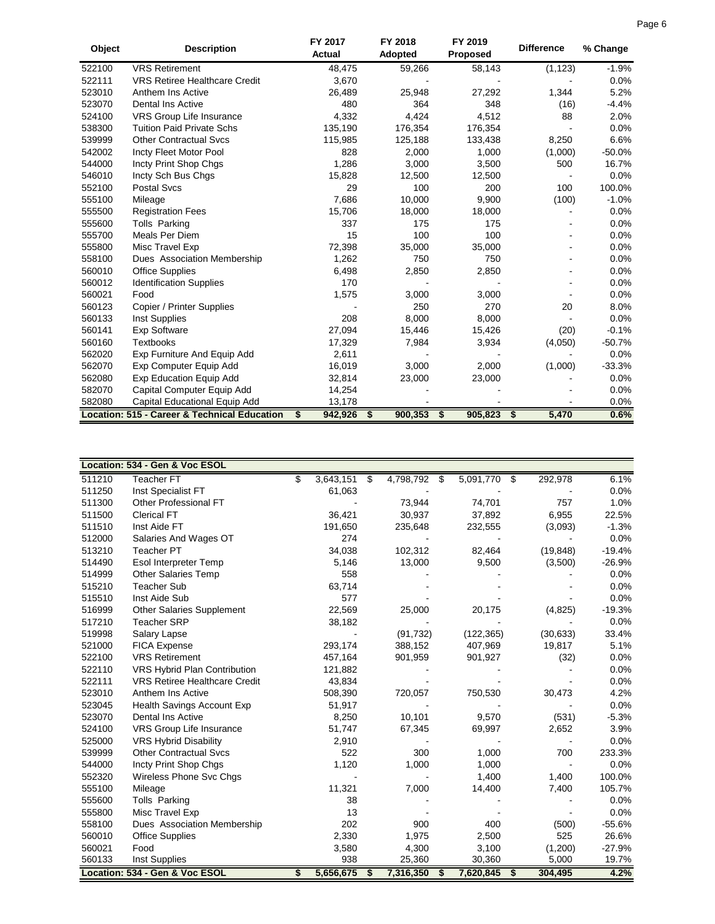| Object | <b>Description</b>                           | FY 2017<br><b>Actual</b> | FY 2018<br><b>Adopted</b> | FY 2019<br><b>Proposed</b> | <b>Difference</b> | % Change |
|--------|----------------------------------------------|--------------------------|---------------------------|----------------------------|-------------------|----------|
| 522100 | <b>VRS Retirement</b>                        | 48,475                   | 59,266                    | 58,143                     | (1, 123)          | $-1.9%$  |
| 522111 | VRS Retiree Healthcare Credit                | 3,670                    |                           |                            |                   | 0.0%     |
| 523010 | Anthem Ins Active                            | 26,489                   | 25,948                    | 27,292                     | 1,344             | 5.2%     |
| 523070 | <b>Dental Ins Active</b>                     | 480                      | 364                       | 348                        | (16)              | $-4.4%$  |
| 524100 | VRS Group Life Insurance                     | 4,332                    | 4,424                     | 4,512                      | 88                | 2.0%     |
| 538300 | <b>Tuition Paid Private Schs</b>             | 135,190                  | 176,354                   | 176,354                    |                   | 0.0%     |
| 539999 | <b>Other Contractual Sycs</b>                | 115,985                  | 125,188                   | 133,438                    | 8,250             | 6.6%     |
| 542002 | Incty Fleet Motor Pool                       | 828                      | 2,000                     | 1,000                      | (1,000)           | $-50.0%$ |
| 544000 | Incty Print Shop Chgs                        | 1,286                    | 3,000                     | 3,500                      | 500               | 16.7%    |
| 546010 | Incty Sch Bus Chgs                           | 15,828                   | 12,500                    | 12,500                     |                   | 0.0%     |
| 552100 | <b>Postal Svcs</b>                           | 29                       | 100                       | 200                        | 100               | 100.0%   |
| 555100 | Mileage                                      | 7,686                    | 10,000                    | 9,900                      | (100)             | $-1.0%$  |
| 555500 | <b>Registration Fees</b>                     | 15,706                   | 18,000                    | 18,000                     |                   | 0.0%     |
| 555600 | Tolls Parking                                | 337                      | 175                       | 175                        |                   | 0.0%     |
| 555700 | Meals Per Diem                               | 15                       | 100                       | 100                        |                   | 0.0%     |
| 555800 | Misc Travel Exp                              | 72,398                   | 35,000                    | 35,000                     |                   | 0.0%     |
| 558100 | Dues Association Membership                  | 1,262                    | 750                       | 750                        |                   | 0.0%     |
| 560010 | <b>Office Supplies</b>                       | 6,498                    | 2,850                     | 2,850                      |                   | 0.0%     |
| 560012 | <b>Identification Supplies</b>               | 170                      |                           |                            |                   | 0.0%     |
| 560021 | Food                                         | 1,575                    | 3,000                     | 3,000                      |                   | 0.0%     |
| 560123 | Copier / Printer Supplies                    |                          | 250                       | 270                        | 20                | 8.0%     |
| 560133 | Inst Supplies                                | 208                      | 8,000                     | 8,000                      |                   | 0.0%     |
| 560141 | <b>Exp Software</b>                          | 27,094                   | 15,446                    | 15,426                     | (20)              | $-0.1%$  |
| 560160 | <b>Textbooks</b>                             | 17,329                   | 7,984                     | 3,934                      | (4,050)           | $-50.7%$ |
| 562020 | Exp Furniture And Equip Add                  | 2,611                    |                           |                            |                   | 0.0%     |
| 562070 | Exp Computer Equip Add                       | 16,019                   | 3,000                     | 2,000                      | (1,000)           | $-33.3%$ |
| 562080 | <b>Exp Education Equip Add</b>               | 32,814                   | 23,000                    | 23,000                     |                   | 0.0%     |
| 582070 | Capital Computer Equip Add                   | 14,254                   |                           |                            |                   | 0.0%     |
| 582080 | Capital Educational Equip Add                | 13,178                   |                           |                            |                   | 0.0%     |
|        | Location: 515 - Career & Technical Education | 942,926<br>S             | $900,353$ \$<br>S         | 905,823                    | 5,470<br>S.       | 0.6%     |

|        | Location: 534 - Gen & Voc ESOL   |                 |     |              |                |           |          |
|--------|----------------------------------|-----------------|-----|--------------|----------------|-----------|----------|
| 511210 | <b>Teacher FT</b>                | \$<br>3,643,151 | -\$ | 4,798,792 \$ | 5,091,770 \$   | 292,978   | 6.1%     |
| 511250 | Inst Specialist FT               | 61,063          |     |              |                |           | 0.0%     |
| 511300 | Other Professional FT            |                 |     | 73,944       | 74,701         | 757       | 1.0%     |
| 511500 | <b>Clerical FT</b>               | 36,421          |     | 30,937       | 37,892         | 6,955     | 22.5%    |
| 511510 | Inst Aide FT                     | 191,650         |     | 235,648      | 232,555        | (3,093)   | $-1.3%$  |
| 512000 | Salaries And Wages OT            | 274             |     |              |                |           | 0.0%     |
| 513210 | <b>Teacher PT</b>                | 34,038          |     | 102,312      | 82,464         | (19, 848) | $-19.4%$ |
| 514490 | Esol Interpreter Temp            | 5,146           |     | 13,000       | 9,500          | (3,500)   | $-26.9%$ |
| 514999 | <b>Other Salaries Temp</b>       | 558             |     |              |                |           | 0.0%     |
| 515210 | <b>Teacher Sub</b>               | 63,714          |     |              |                |           | 0.0%     |
| 515510 | Inst Aide Sub                    | 577             |     |              |                |           | 0.0%     |
| 516999 | <b>Other Salaries Supplement</b> | 22,569          |     | 25,000       | 20,175         | (4,825)   | $-19.3%$ |
| 517210 | <b>Teacher SRP</b>               | 38,182          |     |              |                |           | 0.0%     |
| 519998 | Salary Lapse                     |                 |     | (91, 732)    | (122, 365)     | (30, 633) | 33.4%    |
| 521000 | FICA Expense                     | 293,174         |     | 388,152      | 407,969        | 19,817    | 5.1%     |
| 522100 | <b>VRS Retirement</b>            | 457,164         |     | 901,959      | 901,927        | (32)      | 0.0%     |
| 522110 | VRS Hybrid Plan Contribution     | 121,882         |     |              |                |           | 0.0%     |
| 522111 | VRS Retiree Healthcare Credit    | 43,834          |     |              |                |           | 0.0%     |
| 523010 | Anthem Ins Active                | 508,390         |     | 720,057      | 750,530        | 30,473    | 4.2%     |
| 523045 | Health Savings Account Exp       | 51,917          |     |              |                |           | 0.0%     |
| 523070 | Dental Ins Active                | 8,250           |     | 10,101       | 9,570          | (531)     | $-5.3%$  |
| 524100 | VRS Group Life Insurance         | 51,747          |     | 67,345       | 69,997         | 2,652     | 3.9%     |
| 525000 | <b>VRS Hybrid Disability</b>     | 2,910           |     |              |                |           | 0.0%     |
| 539999 | <b>Other Contractual Svcs</b>    | 522             |     | 300          | 1,000          | 700       | 233.3%   |
| 544000 | Incty Print Shop Chgs            | 1,120           |     | 1,000        | 1,000          |           | 0.0%     |
| 552320 | Wireless Phone Svc Chgs          |                 |     |              | 1,400          | 1,400     | 100.0%   |
| 555100 | Mileage                          | 11,321          |     | 7,000        | 14,400         | 7,400     | 105.7%   |
| 555600 | Tolls Parking                    | 38              |     |              |                |           | 0.0%     |
| 555800 | Misc Travel Exp                  | 13              |     |              |                |           | 0.0%     |
| 558100 | Dues Association Membership      | 202             |     | 900          | 400            | (500)     | $-55.6%$ |
| 560010 | <b>Office Supplies</b>           | 2,330           |     | 1,975        | 2,500          | 525       | 26.6%    |
| 560021 | Food                             | 3,580           |     | 4,300        | 3,100          | (1,200)   | $-27.9%$ |
| 560133 | Inst Supplies                    | 938             |     | 25,360       | 30,360         | 5,000     | 19.7%    |
|        | Location: 534 - Gen & Voc ESOL   | \$<br>5,656,675 | \$  | 7,316,350 \$ | $7,620,845$ \$ | 304,495   | 4.2%     |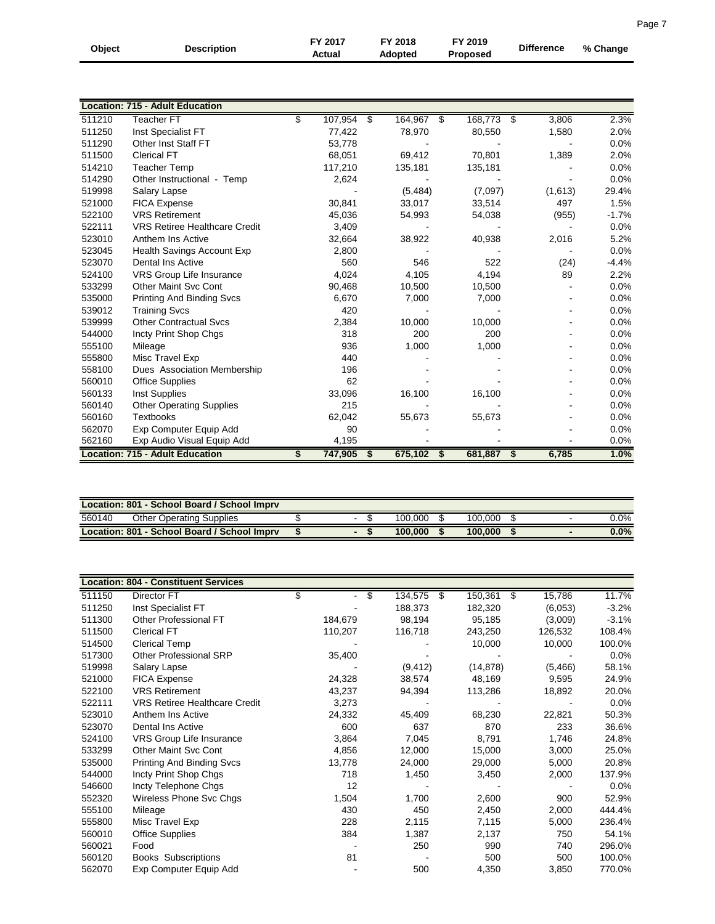| Object | <b>Description</b>                     | FY 2017<br>Actual | FY 2018<br><b>Adopted</b> | FY 2019<br><b>Proposed</b> | <b>Difference</b> | % Change |
|--------|----------------------------------------|-------------------|---------------------------|----------------------------|-------------------|----------|
|        |                                        |                   |                           |                            |                   |          |
|        | <b>Location: 715 - Adult Education</b> |                   |                           |                            |                   |          |
| 511210 | <b>Teacher FT</b>                      | \$<br>107,954     | \$<br>164,967 \$          | 168,773 \$                 | 3,806             | 2.3%     |
| 511250 | Inst Specialist FT                     | 77,422            | 78,970                    | 80,550                     | 1,580             | 2.0%     |
| 511290 | Other Inst Staff FT                    | 53,778            |                           |                            |                   | 0.0%     |
| 511500 | <b>Clerical FT</b>                     | 68,051            | 69,412                    | 70,801                     | 1,389             | 2.0%     |
| 514210 | <b>Teacher Temp</b>                    | 117,210           | 135,181                   | 135,181                    |                   | 0.0%     |
| 514290 | Other Instructional - Temp             | 2,624             |                           |                            |                   | 0.0%     |
| 519998 | Salary Lapse                           |                   | (5, 484)                  | (7,097)                    | (1,613)           | 29.4%    |
| 521000 | <b>FICA Expense</b>                    | 30,841            | 33,017                    | 33,514                     | 497               | 1.5%     |
| 522100 | <b>VRS Retirement</b>                  | 45,036            | 54,993                    | 54,038                     | (955)             | $-1.7%$  |
| 522111 | <b>VRS Retiree Healthcare Credit</b>   | 3,409             |                           |                            |                   | 0.0%     |
| 523010 | Anthem Ins Active                      | 32,664            | 38,922                    | 40,938                     | 2,016             | 5.2%     |
| 523045 | Health Savings Account Exp             | 2,800             |                           |                            |                   | 0.0%     |
| 523070 | <b>Dental Ins Active</b>               | 560               | 546                       | 522                        | (24)              | $-4.4%$  |
| 524100 | <b>VRS Group Life Insurance</b>        | 4.024             | 4,105                     | 4,194                      | 89                | 2.2%     |
| 533299 | Other Maint Svc Cont                   | 90,468            | 10,500                    | 10,500                     |                   | 0.0%     |
| 535000 | <b>Printing And Binding Svcs</b>       | 6,670             | 7,000                     | 7,000                      |                   | 0.0%     |
| 539012 | <b>Training Svcs</b>                   | 420               |                           |                            |                   | 0.0%     |
| 539999 | <b>Other Contractual Svcs</b>          | 2,384             | 10,000                    | 10,000                     |                   | 0.0%     |
| 544000 | Incty Print Shop Chgs                  | 318               | 200                       | 200                        |                   | 0.0%     |
| 555100 | Mileage                                | 936               | 1,000                     | 1,000                      |                   | 0.0%     |
| 555800 | Misc Travel Exp                        | 440               |                           |                            |                   | 0.0%     |
| 558100 | Dues Association Membership            | 196               |                           |                            |                   | 0.0%     |
| 560010 | <b>Office Supplies</b>                 | 62                |                           |                            |                   | 0.0%     |
| 560133 | Inst Supplies                          | 33,096            | 16,100                    | 16,100                     |                   | 0.0%     |
| 560140 | <b>Other Operating Supplies</b>        | 215               |                           |                            |                   | 0.0%     |
| 560160 | <b>Textbooks</b>                       | 62,042            | 55,673                    | 55,673                     |                   | 0.0%     |
| 562070 | Exp Computer Equip Add                 | 90                |                           |                            |                   | 0.0%     |
| 562160 | Exp Audio Visual Equip Add             | 4,195             |                           |                            |                   | 0.0%     |
|        | <b>Location: 715 - Adult Education</b> | \$<br>747,905     | \$<br>675,102             | 681,887<br>-\$             | 6,785<br>\$       | 1.0%     |

| Location: 801 - School Board / School Impry |                                             |  |   |  |         |  |         |  |                          |         |
|---------------------------------------------|---------------------------------------------|--|---|--|---------|--|---------|--|--------------------------|---------|
| 560140                                      | <b>Other Operating Supplies</b>             |  | - |  | 100.000 |  | 100.000 |  | $\overline{\phantom{a}}$ | $0.0\%$ |
|                                             | Location: 801 - School Board / School Impry |  |   |  | 100.000 |  | 100,000 |  |                          | $0.0\%$ |

|        | <b>Location: 804 - Constituent Services</b> |         |   |          |               |    |          |         |
|--------|---------------------------------------------|---------|---|----------|---------------|----|----------|---------|
| 511150 | Director FT                                 | \$      | S | 134,575  | \$<br>150,361 | s, | 15,786   | 11.7%   |
| 511250 | Inst Specialist FT                          |         |   | 188,373  | 182,320       |    | (6,053)  | $-3.2%$ |
| 511300 | Other Professional FT                       | 184,679 |   | 98,194   | 95,185        |    | (3,009)  | $-3.1%$ |
| 511500 | <b>Clerical FT</b>                          | 110,207 |   | 116,718  | 243,250       |    | 126,532  | 108.4%  |
| 514500 | Clerical Temp                               |         |   |          | 10,000        |    | 10,000   | 100.0%  |
| 517300 | <b>Other Professional SRP</b>               | 35,400  |   |          |               |    |          | $0.0\%$ |
| 519998 | Salary Lapse                                |         |   | (9, 412) | (14, 878)     |    | (5, 466) | 58.1%   |
| 521000 | <b>FICA Expense</b>                         | 24,328  |   | 38,574   | 48,169        |    | 9,595    | 24.9%   |
| 522100 | <b>VRS Retirement</b>                       | 43,237  |   | 94,394   | 113,286       |    | 18,892   | 20.0%   |
| 522111 | <b>VRS Retiree Healthcare Credit</b>        | 3,273   |   |          |               |    |          | $0.0\%$ |
| 523010 | Anthem Ins Active                           | 24,332  |   | 45,409   | 68,230        |    | 22,821   | 50.3%   |
| 523070 | <b>Dental Ins Active</b>                    | 600     |   | 637      | 870           |    | 233      | 36.6%   |
| 524100 | VRS Group Life Insurance                    | 3,864   |   | 7,045    | 8,791         |    | 1,746    | 24.8%   |
| 533299 | <b>Other Maint Svc Cont</b>                 | 4,856   |   | 12,000   | 15,000        |    | 3,000    | 25.0%   |
| 535000 | <b>Printing And Binding Svcs</b>            | 13,778  |   | 24,000   | 29,000        |    | 5,000    | 20.8%   |
| 544000 | Incty Print Shop Chgs                       | 718     |   | 1,450    | 3,450         |    | 2,000    | 137.9%  |
| 546600 | Incty Telephone Chgs                        | 12      |   |          |               |    |          | $0.0\%$ |
| 552320 | Wireless Phone Svc Chgs                     | 1,504   |   | 1,700    | 2,600         |    | 900      | 52.9%   |
| 555100 | Mileage                                     | 430     |   | 450      | 2,450         |    | 2,000    | 444.4%  |
| 555800 | Misc Travel Exp                             | 228     |   | 2,115    | 7,115         |    | 5,000    | 236.4%  |
| 560010 | <b>Office Supplies</b>                      | 384     |   | 1,387    | 2,137         |    | 750      | 54.1%   |
| 560021 | Food                                        |         |   | 250      | 990           |    | 740      | 296.0%  |
| 560120 | <b>Books Subscriptions</b>                  | 81      |   |          | 500           |    | 500      | 100.0%  |
| 562070 | Exp Computer Equip Add                      |         |   | 500      | 4,350         |    | 3,850    | 770.0%  |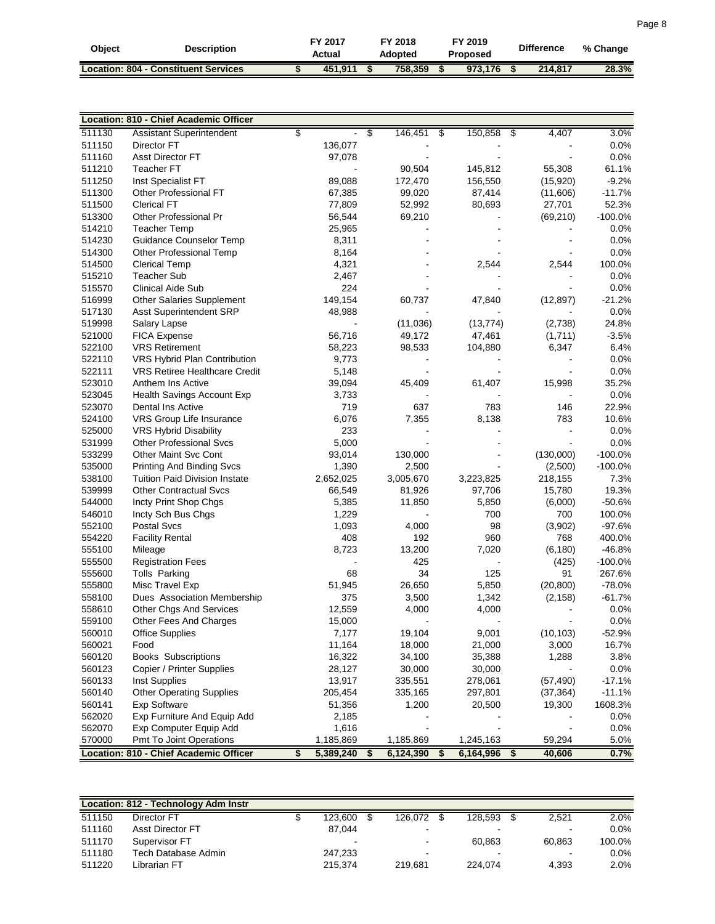| Obiect | <b>Description</b>                          | FY 2017<br>Actual | FY 2018<br>Adopted | FY 2019<br>Proposed | <b>Difference</b> | % Change |
|--------|---------------------------------------------|-------------------|--------------------|---------------------|-------------------|----------|
|        | <b>Location: 804 - Constituent Services</b> | 451.911           | 758.359            | 973.176             | 214,817           | 28.3%    |

|        | Location: 810 - Chief Academic Officer |                 |                            |                 |              |           |
|--------|----------------------------------------|-----------------|----------------------------|-----------------|--------------|-----------|
| 511130 | Assistant Superintendent               | \$              | $\overline{\$}$<br>146,451 | 150,858<br>\$   | 4,407<br>\$  | 3.0%      |
| 511150 | Director FT                            | 136,077         |                            |                 |              | 0.0%      |
| 511160 | <b>Asst Director FT</b>                | 97,078          |                            |                 |              | 0.0%      |
| 511210 | <b>Teacher FT</b>                      |                 | 90,504                     | 145,812         | 55,308       | 61.1%     |
| 511250 | Inst Specialist FT                     | 89,088          | 172,470                    | 156,550         | (15,920)     | $-9.2%$   |
| 511300 | Other Professional FT                  | 67,385          | 99,020                     | 87,414          | (11,606)     | $-11.7%$  |
| 511500 | <b>Clerical FT</b>                     | 77,809          | 52,992                     | 80,693          | 27,701       | 52.3%     |
| 513300 | Other Professional Pr                  | 56,544          | 69,210                     |                 | (69, 210)    | $-100.0%$ |
| 514210 | <b>Teacher Temp</b>                    | 25,965          |                            |                 |              | 0.0%      |
| 514230 | Guidance Counselor Temp                | 8,311           |                            |                 |              | 0.0%      |
| 514300 | Other Professional Temp                | 8,164           |                            |                 |              | 0.0%      |
| 514500 | <b>Clerical Temp</b>                   | 4,321           |                            | 2,544           | 2,544        | 100.0%    |
| 515210 | <b>Teacher Sub</b>                     | 2,467           |                            |                 |              | 0.0%      |
| 515570 | <b>Clinical Aide Sub</b>               | 224             |                            |                 |              | 0.0%      |
| 516999 | Other Salaries Supplement              | 149,154         | 60,737                     | 47,840          | (12, 897)    | $-21.2%$  |
| 517130 | Asst Superintendent SRP                | 48,988          |                            |                 |              | 0.0%      |
| 519998 | Salary Lapse                           |                 | (11,036)                   | (13, 774)       | (2,738)      | 24.8%     |
| 521000 | <b>FICA Expense</b>                    | 56,716          | 49,172                     | 47,461          | (1,711)      | $-3.5%$   |
| 522100 | <b>VRS Retirement</b>                  | 58,223          | 98,533                     | 104,880         | 6,347        | 6.4%      |
| 522110 | VRS Hybrid Plan Contribution           | 9,773           |                            |                 |              | 0.0%      |
| 522111 | <b>VRS Retiree Healthcare Credit</b>   | 5,148           |                            |                 |              | 0.0%      |
| 523010 | Anthem Ins Active                      | 39,094          | 45,409                     | 61,407          | 15,998       | 35.2%     |
| 523045 | Health Savings Account Exp             | 3,733           |                            |                 |              | 0.0%      |
| 523070 | Dental Ins Active                      | 719             | 637                        | 783             | 146          | 22.9%     |
| 524100 | VRS Group Life Insurance               | 6,076           | 7,355                      | 8,138           | 783          | 10.6%     |
| 525000 | VRS Hybrid Disability                  | 233             |                            |                 |              | 0.0%      |
| 531999 | <b>Other Professional Svcs</b>         | 5,000           |                            |                 |              | 0.0%      |
| 533299 | Other Maint Svc Cont                   | 93,014          | 130,000                    |                 | (130,000)    | $-100.0%$ |
| 535000 | <b>Printing And Binding Svcs</b>       | 1,390           | 2,500                      |                 | (2,500)      | $-100.0%$ |
| 538100 | <b>Tuition Paid Division Instate</b>   | 2,652,025       | 3,005,670                  | 3,223,825       | 218,155      | 7.3%      |
| 539999 | <b>Other Contractual Svcs</b>          | 66,549          | 81,926                     | 97,706          | 15,780       | 19.3%     |
| 544000 | Incty Print Shop Chgs                  | 5,385           | 11,850                     | 5,850           | (6,000)      | $-50.6%$  |
| 546010 | Incty Sch Bus Chgs                     | 1,229           |                            | 700             | 700          | 100.0%    |
| 552100 | <b>Postal Svcs</b>                     | 1,093           | 4,000                      | 98              | (3,902)      | $-97.6%$  |
| 554220 | <b>Facility Rental</b>                 | 408             | 192                        | 960             | 768          | 400.0%    |
| 555100 | Mileage                                | 8,723           | 13,200                     | 7,020           | (6, 180)     | $-46.8%$  |
| 555500 | <b>Registration Fees</b>               |                 | 425                        |                 | (425)        | $-100.0%$ |
| 555600 | Tolls Parking                          | 68              | 34                         | 125             | 91           | 267.6%    |
| 555800 | Misc Travel Exp                        | 51,945          | 26,650                     | 5,850           | (20, 800)    | $-78.0%$  |
| 558100 | Dues Association Membership            | 375             | 3,500                      | 1,342           | (2, 158)     | $-61.7%$  |
| 558610 | Other Chgs And Services                | 12,559          | 4,000                      | 4,000           |              | 0.0%      |
| 559100 | Other Fees And Charges                 | 15,000          |                            |                 |              | 0.0%      |
| 560010 | Office Supplies                        | 7,177           | 19,104                     | 9,001           | (10, 103)    | $-52.9%$  |
| 560021 | Food                                   | 11,164          | 18,000                     | 21,000          | 3,000        | 16.7%     |
| 560120 | <b>Books Subscriptions</b>             | 16,322          | 34,100                     | 35,388          | 1,288        | 3.8%      |
| 560123 | Copier / Printer Supplies              | 28,127          | 30,000                     | 30,000          |              | 0.0%      |
| 560133 | Inst Supplies                          | 13,917          | 335,551                    | 278,061         | (57, 490)    | $-17.1%$  |
| 560140 | <b>Other Operating Supplies</b>        | 205,454         | 335,165                    | 297,801         | (37, 364)    | $-11.1%$  |
| 560141 | <b>Exp Software</b>                    | 51,356          | 1,200                      | 20,500          | 19,300       | 1608.3%   |
| 562020 | Exp Furniture And Equip Add            | 2,185           |                            |                 |              | 0.0%      |
| 562070 | Exp Computer Equip Add                 | 1,616           |                            |                 |              | 0.0%      |
| 570000 | Pmt To Joint Operations                | 1,185,869       | 1,185,869                  | 1,245,163       | 59,294       | 5.0%      |
|        | Location: 810 - Chief Academic Officer | \$<br>5,389,240 | \$<br>6,124,390            | \$<br>6,164,996 | \$<br>40,606 | 0.7%      |

|        | Location: 812 - Technology Adm Instr |         |                |    |                |        |         |
|--------|--------------------------------------|---------|----------------|----|----------------|--------|---------|
| 511150 | Director FT                          | 123,600 | 126.072        | -S | 128.593        | 2.521  | 2.0%    |
| 511160 | <b>Asst Director FT</b>              | 87.044  |                |    | $\blacksquare$ | ٠      | $0.0\%$ |
| 511170 | Supervisor FT                        |         | $\sim$         |    | 60.863         | 60.863 | 100.0%  |
| 511180 | Tech Database Admin                  | 247.233 | $\blacksquare$ |    | ٠              | ٠      | $0.0\%$ |
| 511220 | Librarian FT                         | 215.374 | 219.681        |    | 224.074        | 4,393  | 2.0%    |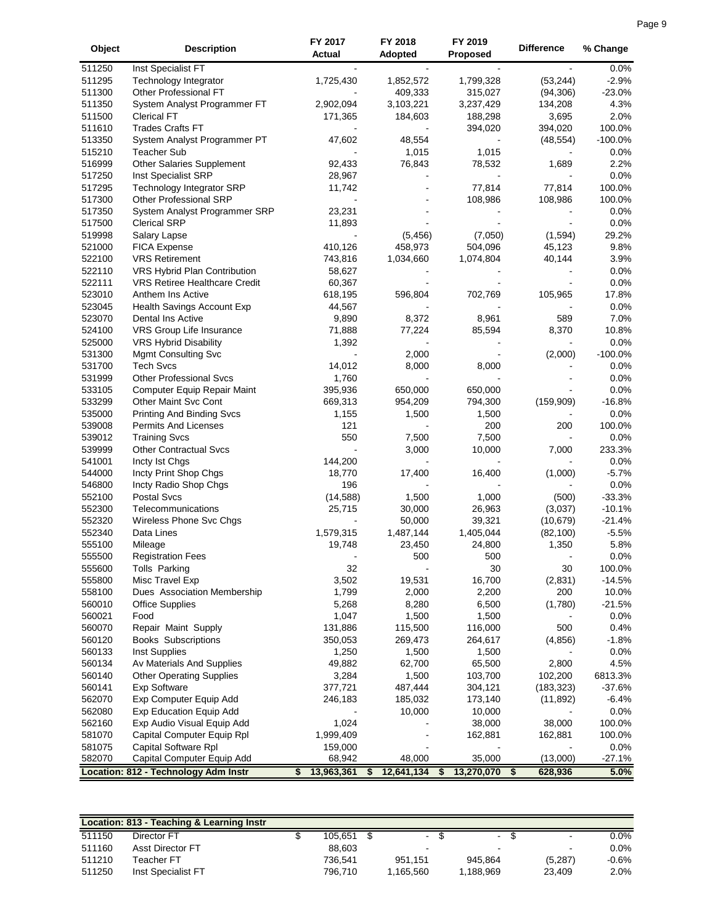| 511250<br>Inst Specialist FT<br>511295<br>Technology Integrator<br>1,725,430<br>1,852,572<br>1,799,328<br>(53, 244)<br>511300<br>Other Professional FT<br>409,333<br>315,027<br>(94, 306)<br>511350<br>System Analyst Programmer FT<br>2,902,094<br>3,103,221<br>3,237,429<br>134,208<br>511500<br>3,695<br><b>Clerical FT</b><br>171,365<br>184,603<br>188,298<br>511610<br><b>Trades Crafts FT</b><br>394,020<br>394,020<br>513350<br>$-100.0%$<br>System Analyst Programmer PT<br>47,602<br>48,554<br>(48, 554)<br>515210<br><b>Teacher Sub</b><br>1,015<br>1,015<br>0.0%<br>516999<br>Other Salaries Supplement<br>92,433<br>76,843<br>2.2%<br>78,532<br>1,689<br>28,967<br>0.0%<br>517250<br>Inst Specialist SRP<br>517295<br><b>Technology Integrator SRP</b><br>77,814<br>77,814<br>100.0%<br>11,742<br>517300<br>Other Professional SRP<br>108,986<br>100.0%<br>108,986<br>517350<br>23,231<br>0.0%<br>System Analyst Programmer SRP<br>517500<br>0.0%<br><b>Clerical SRP</b><br>11,893<br>519998<br>Salary Lapse<br>(5, 456)<br>(7,050)<br>(1, 594)<br>29.2%<br>521000<br><b>FICA Expense</b><br>410,126<br>458,973<br>9.8%<br>504,096<br>45,123<br>522100<br><b>VRS Retirement</b><br>3.9%<br>743,816<br>1,034,660<br>1,074,804<br>40,144<br>522110<br>VRS Hybrid Plan Contribution<br>0.0%<br>58,627<br>522111<br>0.0%<br><b>VRS Retiree Healthcare Credit</b><br>60,367<br>523010<br>Anthem Ins Active<br>17.8%<br>618,195<br>596,804<br>702,769<br>105,965<br>523045<br>44,567<br>0.0%<br>Health Savings Account Exp<br>523070<br>9,890<br>8,961<br>7.0%<br>Dental Ins Active<br>8,372<br>589<br>524100<br>VRS Group Life Insurance<br>71,888<br>77,224<br>8,370<br>10.8%<br>85,594<br>525000<br><b>VRS Hybrid Disability</b><br>1,392<br>0.0%<br>531300<br>Mgmt Consulting Svc<br>2,000<br>(2,000)<br>$-100.0%$<br>531700<br><b>Tech Svcs</b><br>8,000<br>0.0%<br>14,012<br>8,000<br>531999<br><b>Other Professional Svcs</b><br>1,760<br>0.0%<br>533105<br>Computer Equip Repair Maint<br>395,936<br>650,000<br>0.0%<br>650,000<br>533299<br>Other Maint Svc Cont<br>669,313<br>(159,909)<br>$-16.8%$<br>954,209<br>794,300<br>535000<br><b>Printing And Binding Svcs</b><br>1,155<br>1,500<br>1,500<br>539008<br>Permits And Licenses<br>121<br>200<br>200<br>539012<br>550<br>7,500<br><b>Training Svcs</b><br>7,500<br>539999<br>3,000<br>10,000<br><b>Other Contractual Svcs</b><br>7,000<br>541001<br>Incty Ist Chgs<br>144,200<br>544000<br>Incty Print Shop Chgs<br>18,770<br>16,400<br>17,400<br>(1,000)<br>546800<br>Incty Radio Shop Chgs<br>196<br>552100<br>(14, 588)<br>1,000<br><b>Postal Svcs</b><br>1,500<br>(500)<br>552300<br>25,715<br>30,000<br>26,963<br>(3,037)<br>Telecommunications<br>552320<br>Wireless Phone Svc Chgs<br>50,000<br>39,321<br>(10, 679)<br>552340<br>1,487,144<br>1,405,044<br>Data Lines<br>1,579,315<br>(82, 100)<br>555100<br>Mileage<br>19,748<br>23,450<br>24,800<br>1,350<br>555500<br>500<br><b>Registration Fees</b><br>500<br>32<br>555600<br>Tolls Parking<br>30<br>30<br>555800<br>Misc Travel Exp<br>3,502<br>19,531<br>16,700<br>(2,831)<br>$-14.5%$<br>558100<br>1,799<br>2,000<br>2,200<br>200<br>10.0%<br>Dues Association Membership<br>560010<br>6,500<br><b>Office Supplies</b><br>5,268<br>8,280<br>(1,780)<br>$-21.5%$<br>560021<br>1,047<br>1,500<br>0.0%<br>Food<br>1,500<br>560070<br>131,886<br>115,500<br>116,000<br>500<br>0.4%<br>Repair Maint Supply<br>560120<br>350,053<br>269,473<br>$-1.8%$<br><b>Books Subscriptions</b><br>264,617<br>(4,856)<br>0.0%<br>560133<br>Inst Supplies<br>1,250<br>1,500<br>1,500<br>560134<br>62,700<br>65,500<br>4.5%<br>Av Materials And Supplies<br>49,882<br>2,800<br>560140<br>3,284<br>1,500<br>103,700<br>102,200<br>6813.3%<br><b>Other Operating Supplies</b><br>560141<br>377,721<br>487,444<br>304,121<br>$-37.6%$<br>Exp Software<br>(183, 323)<br>562070<br>Exp Computer Equip Add<br>246,183<br>185,032<br>173,140<br>(11, 892)<br>$-6.4%$<br>562080<br><b>Exp Education Equip Add</b><br>10,000<br>0.0%<br>10,000<br>38,000<br>562160<br>Exp Audio Visual Equip Add<br>1,024<br>38,000<br>100.0%<br>581070<br>Capital Computer Equip Rpl<br>100.0%<br>1,999,409<br>162,881<br>162,881<br>581075<br>Capital Software Rpl<br>0.0%<br>159,000<br>582070<br>68,942<br>35,000<br>Capital Computer Equip Add<br>48,000<br>(13,000)<br>$-27.1%$ | Object | <b>Description</b> | FY 2017<br><b>Actual</b> | FY 2018<br><b>Adopted</b> | FY 2019<br><b>Proposed</b> | <b>Difference</b> | % Change |
|--------------------------------------------------------------------------------------------------------------------------------------------------------------------------------------------------------------------------------------------------------------------------------------------------------------------------------------------------------------------------------------------------------------------------------------------------------------------------------------------------------------------------------------------------------------------------------------------------------------------------------------------------------------------------------------------------------------------------------------------------------------------------------------------------------------------------------------------------------------------------------------------------------------------------------------------------------------------------------------------------------------------------------------------------------------------------------------------------------------------------------------------------------------------------------------------------------------------------------------------------------------------------------------------------------------------------------------------------------------------------------------------------------------------------------------------------------------------------------------------------------------------------------------------------------------------------------------------------------------------------------------------------------------------------------------------------------------------------------------------------------------------------------------------------------------------------------------------------------------------------------------------------------------------------------------------------------------------------------------------------------------------------------------------------------------------------------------------------------------------------------------------------------------------------------------------------------------------------------------------------------------------------------------------------------------------------------------------------------------------------------------------------------------------------------------------------------------------------------------------------------------------------------------------------------------------------------------------------------------------------------------------------------------------------------------------------------------------------------------------------------------------------------------------------------------------------------------------------------------------------------------------------------------------------------------------------------------------------------------------------------------------------------------------------------------------------------------------------------------------------------------------------------------------------------------------------------------------------------------------------------------------------------------------------------------------------------------------------------------------------------------------------------------------------------------------------------------------------------------------------------------------------------------------------------------------------------------------------------------------------------------------------------------------------------------------------------------------------------------------------------------------------------------------------------------------------------------------------------------------------------------------------------------------------------------------------------------------------------------------------------------------------------------------------------------------------------------------------------------------------------------------------------------------------------------------------------------------------------------------------------------------------------------------------------------------------------------------------------------------------------|--------|--------------------|--------------------------|---------------------------|----------------------------|-------------------|----------|
|                                                                                                                                                                                                                                                                                                                                                                                                                                                                                                                                                                                                                                                                                                                                                                                                                                                                                                                                                                                                                                                                                                                                                                                                                                                                                                                                                                                                                                                                                                                                                                                                                                                                                                                                                                                                                                                                                                                                                                                                                                                                                                                                                                                                                                                                                                                                                                                                                                                                                                                                                                                                                                                                                                                                                                                                                                                                                                                                                                                                                                                                                                                                                                                                                                                                                                                                                                                                                                                                                                                                                                                                                                                                                                                                                                                                                                                                                                                                                                                                                                                                                                                                                                                                                                                                                                                                                                                |        |                    |                          |                           |                            |                   | $0.0\%$  |
|                                                                                                                                                                                                                                                                                                                                                                                                                                                                                                                                                                                                                                                                                                                                                                                                                                                                                                                                                                                                                                                                                                                                                                                                                                                                                                                                                                                                                                                                                                                                                                                                                                                                                                                                                                                                                                                                                                                                                                                                                                                                                                                                                                                                                                                                                                                                                                                                                                                                                                                                                                                                                                                                                                                                                                                                                                                                                                                                                                                                                                                                                                                                                                                                                                                                                                                                                                                                                                                                                                                                                                                                                                                                                                                                                                                                                                                                                                                                                                                                                                                                                                                                                                                                                                                                                                                                                                                |        |                    |                          |                           |                            |                   | $-2.9%$  |
|                                                                                                                                                                                                                                                                                                                                                                                                                                                                                                                                                                                                                                                                                                                                                                                                                                                                                                                                                                                                                                                                                                                                                                                                                                                                                                                                                                                                                                                                                                                                                                                                                                                                                                                                                                                                                                                                                                                                                                                                                                                                                                                                                                                                                                                                                                                                                                                                                                                                                                                                                                                                                                                                                                                                                                                                                                                                                                                                                                                                                                                                                                                                                                                                                                                                                                                                                                                                                                                                                                                                                                                                                                                                                                                                                                                                                                                                                                                                                                                                                                                                                                                                                                                                                                                                                                                                                                                |        |                    |                          |                           |                            |                   | $-23.0%$ |
|                                                                                                                                                                                                                                                                                                                                                                                                                                                                                                                                                                                                                                                                                                                                                                                                                                                                                                                                                                                                                                                                                                                                                                                                                                                                                                                                                                                                                                                                                                                                                                                                                                                                                                                                                                                                                                                                                                                                                                                                                                                                                                                                                                                                                                                                                                                                                                                                                                                                                                                                                                                                                                                                                                                                                                                                                                                                                                                                                                                                                                                                                                                                                                                                                                                                                                                                                                                                                                                                                                                                                                                                                                                                                                                                                                                                                                                                                                                                                                                                                                                                                                                                                                                                                                                                                                                                                                                |        |                    |                          |                           |                            |                   | 4.3%     |
|                                                                                                                                                                                                                                                                                                                                                                                                                                                                                                                                                                                                                                                                                                                                                                                                                                                                                                                                                                                                                                                                                                                                                                                                                                                                                                                                                                                                                                                                                                                                                                                                                                                                                                                                                                                                                                                                                                                                                                                                                                                                                                                                                                                                                                                                                                                                                                                                                                                                                                                                                                                                                                                                                                                                                                                                                                                                                                                                                                                                                                                                                                                                                                                                                                                                                                                                                                                                                                                                                                                                                                                                                                                                                                                                                                                                                                                                                                                                                                                                                                                                                                                                                                                                                                                                                                                                                                                |        |                    |                          |                           |                            |                   | 2.0%     |
|                                                                                                                                                                                                                                                                                                                                                                                                                                                                                                                                                                                                                                                                                                                                                                                                                                                                                                                                                                                                                                                                                                                                                                                                                                                                                                                                                                                                                                                                                                                                                                                                                                                                                                                                                                                                                                                                                                                                                                                                                                                                                                                                                                                                                                                                                                                                                                                                                                                                                                                                                                                                                                                                                                                                                                                                                                                                                                                                                                                                                                                                                                                                                                                                                                                                                                                                                                                                                                                                                                                                                                                                                                                                                                                                                                                                                                                                                                                                                                                                                                                                                                                                                                                                                                                                                                                                                                                |        |                    |                          |                           |                            |                   | 100.0%   |
|                                                                                                                                                                                                                                                                                                                                                                                                                                                                                                                                                                                                                                                                                                                                                                                                                                                                                                                                                                                                                                                                                                                                                                                                                                                                                                                                                                                                                                                                                                                                                                                                                                                                                                                                                                                                                                                                                                                                                                                                                                                                                                                                                                                                                                                                                                                                                                                                                                                                                                                                                                                                                                                                                                                                                                                                                                                                                                                                                                                                                                                                                                                                                                                                                                                                                                                                                                                                                                                                                                                                                                                                                                                                                                                                                                                                                                                                                                                                                                                                                                                                                                                                                                                                                                                                                                                                                                                |        |                    |                          |                           |                            |                   |          |
|                                                                                                                                                                                                                                                                                                                                                                                                                                                                                                                                                                                                                                                                                                                                                                                                                                                                                                                                                                                                                                                                                                                                                                                                                                                                                                                                                                                                                                                                                                                                                                                                                                                                                                                                                                                                                                                                                                                                                                                                                                                                                                                                                                                                                                                                                                                                                                                                                                                                                                                                                                                                                                                                                                                                                                                                                                                                                                                                                                                                                                                                                                                                                                                                                                                                                                                                                                                                                                                                                                                                                                                                                                                                                                                                                                                                                                                                                                                                                                                                                                                                                                                                                                                                                                                                                                                                                                                |        |                    |                          |                           |                            |                   |          |
|                                                                                                                                                                                                                                                                                                                                                                                                                                                                                                                                                                                                                                                                                                                                                                                                                                                                                                                                                                                                                                                                                                                                                                                                                                                                                                                                                                                                                                                                                                                                                                                                                                                                                                                                                                                                                                                                                                                                                                                                                                                                                                                                                                                                                                                                                                                                                                                                                                                                                                                                                                                                                                                                                                                                                                                                                                                                                                                                                                                                                                                                                                                                                                                                                                                                                                                                                                                                                                                                                                                                                                                                                                                                                                                                                                                                                                                                                                                                                                                                                                                                                                                                                                                                                                                                                                                                                                                |        |                    |                          |                           |                            |                   |          |
|                                                                                                                                                                                                                                                                                                                                                                                                                                                                                                                                                                                                                                                                                                                                                                                                                                                                                                                                                                                                                                                                                                                                                                                                                                                                                                                                                                                                                                                                                                                                                                                                                                                                                                                                                                                                                                                                                                                                                                                                                                                                                                                                                                                                                                                                                                                                                                                                                                                                                                                                                                                                                                                                                                                                                                                                                                                                                                                                                                                                                                                                                                                                                                                                                                                                                                                                                                                                                                                                                                                                                                                                                                                                                                                                                                                                                                                                                                                                                                                                                                                                                                                                                                                                                                                                                                                                                                                |        |                    |                          |                           |                            |                   |          |
|                                                                                                                                                                                                                                                                                                                                                                                                                                                                                                                                                                                                                                                                                                                                                                                                                                                                                                                                                                                                                                                                                                                                                                                                                                                                                                                                                                                                                                                                                                                                                                                                                                                                                                                                                                                                                                                                                                                                                                                                                                                                                                                                                                                                                                                                                                                                                                                                                                                                                                                                                                                                                                                                                                                                                                                                                                                                                                                                                                                                                                                                                                                                                                                                                                                                                                                                                                                                                                                                                                                                                                                                                                                                                                                                                                                                                                                                                                                                                                                                                                                                                                                                                                                                                                                                                                                                                                                |        |                    |                          |                           |                            |                   |          |
|                                                                                                                                                                                                                                                                                                                                                                                                                                                                                                                                                                                                                                                                                                                                                                                                                                                                                                                                                                                                                                                                                                                                                                                                                                                                                                                                                                                                                                                                                                                                                                                                                                                                                                                                                                                                                                                                                                                                                                                                                                                                                                                                                                                                                                                                                                                                                                                                                                                                                                                                                                                                                                                                                                                                                                                                                                                                                                                                                                                                                                                                                                                                                                                                                                                                                                                                                                                                                                                                                                                                                                                                                                                                                                                                                                                                                                                                                                                                                                                                                                                                                                                                                                                                                                                                                                                                                                                |        |                    |                          |                           |                            |                   |          |
|                                                                                                                                                                                                                                                                                                                                                                                                                                                                                                                                                                                                                                                                                                                                                                                                                                                                                                                                                                                                                                                                                                                                                                                                                                                                                                                                                                                                                                                                                                                                                                                                                                                                                                                                                                                                                                                                                                                                                                                                                                                                                                                                                                                                                                                                                                                                                                                                                                                                                                                                                                                                                                                                                                                                                                                                                                                                                                                                                                                                                                                                                                                                                                                                                                                                                                                                                                                                                                                                                                                                                                                                                                                                                                                                                                                                                                                                                                                                                                                                                                                                                                                                                                                                                                                                                                                                                                                |        |                    |                          |                           |                            |                   |          |
|                                                                                                                                                                                                                                                                                                                                                                                                                                                                                                                                                                                                                                                                                                                                                                                                                                                                                                                                                                                                                                                                                                                                                                                                                                                                                                                                                                                                                                                                                                                                                                                                                                                                                                                                                                                                                                                                                                                                                                                                                                                                                                                                                                                                                                                                                                                                                                                                                                                                                                                                                                                                                                                                                                                                                                                                                                                                                                                                                                                                                                                                                                                                                                                                                                                                                                                                                                                                                                                                                                                                                                                                                                                                                                                                                                                                                                                                                                                                                                                                                                                                                                                                                                                                                                                                                                                                                                                |        |                    |                          |                           |                            |                   |          |
|                                                                                                                                                                                                                                                                                                                                                                                                                                                                                                                                                                                                                                                                                                                                                                                                                                                                                                                                                                                                                                                                                                                                                                                                                                                                                                                                                                                                                                                                                                                                                                                                                                                                                                                                                                                                                                                                                                                                                                                                                                                                                                                                                                                                                                                                                                                                                                                                                                                                                                                                                                                                                                                                                                                                                                                                                                                                                                                                                                                                                                                                                                                                                                                                                                                                                                                                                                                                                                                                                                                                                                                                                                                                                                                                                                                                                                                                                                                                                                                                                                                                                                                                                                                                                                                                                                                                                                                |        |                    |                          |                           |                            |                   |          |
|                                                                                                                                                                                                                                                                                                                                                                                                                                                                                                                                                                                                                                                                                                                                                                                                                                                                                                                                                                                                                                                                                                                                                                                                                                                                                                                                                                                                                                                                                                                                                                                                                                                                                                                                                                                                                                                                                                                                                                                                                                                                                                                                                                                                                                                                                                                                                                                                                                                                                                                                                                                                                                                                                                                                                                                                                                                                                                                                                                                                                                                                                                                                                                                                                                                                                                                                                                                                                                                                                                                                                                                                                                                                                                                                                                                                                                                                                                                                                                                                                                                                                                                                                                                                                                                                                                                                                                                |        |                    |                          |                           |                            |                   |          |
|                                                                                                                                                                                                                                                                                                                                                                                                                                                                                                                                                                                                                                                                                                                                                                                                                                                                                                                                                                                                                                                                                                                                                                                                                                                                                                                                                                                                                                                                                                                                                                                                                                                                                                                                                                                                                                                                                                                                                                                                                                                                                                                                                                                                                                                                                                                                                                                                                                                                                                                                                                                                                                                                                                                                                                                                                                                                                                                                                                                                                                                                                                                                                                                                                                                                                                                                                                                                                                                                                                                                                                                                                                                                                                                                                                                                                                                                                                                                                                                                                                                                                                                                                                                                                                                                                                                                                                                |        |                    |                          |                           |                            |                   |          |
|                                                                                                                                                                                                                                                                                                                                                                                                                                                                                                                                                                                                                                                                                                                                                                                                                                                                                                                                                                                                                                                                                                                                                                                                                                                                                                                                                                                                                                                                                                                                                                                                                                                                                                                                                                                                                                                                                                                                                                                                                                                                                                                                                                                                                                                                                                                                                                                                                                                                                                                                                                                                                                                                                                                                                                                                                                                                                                                                                                                                                                                                                                                                                                                                                                                                                                                                                                                                                                                                                                                                                                                                                                                                                                                                                                                                                                                                                                                                                                                                                                                                                                                                                                                                                                                                                                                                                                                |        |                    |                          |                           |                            |                   |          |
|                                                                                                                                                                                                                                                                                                                                                                                                                                                                                                                                                                                                                                                                                                                                                                                                                                                                                                                                                                                                                                                                                                                                                                                                                                                                                                                                                                                                                                                                                                                                                                                                                                                                                                                                                                                                                                                                                                                                                                                                                                                                                                                                                                                                                                                                                                                                                                                                                                                                                                                                                                                                                                                                                                                                                                                                                                                                                                                                                                                                                                                                                                                                                                                                                                                                                                                                                                                                                                                                                                                                                                                                                                                                                                                                                                                                                                                                                                                                                                                                                                                                                                                                                                                                                                                                                                                                                                                |        |                    |                          |                           |                            |                   |          |
|                                                                                                                                                                                                                                                                                                                                                                                                                                                                                                                                                                                                                                                                                                                                                                                                                                                                                                                                                                                                                                                                                                                                                                                                                                                                                                                                                                                                                                                                                                                                                                                                                                                                                                                                                                                                                                                                                                                                                                                                                                                                                                                                                                                                                                                                                                                                                                                                                                                                                                                                                                                                                                                                                                                                                                                                                                                                                                                                                                                                                                                                                                                                                                                                                                                                                                                                                                                                                                                                                                                                                                                                                                                                                                                                                                                                                                                                                                                                                                                                                                                                                                                                                                                                                                                                                                                                                                                |        |                    |                          |                           |                            |                   |          |
|                                                                                                                                                                                                                                                                                                                                                                                                                                                                                                                                                                                                                                                                                                                                                                                                                                                                                                                                                                                                                                                                                                                                                                                                                                                                                                                                                                                                                                                                                                                                                                                                                                                                                                                                                                                                                                                                                                                                                                                                                                                                                                                                                                                                                                                                                                                                                                                                                                                                                                                                                                                                                                                                                                                                                                                                                                                                                                                                                                                                                                                                                                                                                                                                                                                                                                                                                                                                                                                                                                                                                                                                                                                                                                                                                                                                                                                                                                                                                                                                                                                                                                                                                                                                                                                                                                                                                                                |        |                    |                          |                           |                            |                   |          |
|                                                                                                                                                                                                                                                                                                                                                                                                                                                                                                                                                                                                                                                                                                                                                                                                                                                                                                                                                                                                                                                                                                                                                                                                                                                                                                                                                                                                                                                                                                                                                                                                                                                                                                                                                                                                                                                                                                                                                                                                                                                                                                                                                                                                                                                                                                                                                                                                                                                                                                                                                                                                                                                                                                                                                                                                                                                                                                                                                                                                                                                                                                                                                                                                                                                                                                                                                                                                                                                                                                                                                                                                                                                                                                                                                                                                                                                                                                                                                                                                                                                                                                                                                                                                                                                                                                                                                                                |        |                    |                          |                           |                            |                   |          |
|                                                                                                                                                                                                                                                                                                                                                                                                                                                                                                                                                                                                                                                                                                                                                                                                                                                                                                                                                                                                                                                                                                                                                                                                                                                                                                                                                                                                                                                                                                                                                                                                                                                                                                                                                                                                                                                                                                                                                                                                                                                                                                                                                                                                                                                                                                                                                                                                                                                                                                                                                                                                                                                                                                                                                                                                                                                                                                                                                                                                                                                                                                                                                                                                                                                                                                                                                                                                                                                                                                                                                                                                                                                                                                                                                                                                                                                                                                                                                                                                                                                                                                                                                                                                                                                                                                                                                                                |        |                    |                          |                           |                            |                   |          |
|                                                                                                                                                                                                                                                                                                                                                                                                                                                                                                                                                                                                                                                                                                                                                                                                                                                                                                                                                                                                                                                                                                                                                                                                                                                                                                                                                                                                                                                                                                                                                                                                                                                                                                                                                                                                                                                                                                                                                                                                                                                                                                                                                                                                                                                                                                                                                                                                                                                                                                                                                                                                                                                                                                                                                                                                                                                                                                                                                                                                                                                                                                                                                                                                                                                                                                                                                                                                                                                                                                                                                                                                                                                                                                                                                                                                                                                                                                                                                                                                                                                                                                                                                                                                                                                                                                                                                                                |        |                    |                          |                           |                            |                   |          |
|                                                                                                                                                                                                                                                                                                                                                                                                                                                                                                                                                                                                                                                                                                                                                                                                                                                                                                                                                                                                                                                                                                                                                                                                                                                                                                                                                                                                                                                                                                                                                                                                                                                                                                                                                                                                                                                                                                                                                                                                                                                                                                                                                                                                                                                                                                                                                                                                                                                                                                                                                                                                                                                                                                                                                                                                                                                                                                                                                                                                                                                                                                                                                                                                                                                                                                                                                                                                                                                                                                                                                                                                                                                                                                                                                                                                                                                                                                                                                                                                                                                                                                                                                                                                                                                                                                                                                                                |        |                    |                          |                           |                            |                   |          |
|                                                                                                                                                                                                                                                                                                                                                                                                                                                                                                                                                                                                                                                                                                                                                                                                                                                                                                                                                                                                                                                                                                                                                                                                                                                                                                                                                                                                                                                                                                                                                                                                                                                                                                                                                                                                                                                                                                                                                                                                                                                                                                                                                                                                                                                                                                                                                                                                                                                                                                                                                                                                                                                                                                                                                                                                                                                                                                                                                                                                                                                                                                                                                                                                                                                                                                                                                                                                                                                                                                                                                                                                                                                                                                                                                                                                                                                                                                                                                                                                                                                                                                                                                                                                                                                                                                                                                                                |        |                    |                          |                           |                            |                   |          |
|                                                                                                                                                                                                                                                                                                                                                                                                                                                                                                                                                                                                                                                                                                                                                                                                                                                                                                                                                                                                                                                                                                                                                                                                                                                                                                                                                                                                                                                                                                                                                                                                                                                                                                                                                                                                                                                                                                                                                                                                                                                                                                                                                                                                                                                                                                                                                                                                                                                                                                                                                                                                                                                                                                                                                                                                                                                                                                                                                                                                                                                                                                                                                                                                                                                                                                                                                                                                                                                                                                                                                                                                                                                                                                                                                                                                                                                                                                                                                                                                                                                                                                                                                                                                                                                                                                                                                                                |        |                    |                          |                           |                            |                   |          |
|                                                                                                                                                                                                                                                                                                                                                                                                                                                                                                                                                                                                                                                                                                                                                                                                                                                                                                                                                                                                                                                                                                                                                                                                                                                                                                                                                                                                                                                                                                                                                                                                                                                                                                                                                                                                                                                                                                                                                                                                                                                                                                                                                                                                                                                                                                                                                                                                                                                                                                                                                                                                                                                                                                                                                                                                                                                                                                                                                                                                                                                                                                                                                                                                                                                                                                                                                                                                                                                                                                                                                                                                                                                                                                                                                                                                                                                                                                                                                                                                                                                                                                                                                                                                                                                                                                                                                                                |        |                    |                          |                           |                            |                   |          |
|                                                                                                                                                                                                                                                                                                                                                                                                                                                                                                                                                                                                                                                                                                                                                                                                                                                                                                                                                                                                                                                                                                                                                                                                                                                                                                                                                                                                                                                                                                                                                                                                                                                                                                                                                                                                                                                                                                                                                                                                                                                                                                                                                                                                                                                                                                                                                                                                                                                                                                                                                                                                                                                                                                                                                                                                                                                                                                                                                                                                                                                                                                                                                                                                                                                                                                                                                                                                                                                                                                                                                                                                                                                                                                                                                                                                                                                                                                                                                                                                                                                                                                                                                                                                                                                                                                                                                                                |        |                    |                          |                           |                            |                   | 0.0%     |
|                                                                                                                                                                                                                                                                                                                                                                                                                                                                                                                                                                                                                                                                                                                                                                                                                                                                                                                                                                                                                                                                                                                                                                                                                                                                                                                                                                                                                                                                                                                                                                                                                                                                                                                                                                                                                                                                                                                                                                                                                                                                                                                                                                                                                                                                                                                                                                                                                                                                                                                                                                                                                                                                                                                                                                                                                                                                                                                                                                                                                                                                                                                                                                                                                                                                                                                                                                                                                                                                                                                                                                                                                                                                                                                                                                                                                                                                                                                                                                                                                                                                                                                                                                                                                                                                                                                                                                                |        |                    |                          |                           |                            |                   | 100.0%   |
|                                                                                                                                                                                                                                                                                                                                                                                                                                                                                                                                                                                                                                                                                                                                                                                                                                                                                                                                                                                                                                                                                                                                                                                                                                                                                                                                                                                                                                                                                                                                                                                                                                                                                                                                                                                                                                                                                                                                                                                                                                                                                                                                                                                                                                                                                                                                                                                                                                                                                                                                                                                                                                                                                                                                                                                                                                                                                                                                                                                                                                                                                                                                                                                                                                                                                                                                                                                                                                                                                                                                                                                                                                                                                                                                                                                                                                                                                                                                                                                                                                                                                                                                                                                                                                                                                                                                                                                |        |                    |                          |                           |                            |                   | 0.0%     |
|                                                                                                                                                                                                                                                                                                                                                                                                                                                                                                                                                                                                                                                                                                                                                                                                                                                                                                                                                                                                                                                                                                                                                                                                                                                                                                                                                                                                                                                                                                                                                                                                                                                                                                                                                                                                                                                                                                                                                                                                                                                                                                                                                                                                                                                                                                                                                                                                                                                                                                                                                                                                                                                                                                                                                                                                                                                                                                                                                                                                                                                                                                                                                                                                                                                                                                                                                                                                                                                                                                                                                                                                                                                                                                                                                                                                                                                                                                                                                                                                                                                                                                                                                                                                                                                                                                                                                                                |        |                    |                          |                           |                            |                   | 233.3%   |
|                                                                                                                                                                                                                                                                                                                                                                                                                                                                                                                                                                                                                                                                                                                                                                                                                                                                                                                                                                                                                                                                                                                                                                                                                                                                                                                                                                                                                                                                                                                                                                                                                                                                                                                                                                                                                                                                                                                                                                                                                                                                                                                                                                                                                                                                                                                                                                                                                                                                                                                                                                                                                                                                                                                                                                                                                                                                                                                                                                                                                                                                                                                                                                                                                                                                                                                                                                                                                                                                                                                                                                                                                                                                                                                                                                                                                                                                                                                                                                                                                                                                                                                                                                                                                                                                                                                                                                                |        |                    |                          |                           |                            |                   | 0.0%     |
|                                                                                                                                                                                                                                                                                                                                                                                                                                                                                                                                                                                                                                                                                                                                                                                                                                                                                                                                                                                                                                                                                                                                                                                                                                                                                                                                                                                                                                                                                                                                                                                                                                                                                                                                                                                                                                                                                                                                                                                                                                                                                                                                                                                                                                                                                                                                                                                                                                                                                                                                                                                                                                                                                                                                                                                                                                                                                                                                                                                                                                                                                                                                                                                                                                                                                                                                                                                                                                                                                                                                                                                                                                                                                                                                                                                                                                                                                                                                                                                                                                                                                                                                                                                                                                                                                                                                                                                |        |                    |                          |                           |                            |                   | $-5.7%$  |
|                                                                                                                                                                                                                                                                                                                                                                                                                                                                                                                                                                                                                                                                                                                                                                                                                                                                                                                                                                                                                                                                                                                                                                                                                                                                                                                                                                                                                                                                                                                                                                                                                                                                                                                                                                                                                                                                                                                                                                                                                                                                                                                                                                                                                                                                                                                                                                                                                                                                                                                                                                                                                                                                                                                                                                                                                                                                                                                                                                                                                                                                                                                                                                                                                                                                                                                                                                                                                                                                                                                                                                                                                                                                                                                                                                                                                                                                                                                                                                                                                                                                                                                                                                                                                                                                                                                                                                                |        |                    |                          |                           |                            |                   | 0.0%     |
|                                                                                                                                                                                                                                                                                                                                                                                                                                                                                                                                                                                                                                                                                                                                                                                                                                                                                                                                                                                                                                                                                                                                                                                                                                                                                                                                                                                                                                                                                                                                                                                                                                                                                                                                                                                                                                                                                                                                                                                                                                                                                                                                                                                                                                                                                                                                                                                                                                                                                                                                                                                                                                                                                                                                                                                                                                                                                                                                                                                                                                                                                                                                                                                                                                                                                                                                                                                                                                                                                                                                                                                                                                                                                                                                                                                                                                                                                                                                                                                                                                                                                                                                                                                                                                                                                                                                                                                |        |                    |                          |                           |                            |                   | $-33.3%$ |
|                                                                                                                                                                                                                                                                                                                                                                                                                                                                                                                                                                                                                                                                                                                                                                                                                                                                                                                                                                                                                                                                                                                                                                                                                                                                                                                                                                                                                                                                                                                                                                                                                                                                                                                                                                                                                                                                                                                                                                                                                                                                                                                                                                                                                                                                                                                                                                                                                                                                                                                                                                                                                                                                                                                                                                                                                                                                                                                                                                                                                                                                                                                                                                                                                                                                                                                                                                                                                                                                                                                                                                                                                                                                                                                                                                                                                                                                                                                                                                                                                                                                                                                                                                                                                                                                                                                                                                                |        |                    |                          |                           |                            |                   | $-10.1%$ |
|                                                                                                                                                                                                                                                                                                                                                                                                                                                                                                                                                                                                                                                                                                                                                                                                                                                                                                                                                                                                                                                                                                                                                                                                                                                                                                                                                                                                                                                                                                                                                                                                                                                                                                                                                                                                                                                                                                                                                                                                                                                                                                                                                                                                                                                                                                                                                                                                                                                                                                                                                                                                                                                                                                                                                                                                                                                                                                                                                                                                                                                                                                                                                                                                                                                                                                                                                                                                                                                                                                                                                                                                                                                                                                                                                                                                                                                                                                                                                                                                                                                                                                                                                                                                                                                                                                                                                                                |        |                    |                          |                           |                            |                   | $-21.4%$ |
|                                                                                                                                                                                                                                                                                                                                                                                                                                                                                                                                                                                                                                                                                                                                                                                                                                                                                                                                                                                                                                                                                                                                                                                                                                                                                                                                                                                                                                                                                                                                                                                                                                                                                                                                                                                                                                                                                                                                                                                                                                                                                                                                                                                                                                                                                                                                                                                                                                                                                                                                                                                                                                                                                                                                                                                                                                                                                                                                                                                                                                                                                                                                                                                                                                                                                                                                                                                                                                                                                                                                                                                                                                                                                                                                                                                                                                                                                                                                                                                                                                                                                                                                                                                                                                                                                                                                                                                |        |                    |                          |                           |                            |                   | $-5.5%$  |
|                                                                                                                                                                                                                                                                                                                                                                                                                                                                                                                                                                                                                                                                                                                                                                                                                                                                                                                                                                                                                                                                                                                                                                                                                                                                                                                                                                                                                                                                                                                                                                                                                                                                                                                                                                                                                                                                                                                                                                                                                                                                                                                                                                                                                                                                                                                                                                                                                                                                                                                                                                                                                                                                                                                                                                                                                                                                                                                                                                                                                                                                                                                                                                                                                                                                                                                                                                                                                                                                                                                                                                                                                                                                                                                                                                                                                                                                                                                                                                                                                                                                                                                                                                                                                                                                                                                                                                                |        |                    |                          |                           |                            |                   | 5.8%     |
|                                                                                                                                                                                                                                                                                                                                                                                                                                                                                                                                                                                                                                                                                                                                                                                                                                                                                                                                                                                                                                                                                                                                                                                                                                                                                                                                                                                                                                                                                                                                                                                                                                                                                                                                                                                                                                                                                                                                                                                                                                                                                                                                                                                                                                                                                                                                                                                                                                                                                                                                                                                                                                                                                                                                                                                                                                                                                                                                                                                                                                                                                                                                                                                                                                                                                                                                                                                                                                                                                                                                                                                                                                                                                                                                                                                                                                                                                                                                                                                                                                                                                                                                                                                                                                                                                                                                                                                |        |                    |                          |                           |                            |                   | 0.0%     |
|                                                                                                                                                                                                                                                                                                                                                                                                                                                                                                                                                                                                                                                                                                                                                                                                                                                                                                                                                                                                                                                                                                                                                                                                                                                                                                                                                                                                                                                                                                                                                                                                                                                                                                                                                                                                                                                                                                                                                                                                                                                                                                                                                                                                                                                                                                                                                                                                                                                                                                                                                                                                                                                                                                                                                                                                                                                                                                                                                                                                                                                                                                                                                                                                                                                                                                                                                                                                                                                                                                                                                                                                                                                                                                                                                                                                                                                                                                                                                                                                                                                                                                                                                                                                                                                                                                                                                                                |        |                    |                          |                           |                            |                   | 100.0%   |
|                                                                                                                                                                                                                                                                                                                                                                                                                                                                                                                                                                                                                                                                                                                                                                                                                                                                                                                                                                                                                                                                                                                                                                                                                                                                                                                                                                                                                                                                                                                                                                                                                                                                                                                                                                                                                                                                                                                                                                                                                                                                                                                                                                                                                                                                                                                                                                                                                                                                                                                                                                                                                                                                                                                                                                                                                                                                                                                                                                                                                                                                                                                                                                                                                                                                                                                                                                                                                                                                                                                                                                                                                                                                                                                                                                                                                                                                                                                                                                                                                                                                                                                                                                                                                                                                                                                                                                                |        |                    |                          |                           |                            |                   |          |
|                                                                                                                                                                                                                                                                                                                                                                                                                                                                                                                                                                                                                                                                                                                                                                                                                                                                                                                                                                                                                                                                                                                                                                                                                                                                                                                                                                                                                                                                                                                                                                                                                                                                                                                                                                                                                                                                                                                                                                                                                                                                                                                                                                                                                                                                                                                                                                                                                                                                                                                                                                                                                                                                                                                                                                                                                                                                                                                                                                                                                                                                                                                                                                                                                                                                                                                                                                                                                                                                                                                                                                                                                                                                                                                                                                                                                                                                                                                                                                                                                                                                                                                                                                                                                                                                                                                                                                                |        |                    |                          |                           |                            |                   |          |
|                                                                                                                                                                                                                                                                                                                                                                                                                                                                                                                                                                                                                                                                                                                                                                                                                                                                                                                                                                                                                                                                                                                                                                                                                                                                                                                                                                                                                                                                                                                                                                                                                                                                                                                                                                                                                                                                                                                                                                                                                                                                                                                                                                                                                                                                                                                                                                                                                                                                                                                                                                                                                                                                                                                                                                                                                                                                                                                                                                                                                                                                                                                                                                                                                                                                                                                                                                                                                                                                                                                                                                                                                                                                                                                                                                                                                                                                                                                                                                                                                                                                                                                                                                                                                                                                                                                                                                                |        |                    |                          |                           |                            |                   |          |
|                                                                                                                                                                                                                                                                                                                                                                                                                                                                                                                                                                                                                                                                                                                                                                                                                                                                                                                                                                                                                                                                                                                                                                                                                                                                                                                                                                                                                                                                                                                                                                                                                                                                                                                                                                                                                                                                                                                                                                                                                                                                                                                                                                                                                                                                                                                                                                                                                                                                                                                                                                                                                                                                                                                                                                                                                                                                                                                                                                                                                                                                                                                                                                                                                                                                                                                                                                                                                                                                                                                                                                                                                                                                                                                                                                                                                                                                                                                                                                                                                                                                                                                                                                                                                                                                                                                                                                                |        |                    |                          |                           |                            |                   |          |
|                                                                                                                                                                                                                                                                                                                                                                                                                                                                                                                                                                                                                                                                                                                                                                                                                                                                                                                                                                                                                                                                                                                                                                                                                                                                                                                                                                                                                                                                                                                                                                                                                                                                                                                                                                                                                                                                                                                                                                                                                                                                                                                                                                                                                                                                                                                                                                                                                                                                                                                                                                                                                                                                                                                                                                                                                                                                                                                                                                                                                                                                                                                                                                                                                                                                                                                                                                                                                                                                                                                                                                                                                                                                                                                                                                                                                                                                                                                                                                                                                                                                                                                                                                                                                                                                                                                                                                                |        |                    |                          |                           |                            |                   |          |
|                                                                                                                                                                                                                                                                                                                                                                                                                                                                                                                                                                                                                                                                                                                                                                                                                                                                                                                                                                                                                                                                                                                                                                                                                                                                                                                                                                                                                                                                                                                                                                                                                                                                                                                                                                                                                                                                                                                                                                                                                                                                                                                                                                                                                                                                                                                                                                                                                                                                                                                                                                                                                                                                                                                                                                                                                                                                                                                                                                                                                                                                                                                                                                                                                                                                                                                                                                                                                                                                                                                                                                                                                                                                                                                                                                                                                                                                                                                                                                                                                                                                                                                                                                                                                                                                                                                                                                                |        |                    |                          |                           |                            |                   |          |
|                                                                                                                                                                                                                                                                                                                                                                                                                                                                                                                                                                                                                                                                                                                                                                                                                                                                                                                                                                                                                                                                                                                                                                                                                                                                                                                                                                                                                                                                                                                                                                                                                                                                                                                                                                                                                                                                                                                                                                                                                                                                                                                                                                                                                                                                                                                                                                                                                                                                                                                                                                                                                                                                                                                                                                                                                                                                                                                                                                                                                                                                                                                                                                                                                                                                                                                                                                                                                                                                                                                                                                                                                                                                                                                                                                                                                                                                                                                                                                                                                                                                                                                                                                                                                                                                                                                                                                                |        |                    |                          |                           |                            |                   |          |
|                                                                                                                                                                                                                                                                                                                                                                                                                                                                                                                                                                                                                                                                                                                                                                                                                                                                                                                                                                                                                                                                                                                                                                                                                                                                                                                                                                                                                                                                                                                                                                                                                                                                                                                                                                                                                                                                                                                                                                                                                                                                                                                                                                                                                                                                                                                                                                                                                                                                                                                                                                                                                                                                                                                                                                                                                                                                                                                                                                                                                                                                                                                                                                                                                                                                                                                                                                                                                                                                                                                                                                                                                                                                                                                                                                                                                                                                                                                                                                                                                                                                                                                                                                                                                                                                                                                                                                                |        |                    |                          |                           |                            |                   |          |
|                                                                                                                                                                                                                                                                                                                                                                                                                                                                                                                                                                                                                                                                                                                                                                                                                                                                                                                                                                                                                                                                                                                                                                                                                                                                                                                                                                                                                                                                                                                                                                                                                                                                                                                                                                                                                                                                                                                                                                                                                                                                                                                                                                                                                                                                                                                                                                                                                                                                                                                                                                                                                                                                                                                                                                                                                                                                                                                                                                                                                                                                                                                                                                                                                                                                                                                                                                                                                                                                                                                                                                                                                                                                                                                                                                                                                                                                                                                                                                                                                                                                                                                                                                                                                                                                                                                                                                                |        |                    |                          |                           |                            |                   |          |
|                                                                                                                                                                                                                                                                                                                                                                                                                                                                                                                                                                                                                                                                                                                                                                                                                                                                                                                                                                                                                                                                                                                                                                                                                                                                                                                                                                                                                                                                                                                                                                                                                                                                                                                                                                                                                                                                                                                                                                                                                                                                                                                                                                                                                                                                                                                                                                                                                                                                                                                                                                                                                                                                                                                                                                                                                                                                                                                                                                                                                                                                                                                                                                                                                                                                                                                                                                                                                                                                                                                                                                                                                                                                                                                                                                                                                                                                                                                                                                                                                                                                                                                                                                                                                                                                                                                                                                                |        |                    |                          |                           |                            |                   |          |
|                                                                                                                                                                                                                                                                                                                                                                                                                                                                                                                                                                                                                                                                                                                                                                                                                                                                                                                                                                                                                                                                                                                                                                                                                                                                                                                                                                                                                                                                                                                                                                                                                                                                                                                                                                                                                                                                                                                                                                                                                                                                                                                                                                                                                                                                                                                                                                                                                                                                                                                                                                                                                                                                                                                                                                                                                                                                                                                                                                                                                                                                                                                                                                                                                                                                                                                                                                                                                                                                                                                                                                                                                                                                                                                                                                                                                                                                                                                                                                                                                                                                                                                                                                                                                                                                                                                                                                                |        |                    |                          |                           |                            |                   |          |
|                                                                                                                                                                                                                                                                                                                                                                                                                                                                                                                                                                                                                                                                                                                                                                                                                                                                                                                                                                                                                                                                                                                                                                                                                                                                                                                                                                                                                                                                                                                                                                                                                                                                                                                                                                                                                                                                                                                                                                                                                                                                                                                                                                                                                                                                                                                                                                                                                                                                                                                                                                                                                                                                                                                                                                                                                                                                                                                                                                                                                                                                                                                                                                                                                                                                                                                                                                                                                                                                                                                                                                                                                                                                                                                                                                                                                                                                                                                                                                                                                                                                                                                                                                                                                                                                                                                                                                                |        |                    |                          |                           |                            |                   |          |
|                                                                                                                                                                                                                                                                                                                                                                                                                                                                                                                                                                                                                                                                                                                                                                                                                                                                                                                                                                                                                                                                                                                                                                                                                                                                                                                                                                                                                                                                                                                                                                                                                                                                                                                                                                                                                                                                                                                                                                                                                                                                                                                                                                                                                                                                                                                                                                                                                                                                                                                                                                                                                                                                                                                                                                                                                                                                                                                                                                                                                                                                                                                                                                                                                                                                                                                                                                                                                                                                                                                                                                                                                                                                                                                                                                                                                                                                                                                                                                                                                                                                                                                                                                                                                                                                                                                                                                                |        |                    |                          |                           |                            |                   |          |
|                                                                                                                                                                                                                                                                                                                                                                                                                                                                                                                                                                                                                                                                                                                                                                                                                                                                                                                                                                                                                                                                                                                                                                                                                                                                                                                                                                                                                                                                                                                                                                                                                                                                                                                                                                                                                                                                                                                                                                                                                                                                                                                                                                                                                                                                                                                                                                                                                                                                                                                                                                                                                                                                                                                                                                                                                                                                                                                                                                                                                                                                                                                                                                                                                                                                                                                                                                                                                                                                                                                                                                                                                                                                                                                                                                                                                                                                                                                                                                                                                                                                                                                                                                                                                                                                                                                                                                                |        |                    |                          |                           |                            |                   |          |
|                                                                                                                                                                                                                                                                                                                                                                                                                                                                                                                                                                                                                                                                                                                                                                                                                                                                                                                                                                                                                                                                                                                                                                                                                                                                                                                                                                                                                                                                                                                                                                                                                                                                                                                                                                                                                                                                                                                                                                                                                                                                                                                                                                                                                                                                                                                                                                                                                                                                                                                                                                                                                                                                                                                                                                                                                                                                                                                                                                                                                                                                                                                                                                                                                                                                                                                                                                                                                                                                                                                                                                                                                                                                                                                                                                                                                                                                                                                                                                                                                                                                                                                                                                                                                                                                                                                                                                                |        |                    |                          |                           |                            |                   |          |
| Location: 812 - Technology Adm Instr<br>\$<br>13,270,070<br>628,936<br>\$<br>\$<br>\$                                                                                                                                                                                                                                                                                                                                                                                                                                                                                                                                                                                                                                                                                                                                                                                                                                                                                                                                                                                                                                                                                                                                                                                                                                                                                                                                                                                                                                                                                                                                                                                                                                                                                                                                                                                                                                                                                                                                                                                                                                                                                                                                                                                                                                                                                                                                                                                                                                                                                                                                                                                                                                                                                                                                                                                                                                                                                                                                                                                                                                                                                                                                                                                                                                                                                                                                                                                                                                                                                                                                                                                                                                                                                                                                                                                                                                                                                                                                                                                                                                                                                                                                                                                                                                                                                          |        |                    | 13,963,361               | 12,641,134                |                            |                   | 5.0%     |

|        | Location: 813 - Teaching & Learning Instr |         |           |                |   |                |          |
|--------|-------------------------------------------|---------|-----------|----------------|---|----------------|----------|
| 511150 | Director FT                               | 105.651 |           | $\blacksquare$ | æ | $\blacksquare$ | $0.0\%$  |
| 511160 | Asst Director FT                          | 88.603  |           | $\sim$         |   |                | $0.0\%$  |
| 511210 | Teacher FT                                | 736.541 | 951.151   | 945.864        |   | (5,287)        | $-0.6\%$ |
| 511250 | Inst Specialist FT                        | 796.710 | 1.165.560 | 1.188.969      |   | 23.409         | 2.0%     |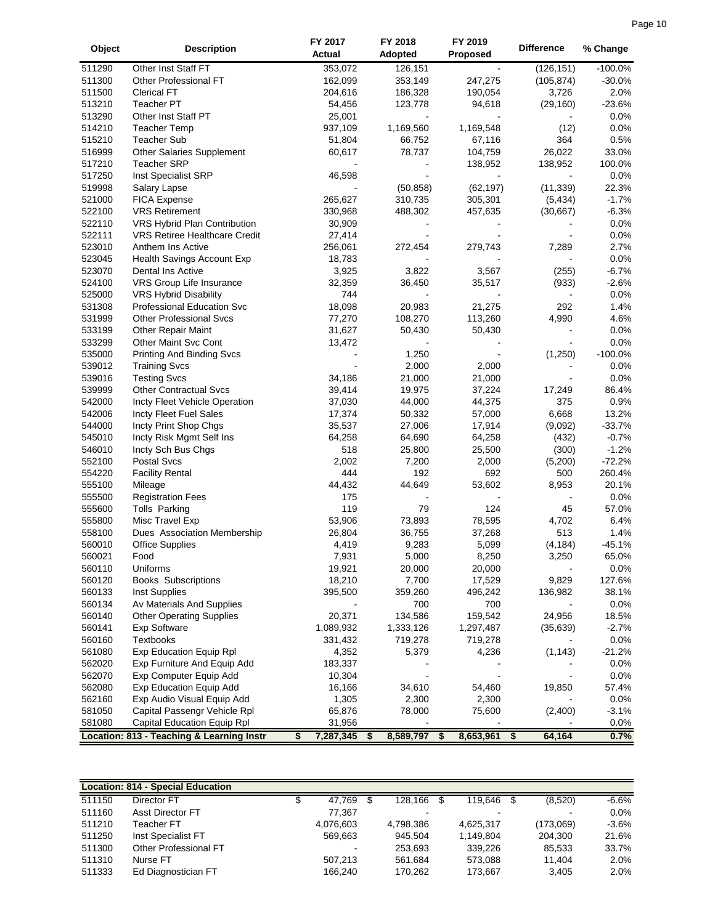|        |                                           | FY 2017         | FY 2018         | FY 2019         | <b>Difference</b> |           |
|--------|-------------------------------------------|-----------------|-----------------|-----------------|-------------------|-----------|
| Object | <b>Description</b>                        | Actual          | Adopted         | <b>Proposed</b> |                   | % Change  |
| 511290 | Other Inst Staff FT                       | 353,072         | 126,151         |                 | (126, 151)        | $-100.0%$ |
| 511300 | Other Professional FT                     | 162,099         | 353,149         | 247,275         | (105, 874)        | $-30.0%$  |
| 511500 | <b>Clerical FT</b>                        | 204,616         | 186,328         | 190,054         | 3,726             | 2.0%      |
| 513210 | <b>Teacher PT</b>                         | 54,456          | 123,778         | 94,618          | (29, 160)         | $-23.6%$  |
| 513290 | Other Inst Staff PT                       | 25,001          |                 |                 |                   | 0.0%      |
| 514210 | <b>Teacher Temp</b>                       | 937,109         | 1,169,560       | 1,169,548       | (12)              | 0.0%      |
| 515210 | <b>Teacher Sub</b>                        | 51,804          | 66,752          | 67,116          | 364               | 0.5%      |
| 516999 |                                           | 60,617          | 78,737          | 104,759         | 26,022            | 33.0%     |
| 517210 | Other Salaries Supplement                 |                 |                 |                 |                   | 100.0%    |
|        | <b>Teacher SRP</b>                        |                 |                 | 138,952         | 138,952           |           |
| 517250 | Inst Specialist SRP                       | 46,598          |                 |                 |                   | 0.0%      |
| 519998 | Salary Lapse                              |                 | (50, 858)       | (62, 197)       | (11, 339)         | 22.3%     |
| 521000 | FICA Expense                              | 265,627         | 310,735         | 305,301         | (5, 434)          | $-1.7%$   |
| 522100 | <b>VRS Retirement</b>                     | 330,968         | 488,302         | 457,635         | (30, 667)         | $-6.3%$   |
| 522110 | VRS Hybrid Plan Contribution              | 30,909          |                 |                 |                   | 0.0%      |
| 522111 | <b>VRS Retiree Healthcare Credit</b>      | 27,414          |                 |                 |                   | 0.0%      |
| 523010 | Anthem Ins Active                         | 256,061         | 272,454         | 279,743         | 7,289             | 2.7%      |
| 523045 | <b>Health Savings Account Exp</b>         | 18,783          |                 |                 |                   | 0.0%      |
| 523070 | Dental Ins Active                         | 3,925           | 3,822           | 3,567           | (255)             | $-6.7%$   |
| 524100 | VRS Group Life Insurance                  | 32,359          | 36,450          | 35,517          | (933)             | $-2.6%$   |
| 525000 | VRS Hybrid Disability                     | 744             |                 |                 |                   | 0.0%      |
| 531308 | Professional Education Svc                | 18,098          | 20,983          | 21,275          | 292               | 1.4%      |
| 531999 | <b>Other Professional Svcs</b>            | 77,270          | 108,270         | 113,260         | 4,990             | 4.6%      |
| 533199 | Other Repair Maint                        | 31,627          | 50,430          | 50,430          |                   | 0.0%      |
| 533299 | <b>Other Maint Svc Cont</b>               | 13,472          |                 |                 |                   | 0.0%      |
| 535000 | <b>Printing And Binding Svcs</b>          |                 | 1,250           |                 | (1,250)           | $-100.0%$ |
| 539012 | <b>Training Svcs</b>                      |                 | 2,000           | 2,000           |                   | 0.0%      |
| 539016 | <b>Testing Svcs</b>                       | 34,186          | 21,000          | 21,000          |                   | 0.0%      |
| 539999 | <b>Other Contractual Svcs</b>             | 39,414          | 19,975          | 37,224          | 17,249            | 86.4%     |
| 542000 | Incty Fleet Vehicle Operation             | 37,030          | 44,000          | 44,375          | 375               | 0.9%      |
| 542006 | Incty Fleet Fuel Sales                    | 17,374          | 50,332          | 57,000          | 6,668             | 13.2%     |
| 544000 | Incty Print Shop Chgs                     | 35,537          | 27,006          | 17,914          | (9,092)           | $-33.7%$  |
| 545010 |                                           |                 |                 |                 |                   | $-0.7%$   |
|        | Incty Risk Mgmt Self Ins                  | 64,258          | 64,690          | 64,258          | (432)             |           |
| 546010 | Incty Sch Bus Chgs                        | 518             | 25,800          | 25,500          | (300)             | $-1.2%$   |
| 552100 | <b>Postal Svcs</b>                        | 2,002           | 7,200           | 2,000           | (5,200)           | $-72.2%$  |
| 554220 | <b>Facility Rental</b>                    | 444             | 192             | 692             | 500               | 260.4%    |
| 555100 | Mileage                                   | 44,432          | 44,649          | 53,602          | 8,953             | 20.1%     |
| 555500 | <b>Registration Fees</b>                  | 175             |                 |                 | $\overline{a}$    | 0.0%      |
| 555600 | Tolls Parking                             | 119             | 79              | 124             | 45                | 57.0%     |
| 555800 | Misc Travel Exp                           | 53,906          | 73,893          | 78,595          | 4,702             | 6.4%      |
| 558100 | Dues Association Membership               | 26,804          | 36,755          | 37,268          | 513               | 1.4%      |
| 560010 | <b>Office Supplies</b>                    | 4,419           | 9,283           | 5,099           | (4, 184)          | $-45.1%$  |
| 560021 | Food                                      | 7,931           | 5,000           | 8,250           | 3,250             | 65.0%     |
| 560110 | Uniforms                                  | 19,921          | 20,000          | 20,000          |                   | 0.0%      |
| 560120 | <b>Books Subscriptions</b>                | 18,210          | 7,700           | 17,529          | 9,829             | 127.6%    |
| 560133 | Inst Supplies                             | 395,500         | 359,260         | 496,242         | 136,982           | 38.1%     |
| 560134 | Av Materials And Supplies                 |                 | 700             | 700             |                   | 0.0%      |
| 560140 | <b>Other Operating Supplies</b>           | 20,371          | 134,586         | 159,542         | 24,956            | 18.5%     |
| 560141 | <b>Exp Software</b>                       | 1,089,932       | 1,333,126       | 1,297,487       | (35, 639)         | $-2.7%$   |
| 560160 | Textbooks                                 | 331,432         | 719,278         | 719,278         |                   | 0.0%      |
| 561080 | <b>Exp Education Equip Rpl</b>            | 4,352           | 5,379           | 4,236           | (1, 143)          | $-21.2%$  |
| 562020 | Exp Furniture And Equip Add               | 183,337         |                 |                 |                   | 0.0%      |
| 562070 | Exp Computer Equip Add                    | 10,304          |                 |                 |                   | 0.0%      |
| 562080 | Exp Education Equip Add                   | 16,166          | 34,610          | 54,460          | 19,850            | 57.4%     |
| 562160 | Exp Audio Visual Equip Add                | 1,305           | 2,300           | 2,300           |                   | 0.0%      |
| 581050 | Capital Passengr Vehicle Rpl              | 65,876          | 78,000          | 75,600          | (2,400)           | $-3.1%$   |
| 581080 | Capital Education Equip Rpl               | 31,956          |                 |                 |                   | 0.0%      |
|        |                                           |                 |                 |                 |                   |           |
|        | Location: 813 - Teaching & Learning Instr | \$<br>7,287,345 | 8,589,797<br>\$ | 8,653,961<br>\$ | \$<br>64,164      | 0.7%      |

|        | <b>Location: 814 - Special Education</b> |           |           |      |           |               |         |
|--------|------------------------------------------|-----------|-----------|------|-----------|---------------|---------|
| 511150 | Director FT                              | 47.769    | 128.166   | - \$ | 119.646   | \$<br>(8,520) | $-6.6%$ |
| 511160 | Asst Director FT                         | 77.367    |           |      | $\,$      |               | 0.0%    |
| 511210 | Teacher FT                               | 4,076,603 | 4,798,386 |      | 4.625.317 | (173,069)     | $-3.6%$ |
| 511250 | Inst Specialist FT                       | 569.663   | 945.504   |      | 1.149.804 | 204.300       | 21.6%   |
| 511300 | Other Professional FT                    |           | 253.693   |      | 339.226   | 85.533        | 33.7%   |
| 511310 | Nurse FT                                 | 507.213   | 561.684   |      | 573.088   | 11.404        | 2.0%    |
| 511333 | Ed Diagnostician FT                      | 166.240   | 170.262   |      | 173.667   | 3.405         | 2.0%    |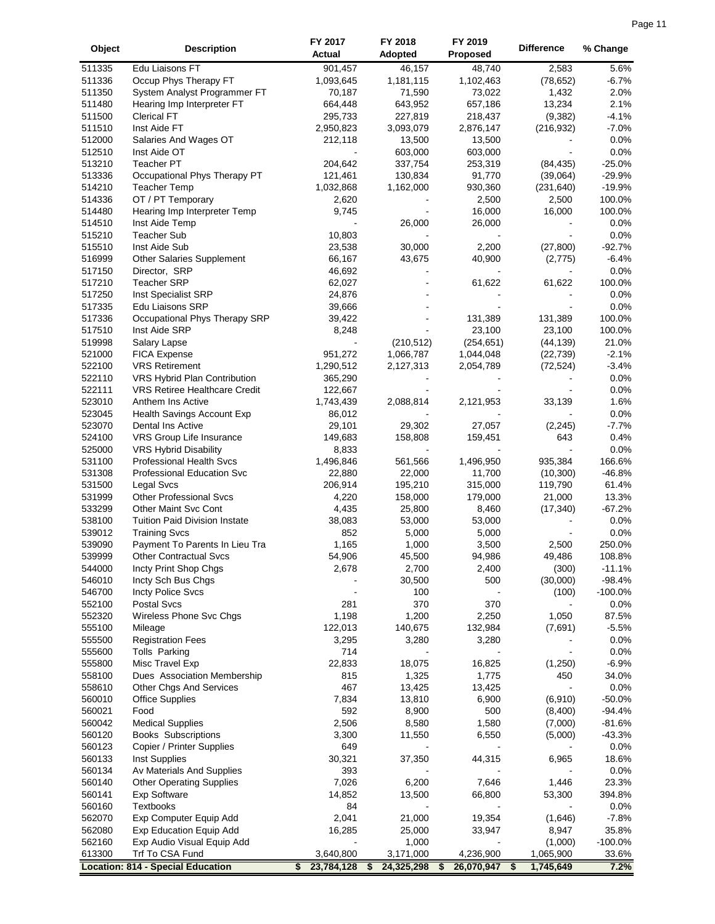| Object           | <b>Description</b>                                       | FY 2017           | FY 2018            | FY 2019            | <b>Difference</b>  | % Change        |
|------------------|----------------------------------------------------------|-------------------|--------------------|--------------------|--------------------|-----------------|
|                  |                                                          | Actual            | <b>Adopted</b>     | <b>Proposed</b>    |                    |                 |
| 511335           | Edu Liaisons FT                                          | 901,457           | 46,157             | 48,740             | 2,583              | 5.6%            |
| 511336           | Occup Phys Therapy FT                                    | 1,093,645         | 1,181,115          | 1,102,463          | (78, 652)          | $-6.7%$         |
| 511350<br>511480 | System Analyst Programmer FT                             | 70,187<br>664,448 | 71,590             | 73,022             | 1,432              | 2.0%<br>2.1%    |
| 511500           | Hearing Imp Interpreter FT<br><b>Clerical FT</b>         | 295,733           | 643,952<br>227,819 | 657,186<br>218,437 | 13,234<br>(9, 382) | $-4.1%$         |
| 511510           | Inst Aide FT                                             | 2,950,823         | 3,093,079          | 2,876,147          | (216, 932)         | $-7.0%$         |
| 512000           | Salaries And Wages OT                                    | 212,118           | 13,500             | 13,500             |                    | 0.0%            |
| 512510           | Inst Aide OT                                             |                   | 603,000            | 603,000            |                    | 0.0%            |
| 513210           | Teacher PT                                               | 204,642           | 337,754            | 253,319            | (84, 435)          | $-25.0%$        |
| 513336           | Occupational Phys Therapy PT                             | 121,461           | 130,834            | 91,770             | (39,064)           | $-29.9%$        |
| 514210           | <b>Teacher Temp</b>                                      | 1,032,868         | 1,162,000          | 930,360            | (231, 640)         | $-19.9%$        |
| 514336           | OT / PT Temporary                                        | 2,620             |                    | 2,500              | 2,500              | 100.0%          |
| 514480           | Hearing Imp Interpreter Temp                             | 9,745             |                    | 16,000             | 16,000             | 100.0%          |
| 514510           | Inst Aide Temp                                           |                   | 26,000             | 26,000             |                    | 0.0%            |
| 515210           | <b>Teacher Sub</b>                                       | 10,803            |                    |                    |                    | 0.0%            |
| 515510           | Inst Aide Sub                                            | 23,538            | 30,000             | 2,200              | (27, 800)          | $-92.7%$        |
| 516999           | Other Salaries Supplement                                | 66,167            | 43,675             | 40,900             | (2,775)            | $-6.4%$         |
| 517150           | Director, SRP                                            | 46,692            |                    |                    |                    | 0.0%            |
| 517210           | <b>Teacher SRP</b>                                       | 62,027            |                    | 61,622             | 61,622             | 100.0%          |
| 517250           | Inst Specialist SRP                                      | 24,876            |                    |                    |                    | 0.0%            |
| 517335           | Edu Liaisons SRP                                         | 39,666            |                    |                    |                    | 0.0%            |
| 517336           | Occupational Phys Therapy SRP                            | 39,422            |                    | 131,389            | 131,389            | 100.0%          |
| 517510           | Inst Aide SRP                                            | 8,248             |                    | 23,100             | 23,100             | 100.0%          |
| 519998           | Salary Lapse                                             |                   | (210, 512)         | (254, 651)         | (44, 139)          | 21.0%           |
| 521000           | <b>FICA Expense</b>                                      | 951,272           | 1,066,787          | 1,044,048          | (22, 739)          | $-2.1%$         |
| 522100           | <b>VRS Retirement</b>                                    | 1,290,512         | 2,127,313          | 2,054,789          | (72, 524)          | $-3.4%$         |
| 522110           | VRS Hybrid Plan Contribution                             | 365,290           |                    |                    |                    | 0.0%            |
| 522111           | <b>VRS Retiree Healthcare Credit</b>                     | 122,667           |                    |                    |                    | 0.0%            |
| 523010           | Anthem Ins Active                                        | 1,743,439         | 2,088,814          | 2,121,953          | 33,139             | 1.6%            |
| 523045           | Health Savings Account Exp                               | 86,012            |                    |                    |                    | 0.0%            |
| 523070           | Dental Ins Active                                        | 29,101            | 29,302             | 27,057             | (2, 245)<br>643    | $-7.7%$<br>0.4% |
| 524100<br>525000 | VRS Group Life Insurance<br><b>VRS Hybrid Disability</b> | 149,683<br>8,833  | 158,808            | 159,451            |                    | 0.0%            |
| 531100           | <b>Professional Health Svcs</b>                          | 1,496,846         | 561,566            | 1,496,950          | 935,384            | 166.6%          |
| 531308           | Professional Education Svc                               | 22,880            | 22,000             | 11,700             | (10, 300)          | $-46.8%$        |
| 531500           | Legal Svcs                                               | 206,914           | 195,210            | 315,000            | 119,790            | 61.4%           |
| 531999           | <b>Other Professional Svcs</b>                           | 4,220             | 158,000            | 179,000            | 21,000             | 13.3%           |
| 533299           | Other Maint Svc Cont                                     | 4,435             | 25,800             | 8,460              | (17, 340)          | $-67.2%$        |
| 538100           | <b>Tuition Paid Division Instate</b>                     | 38,083            | 53,000             | 53,000             |                    | 0.0%            |
| 539012           | <b>Training Svcs</b>                                     | 852               | 5,000              | 5,000              |                    | 0.0%            |
| 539090           | Payment To Parents In Lieu Tra                           | 1,165             | 1,000              | 3,500              | 2,500              | 250.0%          |
| 539999           | <b>Other Contractual Svcs</b>                            | 54,906            | 45,500             | 94,986             | 49,486             | 108.8%          |
| 544000           | Incty Print Shop Chgs                                    | 2,678             | 2,700              | 2,400              | (300)              | $-11.1%$        |
| 546010           | Incty Sch Bus Chgs                                       |                   | 30,500             | 500                | (30,000)           | $-98.4%$        |
| 546700           | Incty Police Svcs                                        |                   | 100                |                    | (100)              | $-100.0%$       |
| 552100           | <b>Postal Svcs</b>                                       | 281               | 370                | 370                |                    | 0.0%            |
| 552320           | Wireless Phone Svc Chgs                                  | 1,198             | 1,200              | 2,250              | 1,050              | 87.5%           |
| 555100           | Mileage                                                  | 122,013           | 140,675            | 132,984            | (7,691)            | $-5.5%$         |
| 555500           | <b>Registration Fees</b>                                 | 3,295             | 3,280              | 3,280              |                    | 0.0%            |
| 555600           | Tolls Parking                                            | 714               |                    |                    |                    | 0.0%            |
| 555800           | Misc Travel Exp                                          | 22,833            | 18,075             | 16,825             | (1,250)            | $-6.9%$         |
| 558100           | Dues Association Membership                              | 815               | 1,325              | 1,775              | 450                | 34.0%           |
| 558610           | <b>Other Chgs And Services</b>                           | 467               | 13,425             | 13,425             |                    | 0.0%            |
| 560010           | <b>Office Supplies</b>                                   | 7,834             | 13,810             | 6,900              | (6,910)            | $-50.0%$        |
| 560021           | Food                                                     | 592               | 8,900              | 500                | (8,400)            | $-94.4%$        |
| 560042           | <b>Medical Supplies</b>                                  | 2,506             | 8,580              | 1,580              | (7,000)            | $-81.6%$        |
| 560120           | <b>Books Subscriptions</b>                               | 3,300             | 11,550             | 6,550              | (5,000)            | $-43.3%$        |
| 560123           | Copier / Printer Supplies                                | 649               |                    |                    |                    | 0.0%            |
| 560133           | Inst Supplies                                            | 30,321            | 37,350             | 44,315             | 6,965              | 18.6%           |
| 560134           | Av Materials And Supplies                                | 393               |                    |                    |                    | 0.0%            |
| 560140           | <b>Other Operating Supplies</b>                          | 7,026             | 6,200              | 7,646              | 1,446              | 23.3%           |
| 560141<br>560160 | Exp Software<br>Textbooks                                | 14,852<br>84      | 13,500             | 66,800             | 53,300             | 394.8%<br>0.0%  |
| 562070           | Exp Computer Equip Add                                   | 2,041             | 21,000             | 19,354             | (1,646)            | $-7.8%$         |
| 562080           | <b>Exp Education Equip Add</b>                           | 16,285            | 25,000             | 33,947             | 8,947              | 35.8%           |
| 562160           | Exp Audio Visual Equip Add                               |                   | 1,000              |                    | (1,000)            | $-100.0%$       |
| 613300           | Trf To CSA Fund                                          | 3,640,800         | 3,171,000          | 4,236,900          | 1,065,900          | 33.6%           |
|                  | <b>Location: 814 - Special Education</b>                 | 23,784,128<br>\$  | 24,325,298<br>S    | 26,070,947<br>S    | 1,745,649<br>\$    | 7.2%            |
|                  |                                                          |                   |                    |                    |                    |                 |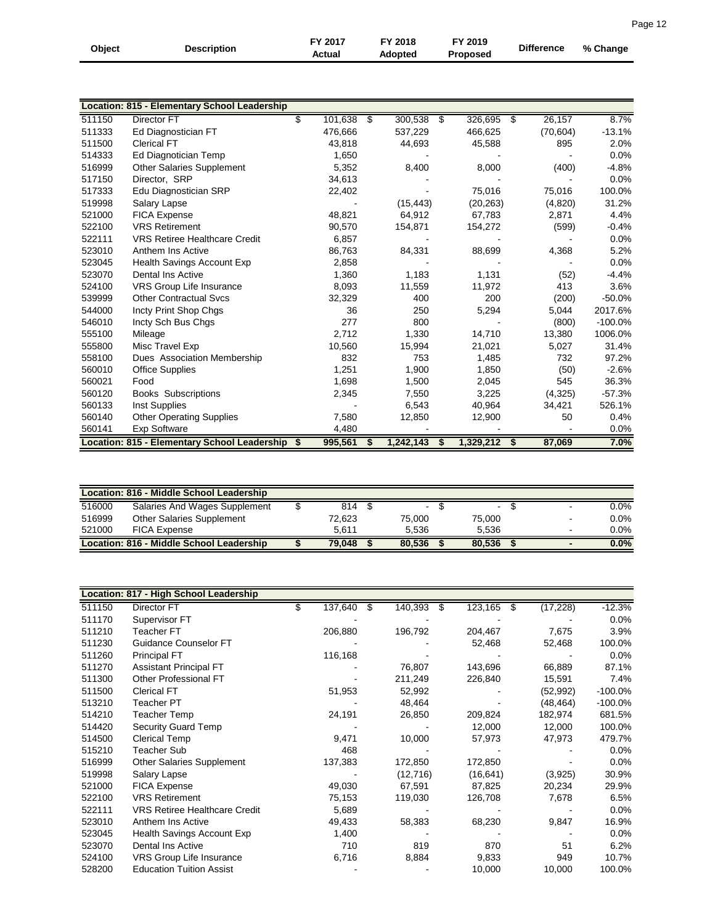| Object | <b>Description</b> | FY 2017<br>Actual | FY 2018<br>Adopted | FY 2019<br><b>Proposed</b> | <b>Difference</b> | % Change |  |
|--------|--------------------|-------------------|--------------------|----------------------------|-------------------|----------|--|
|        |                    |                   |                    |                            |                   |          |  |

|        | Location: 815 - Elementary School Leadership    |               |    |           |      |           |               |           |           |
|--------|-------------------------------------------------|---------------|----|-----------|------|-----------|---------------|-----------|-----------|
| 511150 | Director FT                                     | \$<br>101,638 | \$ | 300,538   | - \$ | 326,695   | $\sqrt[3]{5}$ | 26,157    | 8.7%      |
| 511333 |                                                 | 476,666       |    | 537,229   |      | 466,625   |               | (70, 604) | $-13.1%$  |
| 511500 | Ed Diagnostician FT<br><b>Clerical FT</b>       | 43,818        |    | 44,693    |      |           |               | 895       | 2.0%      |
|        |                                                 |               |    |           |      | 45,588    |               |           |           |
| 514333 | Ed Diagnotician Temp                            | 1,650         |    |           |      |           |               |           | 0.0%      |
| 516999 | <b>Other Salaries Supplement</b>                | 5,352         |    | 8,400     |      | 8,000     |               | (400)     | $-4.8%$   |
| 517150 | Director, SRP                                   | 34,613        |    |           |      |           |               |           | 0.0%      |
| 517333 | Edu Diagnostician SRP                           | 22,402        |    |           |      | 75,016    |               | 75,016    | 100.0%    |
| 519998 | Salary Lapse                                    |               |    | (15, 443) |      | (20, 263) |               | (4,820)   | 31.2%     |
| 521000 | <b>FICA Expense</b>                             | 48,821        |    | 64,912    |      | 67,783    |               | 2,871     | 4.4%      |
| 522100 | <b>VRS Retirement</b>                           | 90,570        |    | 154,871   |      | 154,272   |               | (599)     | $-0.4%$   |
| 522111 | <b>VRS Retiree Healthcare Credit</b>            | 6,857         |    |           |      |           |               |           | 0.0%      |
| 523010 | Anthem Ins Active                               | 86,763        |    | 84,331    |      | 88,699    |               | 4,368     | 5.2%      |
| 523045 | Health Savings Account Exp                      | 2,858         |    |           |      |           |               |           | 0.0%      |
| 523070 | Dental Ins Active                               | 1,360         |    | 1,183     |      | 1,131     |               | (52)      | $-4.4%$   |
| 524100 | VRS Group Life Insurance                        | 8,093         |    | 11,559    |      | 11,972    |               | 413       | 3.6%      |
| 539999 | <b>Other Contractual Svcs</b>                   | 32,329        |    | 400       |      | 200       |               | (200)     | $-50.0%$  |
| 544000 | Incty Print Shop Chgs                           | 36            |    | 250       |      | 5,294     |               | 5,044     | 2017.6%   |
| 546010 | Incty Sch Bus Chgs                              | 277           |    | 800       |      |           |               | (800)     | $-100.0%$ |
| 555100 | Mileage                                         | 2,712         |    | 1,330     |      | 14,710    |               | 13,380    | 1006.0%   |
| 555800 | Misc Travel Exp                                 | 10,560        |    | 15,994    |      | 21,021    |               | 5,027     | 31.4%     |
| 558100 | Dues Association Membership                     | 832           |    | 753       |      | 1,485     |               | 732       | 97.2%     |
| 560010 | <b>Office Supplies</b>                          | 1,251         |    | 1,900     |      | 1,850     |               | (50)      | $-2.6%$   |
| 560021 | Food                                            | 1.698         |    | 1,500     |      | 2,045     |               | 545       | 36.3%     |
| 560120 | <b>Books Subscriptions</b>                      | 2,345         |    | 7,550     |      | 3,225     |               | (4,325)   | $-57.3%$  |
| 560133 | Inst Supplies                                   |               |    | 6,543     |      | 40,964    |               | 34,421    | 526.1%    |
| 560140 | <b>Other Operating Supplies</b>                 | 7.580         |    | 12,850    |      | 12,900    |               | 50        | 0.4%      |
| 560141 | <b>Exp Software</b>                             | 4,480         |    |           |      |           |               |           | 0.0%      |
|        | Location: 815 - Elementary School Leadership \$ | 995,561       | S  | 1,242,143 | - 56 | 1,329,212 | - \$          | 87,069    | 7.0%      |

|        | Location: 816 - Middle School Leadership |        |        |        |   |         |
|--------|------------------------------------------|--------|--------|--------|---|---------|
| 516000 | Salaries And Wages Supplement            | 814    | $\sim$ | $\sim$ |   | 0.0%    |
| 516999 | Other Salaries Supplement                | 72.623 | 75.000 | 75.000 | - | $0.0\%$ |
| 521000 | <b>FICA Expense</b>                      | 5.611  | 5.536  | 5.536  |   | $0.0\%$ |
|        | Location: 816 - Middle School Leadership | 79.048 | 80.536 | 80.536 |   | 0.0%    |

|        | Location: 817 - High School Leadership |               |   |           |      |            |           |            |
|--------|----------------------------------------|---------------|---|-----------|------|------------|-----------|------------|
| 511150 | Director FT                            | \$<br>137,640 | S | 140,393   | - \$ | 123,165 \$ | (17, 228) | $-12.3%$   |
| 511170 | Supervisor FT                          |               |   |           |      |            |           | $0.0\%$    |
| 511210 | Teacher FT                             | 206,880       |   | 196,792   |      | 204,467    | 7,675     | 3.9%       |
| 511230 | Guidance Counselor FT                  |               |   |           |      | 52,468     | 52,468    | 100.0%     |
| 511260 | <b>Principal FT</b>                    | 116,168       |   |           |      |            |           | $0.0\%$    |
| 511270 | <b>Assistant Principal FT</b>          |               |   | 76,807    |      | 143,696    | 66,889    | 87.1%      |
| 511300 | Other Professional FT                  |               |   | 211,249   |      | 226,840    | 15,591    | 7.4%       |
| 511500 | <b>Clerical FT</b>                     | 51,953        |   | 52,992    |      |            | (52, 992) | $-100.0\%$ |
| 513210 | Teacher PT                             |               |   | 48,464    |      |            | (48, 464) | $-100.0\%$ |
| 514210 | Teacher Temp                           | 24,191        |   | 26,850    |      | 209,824    | 182,974   | 681.5%     |
| 514420 | <b>Security Guard Temp</b>             |               |   |           |      | 12,000     | 12,000    | 100.0%     |
| 514500 | <b>Clerical Temp</b>                   | 9,471         |   | 10,000    |      | 57,973     | 47,973    | 479.7%     |
| 515210 | Teacher Sub                            | 468           |   |           |      |            |           | $0.0\%$    |
| 516999 | <b>Other Salaries Supplement</b>       | 137,383       |   | 172,850   |      | 172,850    |           | $0.0\%$    |
| 519998 | Salary Lapse                           |               |   | (12, 716) |      | (16, 641)  | (3,925)   | 30.9%      |
| 521000 | <b>FICA Expense</b>                    | 49,030        |   | 67,591    |      | 87,825     | 20,234    | 29.9%      |
| 522100 | <b>VRS Retirement</b>                  | 75,153        |   | 119,030   |      | 126,708    | 7,678     | 6.5%       |
| 522111 | <b>VRS Retiree Healthcare Credit</b>   | 5,689         |   |           |      |            |           | $0.0\%$    |
| 523010 | Anthem Ins Active                      | 49,433        |   | 58,383    |      | 68,230     | 9,847     | 16.9%      |
| 523045 | Health Savings Account Exp             | 1,400         |   |           |      |            |           | $0.0\%$    |
| 523070 | Dental Ins Active                      | 710           |   | 819       |      | 870        | 51        | 6.2%       |
| 524100 | VRS Group Life Insurance               | 6,716         |   | 8,884     |      | 9,833      | 949       | 10.7%      |
| 528200 | <b>Education Tuition Assist</b>        |               |   |           |      | 10,000     | 10,000    | 100.0%     |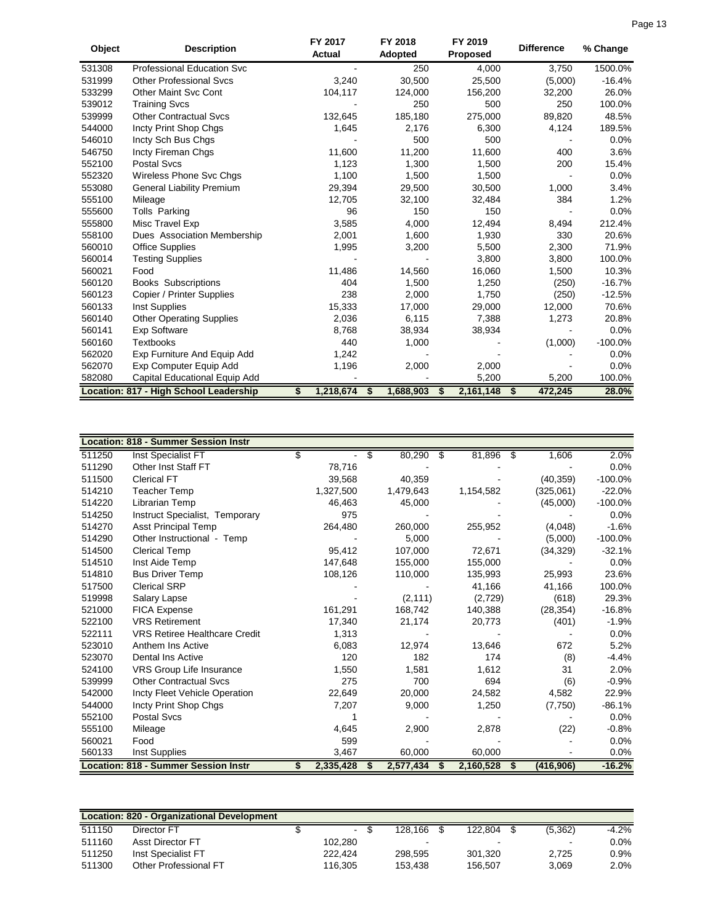| Object | <b>Description</b>                     |   | FY 2017<br>Actual |   | <b>FY 2018</b><br><b>Adopted</b> | FY 2019<br><b>Proposed</b> | <b>Difference</b> | % Change  |
|--------|----------------------------------------|---|-------------------|---|----------------------------------|----------------------------|-------------------|-----------|
| 531308 | <b>Professional Education Svc</b>      |   |                   |   | 250                              | 4,000                      | 3,750             | 1500.0%   |
| 531999 | <b>Other Professional Sycs</b>         |   | 3,240             |   | 30,500                           | 25,500                     | (5,000)           | $-16.4%$  |
| 533299 | <b>Other Maint Svc Cont</b>            |   | 104,117           |   | 124,000                          | 156,200                    | 32,200            | 26.0%     |
| 539012 | <b>Training Svcs</b>                   |   |                   |   | 250                              | 500                        | 250               | 100.0%    |
| 539999 | <b>Other Contractual Svcs</b>          |   | 132,645           |   | 185,180                          | 275,000                    | 89,820            | 48.5%     |
| 544000 | Incty Print Shop Chgs                  |   | 1,645             |   | 2,176                            | 6,300                      | 4,124             | 189.5%    |
| 546010 | Incty Sch Bus Chgs                     |   |                   |   | 500                              | 500                        |                   | 0.0%      |
| 546750 | Incty Fireman Chgs                     |   | 11,600            |   | 11,200                           | 11,600                     | 400               | 3.6%      |
| 552100 | <b>Postal Svcs</b>                     |   | 1,123             |   | 1,300                            | 1,500                      | 200               | 15.4%     |
| 552320 | Wireless Phone Svc Chgs                |   | 1,100             |   | 1,500                            | 1,500                      |                   | 0.0%      |
| 553080 | General Liability Premium              |   | 29,394            |   | 29,500                           | 30,500                     | 1,000             | 3.4%      |
| 555100 | Mileage                                |   | 12,705            |   | 32,100                           | 32,484                     | 384               | 1.2%      |
| 555600 | <b>Tolls Parking</b>                   |   | 96                |   | 150                              | 150                        |                   | 0.0%      |
| 555800 | Misc Travel Exp                        |   | 3,585             |   | 4,000                            | 12,494                     | 8,494             | 212.4%    |
| 558100 | Dues Association Membership            |   | 2,001             |   | 1,600                            | 1,930                      | 330               | 20.6%     |
| 560010 | <b>Office Supplies</b>                 |   | 1,995             |   | 3,200                            | 5,500                      | 2,300             | 71.9%     |
| 560014 | <b>Testing Supplies</b>                |   |                   |   |                                  | 3,800                      | 3,800             | 100.0%    |
| 560021 | Food                                   |   | 11,486            |   | 14,560                           | 16,060                     | 1,500             | 10.3%     |
| 560120 | <b>Books Subscriptions</b>             |   | 404               |   | 1,500                            | 1,250                      | (250)             | $-16.7%$  |
| 560123 | Copier / Printer Supplies              |   | 238               |   | 2,000                            | 1,750                      | (250)             | $-12.5%$  |
| 560133 | Inst Supplies                          |   | 15,333            |   | 17,000                           | 29,000                     | 12,000            | 70.6%     |
| 560140 | <b>Other Operating Supplies</b>        |   | 2,036             |   | 6,115                            | 7,388                      | 1,273             | 20.8%     |
| 560141 | <b>Exp Software</b>                    |   | 8,768             |   | 38,934                           | 38,934                     |                   | 0.0%      |
| 560160 | <b>Textbooks</b>                       |   | 440               |   | 1,000                            |                            | (1,000)           | $-100.0%$ |
| 562020 | Exp Furniture And Equip Add            |   | 1,242             |   |                                  |                            |                   | 0.0%      |
| 562070 | Exp Computer Equip Add                 |   | 1,196             |   | 2,000                            | 2,000                      |                   | 0.0%      |
| 582080 | Capital Educational Equip Add          |   |                   |   |                                  | 5,200                      | 5,200             | 100.0%    |
|        | Location: 817 - High School Leadership | S | 1,218,674         | 5 | 1,688,903                        | 2,161,148<br>S             | 472,245<br>S      | 28.0%     |

|        | <b>Location: 818 - Summer Session Instr</b> |                 |    |           |    |           |     |           |           |
|--------|---------------------------------------------|-----------------|----|-----------|----|-----------|-----|-----------|-----------|
| 511250 | Inst Specialist FT                          | \$              | \$ | 80,290    | S  | 81,896    | \$. | 1,606     | 2.0%      |
| 511290 | Other Inst Staff FT                         | 78,716          |    |           |    |           |     |           | 0.0%      |
| 511500 | <b>Clerical FT</b>                          | 39,568          |    | 40,359    |    |           |     | (40, 359) | $-100.0%$ |
| 514210 | <b>Teacher Temp</b>                         | 1,327,500       |    | 1,479,643 |    | 1,154,582 |     | (325,061) | $-22.0%$  |
| 514220 | Librarian Temp                              | 46,463          |    | 45,000    |    |           |     | (45,000)  | $-100.0%$ |
| 514250 | Instruct Specialist, Temporary              | 975             |    |           |    |           |     |           | 0.0%      |
| 514270 | <b>Asst Principal Temp</b>                  | 264,480         |    | 260,000   |    | 255,952   |     | (4,048)   | $-1.6%$   |
| 514290 | Other Instructional - Temp                  |                 |    | 5,000     |    |           |     | (5,000)   | $-100.0%$ |
| 514500 | <b>Clerical Temp</b>                        | 95,412          |    | 107,000   |    | 72,671    |     | (34, 329) | $-32.1%$  |
| 514510 | Inst Aide Temp                              | 147,648         |    | 155,000   |    | 155,000   |     |           | 0.0%      |
| 514810 | <b>Bus Driver Temp</b>                      | 108,126         |    | 110,000   |    | 135,993   |     | 25,993    | 23.6%     |
| 517500 | <b>Clerical SRP</b>                         |                 |    |           |    | 41,166    |     | 41,166    | 100.0%    |
| 519998 | Salary Lapse                                |                 |    | (2, 111)  |    | (2,729)   |     | (618)     | 29.3%     |
| 521000 | FICA Expense                                | 161,291         |    | 168,742   |    | 140,388   |     | (28, 354) | $-16.8%$  |
| 522100 | <b>VRS Retirement</b>                       | 17,340          |    | 21,174    |    | 20,773    |     | (401)     | $-1.9%$   |
| 522111 | <b>VRS Retiree Healthcare Credit</b>        | 1,313           |    |           |    |           |     |           | 0.0%      |
| 523010 | Anthem Ins Active                           | 6,083           |    | 12,974    |    | 13,646    |     | 672       | 5.2%      |
| 523070 | Dental Ins Active                           | 120             |    | 182       |    | 174       |     | (8)       | $-4.4%$   |
| 524100 | VRS Group Life Insurance                    | 1,550           |    | 1,581     |    | 1,612     |     | 31        | 2.0%      |
| 539999 | <b>Other Contractual Svcs</b>               | 275             |    | 700       |    | 694       |     | (6)       | $-0.9%$   |
| 542000 | Incty Fleet Vehicle Operation               | 22,649          |    | 20,000    |    | 24,582    |     | 4,582     | 22.9%     |
| 544000 | Incty Print Shop Chgs                       | 7,207           |    | 9,000     |    | 1,250     |     | (7,750)   | $-86.1%$  |
| 552100 | Postal Svcs                                 |                 |    |           |    |           |     |           | 0.0%      |
| 555100 | Mileage                                     | 4,645           |    | 2,900     |    | 2,878     |     | (22)      | $-0.8%$   |
| 560021 | Food                                        | 599             |    |           |    |           |     |           | 0.0%      |
| 560133 | Inst Supplies                               | 3,467           |    | 60,000    |    | 60,000    |     |           | 0.0%      |
|        | <b>Location: 818 - Summer Session Instr</b> | \$<br>2,335,428 | S  | 2,577,434 | \$ | 2,160,528 | S.  | (416,906) | $-16.2%$  |

|        | Location: 820 - Organizational Development |         |      |         |                |         |          |
|--------|--------------------------------------------|---------|------|---------|----------------|---------|----------|
| 511150 | Director FT                                |         | - \$ | 128.166 | 122.804        | (5,362) | $-4.2\%$ |
| 511160 | Asst Director FT                           | 102.280 |      |         | $\blacksquare$ | $\sim$  | $0.0\%$  |
| 511250 | Inst Specialist FT                         | 222.424 |      | 298.595 | 301.320        | 2,725   | $0.9\%$  |
| 511300 | Other Professional FT                      | 116.305 |      | 153.438 | 156.507        | 3,069   | 2.0%     |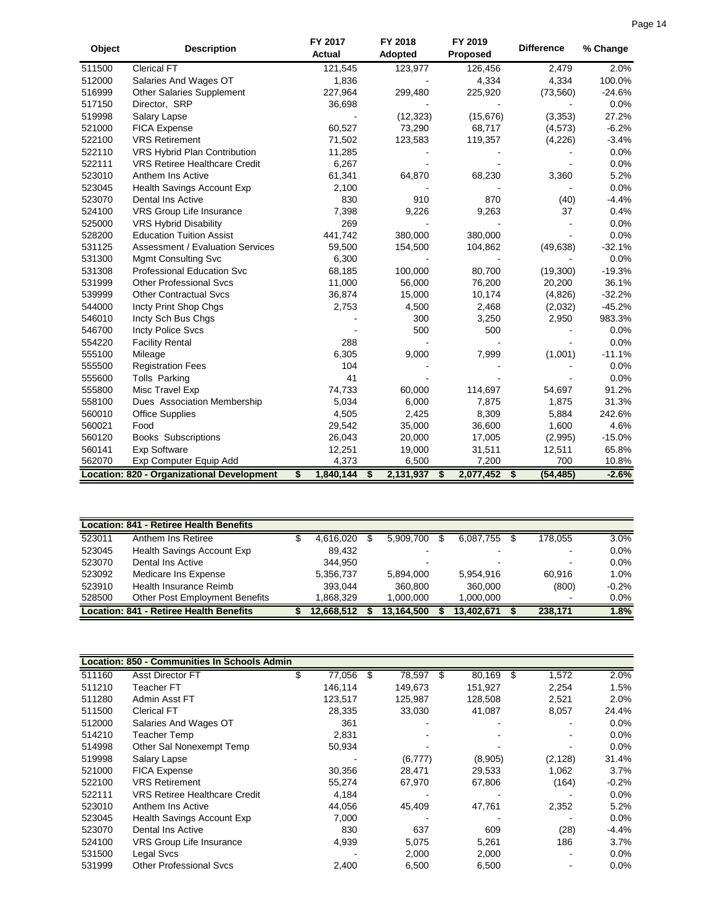| Object | <b>Description</b>                                | FY 2017<br><b>Actual</b> | FY 2018<br>Adopted | FY 2019<br>Proposed | <b>Difference</b> | % Change |
|--------|---------------------------------------------------|--------------------------|--------------------|---------------------|-------------------|----------|
| 511500 | <b>Clerical FT</b>                                | 121,545                  | 123,977            | 126,456             | 2,479             | 2.0%     |
| 512000 | Salaries And Wages OT                             | 1,836                    |                    | 4,334               | 4,334             | 100.0%   |
| 516999 | Other Salaries Supplement                         | 227,964                  | 299,480            | 225,920             | (73, 560)         | $-24.6%$ |
| 517150 | Director, SRP                                     | 36,698                   |                    |                     |                   | 0.0%     |
| 519998 | Salary Lapse                                      |                          | (12, 323)          | (15, 676)           | (3, 353)          | 27.2%    |
| 521000 | <b>FICA Expense</b>                               | 60,527                   | 73,290             | 68,717              | (4, 573)          | $-6.2%$  |
| 522100 | <b>VRS Retirement</b>                             | 71,502                   | 123,583            | 119,357             | (4,226)           | $-3.4%$  |
| 522110 | VRS Hybrid Plan Contribution                      | 11,285                   |                    |                     |                   | 0.0%     |
| 522111 | <b>VRS Retiree Healthcare Credit</b>              | 6,267                    |                    |                     |                   | 0.0%     |
| 523010 | Anthem Ins Active                                 | 61,341                   | 64,870             | 68,230              | 3,360             | 5.2%     |
| 523045 | Health Savings Account Exp                        | 2,100                    |                    |                     |                   | 0.0%     |
| 523070 | <b>Dental Ins Active</b>                          | 830                      | 910                | 870                 | (40)              | $-4.4%$  |
| 524100 | VRS Group Life Insurance                          | 7,398                    | 9,226              | 9,263               | 37                | 0.4%     |
| 525000 | <b>VRS Hybrid Disability</b>                      | 269                      |                    |                     |                   | 0.0%     |
| 528200 | <b>Education Tuition Assist</b>                   | 441,742                  | 380,000            | 380,000             |                   | 0.0%     |
| 531125 | <b>Assessment / Evaluation Services</b>           | 59,500                   | 154,500            | 104,862             | (49, 638)         | $-32.1%$ |
| 531300 | <b>Mgmt Consulting Svc</b>                        | 6,300                    |                    |                     |                   | 0.0%     |
| 531308 | Professional Education Svc                        | 68,185                   | 100,000            | 80,700              | (19,300)          | $-19.3%$ |
| 531999 | <b>Other Professional Svcs</b>                    | 11,000                   | 56,000             | 76,200              | 20,200            | 36.1%    |
| 539999 | <b>Other Contractual Svcs</b>                     | 36,874                   | 15,000             | 10,174              | (4,826)           | $-32.2%$ |
| 544000 | Incty Print Shop Chgs                             | 2,753                    | 4,500              | 2,468               | (2,032)           | $-45.2%$ |
| 546010 | Incty Sch Bus Chgs                                |                          | 300                | 3,250               | 2,950             | 983.3%   |
| 546700 | <b>Incty Police Svcs</b>                          |                          | 500                | 500                 |                   | 0.0%     |
| 554220 | <b>Facility Rental</b>                            | 288                      |                    |                     |                   | 0.0%     |
| 555100 | Mileage                                           | 6,305                    | 9,000              | 7,999               | (1,001)           | $-11.1%$ |
| 555500 | <b>Registration Fees</b>                          | 104                      |                    |                     |                   | 0.0%     |
| 555600 | <b>Tolls Parking</b>                              | 41                       |                    |                     |                   | 0.0%     |
| 555800 | Misc Travel Exp                                   | 74,733                   | 60,000             | 114,697             | 54,697            | 91.2%    |
| 558100 | Dues Association Membership                       | 5,034                    | 6,000              | 7,875               | 1,875             | 31.3%    |
| 560010 | <b>Office Supplies</b>                            | 4,505                    | 2,425              | 8,309               | 5,884             | 242.6%   |
| 560021 | Food                                              | 29,542                   | 35,000             | 36,600              | 1,600             | 4.6%     |
| 560120 | <b>Books Subscriptions</b>                        | 26,043                   | 20,000             | 17,005              | (2,995)           | $-15.0%$ |
| 560141 | <b>Exp Software</b>                               | 12,251                   | 19,000             | 31,511              | 12,511            | 65.8%    |
| 562070 | Exp Computer Equip Add                            | 4,373                    | 6,500              | 7,200               | 700               | 10.8%    |
|        | <b>Location: 820 - Organizational Development</b> | 1,840,144<br>\$          | 2,131,937<br>\$    | 2,077,452<br>\$     | (54, 485)<br>- \$ | $-2.6%$  |

|        | <b>Location: 841 - Retiree Health Benefits</b> |            |            |            |                          |         |
|--------|------------------------------------------------|------------|------------|------------|--------------------------|---------|
| 523011 | Anthem Ins Retiree                             | 4.616.020  | 5.909.700  | 6,087,755  | 178.055                  | 3.0%    |
| 523045 | Health Savings Account Exp                     | 89.432     |            | -          | $\blacksquare$           | 0.0%    |
| 523070 | Dental Ins Active                              | 344.950    |            | -          | -                        | $0.0\%$ |
| 523092 | Medicare Ins Expense                           | 5,356,737  | 5,894,000  | 5.954.916  | 60.916                   | 1.0%    |
| 523910 | Health Insurance Reimb                         | 393.044    | 360,800    | 360,000    | (800)                    | $-0.2%$ |
| 528500 | <b>Other Post Employment Benefits</b>          | .868.329   | 1.000.000  | 1.000.000  | $\overline{\phantom{a}}$ | 0.0%    |
|        | Location: 841 - Retiree Health Benefits        | 12.668.512 | 13.164.500 | 13.402.671 | 238.171                  | 1.8%    |

|        | <b>Location: 850 - Communities In Schools Admin</b> |         |     |         |   |         |     |          |         |
|--------|-----------------------------------------------------|---------|-----|---------|---|---------|-----|----------|---------|
| 511160 | <b>Asst Director FT</b>                             | 77,056  | \$. | 78,597  | S | 80,169  | \$. | 1,572    | 2.0%    |
| 511210 | Teacher FT                                          | 146,114 |     | 149,673 |   | 151,927 |     | 2,254    | 1.5%    |
| 511280 | Admin Asst FT                                       | 123.517 |     | 125,987 |   | 128,508 |     | 2,521    | 2.0%    |
| 511500 | <b>Clerical FT</b>                                  | 28,335  |     | 33,030  |   | 41,087  |     | 8,057    | 24.4%   |
| 512000 | Salaries And Wages OT                               | 361     |     |         |   |         |     |          | 0.0%    |
| 514210 | <b>Teacher Temp</b>                                 | 2,831   |     |         |   |         |     |          | 0.0%    |
| 514998 | Other Sal Nonexempt Temp                            | 50,934  |     |         |   |         |     |          | $0.0\%$ |
| 519998 | Salary Lapse                                        |         |     | (6,777) |   | (8,905) |     | (2, 128) | 31.4%   |
| 521000 | FICA Expense                                        | 30,356  |     | 28,471  |   | 29,533  |     | 1,062    | 3.7%    |
| 522100 | <b>VRS Retirement</b>                               | 55,274  |     | 67,970  |   | 67,806  |     | (164)    | $-0.2%$ |
| 522111 | <b>VRS Retiree Healthcare Credit</b>                | 4,184   |     |         |   |         |     |          | $0.0\%$ |
| 523010 | Anthem Ins Active                                   | 44,056  |     | 45,409  |   | 47,761  |     | 2,352    | 5.2%    |
| 523045 | Health Savings Account Exp                          | 7,000   |     |         |   |         |     |          | 0.0%    |
| 523070 | Dental Ins Active                                   | 830     |     | 637     |   | 609     |     | (28)     | $-4.4%$ |
| 524100 | <b>VRS Group Life Insurance</b>                     | 4,939   |     | 5,075   |   | 5,261   |     | 186      | 3.7%    |
| 531500 | Legal Svcs                                          |         |     | 2,000   |   | 2,000   |     | $\,$     | 0.0%    |
| 531999 | <b>Other Professional Sycs</b>                      | 2,400   |     | 6,500   |   | 6,500   |     |          | 0.0%    |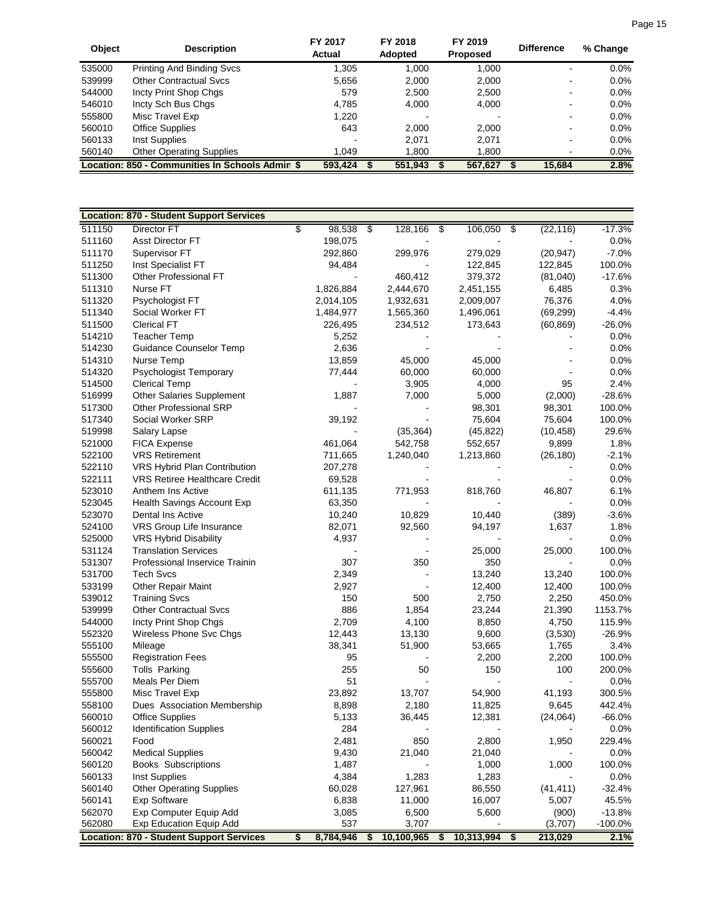| <b>Object</b> | <b>Description</b>                              | FY 2017<br>Actual | FY 2018<br><b>Adopted</b> | FY 2019<br><b>Proposed</b> | <b>Difference</b> | % Change |
|---------------|-------------------------------------------------|-------------------|---------------------------|----------------------------|-------------------|----------|
| 535000        | <b>Printing And Binding Svcs</b>                | 1,305             | 1.000                     | 1,000                      | -                 | $0.0\%$  |
| 539999        | <b>Other Contractual Sycs</b>                   | 5,656             | 2,000                     | 2,000                      | -                 | $0.0\%$  |
| 544000        | Incty Print Shop Chgs                           | 579               | 2,500                     | 2,500                      | -                 | $0.0\%$  |
| 546010        | Incty Sch Bus Chgs                              | 4.785             | 4.000                     | 4,000                      | $\,$              | $0.0\%$  |
| 555800        | Misc Travel Exp                                 | 1.220             |                           |                            |                   | $0.0\%$  |
| 560010        | <b>Office Supplies</b>                          | 643               | 2.000                     | 2,000                      | -                 | $0.0\%$  |
| 560133        | Inst Supplies                                   |                   | 2.071                     | 2.071                      | $\,$              | $0.0\%$  |
| 560140        | <b>Other Operating Supplies</b>                 | 1.049             | 1,800                     | 1,800                      |                   | $0.0\%$  |
|               | Location: 850 - Communities In Schools Admin \$ | 593,424           | 551,943                   | 567,627                    | 15.684            | 2.8%     |

| \$<br>511150<br>$\boldsymbol{\theta}$<br>$-17.3%$<br>Director FT<br>98,538<br>128,166<br>\$<br>106,050<br>\$<br>(22, 116)<br>511160<br>Asst Director FT<br>198,075<br>0.0%<br>511170<br>Supervisor FT<br>292,860<br>299,976<br>279,029<br>(20, 947)<br>$-7.0%$<br>511250<br>94,484<br>Inst Specialist FT<br>122,845<br>122,845<br>100.0%<br>511300<br>Other Professional FT<br>379,372<br>$-17.6%$<br>460,412<br>(81,040)<br>511310<br>1,826,884<br>6,485<br>0.3%<br>Nurse FT<br>2,444,670<br>2,451,155<br>511320<br>Psychologist FT<br>1,932,631<br>76,376<br>4.0%<br>2,014,105<br>2,009,007<br>511340<br>Social Worker FT<br>1,484,977<br>1,565,360<br>1,496,061<br>(69, 299)<br>$-4.4%$<br>511500<br><b>Clerical FT</b><br>234,512<br>173,643<br>(60, 869)<br>$-26.0%$<br>226,495<br>514210<br><b>Teacher Temp</b><br>0.0%<br>5,252<br>514230<br>Guidance Counselor Temp<br>2,636<br>0.0%<br>514310<br>Nurse Temp<br>13,859<br>45,000<br>45,000<br>0.0%<br>514320<br>Psychologist Temporary<br>77,444<br>60,000<br>0.0%<br>60,000<br>514500<br><b>Clerical Temp</b><br>3,905<br>4,000<br>95<br>2.4%<br>516999<br><b>Other Salaries Supplement</b><br>1,887<br>7,000<br>5,000<br>$-28.6%$<br>(2,000)<br>517300<br>Other Professional SRP<br>98,301<br>98,301<br>100.0%<br>517340<br>Social Worker SRP<br>39,192<br>75,604<br>75,604<br>100.0%<br>519998<br>(35, 364)<br>29.6%<br>Salary Lapse<br>(45, 822)<br>(10, 458)<br>521000<br><b>FICA Expense</b><br>461,064<br>542,758<br>552,657<br>9,899<br>1.8%<br>522100<br><b>VRS Retirement</b><br>1,240,040<br>1,213,860<br>$-2.1%$<br>711,665<br>(26, 180)<br>522110<br>VRS Hybrid Plan Contribution<br>0.0%<br>207,278<br>522111<br>VRS Retiree Healthcare Credit<br>69,528<br>0.0%<br>523010<br>Anthem Ins Active<br>611,135<br>771,953<br>818,760<br>46,807<br>6.1%<br>523045<br>Health Savings Account Exp<br>63,350<br>0.0%<br>523070<br>10,240<br>10,829<br>$-3.6%$<br>Dental Ins Active<br>10,440<br>(389)<br>524100<br>VRS Group Life Insurance<br>1,637<br>1.8%<br>82,071<br>92,560<br>94,197<br>525000<br><b>VRS Hybrid Disability</b><br>4,937<br>0.0%<br>531124<br><b>Translation Services</b><br>25,000<br>25,000<br>100.0%<br>531307<br>Professional Inservice Trainin<br>307<br>350<br>350<br>0.0%<br>531700<br><b>Tech Svcs</b><br>2,349<br>13,240<br>13,240<br>100.0%<br>533199<br>2,927<br>100.0%<br><b>Other Repair Maint</b><br>12,400<br>12,400<br>539012<br><b>Training Svcs</b><br>150<br>500<br>2,750<br>2,250<br>450.0%<br>886<br>1,854<br>539999<br><b>Other Contractual Svcs</b><br>23,244<br>21,390<br>1153.7%<br>4,100<br>544000<br>Incty Print Shop Chgs<br>2,709<br>8,850<br>4,750<br>115.9%<br>552320<br>Wireless Phone Svc Chgs<br>12,443<br>13,130<br>9,600<br>$-26.9%$<br>(3,530)<br>555100<br>3.4%<br>Mileage<br>38,341<br>51,900<br>53,665<br>1,765<br>555500<br>95<br>2,200<br>2,200<br>100.0%<br><b>Registration Fees</b><br>555600<br><b>Tolls Parking</b><br>255<br>50<br>150<br>100<br>200.0%<br>555700<br>Meals Per Diem<br>51<br>0.0%<br>555800<br>Misc Travel Exp<br>23,892<br>41,193<br>300.5%<br>13,707<br>54,900<br>558100<br>Dues Association Membership<br>8,898<br>2,180<br>11,825<br>9,645<br>442.4%<br>560010<br><b>Office Supplies</b><br>5,133<br>36,445<br>12,381<br>$-66.0%$<br>(24,064)<br>560012<br><b>Identification Supplies</b><br>284<br>0.0%<br>Food<br>560021<br>2,481<br>850<br>2,800<br>1,950<br>229.4%<br>560042<br><b>Medical Supplies</b><br>9,430<br>21,040<br>21,040<br>0.0%<br>560120<br>1,487<br>1,000<br><b>Books Subscriptions</b><br>1,000<br>100.0%<br>4,384<br>560133<br>1,283<br>1,283<br>Inst Supplies<br>0.0%<br>560140<br><b>Other Operating Supplies</b><br>60,028<br>127,961<br>(41, 411)<br>$-32.4%$<br>86,550<br>560141<br><b>Exp Software</b><br>6,838<br>11,000<br>16,007<br>5,007<br>45.5%<br>562070<br>Exp Computer Equip Add<br>6,500<br>5,600<br>$-13.8%$<br>3,085<br>(900)<br>537<br>562080<br>3,707<br>(3,707)<br>$-100.0%$<br><b>Exp Education Equip Add</b><br><b>Location: 870 - Student Support Services</b><br>8,784,946<br>10,313,994<br>\$<br>\$<br>10,100,965<br>\$<br>213,029<br>2.1%<br>\$ | <b>Location: 870 - Student Support Services</b> |  |  |  |  |  |
|-------------------------------------------------------------------------------------------------------------------------------------------------------------------------------------------------------------------------------------------------------------------------------------------------------------------------------------------------------------------------------------------------------------------------------------------------------------------------------------------------------------------------------------------------------------------------------------------------------------------------------------------------------------------------------------------------------------------------------------------------------------------------------------------------------------------------------------------------------------------------------------------------------------------------------------------------------------------------------------------------------------------------------------------------------------------------------------------------------------------------------------------------------------------------------------------------------------------------------------------------------------------------------------------------------------------------------------------------------------------------------------------------------------------------------------------------------------------------------------------------------------------------------------------------------------------------------------------------------------------------------------------------------------------------------------------------------------------------------------------------------------------------------------------------------------------------------------------------------------------------------------------------------------------------------------------------------------------------------------------------------------------------------------------------------------------------------------------------------------------------------------------------------------------------------------------------------------------------------------------------------------------------------------------------------------------------------------------------------------------------------------------------------------------------------------------------------------------------------------------------------------------------------------------------------------------------------------------------------------------------------------------------------------------------------------------------------------------------------------------------------------------------------------------------------------------------------------------------------------------------------------------------------------------------------------------------------------------------------------------------------------------------------------------------------------------------------------------------------------------------------------------------------------------------------------------------------------------------------------------------------------------------------------------------------------------------------------------------------------------------------------------------------------------------------------------------------------------------------------------------------------------------------------------------------------------------------------------------------------------------------------------------------------------------------------------------------------------------------------------------------------------------------------------------------------------------------------------------------------------------------------------------------------------------------------------------------------------------------------------------------------------------------------------------------------------------------------------------------------------------------------------------------|-------------------------------------------------|--|--|--|--|--|
|                                                                                                                                                                                                                                                                                                                                                                                                                                                                                                                                                                                                                                                                                                                                                                                                                                                                                                                                                                                                                                                                                                                                                                                                                                                                                                                                                                                                                                                                                                                                                                                                                                                                                                                                                                                                                                                                                                                                                                                                                                                                                                                                                                                                                                                                                                                                                                                                                                                                                                                                                                                                                                                                                                                                                                                                                                                                                                                                                                                                                                                                                                                                                                                                                                                                                                                                                                                                                                                                                                                                                                                                                                                                                                                                                                                                                                                                                                                                                                                                                                                                                                                                                       |                                                 |  |  |  |  |  |
|                                                                                                                                                                                                                                                                                                                                                                                                                                                                                                                                                                                                                                                                                                                                                                                                                                                                                                                                                                                                                                                                                                                                                                                                                                                                                                                                                                                                                                                                                                                                                                                                                                                                                                                                                                                                                                                                                                                                                                                                                                                                                                                                                                                                                                                                                                                                                                                                                                                                                                                                                                                                                                                                                                                                                                                                                                                                                                                                                                                                                                                                                                                                                                                                                                                                                                                                                                                                                                                                                                                                                                                                                                                                                                                                                                                                                                                                                                                                                                                                                                                                                                                                                       |                                                 |  |  |  |  |  |
|                                                                                                                                                                                                                                                                                                                                                                                                                                                                                                                                                                                                                                                                                                                                                                                                                                                                                                                                                                                                                                                                                                                                                                                                                                                                                                                                                                                                                                                                                                                                                                                                                                                                                                                                                                                                                                                                                                                                                                                                                                                                                                                                                                                                                                                                                                                                                                                                                                                                                                                                                                                                                                                                                                                                                                                                                                                                                                                                                                                                                                                                                                                                                                                                                                                                                                                                                                                                                                                                                                                                                                                                                                                                                                                                                                                                                                                                                                                                                                                                                                                                                                                                                       |                                                 |  |  |  |  |  |
|                                                                                                                                                                                                                                                                                                                                                                                                                                                                                                                                                                                                                                                                                                                                                                                                                                                                                                                                                                                                                                                                                                                                                                                                                                                                                                                                                                                                                                                                                                                                                                                                                                                                                                                                                                                                                                                                                                                                                                                                                                                                                                                                                                                                                                                                                                                                                                                                                                                                                                                                                                                                                                                                                                                                                                                                                                                                                                                                                                                                                                                                                                                                                                                                                                                                                                                                                                                                                                                                                                                                                                                                                                                                                                                                                                                                                                                                                                                                                                                                                                                                                                                                                       |                                                 |  |  |  |  |  |
|                                                                                                                                                                                                                                                                                                                                                                                                                                                                                                                                                                                                                                                                                                                                                                                                                                                                                                                                                                                                                                                                                                                                                                                                                                                                                                                                                                                                                                                                                                                                                                                                                                                                                                                                                                                                                                                                                                                                                                                                                                                                                                                                                                                                                                                                                                                                                                                                                                                                                                                                                                                                                                                                                                                                                                                                                                                                                                                                                                                                                                                                                                                                                                                                                                                                                                                                                                                                                                                                                                                                                                                                                                                                                                                                                                                                                                                                                                                                                                                                                                                                                                                                                       |                                                 |  |  |  |  |  |
|                                                                                                                                                                                                                                                                                                                                                                                                                                                                                                                                                                                                                                                                                                                                                                                                                                                                                                                                                                                                                                                                                                                                                                                                                                                                                                                                                                                                                                                                                                                                                                                                                                                                                                                                                                                                                                                                                                                                                                                                                                                                                                                                                                                                                                                                                                                                                                                                                                                                                                                                                                                                                                                                                                                                                                                                                                                                                                                                                                                                                                                                                                                                                                                                                                                                                                                                                                                                                                                                                                                                                                                                                                                                                                                                                                                                                                                                                                                                                                                                                                                                                                                                                       |                                                 |  |  |  |  |  |
|                                                                                                                                                                                                                                                                                                                                                                                                                                                                                                                                                                                                                                                                                                                                                                                                                                                                                                                                                                                                                                                                                                                                                                                                                                                                                                                                                                                                                                                                                                                                                                                                                                                                                                                                                                                                                                                                                                                                                                                                                                                                                                                                                                                                                                                                                                                                                                                                                                                                                                                                                                                                                                                                                                                                                                                                                                                                                                                                                                                                                                                                                                                                                                                                                                                                                                                                                                                                                                                                                                                                                                                                                                                                                                                                                                                                                                                                                                                                                                                                                                                                                                                                                       |                                                 |  |  |  |  |  |
|                                                                                                                                                                                                                                                                                                                                                                                                                                                                                                                                                                                                                                                                                                                                                                                                                                                                                                                                                                                                                                                                                                                                                                                                                                                                                                                                                                                                                                                                                                                                                                                                                                                                                                                                                                                                                                                                                                                                                                                                                                                                                                                                                                                                                                                                                                                                                                                                                                                                                                                                                                                                                                                                                                                                                                                                                                                                                                                                                                                                                                                                                                                                                                                                                                                                                                                                                                                                                                                                                                                                                                                                                                                                                                                                                                                                                                                                                                                                                                                                                                                                                                                                                       |                                                 |  |  |  |  |  |
|                                                                                                                                                                                                                                                                                                                                                                                                                                                                                                                                                                                                                                                                                                                                                                                                                                                                                                                                                                                                                                                                                                                                                                                                                                                                                                                                                                                                                                                                                                                                                                                                                                                                                                                                                                                                                                                                                                                                                                                                                                                                                                                                                                                                                                                                                                                                                                                                                                                                                                                                                                                                                                                                                                                                                                                                                                                                                                                                                                                                                                                                                                                                                                                                                                                                                                                                                                                                                                                                                                                                                                                                                                                                                                                                                                                                                                                                                                                                                                                                                                                                                                                                                       |                                                 |  |  |  |  |  |
|                                                                                                                                                                                                                                                                                                                                                                                                                                                                                                                                                                                                                                                                                                                                                                                                                                                                                                                                                                                                                                                                                                                                                                                                                                                                                                                                                                                                                                                                                                                                                                                                                                                                                                                                                                                                                                                                                                                                                                                                                                                                                                                                                                                                                                                                                                                                                                                                                                                                                                                                                                                                                                                                                                                                                                                                                                                                                                                                                                                                                                                                                                                                                                                                                                                                                                                                                                                                                                                                                                                                                                                                                                                                                                                                                                                                                                                                                                                                                                                                                                                                                                                                                       |                                                 |  |  |  |  |  |
|                                                                                                                                                                                                                                                                                                                                                                                                                                                                                                                                                                                                                                                                                                                                                                                                                                                                                                                                                                                                                                                                                                                                                                                                                                                                                                                                                                                                                                                                                                                                                                                                                                                                                                                                                                                                                                                                                                                                                                                                                                                                                                                                                                                                                                                                                                                                                                                                                                                                                                                                                                                                                                                                                                                                                                                                                                                                                                                                                                                                                                                                                                                                                                                                                                                                                                                                                                                                                                                                                                                                                                                                                                                                                                                                                                                                                                                                                                                                                                                                                                                                                                                                                       |                                                 |  |  |  |  |  |
|                                                                                                                                                                                                                                                                                                                                                                                                                                                                                                                                                                                                                                                                                                                                                                                                                                                                                                                                                                                                                                                                                                                                                                                                                                                                                                                                                                                                                                                                                                                                                                                                                                                                                                                                                                                                                                                                                                                                                                                                                                                                                                                                                                                                                                                                                                                                                                                                                                                                                                                                                                                                                                                                                                                                                                                                                                                                                                                                                                                                                                                                                                                                                                                                                                                                                                                                                                                                                                                                                                                                                                                                                                                                                                                                                                                                                                                                                                                                                                                                                                                                                                                                                       |                                                 |  |  |  |  |  |
|                                                                                                                                                                                                                                                                                                                                                                                                                                                                                                                                                                                                                                                                                                                                                                                                                                                                                                                                                                                                                                                                                                                                                                                                                                                                                                                                                                                                                                                                                                                                                                                                                                                                                                                                                                                                                                                                                                                                                                                                                                                                                                                                                                                                                                                                                                                                                                                                                                                                                                                                                                                                                                                                                                                                                                                                                                                                                                                                                                                                                                                                                                                                                                                                                                                                                                                                                                                                                                                                                                                                                                                                                                                                                                                                                                                                                                                                                                                                                                                                                                                                                                                                                       |                                                 |  |  |  |  |  |
|                                                                                                                                                                                                                                                                                                                                                                                                                                                                                                                                                                                                                                                                                                                                                                                                                                                                                                                                                                                                                                                                                                                                                                                                                                                                                                                                                                                                                                                                                                                                                                                                                                                                                                                                                                                                                                                                                                                                                                                                                                                                                                                                                                                                                                                                                                                                                                                                                                                                                                                                                                                                                                                                                                                                                                                                                                                                                                                                                                                                                                                                                                                                                                                                                                                                                                                                                                                                                                                                                                                                                                                                                                                                                                                                                                                                                                                                                                                                                                                                                                                                                                                                                       |                                                 |  |  |  |  |  |
|                                                                                                                                                                                                                                                                                                                                                                                                                                                                                                                                                                                                                                                                                                                                                                                                                                                                                                                                                                                                                                                                                                                                                                                                                                                                                                                                                                                                                                                                                                                                                                                                                                                                                                                                                                                                                                                                                                                                                                                                                                                                                                                                                                                                                                                                                                                                                                                                                                                                                                                                                                                                                                                                                                                                                                                                                                                                                                                                                                                                                                                                                                                                                                                                                                                                                                                                                                                                                                                                                                                                                                                                                                                                                                                                                                                                                                                                                                                                                                                                                                                                                                                                                       |                                                 |  |  |  |  |  |
|                                                                                                                                                                                                                                                                                                                                                                                                                                                                                                                                                                                                                                                                                                                                                                                                                                                                                                                                                                                                                                                                                                                                                                                                                                                                                                                                                                                                                                                                                                                                                                                                                                                                                                                                                                                                                                                                                                                                                                                                                                                                                                                                                                                                                                                                                                                                                                                                                                                                                                                                                                                                                                                                                                                                                                                                                                                                                                                                                                                                                                                                                                                                                                                                                                                                                                                                                                                                                                                                                                                                                                                                                                                                                                                                                                                                                                                                                                                                                                                                                                                                                                                                                       |                                                 |  |  |  |  |  |
|                                                                                                                                                                                                                                                                                                                                                                                                                                                                                                                                                                                                                                                                                                                                                                                                                                                                                                                                                                                                                                                                                                                                                                                                                                                                                                                                                                                                                                                                                                                                                                                                                                                                                                                                                                                                                                                                                                                                                                                                                                                                                                                                                                                                                                                                                                                                                                                                                                                                                                                                                                                                                                                                                                                                                                                                                                                                                                                                                                                                                                                                                                                                                                                                                                                                                                                                                                                                                                                                                                                                                                                                                                                                                                                                                                                                                                                                                                                                                                                                                                                                                                                                                       |                                                 |  |  |  |  |  |
|                                                                                                                                                                                                                                                                                                                                                                                                                                                                                                                                                                                                                                                                                                                                                                                                                                                                                                                                                                                                                                                                                                                                                                                                                                                                                                                                                                                                                                                                                                                                                                                                                                                                                                                                                                                                                                                                                                                                                                                                                                                                                                                                                                                                                                                                                                                                                                                                                                                                                                                                                                                                                                                                                                                                                                                                                                                                                                                                                                                                                                                                                                                                                                                                                                                                                                                                                                                                                                                                                                                                                                                                                                                                                                                                                                                                                                                                                                                                                                                                                                                                                                                                                       |                                                 |  |  |  |  |  |
|                                                                                                                                                                                                                                                                                                                                                                                                                                                                                                                                                                                                                                                                                                                                                                                                                                                                                                                                                                                                                                                                                                                                                                                                                                                                                                                                                                                                                                                                                                                                                                                                                                                                                                                                                                                                                                                                                                                                                                                                                                                                                                                                                                                                                                                                                                                                                                                                                                                                                                                                                                                                                                                                                                                                                                                                                                                                                                                                                                                                                                                                                                                                                                                                                                                                                                                                                                                                                                                                                                                                                                                                                                                                                                                                                                                                                                                                                                                                                                                                                                                                                                                                                       |                                                 |  |  |  |  |  |
|                                                                                                                                                                                                                                                                                                                                                                                                                                                                                                                                                                                                                                                                                                                                                                                                                                                                                                                                                                                                                                                                                                                                                                                                                                                                                                                                                                                                                                                                                                                                                                                                                                                                                                                                                                                                                                                                                                                                                                                                                                                                                                                                                                                                                                                                                                                                                                                                                                                                                                                                                                                                                                                                                                                                                                                                                                                                                                                                                                                                                                                                                                                                                                                                                                                                                                                                                                                                                                                                                                                                                                                                                                                                                                                                                                                                                                                                                                                                                                                                                                                                                                                                                       |                                                 |  |  |  |  |  |
|                                                                                                                                                                                                                                                                                                                                                                                                                                                                                                                                                                                                                                                                                                                                                                                                                                                                                                                                                                                                                                                                                                                                                                                                                                                                                                                                                                                                                                                                                                                                                                                                                                                                                                                                                                                                                                                                                                                                                                                                                                                                                                                                                                                                                                                                                                                                                                                                                                                                                                                                                                                                                                                                                                                                                                                                                                                                                                                                                                                                                                                                                                                                                                                                                                                                                                                                                                                                                                                                                                                                                                                                                                                                                                                                                                                                                                                                                                                                                                                                                                                                                                                                                       |                                                 |  |  |  |  |  |
|                                                                                                                                                                                                                                                                                                                                                                                                                                                                                                                                                                                                                                                                                                                                                                                                                                                                                                                                                                                                                                                                                                                                                                                                                                                                                                                                                                                                                                                                                                                                                                                                                                                                                                                                                                                                                                                                                                                                                                                                                                                                                                                                                                                                                                                                                                                                                                                                                                                                                                                                                                                                                                                                                                                                                                                                                                                                                                                                                                                                                                                                                                                                                                                                                                                                                                                                                                                                                                                                                                                                                                                                                                                                                                                                                                                                                                                                                                                                                                                                                                                                                                                                                       |                                                 |  |  |  |  |  |
|                                                                                                                                                                                                                                                                                                                                                                                                                                                                                                                                                                                                                                                                                                                                                                                                                                                                                                                                                                                                                                                                                                                                                                                                                                                                                                                                                                                                                                                                                                                                                                                                                                                                                                                                                                                                                                                                                                                                                                                                                                                                                                                                                                                                                                                                                                                                                                                                                                                                                                                                                                                                                                                                                                                                                                                                                                                                                                                                                                                                                                                                                                                                                                                                                                                                                                                                                                                                                                                                                                                                                                                                                                                                                                                                                                                                                                                                                                                                                                                                                                                                                                                                                       |                                                 |  |  |  |  |  |
|                                                                                                                                                                                                                                                                                                                                                                                                                                                                                                                                                                                                                                                                                                                                                                                                                                                                                                                                                                                                                                                                                                                                                                                                                                                                                                                                                                                                                                                                                                                                                                                                                                                                                                                                                                                                                                                                                                                                                                                                                                                                                                                                                                                                                                                                                                                                                                                                                                                                                                                                                                                                                                                                                                                                                                                                                                                                                                                                                                                                                                                                                                                                                                                                                                                                                                                                                                                                                                                                                                                                                                                                                                                                                                                                                                                                                                                                                                                                                                                                                                                                                                                                                       |                                                 |  |  |  |  |  |
|                                                                                                                                                                                                                                                                                                                                                                                                                                                                                                                                                                                                                                                                                                                                                                                                                                                                                                                                                                                                                                                                                                                                                                                                                                                                                                                                                                                                                                                                                                                                                                                                                                                                                                                                                                                                                                                                                                                                                                                                                                                                                                                                                                                                                                                                                                                                                                                                                                                                                                                                                                                                                                                                                                                                                                                                                                                                                                                                                                                                                                                                                                                                                                                                                                                                                                                                                                                                                                                                                                                                                                                                                                                                                                                                                                                                                                                                                                                                                                                                                                                                                                                                                       |                                                 |  |  |  |  |  |
|                                                                                                                                                                                                                                                                                                                                                                                                                                                                                                                                                                                                                                                                                                                                                                                                                                                                                                                                                                                                                                                                                                                                                                                                                                                                                                                                                                                                                                                                                                                                                                                                                                                                                                                                                                                                                                                                                                                                                                                                                                                                                                                                                                                                                                                                                                                                                                                                                                                                                                                                                                                                                                                                                                                                                                                                                                                                                                                                                                                                                                                                                                                                                                                                                                                                                                                                                                                                                                                                                                                                                                                                                                                                                                                                                                                                                                                                                                                                                                                                                                                                                                                                                       |                                                 |  |  |  |  |  |
|                                                                                                                                                                                                                                                                                                                                                                                                                                                                                                                                                                                                                                                                                                                                                                                                                                                                                                                                                                                                                                                                                                                                                                                                                                                                                                                                                                                                                                                                                                                                                                                                                                                                                                                                                                                                                                                                                                                                                                                                                                                                                                                                                                                                                                                                                                                                                                                                                                                                                                                                                                                                                                                                                                                                                                                                                                                                                                                                                                                                                                                                                                                                                                                                                                                                                                                                                                                                                                                                                                                                                                                                                                                                                                                                                                                                                                                                                                                                                                                                                                                                                                                                                       |                                                 |  |  |  |  |  |
|                                                                                                                                                                                                                                                                                                                                                                                                                                                                                                                                                                                                                                                                                                                                                                                                                                                                                                                                                                                                                                                                                                                                                                                                                                                                                                                                                                                                                                                                                                                                                                                                                                                                                                                                                                                                                                                                                                                                                                                                                                                                                                                                                                                                                                                                                                                                                                                                                                                                                                                                                                                                                                                                                                                                                                                                                                                                                                                                                                                                                                                                                                                                                                                                                                                                                                                                                                                                                                                                                                                                                                                                                                                                                                                                                                                                                                                                                                                                                                                                                                                                                                                                                       |                                                 |  |  |  |  |  |
|                                                                                                                                                                                                                                                                                                                                                                                                                                                                                                                                                                                                                                                                                                                                                                                                                                                                                                                                                                                                                                                                                                                                                                                                                                                                                                                                                                                                                                                                                                                                                                                                                                                                                                                                                                                                                                                                                                                                                                                                                                                                                                                                                                                                                                                                                                                                                                                                                                                                                                                                                                                                                                                                                                                                                                                                                                                                                                                                                                                                                                                                                                                                                                                                                                                                                                                                                                                                                                                                                                                                                                                                                                                                                                                                                                                                                                                                                                                                                                                                                                                                                                                                                       |                                                 |  |  |  |  |  |
|                                                                                                                                                                                                                                                                                                                                                                                                                                                                                                                                                                                                                                                                                                                                                                                                                                                                                                                                                                                                                                                                                                                                                                                                                                                                                                                                                                                                                                                                                                                                                                                                                                                                                                                                                                                                                                                                                                                                                                                                                                                                                                                                                                                                                                                                                                                                                                                                                                                                                                                                                                                                                                                                                                                                                                                                                                                                                                                                                                                                                                                                                                                                                                                                                                                                                                                                                                                                                                                                                                                                                                                                                                                                                                                                                                                                                                                                                                                                                                                                                                                                                                                                                       |                                                 |  |  |  |  |  |
|                                                                                                                                                                                                                                                                                                                                                                                                                                                                                                                                                                                                                                                                                                                                                                                                                                                                                                                                                                                                                                                                                                                                                                                                                                                                                                                                                                                                                                                                                                                                                                                                                                                                                                                                                                                                                                                                                                                                                                                                                                                                                                                                                                                                                                                                                                                                                                                                                                                                                                                                                                                                                                                                                                                                                                                                                                                                                                                                                                                                                                                                                                                                                                                                                                                                                                                                                                                                                                                                                                                                                                                                                                                                                                                                                                                                                                                                                                                                                                                                                                                                                                                                                       |                                                 |  |  |  |  |  |
|                                                                                                                                                                                                                                                                                                                                                                                                                                                                                                                                                                                                                                                                                                                                                                                                                                                                                                                                                                                                                                                                                                                                                                                                                                                                                                                                                                                                                                                                                                                                                                                                                                                                                                                                                                                                                                                                                                                                                                                                                                                                                                                                                                                                                                                                                                                                                                                                                                                                                                                                                                                                                                                                                                                                                                                                                                                                                                                                                                                                                                                                                                                                                                                                                                                                                                                                                                                                                                                                                                                                                                                                                                                                                                                                                                                                                                                                                                                                                                                                                                                                                                                                                       |                                                 |  |  |  |  |  |
|                                                                                                                                                                                                                                                                                                                                                                                                                                                                                                                                                                                                                                                                                                                                                                                                                                                                                                                                                                                                                                                                                                                                                                                                                                                                                                                                                                                                                                                                                                                                                                                                                                                                                                                                                                                                                                                                                                                                                                                                                                                                                                                                                                                                                                                                                                                                                                                                                                                                                                                                                                                                                                                                                                                                                                                                                                                                                                                                                                                                                                                                                                                                                                                                                                                                                                                                                                                                                                                                                                                                                                                                                                                                                                                                                                                                                                                                                                                                                                                                                                                                                                                                                       |                                                 |  |  |  |  |  |
|                                                                                                                                                                                                                                                                                                                                                                                                                                                                                                                                                                                                                                                                                                                                                                                                                                                                                                                                                                                                                                                                                                                                                                                                                                                                                                                                                                                                                                                                                                                                                                                                                                                                                                                                                                                                                                                                                                                                                                                                                                                                                                                                                                                                                                                                                                                                                                                                                                                                                                                                                                                                                                                                                                                                                                                                                                                                                                                                                                                                                                                                                                                                                                                                                                                                                                                                                                                                                                                                                                                                                                                                                                                                                                                                                                                                                                                                                                                                                                                                                                                                                                                                                       |                                                 |  |  |  |  |  |
|                                                                                                                                                                                                                                                                                                                                                                                                                                                                                                                                                                                                                                                                                                                                                                                                                                                                                                                                                                                                                                                                                                                                                                                                                                                                                                                                                                                                                                                                                                                                                                                                                                                                                                                                                                                                                                                                                                                                                                                                                                                                                                                                                                                                                                                                                                                                                                                                                                                                                                                                                                                                                                                                                                                                                                                                                                                                                                                                                                                                                                                                                                                                                                                                                                                                                                                                                                                                                                                                                                                                                                                                                                                                                                                                                                                                                                                                                                                                                                                                                                                                                                                                                       |                                                 |  |  |  |  |  |
|                                                                                                                                                                                                                                                                                                                                                                                                                                                                                                                                                                                                                                                                                                                                                                                                                                                                                                                                                                                                                                                                                                                                                                                                                                                                                                                                                                                                                                                                                                                                                                                                                                                                                                                                                                                                                                                                                                                                                                                                                                                                                                                                                                                                                                                                                                                                                                                                                                                                                                                                                                                                                                                                                                                                                                                                                                                                                                                                                                                                                                                                                                                                                                                                                                                                                                                                                                                                                                                                                                                                                                                                                                                                                                                                                                                                                                                                                                                                                                                                                                                                                                                                                       |                                                 |  |  |  |  |  |
|                                                                                                                                                                                                                                                                                                                                                                                                                                                                                                                                                                                                                                                                                                                                                                                                                                                                                                                                                                                                                                                                                                                                                                                                                                                                                                                                                                                                                                                                                                                                                                                                                                                                                                                                                                                                                                                                                                                                                                                                                                                                                                                                                                                                                                                                                                                                                                                                                                                                                                                                                                                                                                                                                                                                                                                                                                                                                                                                                                                                                                                                                                                                                                                                                                                                                                                                                                                                                                                                                                                                                                                                                                                                                                                                                                                                                                                                                                                                                                                                                                                                                                                                                       |                                                 |  |  |  |  |  |
|                                                                                                                                                                                                                                                                                                                                                                                                                                                                                                                                                                                                                                                                                                                                                                                                                                                                                                                                                                                                                                                                                                                                                                                                                                                                                                                                                                                                                                                                                                                                                                                                                                                                                                                                                                                                                                                                                                                                                                                                                                                                                                                                                                                                                                                                                                                                                                                                                                                                                                                                                                                                                                                                                                                                                                                                                                                                                                                                                                                                                                                                                                                                                                                                                                                                                                                                                                                                                                                                                                                                                                                                                                                                                                                                                                                                                                                                                                                                                                                                                                                                                                                                                       |                                                 |  |  |  |  |  |
|                                                                                                                                                                                                                                                                                                                                                                                                                                                                                                                                                                                                                                                                                                                                                                                                                                                                                                                                                                                                                                                                                                                                                                                                                                                                                                                                                                                                                                                                                                                                                                                                                                                                                                                                                                                                                                                                                                                                                                                                                                                                                                                                                                                                                                                                                                                                                                                                                                                                                                                                                                                                                                                                                                                                                                                                                                                                                                                                                                                                                                                                                                                                                                                                                                                                                                                                                                                                                                                                                                                                                                                                                                                                                                                                                                                                                                                                                                                                                                                                                                                                                                                                                       |                                                 |  |  |  |  |  |
|                                                                                                                                                                                                                                                                                                                                                                                                                                                                                                                                                                                                                                                                                                                                                                                                                                                                                                                                                                                                                                                                                                                                                                                                                                                                                                                                                                                                                                                                                                                                                                                                                                                                                                                                                                                                                                                                                                                                                                                                                                                                                                                                                                                                                                                                                                                                                                                                                                                                                                                                                                                                                                                                                                                                                                                                                                                                                                                                                                                                                                                                                                                                                                                                                                                                                                                                                                                                                                                                                                                                                                                                                                                                                                                                                                                                                                                                                                                                                                                                                                                                                                                                                       |                                                 |  |  |  |  |  |
|                                                                                                                                                                                                                                                                                                                                                                                                                                                                                                                                                                                                                                                                                                                                                                                                                                                                                                                                                                                                                                                                                                                                                                                                                                                                                                                                                                                                                                                                                                                                                                                                                                                                                                                                                                                                                                                                                                                                                                                                                                                                                                                                                                                                                                                                                                                                                                                                                                                                                                                                                                                                                                                                                                                                                                                                                                                                                                                                                                                                                                                                                                                                                                                                                                                                                                                                                                                                                                                                                                                                                                                                                                                                                                                                                                                                                                                                                                                                                                                                                                                                                                                                                       |                                                 |  |  |  |  |  |
|                                                                                                                                                                                                                                                                                                                                                                                                                                                                                                                                                                                                                                                                                                                                                                                                                                                                                                                                                                                                                                                                                                                                                                                                                                                                                                                                                                                                                                                                                                                                                                                                                                                                                                                                                                                                                                                                                                                                                                                                                                                                                                                                                                                                                                                                                                                                                                                                                                                                                                                                                                                                                                                                                                                                                                                                                                                                                                                                                                                                                                                                                                                                                                                                                                                                                                                                                                                                                                                                                                                                                                                                                                                                                                                                                                                                                                                                                                                                                                                                                                                                                                                                                       |                                                 |  |  |  |  |  |
|                                                                                                                                                                                                                                                                                                                                                                                                                                                                                                                                                                                                                                                                                                                                                                                                                                                                                                                                                                                                                                                                                                                                                                                                                                                                                                                                                                                                                                                                                                                                                                                                                                                                                                                                                                                                                                                                                                                                                                                                                                                                                                                                                                                                                                                                                                                                                                                                                                                                                                                                                                                                                                                                                                                                                                                                                                                                                                                                                                                                                                                                                                                                                                                                                                                                                                                                                                                                                                                                                                                                                                                                                                                                                                                                                                                                                                                                                                                                                                                                                                                                                                                                                       |                                                 |  |  |  |  |  |
|                                                                                                                                                                                                                                                                                                                                                                                                                                                                                                                                                                                                                                                                                                                                                                                                                                                                                                                                                                                                                                                                                                                                                                                                                                                                                                                                                                                                                                                                                                                                                                                                                                                                                                                                                                                                                                                                                                                                                                                                                                                                                                                                                                                                                                                                                                                                                                                                                                                                                                                                                                                                                                                                                                                                                                                                                                                                                                                                                                                                                                                                                                                                                                                                                                                                                                                                                                                                                                                                                                                                                                                                                                                                                                                                                                                                                                                                                                                                                                                                                                                                                                                                                       |                                                 |  |  |  |  |  |
|                                                                                                                                                                                                                                                                                                                                                                                                                                                                                                                                                                                                                                                                                                                                                                                                                                                                                                                                                                                                                                                                                                                                                                                                                                                                                                                                                                                                                                                                                                                                                                                                                                                                                                                                                                                                                                                                                                                                                                                                                                                                                                                                                                                                                                                                                                                                                                                                                                                                                                                                                                                                                                                                                                                                                                                                                                                                                                                                                                                                                                                                                                                                                                                                                                                                                                                                                                                                                                                                                                                                                                                                                                                                                                                                                                                                                                                                                                                                                                                                                                                                                                                                                       |                                                 |  |  |  |  |  |
|                                                                                                                                                                                                                                                                                                                                                                                                                                                                                                                                                                                                                                                                                                                                                                                                                                                                                                                                                                                                                                                                                                                                                                                                                                                                                                                                                                                                                                                                                                                                                                                                                                                                                                                                                                                                                                                                                                                                                                                                                                                                                                                                                                                                                                                                                                                                                                                                                                                                                                                                                                                                                                                                                                                                                                                                                                                                                                                                                                                                                                                                                                                                                                                                                                                                                                                                                                                                                                                                                                                                                                                                                                                                                                                                                                                                                                                                                                                                                                                                                                                                                                                                                       |                                                 |  |  |  |  |  |
|                                                                                                                                                                                                                                                                                                                                                                                                                                                                                                                                                                                                                                                                                                                                                                                                                                                                                                                                                                                                                                                                                                                                                                                                                                                                                                                                                                                                                                                                                                                                                                                                                                                                                                                                                                                                                                                                                                                                                                                                                                                                                                                                                                                                                                                                                                                                                                                                                                                                                                                                                                                                                                                                                                                                                                                                                                                                                                                                                                                                                                                                                                                                                                                                                                                                                                                                                                                                                                                                                                                                                                                                                                                                                                                                                                                                                                                                                                                                                                                                                                                                                                                                                       |                                                 |  |  |  |  |  |
|                                                                                                                                                                                                                                                                                                                                                                                                                                                                                                                                                                                                                                                                                                                                                                                                                                                                                                                                                                                                                                                                                                                                                                                                                                                                                                                                                                                                                                                                                                                                                                                                                                                                                                                                                                                                                                                                                                                                                                                                                                                                                                                                                                                                                                                                                                                                                                                                                                                                                                                                                                                                                                                                                                                                                                                                                                                                                                                                                                                                                                                                                                                                                                                                                                                                                                                                                                                                                                                                                                                                                                                                                                                                                                                                                                                                                                                                                                                                                                                                                                                                                                                                                       |                                                 |  |  |  |  |  |
|                                                                                                                                                                                                                                                                                                                                                                                                                                                                                                                                                                                                                                                                                                                                                                                                                                                                                                                                                                                                                                                                                                                                                                                                                                                                                                                                                                                                                                                                                                                                                                                                                                                                                                                                                                                                                                                                                                                                                                                                                                                                                                                                                                                                                                                                                                                                                                                                                                                                                                                                                                                                                                                                                                                                                                                                                                                                                                                                                                                                                                                                                                                                                                                                                                                                                                                                                                                                                                                                                                                                                                                                                                                                                                                                                                                                                                                                                                                                                                                                                                                                                                                                                       |                                                 |  |  |  |  |  |
|                                                                                                                                                                                                                                                                                                                                                                                                                                                                                                                                                                                                                                                                                                                                                                                                                                                                                                                                                                                                                                                                                                                                                                                                                                                                                                                                                                                                                                                                                                                                                                                                                                                                                                                                                                                                                                                                                                                                                                                                                                                                                                                                                                                                                                                                                                                                                                                                                                                                                                                                                                                                                                                                                                                                                                                                                                                                                                                                                                                                                                                                                                                                                                                                                                                                                                                                                                                                                                                                                                                                                                                                                                                                                                                                                                                                                                                                                                                                                                                                                                                                                                                                                       |                                                 |  |  |  |  |  |
|                                                                                                                                                                                                                                                                                                                                                                                                                                                                                                                                                                                                                                                                                                                                                                                                                                                                                                                                                                                                                                                                                                                                                                                                                                                                                                                                                                                                                                                                                                                                                                                                                                                                                                                                                                                                                                                                                                                                                                                                                                                                                                                                                                                                                                                                                                                                                                                                                                                                                                                                                                                                                                                                                                                                                                                                                                                                                                                                                                                                                                                                                                                                                                                                                                                                                                                                                                                                                                                                                                                                                                                                                                                                                                                                                                                                                                                                                                                                                                                                                                                                                                                                                       |                                                 |  |  |  |  |  |
|                                                                                                                                                                                                                                                                                                                                                                                                                                                                                                                                                                                                                                                                                                                                                                                                                                                                                                                                                                                                                                                                                                                                                                                                                                                                                                                                                                                                                                                                                                                                                                                                                                                                                                                                                                                                                                                                                                                                                                                                                                                                                                                                                                                                                                                                                                                                                                                                                                                                                                                                                                                                                                                                                                                                                                                                                                                                                                                                                                                                                                                                                                                                                                                                                                                                                                                                                                                                                                                                                                                                                                                                                                                                                                                                                                                                                                                                                                                                                                                                                                                                                                                                                       |                                                 |  |  |  |  |  |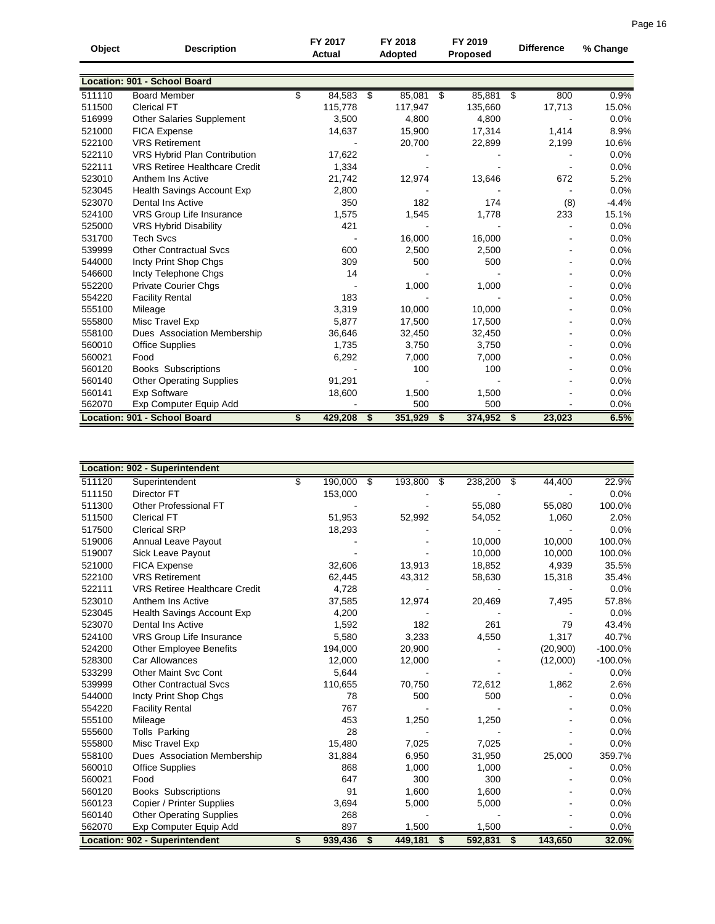| Object | <b>Description</b>                   | FY 2017       | FY 2018         | FY 2019  |           | <b>Difference</b> |        | % Change |
|--------|--------------------------------------|---------------|-----------------|----------|-----------|-------------------|--------|----------|
|        |                                      | Actual        | Adopted         | Proposed |           |                   |        |          |
|        |                                      |               |                 |          |           |                   |        |          |
|        | Location: 901 - School Board         |               |                 |          |           |                   |        |          |
| 511110 | <b>Board Member</b>                  | \$<br>84,583  | \$<br>85,081 \$ |          | 85,881 \$ |                   | 800    | 0.9%     |
| 511500 | <b>Clerical FT</b>                   | 115,778       | 117,947         |          | 135,660   |                   | 17,713 | 15.0%    |
| 516999 | <b>Other Salaries Supplement</b>     | 3,500         | 4,800           |          | 4,800     |                   |        | 0.0%     |
| 521000 | <b>FICA Expense</b>                  | 14,637        | 15,900          |          | 17,314    |                   | 1,414  | 8.9%     |
| 522100 | <b>VRS Retirement</b>                |               | 20,700          |          | 22,899    |                   | 2,199  | 10.6%    |
| 522110 | <b>VRS Hybrid Plan Contribution</b>  | 17,622        |                 |          |           |                   |        | 0.0%     |
| 522111 | <b>VRS Retiree Healthcare Credit</b> | 1,334         |                 |          |           |                   |        | 0.0%     |
| 523010 | Anthem Ins Active                    | 21,742        | 12,974          |          | 13,646    |                   | 672    | 5.2%     |
| 523045 | <b>Health Savings Account Exp</b>    | 2,800         |                 |          |           |                   |        | 0.0%     |
| 523070 | Dental Ins Active                    | 350           | 182             |          | 174       |                   | (8)    | $-4.4%$  |
| 524100 | VRS Group Life Insurance             | 1,575         | 1,545           |          | 1,778     |                   | 233    | 15.1%    |
| 525000 | <b>VRS Hybrid Disability</b>         | 421           |                 |          |           |                   |        | 0.0%     |
| 531700 | <b>Tech Svcs</b>                     |               | 16,000          |          | 16,000    |                   |        | 0.0%     |
| 539999 | <b>Other Contractual Svcs</b>        | 600           | 2,500           |          | 2,500     |                   |        | 0.0%     |
| 544000 | Incty Print Shop Chgs                | 309           | 500             |          | 500       |                   |        | 0.0%     |
| 546600 | Incty Telephone Chgs                 | 14            |                 |          |           |                   |        | 0.0%     |
| 552200 | <b>Private Courier Chgs</b>          |               | 1,000           |          | 1,000     |                   |        | 0.0%     |
| 554220 | <b>Facility Rental</b>               | 183           |                 |          |           |                   |        | 0.0%     |
| 555100 | Mileage                              | 3,319         | 10,000          |          | 10,000    |                   |        | 0.0%     |
| 555800 | Misc Travel Exp                      | 5,877         | 17,500          |          | 17,500    |                   |        | 0.0%     |
| 558100 | Dues Association Membership          | 36,646        | 32,450          |          | 32,450    |                   |        | 0.0%     |
| 560010 | <b>Office Supplies</b>               | 1,735         | 3,750           |          | 3,750     |                   |        | 0.0%     |
| 560021 | Food                                 | 6,292         | 7,000           |          | 7,000     |                   |        | 0.0%     |
| 560120 | Books Subscriptions                  |               | 100             |          | 100       |                   |        | 0.0%     |
| 560140 | <b>Other Operating Supplies</b>      | 91,291        |                 |          |           |                   |        | 0.0%     |
| 560141 | <b>Exp Software</b>                  | 18,600        | 1,500           |          | 1,500     |                   |        | 0.0%     |
| 562070 | Exp Computer Equip Add               |               | 500             |          | 500       |                   |        | 0.0%     |
|        | Location: 901 - School Board         | \$<br>429,208 | \$<br>351,929   | S        | 374,952   | \$                | 23,023 | 6.5%     |

|        | Location: 902 - Superintendent       |               |               |               |     |               |           |
|--------|--------------------------------------|---------------|---------------|---------------|-----|---------------|-----------|
| 511120 | Superintendent                       | \$<br>190,000 | \$<br>193,800 | 238,200<br>\$ |     | 44,400<br>- 5 | 22.9%     |
| 511150 | Director FT                          | 153,000       |               |               |     |               | 0.0%      |
| 511300 | Other Professional FT                |               |               | 55,080        |     | 55,080        | 100.0%    |
| 511500 | <b>Clerical FT</b>                   | 51,953        | 52,992        | 54,052        |     | 1,060         | 2.0%      |
| 517500 | <b>Clerical SRP</b>                  | 18,293        |               |               |     |               | 0.0%      |
| 519006 | Annual Leave Payout                  |               |               | 10,000        |     | 10.000        | 100.0%    |
| 519007 | Sick Leave Payout                    |               |               | 10,000        |     | 10,000        | 100.0%    |
| 521000 | FICA Expense                         | 32,606        | 13,913        | 18,852        |     | 4,939         | 35.5%     |
| 522100 | <b>VRS Retirement</b>                | 62,445        | 43,312        | 58,630        |     | 15,318        | 35.4%     |
| 522111 | <b>VRS Retiree Healthcare Credit</b> | 4,728         |               |               |     |               | 0.0%      |
| 523010 | Anthem Ins Active                    | 37,585        | 12,974        | 20,469        |     | 7,495         | 57.8%     |
| 523045 | <b>Health Savings Account Exp</b>    | 4,200         |               |               |     |               | 0.0%      |
| 523070 | <b>Dental Ins Active</b>             | 1,592         | 182           |               | 261 | 79            | 43.4%     |
| 524100 | VRS Group Life Insurance             | 5,580         | 3,233         | 4,550         |     | 1,317         | 40.7%     |
| 524200 | <b>Other Employee Benefits</b>       | 194,000       | 20,900        |               |     | (20,900)      | $-100.0%$ |
| 528300 | Car Allowances                       | 12,000        | 12,000        |               |     | (12,000)      | $-100.0%$ |
| 533299 | <b>Other Maint Svc Cont</b>          | 5,644         |               |               |     |               | 0.0%      |
| 539999 | <b>Other Contractual Sycs</b>        | 110,655       | 70,750        | 72,612        |     | 1,862         | 2.6%      |
| 544000 | Incty Print Shop Chgs                | 78            | 500           |               | 500 |               | 0.0%      |
| 554220 | <b>Facility Rental</b>               | 767           |               |               |     |               | 0.0%      |
| 555100 | Mileage                              | 453           | 1,250         | 1,250         |     |               | 0.0%      |
| 555600 | <b>Tolls Parking</b>                 | 28            |               |               |     |               | 0.0%      |
| 555800 | Misc Travel Exp                      | 15,480        | 7,025         | 7,025         |     |               | 0.0%      |
| 558100 | Dues Association Membership          | 31,884        | 6,950         | 31,950        |     | 25,000        | 359.7%    |
| 560010 | <b>Office Supplies</b>               | 868           | 1,000         | 1,000         |     |               | 0.0%      |
| 560021 | Food                                 | 647           | 300           |               | 300 |               | 0.0%      |
| 560120 | <b>Books Subscriptions</b>           | 91            | 1,600         | 1,600         |     |               | 0.0%      |
| 560123 | Copier / Printer Supplies            | 3,694         | 5,000         | 5,000         |     |               | 0.0%      |
| 560140 | <b>Other Operating Supplies</b>      | 268           |               |               |     |               | 0.0%      |
| 562070 | Exp Computer Equip Add               | 897           | 1,500         | 1,500         |     |               | 0.0%      |
|        | Location: 902 - Superintendent       | \$<br>939,436 | \$<br>449,181 | 592,831<br>\$ |     | 143,650<br>\$ | 32.0%     |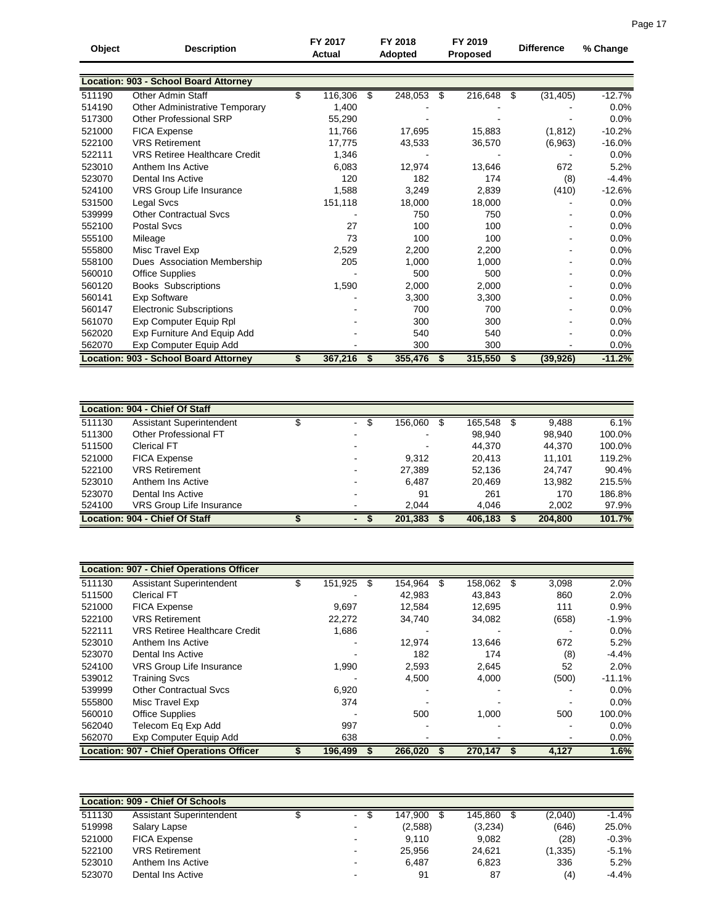| Object | <b>Description</b>                           | FY 2017<br><b>Actual</b> |     | FY 2018<br>Adopted | FY 2019<br><b>Proposed</b> |         |   | <b>Difference</b> | % Change |
|--------|----------------------------------------------|--------------------------|-----|--------------------|----------------------------|---------|---|-------------------|----------|
|        |                                              |                          |     |                    |                            |         |   |                   |          |
|        | <b>Location: 903 - School Board Attorney</b> |                          |     |                    |                            |         |   |                   |          |
| 511190 | <b>Other Admin Staff</b>                     | \$<br>116,306            | \$  | 248,053            | \$                         | 216,648 | S | (31, 405)         | $-12.7%$ |
| 514190 | <b>Other Administrative Temporary</b>        | 1,400                    |     |                    |                            |         |   |                   | 0.0%     |
| 517300 | Other Professional SRP                       | 55,290                   |     |                    |                            |         |   |                   | 0.0%     |
| 521000 | FICA Expense                                 | 11,766                   |     | 17,695             |                            | 15,883  |   | (1, 812)          | $-10.2%$ |
| 522100 | <b>VRS Retirement</b>                        | 17.775                   |     | 43,533             |                            | 36,570  |   | (6,963)           | $-16.0%$ |
| 522111 | <b>VRS Retiree Healthcare Credit</b>         | 1,346                    |     |                    |                            |         |   |                   | 0.0%     |
| 523010 | Anthem Ins Active                            | 6,083                    |     | 12,974             |                            | 13,646  |   | 672               | 5.2%     |
| 523070 | Dental Ins Active                            | 120                      |     | 182                |                            | 174     |   | (8)               | $-4.4%$  |
| 524100 | VRS Group Life Insurance                     | 1.588                    |     | 3,249              |                            | 2,839   |   | (410)             | $-12.6%$ |
| 531500 | Legal Svcs                                   | 151,118                  |     | 18,000             |                            | 18,000  |   |                   | $0.0\%$  |
| 539999 | <b>Other Contractual Svcs</b>                |                          |     | 750                |                            | 750     |   |                   | 0.0%     |
| 552100 | <b>Postal Svcs</b>                           | 27                       |     | 100                |                            | 100     |   |                   | 0.0%     |
| 555100 | Mileage                                      | 73                       |     | 100                |                            | 100     |   |                   | 0.0%     |
| 555800 | Misc Travel Exp                              | 2,529                    |     | 2.200              |                            | 2,200   |   |                   | 0.0%     |
| 558100 | Dues Association Membership                  | 205                      |     | 1,000              |                            | 1,000   |   |                   | 0.0%     |
| 560010 | <b>Office Supplies</b>                       |                          |     | 500                |                            | 500     |   |                   | 0.0%     |
| 560120 | Books Subscriptions                          | 1,590                    |     | 2,000              |                            | 2,000   |   |                   | 0.0%     |
| 560141 | <b>Exp Software</b>                          |                          |     | 3,300              |                            | 3,300   |   |                   | 0.0%     |
| 560147 | <b>Electronic Subscriptions</b>              |                          |     | 700                |                            | 700     |   |                   | 0.0%     |
| 561070 | Exp Computer Equip Rpl                       |                          |     | 300                |                            | 300     |   |                   | 0.0%     |
| 562020 | Exp Furniture And Equip Add                  |                          |     | 540                |                            | 540     |   |                   | 0.0%     |
| 562070 | Exp Computer Equip Add                       |                          |     | 300                |                            | 300     |   |                   | 0.0%     |
|        | <b>Location: 903 - School Board Attorney</b> | 367,216                  | - 5 | 355,476            | S                          | 315,550 | S | (39, 926)         | $-11.2%$ |

| Location: 904 - Chief Of Staff |                                 |  |             |         |         |         |         |        |  |  |  |  |
|--------------------------------|---------------------------------|--|-------------|---------|---------|---------|---------|--------|--|--|--|--|
| 511130                         | Assistant Superintendent        |  | S<br>$\sim$ | 156,060 |         | 165,548 | 9,488   | 6.1%   |  |  |  |  |
| 511300                         | Other Professional FT           |  |             |         |         | 98.940  | 98,940  | 100.0% |  |  |  |  |
| 511500                         | <b>Clerical FT</b>              |  |             |         |         | 44,370  | 44,370  | 100.0% |  |  |  |  |
| 521000                         | <b>FICA Expense</b>             |  |             | 9.312   |         | 20.413  | 11.101  | 119.2% |  |  |  |  |
| 522100                         | <b>VRS Retirement</b>           |  |             | 27,389  |         | 52,136  | 24,747  | 90.4%  |  |  |  |  |
| 523010                         | Anthem Ins Active               |  |             | 6.487   |         | 20.469  | 13,982  | 215.5% |  |  |  |  |
| 523070                         | Dental Ins Active               |  |             | 91      |         | 261     | 170     | 186.8% |  |  |  |  |
| 524100                         | <b>VRS Group Life Insurance</b> |  |             | 2.044   |         | 4,046   | 2,002   | 97.9%  |  |  |  |  |
|                                | Location: 904 - Chief Of Staff  |  |             | 201,383 | 406,183 |         | 204,800 | 101.7% |  |  |  |  |

|        | <b>Location: 907 - Chief Operations Officer</b> |         |         |   |         |      |       |          |
|--------|-------------------------------------------------|---------|---------|---|---------|------|-------|----------|
| 511130 | <b>Assistant Superintendent</b>                 | 151,925 | 154,964 | S | 158,062 | - \$ | 3,098 | 2.0%     |
| 511500 | <b>Clerical FT</b>                              |         | 42,983  |   | 43,843  |      | 860   | 2.0%     |
| 521000 | <b>FICA Expense</b>                             | 9,697   | 12.584  |   | 12.695  |      | 111   | 0.9%     |
| 522100 | <b>VRS Retirement</b>                           | 22,272  | 34,740  |   | 34,082  |      | (658) | $-1.9%$  |
| 522111 | <b>VRS Retiree Healthcare Credit</b>            | 1,686   |         |   |         |      |       | $0.0\%$  |
| 523010 | Anthem Ins Active                               |         | 12,974  |   | 13,646  |      | 672   | 5.2%     |
| 523070 | Dental Ins Active                               |         | 182     |   | 174     |      | (8)   | $-4.4%$  |
| 524100 | VRS Group Life Insurance                        | 1,990   | 2,593   |   | 2,645   |      | 52    | 2.0%     |
| 539012 | <b>Training Svcs</b>                            |         | 4,500   |   | 4,000   |      | (500) | $-11.1%$ |
| 539999 | <b>Other Contractual Sycs</b>                   | 6,920   |         |   |         |      |       | $0.0\%$  |
| 555800 | Misc Travel Exp                                 | 374     |         |   |         |      |       | $0.0\%$  |
| 560010 | <b>Office Supplies</b>                          |         | 500     |   | 1,000   |      | 500   | 100.0%   |
| 562040 | Telecom Eq Exp Add                              | 997     |         |   |         |      |       | $0.0\%$  |
| 562070 | Exp Computer Equip Add                          | 638     |         |   |         |      |       | $0.0\%$  |
|        | <b>Location: 907 - Chief Operations Officer</b> | 196,499 | 266,020 |   | 270,147 | 5    | 4,127 | 1.6%     |

| Location: 909 - Chief Of Schools |                          |  |        |         |         |          |         |  |  |  |  |  |  |
|----------------------------------|--------------------------|--|--------|---------|---------|----------|---------|--|--|--|--|--|--|
| 511130                           | Assistant Superintendent |  | $\sim$ | 147.900 | 145.860 | (2,040)  | $-1.4%$ |  |  |  |  |  |  |
| 519998                           | Salary Lapse             |  | ۰      | (2,588) | (3,234) | (646)    | 25.0%   |  |  |  |  |  |  |
| 521000                           | <b>FICA Expense</b>      |  | ۰.     | 9.110   | 9.082   | (28)     | $-0.3%$ |  |  |  |  |  |  |
| 522100                           | <b>VRS Retirement</b>    |  |        | 25.956  | 24.621  | (1, 335) | $-5.1%$ |  |  |  |  |  |  |
| 523010                           | Anthem Ins Active        |  | $\sim$ | 6.487   | 6.823   | 336      | 5.2%    |  |  |  |  |  |  |
| 523070                           | Dental Ins Active        |  | -      | 91      | 87      | (4)      | $-4.4%$ |  |  |  |  |  |  |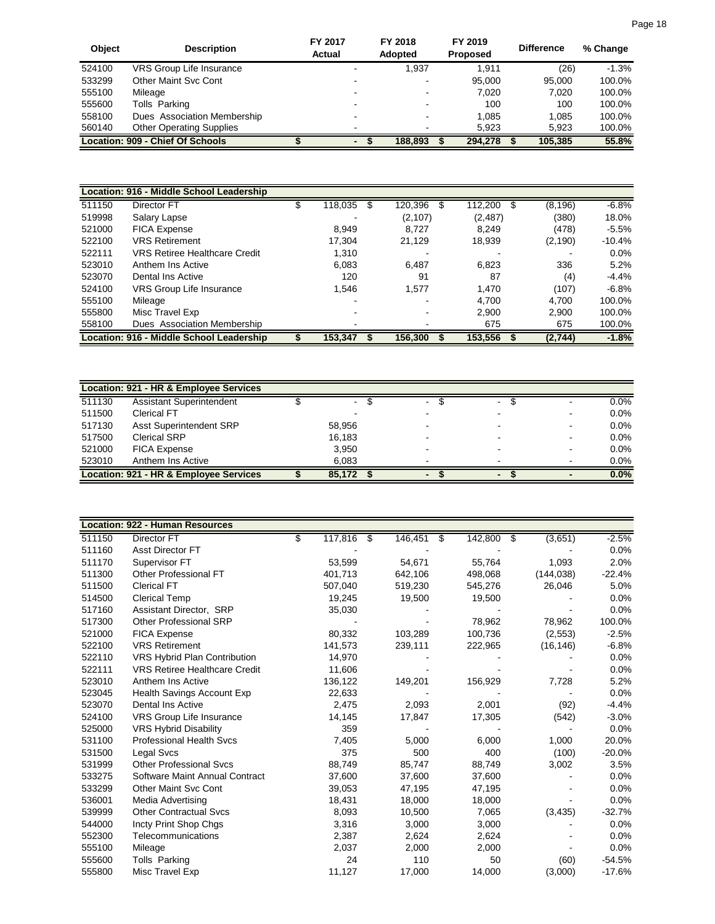| Object | <b>Description</b>               | FY 2017<br>Actual        | FY 2018<br><b>Adopted</b> | FY 2019<br><b>Proposed</b> | <b>Difference</b> | % Change |
|--------|----------------------------------|--------------------------|---------------------------|----------------------------|-------------------|----------|
| 524100 | <b>VRS Group Life Insurance</b>  |                          | 1.937                     | 1.911                      | (26)              | $-1.3%$  |
| 533299 | Other Maint Svc Cont             | -                        |                           | 95.000                     | 95.000            | 100.0%   |
| 555100 | Mileage                          | -                        |                           | 7.020                      | 7.020             | 100.0%   |
| 555600 | Tolls Parking                    | -                        | -                         | 100                        | 100               | 100.0%   |
| 558100 | Dues Association Membership      |                          |                           | 1.085                      | 1.085             | 100.0%   |
| 560140 | <b>Other Operating Supplies</b>  |                          |                           | 5.923                      | 5.923             | 100.0%   |
|        | Location: 909 - Chief Of Schools | $\overline{\phantom{0}}$ | 188.893                   | 294.278                    | 105.385           | 55.8%    |

|        | Location: 916 - Middle School Leadership |              |          |          |                |          |
|--------|------------------------------------------|--------------|----------|----------|----------------|----------|
| 511150 | Director FT                              | 118,035<br>S | 120,396  | 112,200  | (8, 196)<br>\$ | $-6.8%$  |
| 519998 | Salary Lapse                             |              | (2, 107) | (2, 487) | (380)          | 18.0%    |
| 521000 | <b>FICA Expense</b>                      | 8.949        | 8.727    | 8.249    | (478)          | $-5.5%$  |
| 522100 | <b>VRS Retirement</b>                    | 17.304       | 21.129   | 18,939   | (2, 190)       | $-10.4%$ |
| 522111 | <b>VRS Retiree Healthcare Credit</b>     | 1,310        |          |          |                | 0.0%     |
| 523010 | Anthem Ins Active                        | 6,083        | 6.487    | 6,823    | 336            | 5.2%     |
| 523070 | Dental Ins Active                        | 120          | 91       | 87       | (4)            | $-4.4%$  |
| 524100 | VRS Group Life Insurance                 | 1.546        | 1.577    | 1,470    | (107)          | $-6.8%$  |
| 555100 | Mileage                                  |              |          | 4.700    | 4.700          | 100.0%   |
| 555800 | Misc Travel Exp                          |              |          | 2,900    | 2,900          | 100.0%   |
| 558100 | Dues Association Membership              |              |          | 675      | 675            | 100.0%   |
|        | Location: 916 - Middle School Leadership | 153,347      | 156,300  | 153,556  | (2,744)        | $-1.8%$  |

|        | Location: 921 - HR & Employee Services |        |        |                          |                           |
|--------|----------------------------------------|--------|--------|--------------------------|---------------------------|
| 511130 | Assistant Superintendent               | $\sim$ | $\sim$ |                          | $0.0\%$<br>$\blacksquare$ |
| 511500 | <b>Clerical FT</b>                     |        |        |                          | $0.0\%$<br>$\blacksquare$ |
| 517130 | <b>Asst Superintendent SRP</b>         | 58,956 |        | -                        | $0.0\%$<br>$\blacksquare$ |
| 517500 | <b>Clerical SRP</b>                    | 16.183 |        |                          | $0.0\%$<br>$\blacksquare$ |
| 521000 | <b>FICA Expense</b>                    | 3,950  |        |                          | $0.0\%$<br>-              |
| 523010 | Anthem Ins Active                      | 6.083  |        |                          | $0.0\%$<br>$\blacksquare$ |
|        | Location: 921 - HR & Employee Services | 85.172 |        | $\overline{\phantom{0}}$ | 0.0%                      |

|        | <b>Location: 922 - Human Resources</b> |               |      |         |   |         |     |            |          |
|--------|----------------------------------------|---------------|------|---------|---|---------|-----|------------|----------|
| 511150 | <b>Director FT</b>                     | \$<br>117,816 | - \$ | 146,451 | S | 142,800 | -\$ | (3,651)    | $-2.5%$  |
| 511160 | Asst Director FT                       |               |      |         |   |         |     |            | 0.0%     |
| 511170 | Supervisor FT                          | 53,599        |      | 54,671  |   | 55,764  |     | 1,093      | 2.0%     |
| 511300 | Other Professional FT                  | 401.713       |      | 642,106 |   | 498,068 |     | (144, 038) | $-22.4%$ |
| 511500 | <b>Clerical FT</b>                     | 507,040       |      | 519,230 |   | 545,276 |     | 26,046     | 5.0%     |
| 514500 | <b>Clerical Temp</b>                   | 19,245        |      | 19,500  |   | 19,500  |     |            | 0.0%     |
| 517160 | Assistant Director, SRP                | 35,030        |      |         |   |         |     |            | 0.0%     |
| 517300 | Other Professional SRP                 |               |      |         |   | 78,962  |     | 78,962     | 100.0%   |
| 521000 | <b>FICA Expense</b>                    | 80,332        |      | 103,289 |   | 100,736 |     | (2,553)    | $-2.5%$  |
| 522100 | <b>VRS Retirement</b>                  | 141,573       |      | 239,111 |   | 222,965 |     | (16, 146)  | $-6.8%$  |
| 522110 | <b>VRS Hybrid Plan Contribution</b>    | 14,970        |      |         |   |         |     |            | 0.0%     |
| 522111 | <b>VRS Retiree Healthcare Credit</b>   | 11,606        |      |         |   |         |     |            | 0.0%     |
| 523010 | Anthem Ins Active                      | 136,122       |      | 149,201 |   | 156,929 |     | 7,728      | 5.2%     |
| 523045 | Health Savings Account Exp             | 22,633        |      |         |   |         |     |            | 0.0%     |
| 523070 | <b>Dental Ins Active</b>               | 2,475         |      | 2,093   |   | 2,001   |     | (92)       | $-4.4%$  |
| 524100 | VRS Group Life Insurance               | 14,145        |      | 17,847  |   | 17,305  |     | (542)      | $-3.0%$  |
| 525000 | <b>VRS Hybrid Disability</b>           | 359           |      |         |   |         |     |            | 0.0%     |
| 531100 | <b>Professional Health Svcs</b>        | 7,405         |      | 5,000   |   | 6,000   |     | 1,000      | 20.0%    |
| 531500 | <b>Legal Svcs</b>                      | 375           |      | 500     |   | 400     |     | (100)      | $-20.0%$ |
| 531999 | <b>Other Professional Svcs</b>         | 88.749        |      | 85,747  |   | 88,749  |     | 3,002      | 3.5%     |
| 533275 | Software Maint Annual Contract         | 37,600        |      | 37,600  |   | 37,600  |     |            | 0.0%     |
| 533299 | <b>Other Maint Svc Cont</b>            | 39,053        |      | 47,195  |   | 47,195  |     |            | 0.0%     |
| 536001 | Media Advertising                      | 18,431        |      | 18,000  |   | 18,000  |     |            | 0.0%     |
| 539999 | <b>Other Contractual Svcs</b>          | 8,093         |      | 10,500  |   | 7,065   |     | (3, 435)   | $-32.7%$ |
| 544000 | Incty Print Shop Chgs                  | 3,316         |      | 3,000   |   | 3,000   |     |            | 0.0%     |
| 552300 | Telecommunications                     | 2,387         |      | 2,624   |   | 2,624   |     |            | 0.0%     |
| 555100 | Mileage                                | 2,037         |      | 2,000   |   | 2,000   |     |            | 0.0%     |
| 555600 | Tolls Parking                          | 24            |      | 110     |   | 50      |     | (60)       | $-54.5%$ |
| 555800 | Misc Travel Exp                        | 11,127        |      | 17,000  |   | 14,000  |     | (3,000)    | $-17.6%$ |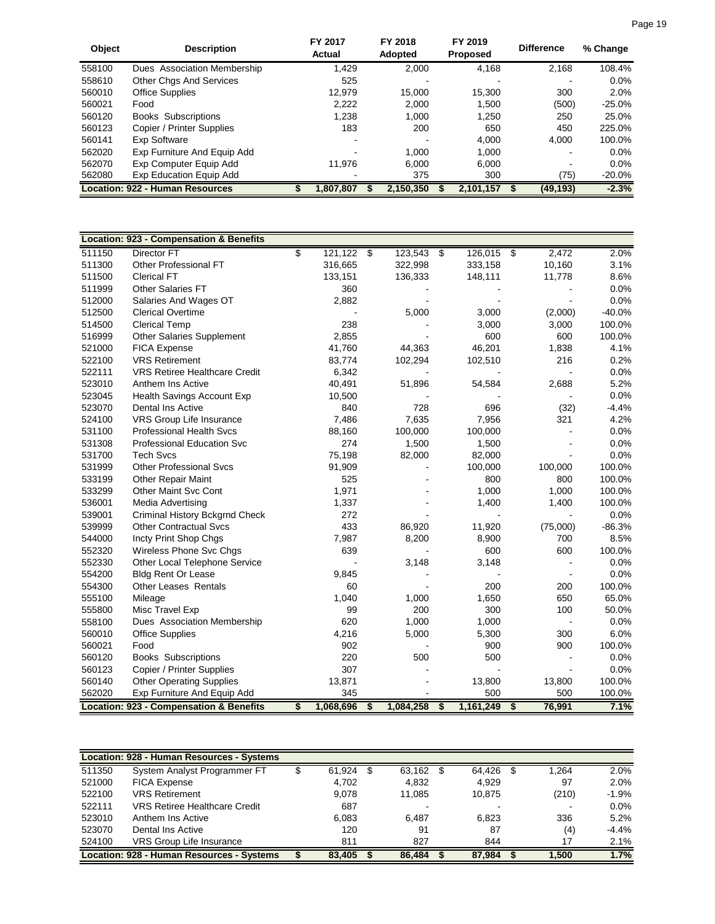| Object | <b>Description</b>                     | FY 2017<br>Actual | FY 2018<br><b>Adopted</b> | FY 2019<br><b>Proposed</b> | <b>Difference</b> |           | % Change |
|--------|----------------------------------------|-------------------|---------------------------|----------------------------|-------------------|-----------|----------|
| 558100 | Dues Association Membership            | 1.429             | 2.000                     | 4,168                      |                   | 2,168     | 108.4%   |
| 558610 | <b>Other Chgs And Services</b>         | 525               |                           |                            |                   |           | $0.0\%$  |
| 560010 | <b>Office Supplies</b>                 | 12.979            | 15.000                    | 15.300                     |                   | 300       | 2.0%     |
| 560021 | Food                                   | 2.222             | 2.000                     | 1.500                      |                   | (500)     | $-25.0%$ |
| 560120 | <b>Books Subscriptions</b>             | 1,238             | 1.000                     | 1,250                      |                   | 250       | 25.0%    |
| 560123 | Copier / Printer Supplies              | 183               | 200                       | 650                        |                   | 450       | 225.0%   |
| 560141 | Exp Software                           |                   |                           | 4.000                      |                   | 4.000     | 100.0%   |
| 562020 | Exp Furniture And Equip Add            |                   | 1.000                     | 1.000                      |                   |           | $0.0\%$  |
| 562070 | Exp Computer Equip Add                 | 11.976            | 6.000                     | 6.000                      |                   |           | $0.0\%$  |
| 562080 | Exp Education Equip Add                |                   | 375                       | 300                        |                   | (75)      | $-20.0%$ |
|        | <b>Location: 922 - Human Resources</b> | .807.807          | 2.150.350                 | 2.101.157                  |                   | (49, 193) | $-2.3%$  |

|        | <b>Location: 923 - Compensation &amp; Benefits</b> |                    |                 |                    |                         |                |          |
|--------|----------------------------------------------------|--------------------|-----------------|--------------------|-------------------------|----------------|----------|
| 511150 | <b>Director FT</b>                                 | \$<br>$121,122$ \$ | 123,543         | \$<br>$126,015$ \$ |                         | 2,472          | 2.0%     |
| 511300 | Other Professional FT                              | 316,665            | 322,998         | 333,158            |                         | 10,160         | 3.1%     |
| 511500 | <b>Clerical FT</b>                                 | 133,151            | 136,333         | 148,111            |                         | 11,778         | 8.6%     |
| 511999 | <b>Other Salaries FT</b>                           | 360                |                 |                    |                         |                | 0.0%     |
| 512000 | Salaries And Wages OT                              | 2,882              |                 |                    |                         |                | 0.0%     |
| 512500 | <b>Clerical Overtime</b>                           |                    | 5,000           | 3,000              |                         | (2,000)        | $-40.0%$ |
| 514500 | <b>Clerical Temp</b>                               | 238                |                 | 3,000              |                         | 3,000          | 100.0%   |
| 516999 | <b>Other Salaries Supplement</b>                   | 2,855              |                 | 600                |                         | 600            | 100.0%   |
| 521000 | <b>FICA Expense</b>                                | 41,760             | 44,363          | 46,201             |                         | 1,838          | 4.1%     |
| 522100 | <b>VRS Retirement</b>                              | 83,774             | 102,294         | 102,510            |                         | 216            | 0.2%     |
| 522111 | <b>VRS Retiree Healthcare Credit</b>               | 6,342              |                 |                    |                         |                | 0.0%     |
| 523010 | Anthem Ins Active                                  | 40,491             | 51,896          | 54,584             |                         | 2,688          | 5.2%     |
| 523045 | Health Savings Account Exp                         | 10,500             |                 |                    |                         |                | 0.0%     |
| 523070 | <b>Dental Ins Active</b>                           | 840                | 728             | 696                |                         | (32)           | $-4.4%$  |
| 524100 | VRS Group Life Insurance                           | 7,486              | 7,635           | 7,956              |                         | 321            | 4.2%     |
| 531100 | <b>Professional Health Svcs</b>                    | 88,160             | 100,000         | 100,000            |                         |                | 0.0%     |
| 531308 | Professional Education Svc                         | 274                | 1,500           | 1,500              |                         |                | 0.0%     |
| 531700 | <b>Tech Svcs</b>                                   | 75,198             | 82,000          | 82,000             |                         |                | 0.0%     |
| 531999 | <b>Other Professional Sycs</b>                     | 91,909             |                 | 100,000            |                         | 100,000        | 100.0%   |
| 533199 | <b>Other Repair Maint</b>                          | 525                |                 | 800                |                         | 800            | 100.0%   |
| 533299 | <b>Other Maint Svc Cont</b>                        | 1,971              |                 | 1,000              |                         | 1,000          | 100.0%   |
| 536001 | Media Advertising                                  | 1,337              |                 | 1,400              |                         | 1,400          | 100.0%   |
| 539001 | Criminal History Bckgrnd Check                     | 272                |                 |                    |                         |                | 0.0%     |
| 539999 | <b>Other Contractual Svcs</b>                      | 433                | 86,920          | 11,920             |                         | (75,000)       | $-86.3%$ |
| 544000 | Incty Print Shop Chgs                              | 7,987              | 8,200           | 8,900              |                         | 700            | 8.5%     |
| 552320 | Wireless Phone Svc Chgs                            | 639                |                 | 600                |                         | 600            | 100.0%   |
| 552330 | Other Local Telephone Service                      |                    | 3,148           | 3,148              |                         |                | 0.0%     |
| 554200 | <b>Bldg Rent Or Lease</b>                          | 9,845              |                 |                    |                         |                | 0.0%     |
| 554300 | <b>Other Leases Rentals</b>                        | 60                 |                 | 200                |                         | 200            | 100.0%   |
| 555100 | Mileage                                            | 1,040              | 1,000           | 1,650              |                         | 650            | 65.0%    |
| 555800 | Misc Travel Exp                                    | 99                 | 200             | 300                |                         | 100            | 50.0%    |
| 558100 | Dues Association Membership                        | 620                | 1,000           | 1,000              |                         | $\overline{a}$ | 0.0%     |
| 560010 | <b>Office Supplies</b>                             | 4,216              | 5,000           | 5,300              |                         | 300            | 6.0%     |
| 560021 | Food                                               | 902                |                 | 900                |                         | 900            | 100.0%   |
| 560120 | <b>Books Subscriptions</b>                         | 220                | 500             | 500                |                         |                | 0.0%     |
| 560123 | Copier / Printer Supplies                          | 307                |                 |                    |                         |                | 0.0%     |
| 560140 | <b>Other Operating Supplies</b>                    | 13,871             |                 | 13,800             |                         | 13,800         | 100.0%   |
| 562020 | Exp Furniture And Equip Add                        | 345                |                 | 500                |                         | 500            | 100.0%   |
|        | <b>Location: 923 - Compensation &amp; Benefits</b> | \$<br>1,068,696    | \$<br>1,084,258 | \$<br>1,161,249    | $\overline{\mathbf{s}}$ | 76,991         | 7.1%     |

|        | Location: 928 - Human Resources - Systems |        |        |        |                |         |
|--------|-------------------------------------------|--------|--------|--------|----------------|---------|
| 511350 | System Analyst Programmer FT              | 61,924 | 63,162 | 64,426 | 1,264          | 2.0%    |
| 521000 | <b>FICA Expense</b>                       | 4,702  | 4.832  | 4.929  | 97             | 2.0%    |
| 522100 | <b>VRS Retirement</b>                     | 9.078  | 11.085 | 10.875 | (210)          | $-1.9%$ |
| 522111 | <b>VRS Retiree Healthcare Credit</b>      | 687    |        |        | $\blacksquare$ | 0.0%    |
| 523010 | Anthem Ins Active                         | 6.083  | 6.487  | 6.823  | 336            | 5.2%    |
| 523070 | Dental Ins Active                         | 120    | 91     | 87     | (4)            | $-4.4%$ |
| 524100 | <b>VRS Group Life Insurance</b>           | 811    | 827    | 844    | 17             | 2.1%    |
|        | Location: 928 - Human Resources - Systems | 83,405 | 86,484 | 87.984 | 1,500          | 1.7%    |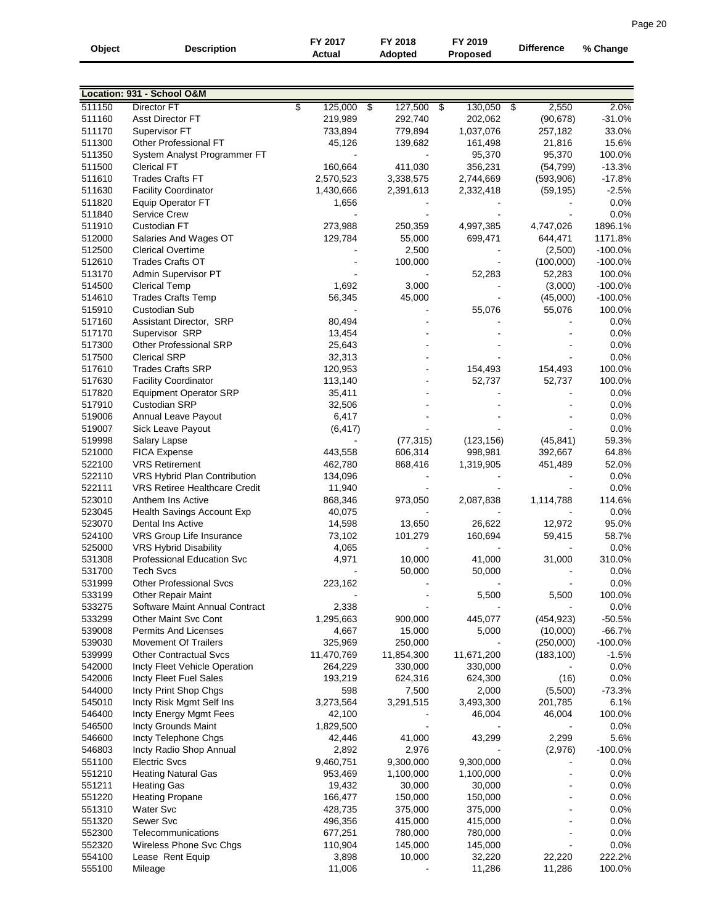| Object           | Description                                                   | FY 2017<br>Actual  | FY 2018<br>Adopted   | FY 2019<br><b>Proposed</b> | <b>Difference</b> | % Change             |
|------------------|---------------------------------------------------------------|--------------------|----------------------|----------------------------|-------------------|----------------------|
|                  |                                                               |                    |                      |                            |                   |                      |
|                  | Location: 931 - School O&M                                    |                    |                      |                            |                   |                      |
| 511150           | <b>Director FT</b>                                            | \$<br>125,000      | $\bullet$<br>127,500 | 130,050<br>- \$            | 2,550<br>\$       | 2.0%                 |
| 511160           | <b>Asst Director FT</b>                                       | 219,989            | 292,740              | 202,062                    | (90, 678)         | $-31.0%$             |
| 511170           | Supervisor FT                                                 | 733,894            | 779,894              | 1,037,076                  | 257,182           | 33.0%                |
| 511300           | Other Professional FT                                         | 45,126             | 139,682              | 161,498                    | 21,816            | 15.6%                |
| 511350           | System Analyst Programmer FT<br><b>Clerical FT</b>            | 160,664            |                      | 95,370                     | 95,370            | 100.0%               |
| 511500<br>511610 | <b>Trades Crafts FT</b>                                       | 2,570,523          | 411,030              | 356,231                    | (54, 799)         | $-13.3%$<br>$-17.8%$ |
| 511630           | <b>Facility Coordinator</b>                                   | 1,430,666          | 3,338,575            | 2,744,669                  | (593,906)         | $-2.5%$              |
| 511820           | <b>Equip Operator FT</b>                                      | 1,656              | 2,391,613            | 2,332,418                  | (59, 195)         | 0.0%                 |
| 511840           | <b>Service Crew</b>                                           |                    |                      |                            |                   | 0.0%                 |
| 511910           | Custodian FT                                                  | 273,988            | 250,359              | 4,997,385                  | 4,747,026         | 1896.1%              |
| 512000           | Salaries And Wages OT                                         | 129,784            | 55,000               | 699,471                    | 644,471           | 1171.8%              |
| 512500           | <b>Clerical Overtime</b>                                      |                    | 2,500                |                            | (2,500)           | $-100.0\%$           |
| 512610           | <b>Trades Crafts OT</b>                                       |                    | 100,000              |                            | (100,000)         | $-100.0%$            |
| 513170           | Admin Supervisor PT                                           |                    |                      | 52,283                     | 52,283            | 100.0%               |
| 514500           | <b>Clerical Temp</b>                                          | 1,692              | 3,000                |                            | (3,000)           | $-100.0%$            |
| 514610           | <b>Trades Crafts Temp</b>                                     | 56,345             | 45,000               |                            | (45,000)          | $-100.0%$            |
| 515910           | Custodian Sub                                                 |                    |                      | 55,076                     | 55,076            | 100.0%               |
| 517160           | Assistant Director, SRP                                       | 80,494             |                      |                            |                   | 0.0%                 |
| 517170           | Supervisor SRP                                                | 13,454             |                      |                            |                   | 0.0%                 |
| 517300           | Other Professional SRP                                        | 25,643             |                      |                            |                   | 0.0%                 |
| 517500           | <b>Clerical SRP</b>                                           | 32,313             |                      |                            |                   | 0.0%                 |
| 517610           | <b>Trades Crafts SRP</b>                                      | 120,953            |                      | 154,493                    | 154,493           | 100.0%               |
| 517630           | <b>Facility Coordinator</b>                                   | 113,140            |                      | 52,737                     | 52,737            | 100.0%               |
| 517820           | <b>Equipment Operator SRP</b>                                 | 35,411             |                      |                            |                   | 0.0%                 |
| 517910           | Custodian SRP                                                 | 32,506             |                      |                            |                   | 0.0%                 |
| 519006           | Annual Leave Payout                                           | 6,417              |                      |                            |                   | 0.0%                 |
| 519007           | Sick Leave Payout                                             | (6, 417)           |                      |                            |                   | 0.0%                 |
| 519998           | Salary Lapse                                                  |                    | (77, 315)            | (123, 156)                 | (45, 841)         | 59.3%                |
| 521000           | <b>FICA Expense</b>                                           | 443,558            | 606,314              | 998,981                    | 392,667           | 64.8%                |
| 522100           | <b>VRS Retirement</b>                                         | 462,780            | 868,416              | 1,319,905                  | 451,489           | 52.0%                |
| 522110           | VRS Hybrid Plan Contribution                                  | 134,096            |                      |                            |                   | 0.0%                 |
| 522111           | <b>VRS Retiree Healthcare Credit</b>                          | 11,940             |                      |                            |                   | 0.0%                 |
| 523010           | Anthem Ins Active                                             | 868,346            | 973,050              | 2,087,838                  | 1,114,788         | 114.6%               |
| 523045           | Health Savings Account Exp                                    | 40,075             |                      |                            |                   | 0.0%                 |
| 523070           | Dental Ins Active                                             | 14,598             | 13,650               | 26,622                     | 12,972            | 95.0%                |
| 524100           | VRS Group Life Insurance                                      | 73,102             | 101,279              | 160,694                    | 59,415            | 58.7%                |
| 525000           | <b>VRS Hybrid Disability</b>                                  | 4,065              |                      |                            |                   | 0.0%                 |
| 531308           | Professional Education Svc                                    | 4,971              | 10,000               | 41,000                     | 31,000            | 310.0%               |
| 531700           | <b>Tech Svcs</b>                                              |                    | 50,000               | 50,000                     |                   | 0.0%                 |
| 531999           | <b>Other Professional Svcs</b>                                | 223,162            |                      |                            |                   | 0.0%                 |
| 533199           | <b>Other Repair Maint</b>                                     |                    |                      | 5,500                      | 5,500             | 100.0%               |
| 533275<br>533299 | Software Maint Annual Contract<br><b>Other Maint Svc Cont</b> | 2,338<br>1,295,663 | 900,000              | 445,077                    | (454, 923)        | 0.0%<br>$-50.5%$     |
| 539008           | <b>Permits And Licenses</b>                                   | 4,667              | 15,000               | 5,000                      | (10,000)          | $-66.7%$             |
| 539030           | <b>Movement Of Trailers</b>                                   | 325,969            | 250,000              |                            | (250,000)         | $-100.0\%$           |
| 539999           | <b>Other Contractual Svcs</b>                                 | 11,470,769         | 11,854,300           | 11,671,200                 | (183, 100)        | $-1.5%$              |
| 542000           | Incty Fleet Vehicle Operation                                 | 264,229            | 330,000              | 330,000                    |                   | 0.0%                 |
| 542006           | Incty Fleet Fuel Sales                                        | 193,219            | 624,316              | 624,300                    | (16)              | 0.0%                 |
| 544000           | Incty Print Shop Chgs                                         | 598                | 7,500                | 2,000                      | (5,500)           | $-73.3%$             |
| 545010           | Incty Risk Mgmt Self Ins                                      | 3,273,564          | 3,291,515            | 3,493,300                  | 201,785           | 6.1%                 |
| 546400           | Incty Energy Mgmt Fees                                        | 42,100             |                      | 46,004                     | 46,004            | 100.0%               |
| 546500           | Incty Grounds Maint                                           | 1,829,500          |                      |                            |                   | 0.0%                 |
| 546600           | Incty Telephone Chgs                                          | 42,446             | 41,000               | 43,299                     | 2,299             | 5.6%                 |
| 546803           | Incty Radio Shop Annual                                       | 2,892              | 2,976                |                            | (2,976)           | $-100.0%$            |
| 551100           | <b>Electric Svcs</b>                                          | 9,460,751          | 9,300,000            | 9,300,000                  |                   | 0.0%                 |
| 551210           | <b>Heating Natural Gas</b>                                    | 953,469            | 1,100,000            | 1,100,000                  |                   | 0.0%                 |
| 551211           | <b>Heating Gas</b>                                            | 19,432             | 30,000               | 30,000                     |                   | 0.0%                 |
| 551220           | <b>Heating Propane</b>                                        | 166,477            | 150,000              | 150,000                    |                   | 0.0%                 |
| 551310           | Water Svc                                                     | 428,735            | 375,000              | 375,000                    |                   | 0.0%                 |
| 551320           | Sewer Svc                                                     | 496,356            | 415,000              | 415,000                    |                   | 0.0%                 |
| 552300           | Telecommunications                                            | 677,251            | 780,000              | 780,000                    |                   | 0.0%                 |
| 552320           | Wireless Phone Svc Chgs                                       | 110,904            | 145,000              | 145,000                    |                   | 0.0%                 |
| 554100           | Lease Rent Equip                                              | 3,898              | 10,000               | 32,220                     | 22,220            | 222.2%               |
| 555100           | Mileage                                                       | 11,006             |                      | 11,286                     | 11,286            | 100.0%               |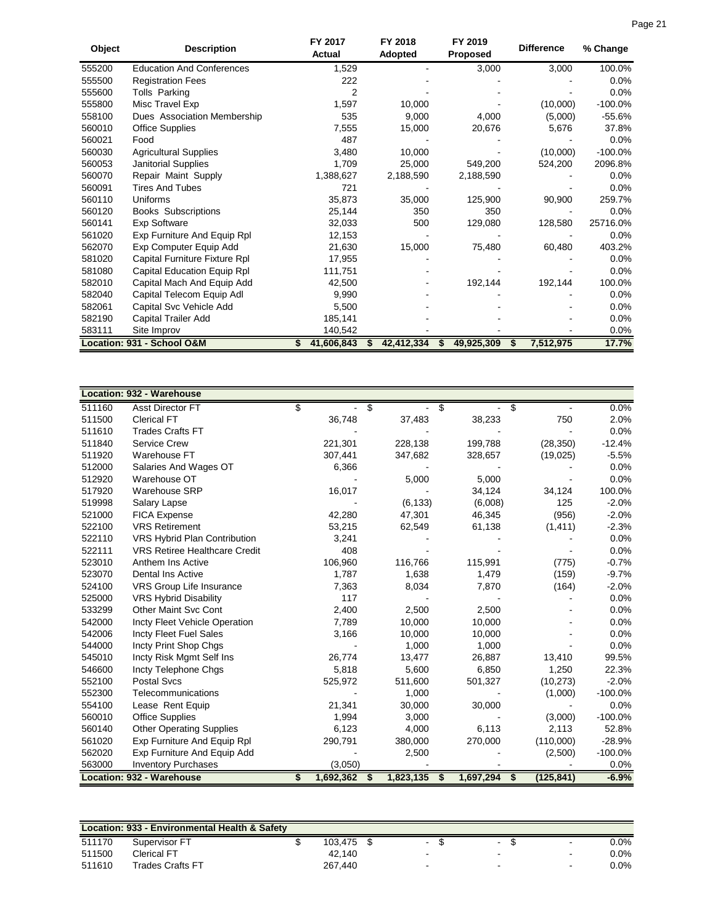| Object | <b>Description</b>               | FY 2017<br>Actual | FY 2018<br>Adopted | FY 2019<br><b>Proposed</b> | <b>Difference</b> | % Change  |
|--------|----------------------------------|-------------------|--------------------|----------------------------|-------------------|-----------|
| 555200 | <b>Education And Conferences</b> | 1,529             |                    | 3,000                      | 3,000             | 100.0%    |
| 555500 | <b>Registration Fees</b>         | 222               |                    |                            |                   | $0.0\%$   |
| 555600 | Tolls Parking                    | 2                 |                    |                            |                   | 0.0%      |
| 555800 | Misc Travel Exp                  | 1,597             | 10,000             |                            | (10,000)          | $-100.0%$ |
| 558100 | Dues Association Membership      | 535               | 9,000              | 4,000                      | (5,000)           | $-55.6%$  |
| 560010 | <b>Office Supplies</b>           | 7,555             | 15,000             | 20,676                     | 5,676             | 37.8%     |
| 560021 | Food                             | 487               |                    |                            |                   | 0.0%      |
| 560030 | <b>Agricultural Supplies</b>     | 3,480             | 10,000             |                            | (10,000)          | $-100.0%$ |
| 560053 | <b>Janitorial Supplies</b>       | 1,709             | 25,000             | 549,200                    | 524,200           | 2096.8%   |
| 560070 | Repair Maint Supply              | 1,388,627         | 2,188,590          | 2,188,590                  |                   | 0.0%      |
| 560091 | <b>Tires And Tubes</b>           | 721               |                    |                            |                   | 0.0%      |
| 560110 | Uniforms                         | 35,873            | 35,000             | 125,900                    | 90,900            | 259.7%    |
| 560120 | <b>Books Subscriptions</b>       | 25,144            | 350                | 350                        |                   | 0.0%      |
| 560141 | Exp Software                     | 32,033            | 500                | 129,080                    | 128,580           | 25716.0%  |
| 561020 | Exp Furniture And Equip Rpl      | 12,153            |                    |                            |                   | 0.0%      |
| 562070 | Exp Computer Equip Add           | 21,630            | 15,000             | 75,480                     | 60,480            | 403.2%    |
| 581020 | Capital Furniture Fixture Rpl    | 17,955            |                    |                            |                   | $0.0\%$   |
| 581080 | Capital Education Equip Rpl      | 111,751           |                    |                            |                   | $0.0\%$   |
| 582010 | Capital Mach And Equip Add       | 42,500            |                    | 192,144                    | 192,144           | 100.0%    |
| 582040 | Capital Telecom Equip Adl        | 9,990             |                    |                            |                   | $0.0\%$   |
| 582061 | Capital Svc Vehicle Add          | 5,500             |                    |                            |                   | 0.0%      |
| 582190 | Capital Trailer Add              | 185,141           |                    |                            |                   | 0.0%      |
| 583111 | Site Improv                      | 140,542           |                    |                            |                   | 0.0%      |
|        | Location: 931 - School O&M       |                   | 42,412,334         | 49,925,309<br>S            | 7,512,975<br>S    | 17.7%     |

|        | <b>Location: 932 - Warehouse</b>     |    |           |    |           |           |                  |            |
|--------|--------------------------------------|----|-----------|----|-----------|-----------|------------------|------------|
| 511160 | Asst Director FT                     | \$ |           | \$ |           | S         | \$               | 0.0%       |
| 511500 | <b>Clerical FT</b>                   |    | 36,748    |    | 37,483    | 38,233    | 750              | 2.0%       |
| 511610 | <b>Trades Crafts FT</b>              |    |           |    |           |           |                  | 0.0%       |
| 511840 | <b>Service Crew</b>                  |    | 221,301   |    | 228,138   | 199,788   | (28, 350)        | $-12.4%$   |
| 511920 | Warehouse FT                         |    | 307,441   |    | 347,682   | 328,657   | (19,025)         | $-5.5%$    |
| 512000 | Salaries And Wages OT                |    | 6,366     |    |           |           |                  | 0.0%       |
| 512920 | Warehouse OT                         |    |           |    | 5,000     | 5,000     |                  | 0.0%       |
| 517920 | <b>Warehouse SRP</b>                 |    | 16,017    |    |           | 34,124    | 34,124           | 100.0%     |
| 519998 | Salary Lapse                         |    |           |    | (6, 133)  | (6,008)   | 125              | $-2.0%$    |
| 521000 | <b>FICA Expense</b>                  |    | 42,280    |    | 47,301    | 46,345    | (956)            | $-2.0%$    |
| 522100 | <b>VRS Retirement</b>                |    | 53,215    |    | 62,549    | 61,138    | (1, 411)         | $-2.3%$    |
| 522110 | VRS Hybrid Plan Contribution         |    | 3,241     |    |           |           |                  | 0.0%       |
| 522111 | <b>VRS Retiree Healthcare Credit</b> |    | 408       |    |           |           |                  | 0.0%       |
| 523010 | Anthem Ins Active                    |    | 106,960   |    | 116,766   | 115,991   | (775)            | $-0.7%$    |
| 523070 | <b>Dental Ins Active</b>             |    | 1,787     |    | 1,638     | 1,479     | (159)            | $-9.7%$    |
| 524100 | VRS Group Life Insurance             |    | 7,363     |    | 8,034     | 7,870     | (164)            | $-2.0%$    |
| 525000 | <b>VRS Hybrid Disability</b>         |    | 117       |    |           |           |                  | 0.0%       |
| 533299 | <b>Other Maint Svc Cont</b>          |    | 2,400     |    | 2,500     | 2,500     |                  | 0.0%       |
| 542000 | Incty Fleet Vehicle Operation        |    | 7,789     |    | 10,000    | 10,000    |                  | 0.0%       |
| 542006 | Incty Fleet Fuel Sales               |    | 3,166     |    | 10,000    | 10,000    |                  | 0.0%       |
| 544000 | Incty Print Shop Chgs                |    |           |    | 1,000     | 1,000     |                  | 0.0%       |
| 545010 | Incty Risk Mgmt Self Ins             |    | 26,774    |    | 13,477    | 26,887    | 13,410           | 99.5%      |
| 546600 | Incty Telephone Chgs                 |    | 5,818     |    | 5,600     | 6,850     | 1,250            | 22.3%      |
| 552100 | <b>Postal Svcs</b>                   |    | 525,972   |    | 511,600   | 501,327   | (10, 273)        | $-2.0%$    |
| 552300 | Telecommunications                   |    |           |    | 1,000     |           | (1,000)          | $-100.0\%$ |
| 554100 | Lease Rent Equip                     |    | 21,341    |    | 30,000    | 30,000    |                  | 0.0%       |
| 560010 | <b>Office Supplies</b>               |    | 1,994     |    | 3,000     |           | (3,000)          | $-100.0%$  |
| 560140 | <b>Other Operating Supplies</b>      |    | 6,123     |    | 4,000     | 6,113     | 2,113            | 52.8%      |
| 561020 | Exp Furniture And Equip Rpl          |    | 290,791   |    | 380,000   | 270,000   | (110,000)        | $-28.9%$   |
| 562020 | Exp Furniture And Equip Add          |    |           |    | 2,500     |           | (2,500)          | $-100.0%$  |
| 563000 | <b>Inventory Purchases</b>           |    | (3,050)   |    |           |           |                  | 0.0%       |
|        | <b>Location: 932 - Warehouse</b>     | S  | 1,692,362 | S  | 1,823,135 | 1,697,294 | \$<br>(125, 841) | $-6.9%$    |

|        | Location: 933 - Environmental Health & Safety |         |        |                          |                |      |
|--------|-----------------------------------------------|---------|--------|--------------------------|----------------|------|
| 511170 | Supervisor FT                                 | 103.475 | $\sim$ | $\overline{\phantom{a}}$ | $\sim$         | 0.0% |
| 511500 | Clerical FT                                   | 42.140  |        | $\overline{\phantom{0}}$ | $\,$ $\,$      | 0.0% |
| 511610 | Trades Crafts FT                              | 267.440 | -      | $\overline{\phantom{0}}$ | $\blacksquare$ | 0.0% |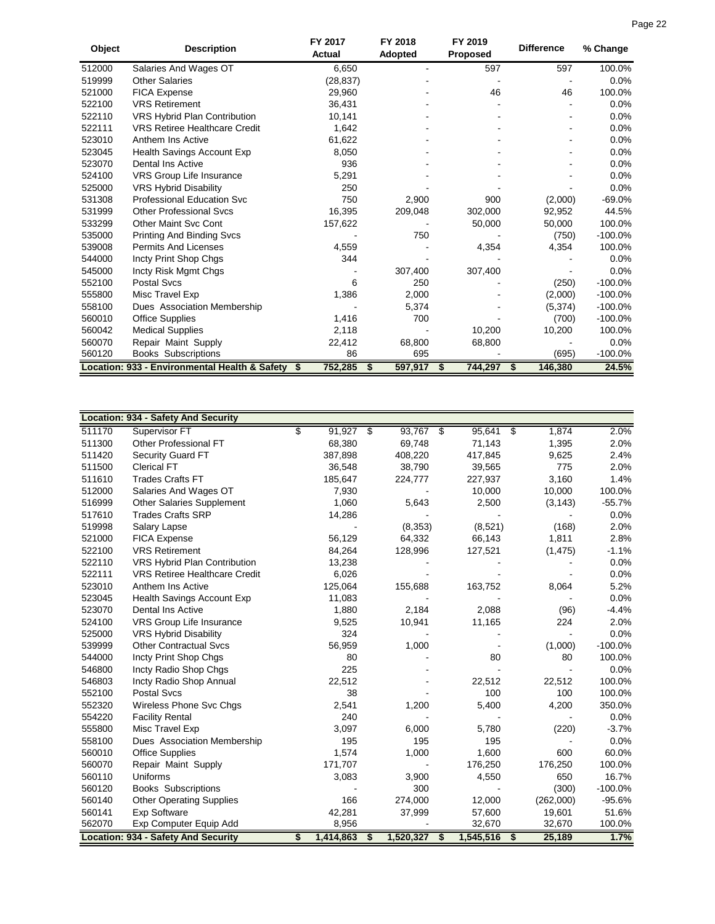| Object | <b>Description</b>                   | FY 2017<br>Actual | FY 2018<br>Adopted | FY 2019<br><b>Proposed</b> | <b>Difference</b> | % Change |
|--------|--------------------------------------|-------------------|--------------------|----------------------------|-------------------|----------|
| 512000 | Salaries And Wages OT                | 6.650             |                    | 597                        | 597               | 100.0%   |
| 519999 | <b>Other Salaries</b>                | (28, 837)         |                    |                            |                   | 0.0%     |
| 521000 | <b>FICA Expense</b>                  | 29,960            |                    | 46                         | 46                | 100.0%   |
| 522100 | <b>VRS Retirement</b>                | 36,431            |                    |                            | -                 | $0.0\%$  |
| 522110 | <b>VRS Hybrid Plan Contribution</b>  | 10,141            |                    | ۰                          | ۰                 | 0.0%     |
| 522111 | <b>VRS Retiree Healthcare Credit</b> | 1,642             |                    |                            | ۰                 | 0.0%     |
| 523010 | Anthem Ins Active                    | 61,622            |                    |                            | ۰                 | 0.0%     |
| 523045 | Health Savings Account Exp           | 8,050             |                    |                            |                   | 0.0%     |
| 523070 | Dental Ins Active                    | 936               |                    | ۰                          | ۰                 | 0.0%     |
| 524100 | <b>VRS Group Life Insurance</b>      | 5,291             |                    |                            |                   | 0.0%     |
| 525000 | <b>VRS Hybrid Disability</b>         | 250               |                    |                            |                   | 0.0%     |
| 531308 | <b>Professional Education Svc</b>    | 750               | 2.900              | 900                        | (2,000)           | -69.0%   |
| 531999 | <b>Other Professional Sycs</b>       | 16.395            | 209.048            | 302.000                    | 92.952            | 44.5%    |
| 533299 | <b>Other Maint Svc Cont</b>          | 157,622           |                    | 50,000                     | 50,000            | 100.0%   |

Books Subscriptions

|        | <b>Location: 934 - Safety And Security</b> |                 |                 |             |                 |    |           |           |
|--------|--------------------------------------------|-----------------|-----------------|-------------|-----------------|----|-----------|-----------|
| 511170 | Supervisor FT                              | \$<br>91,927    | $\overline{\$}$ | $93,767$ \$ | 95,641          | s, | 1,874     | 2.0%      |
| 511300 | Other Professional FT                      | 68,380          |                 | 69,748      | 71,143          |    | 1,395     | 2.0%      |
| 511420 | <b>Security Guard FT</b>                   | 387,898         |                 | 408,220     | 417,845         |    | 9,625     | 2.4%      |
| 511500 | <b>Clerical FT</b>                         | 36,548          |                 | 38,790      | 39,565          |    | 775       | 2.0%      |
| 511610 | <b>Trades Crafts FT</b>                    | 185,647         |                 | 224,777     | 227,937         |    | 3,160     | 1.4%      |
| 512000 | Salaries And Wages OT                      | 7,930           |                 |             | 10,000          |    | 10,000    | 100.0%    |
| 516999 | <b>Other Salaries Supplement</b>           | 1,060           |                 | 5,643       | 2,500           |    | (3, 143)  | $-55.7%$  |
| 517610 | <b>Trades Crafts SRP</b>                   | 14,286          |                 |             |                 |    |           | 0.0%      |
| 519998 | Salary Lapse                               |                 |                 | (8, 353)    | (8,521)         |    | (168)     | 2.0%      |
| 521000 | FICA Expense                               | 56,129          |                 | 64,332      | 66,143          |    | 1,811     | 2.8%      |
| 522100 | <b>VRS Retirement</b>                      | 84,264          |                 | 128,996     | 127,521         |    | (1, 475)  | $-1.1%$   |
| 522110 | VRS Hybrid Plan Contribution               | 13,238          |                 |             |                 |    |           | 0.0%      |
| 522111 | <b>VRS Retiree Healthcare Credit</b>       | 6,026           |                 |             |                 |    |           | 0.0%      |
| 523010 | Anthem Ins Active                          | 125,064         |                 | 155,688     | 163,752         |    | 8,064     | 5.2%      |
| 523045 | Health Savings Account Exp                 | 11,083          |                 |             |                 |    |           | 0.0%      |
| 523070 | Dental Ins Active                          | 1,880           |                 | 2,184       | 2,088           |    | (96)      | $-4.4%$   |
| 524100 | VRS Group Life Insurance                   | 9,525           |                 | 10,941      | 11,165          |    | 224       | 2.0%      |
| 525000 | <b>VRS Hybrid Disability</b>               | 324             |                 |             |                 |    |           | 0.0%      |
| 539999 | <b>Other Contractual Svcs</b>              | 56,959          |                 | 1,000       |                 |    | (1,000)   | $-100.0%$ |
| 544000 | Incty Print Shop Chgs                      | 80              |                 |             | 80              |    | 80        | 100.0%    |
| 546800 | Incty Radio Shop Chgs                      | 225             |                 |             |                 |    |           | 0.0%      |
| 546803 | Incty Radio Shop Annual                    | 22,512          |                 |             | 22,512          |    | 22,512    | 100.0%    |
| 552100 | <b>Postal Svcs</b>                         | 38              |                 |             | 100             |    | 100       | 100.0%    |
| 552320 | Wireless Phone Svc Chgs                    | 2,541           |                 | 1,200       | 5,400           |    | 4,200     | 350.0%    |
| 554220 | <b>Facility Rental</b>                     | 240             |                 |             |                 |    |           | 0.0%      |
| 555800 | Misc Travel Exp                            | 3,097           |                 | 6,000       | 5,780           |    | (220)     | $-3.7%$   |
| 558100 | Dues Association Membership                | 195             |                 | 195         | 195             |    |           | 0.0%      |
| 560010 | <b>Office Supplies</b>                     | 1,574           |                 | 1,000       | 1,600           |    | 600       | 60.0%     |
| 560070 | Repair Maint Supply                        | 171,707         |                 |             | 176,250         |    | 176,250   | 100.0%    |
| 560110 | Uniforms                                   | 3,083           |                 | 3,900       | 4,550           |    | 650       | 16.7%     |
| 560120 | <b>Books Subscriptions</b>                 |                 |                 | 300         |                 |    | (300)     | $-100.0%$ |
| 560140 | <b>Other Operating Supplies</b>            | 166             |                 | 274,000     | 12,000          |    | (262,000) | $-95.6%$  |
| 560141 | <b>Exp Software</b>                        | 42,281          |                 | 37,999      | 57,600          |    | 19,601    | 51.6%     |
| 562070 | Exp Computer Equip Add                     | 8,956           |                 |             | 32,670          |    | 32,670    | 100.0%    |
|        | <b>Location: 934 - Safety And Security</b> | \$<br>1,414,863 | \$              | 1,520,327   | \$<br>1,545,516 | \$ | 25,189    | 1.7%      |

53299 Other Maint Svc Cont 157,622 - 50,000 50,000 100.0%<br>535000 Printing And Binding Svcs - 750 750 - 750 (750) -100.0% 535000 Printing And Binding Svcs<br>
539008 Permits And Licenses (1990) 4,559 - 4,354 4,354 100.0% 539008 Permits And Licenses 4,559 - 4,354 4,354 100.0%<br>544000 Incty Print Shop Chas 344 344 - 544000 - 60% 544000 Incty Print Shop Chgs 344 344 307,400 307,400 - 0.0% 3645000 - 0.0% 545000 Incty Risk Mgmt Chgs - 307,400 307,400 - 0.0%<br>552100 Postal Svcs - 6 250 - 250 - 250 (250) - 100.0% 552100 Postal Svcs 6 250 - (250) -100.0% 555800 Misc Travel Exp 1,386 2,000 - (2,000) -100.0% 558100 Dues Association Membership - 5,374 - (5,374 (5,374 - 100.0%)<br>560010 Office Supplies - 1,416 700 - (700 - 100.0%) 560010 Office Supplies 1,416 700 10,200 10,200 100.0%<br>560042 Medical Supplies 2,118 10,200 10,200 100.0% 560042 Medical Supplies 2,118 - 10,200 10,200 100.0% 560070 Repair Maint Supply 22,412 68,800 68,800 0.0%<br>560120 Books Subscriptions 86 695 695 (695) -100.0%

**Location: 933 - Environmental Health & Safety \$ 752,285 \$ 597,917 \$ 744,297 \$ 146,380 24.5%**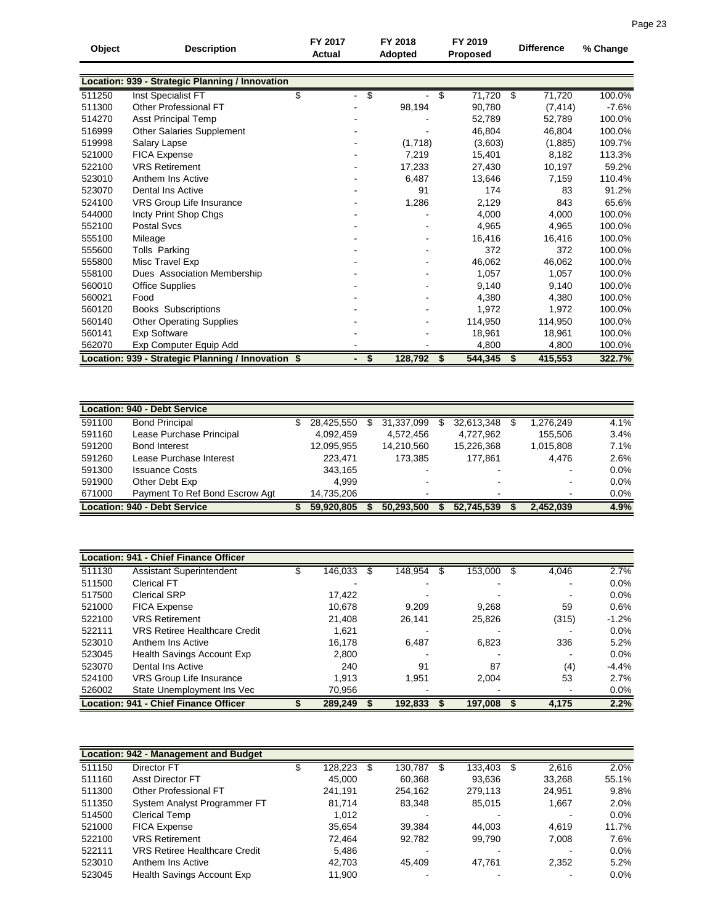| Object | <b>Description</b>                                 | FY 2017<br><b>Actual</b> | FY 2018<br>Adopted             |         | FY 2019<br><b>Proposed</b> | <b>Difference</b> | % Change |
|--------|----------------------------------------------------|--------------------------|--------------------------------|---------|----------------------------|-------------------|----------|
|        |                                                    |                          |                                |         |                            |                   |          |
|        | Location: 939 - Strategic Planning / Innovation    |                          |                                |         |                            |                   |          |
| 511250 | Inst Specialist FT                                 | \$                       | s,<br>$\overline{\phantom{0}}$ |         | 71,720<br>\$               | 71,720<br>-\$     | 100.0%   |
| 511300 | Other Professional FT                              |                          |                                | 98,194  | 90,780                     | (7, 414)          | $-7.6%$  |
| 514270 | <b>Asst Principal Temp</b>                         |                          |                                |         | 52,789                     | 52.789            | 100.0%   |
| 516999 | Other Salaries Supplement                          |                          |                                |         | 46,804                     | 46,804            | 100.0%   |
| 519998 | Salary Lapse                                       |                          |                                | (1,718) | (3,603)                    | (1,885)           | 109.7%   |
| 521000 | <b>FICA Expense</b>                                |                          |                                | 7,219   | 15,401                     | 8,182             | 113.3%   |
| 522100 | <b>VRS Retirement</b>                              |                          |                                | 17,233  | 27,430                     | 10,197            | 59.2%    |
| 523010 | Anthem Ins Active                                  |                          |                                | 6,487   | 13,646                     | 7,159             | 110.4%   |
| 523070 | <b>Dental Ins Active</b>                           |                          |                                | 91      | 174                        | 83                | 91.2%    |
| 524100 | VRS Group Life Insurance                           |                          |                                | 1,286   | 2,129                      | 843               | 65.6%    |
| 544000 | Incty Print Shop Chgs                              |                          |                                |         | 4,000                      | 4,000             | 100.0%   |
| 552100 | <b>Postal Svcs</b>                                 |                          |                                |         | 4,965                      | 4,965             | 100.0%   |
| 555100 | Mileage                                            |                          |                                |         | 16,416                     | 16,416            | 100.0%   |
| 555600 | Tolls Parking                                      |                          |                                |         | 372                        | 372               | 100.0%   |
| 555800 | Misc Travel Exp                                    |                          |                                |         | 46,062                     | 46,062            | 100.0%   |
| 558100 | Dues Association Membership                        |                          |                                |         | 1,057                      | 1,057             | 100.0%   |
| 560010 | <b>Office Supplies</b>                             |                          |                                |         | 9,140                      | 9,140             | 100.0%   |
| 560021 | Food                                               |                          |                                |         | 4,380                      | 4,380             | 100.0%   |
| 560120 | <b>Books Subscriptions</b>                         |                          |                                |         | 1,972                      | 1,972             | 100.0%   |
| 560140 | <b>Other Operating Supplies</b>                    |                          |                                |         | 114,950                    | 114,950           | 100.0%   |
| 560141 | <b>Exp Software</b>                                |                          |                                |         | 18,961                     | 18,961            | 100.0%   |
| 562070 | Exp Computer Equip Add                             |                          |                                |         | 4,800                      | 4,800             | 100.0%   |
|        | Location: 939 - Strategic Planning / Innovation \$ |                          | \$                             | 128,792 | 544,345<br>- \$            | 415,553<br>\$     | 322.7%   |

| <b>Location: 940 - Debt Service</b> |                                     |  |            |   |            |  |                          |  |                |         |  |
|-------------------------------------|-------------------------------------|--|------------|---|------------|--|--------------------------|--|----------------|---------|--|
| 591100                              | <b>Bond Principal</b>               |  | 28,425,550 | S | 31,337,099 |  | 32,613,348               |  | 1,276,249      | 4.1%    |  |
| 591160                              | Lease Purchase Principal            |  | 4.092.459  |   | 4.572.456  |  | 4,727,962                |  | 155.506        | 3.4%    |  |
| 591200                              | <b>Bond Interest</b>                |  | 12,095,955 |   | 14,210,560 |  | 15.226.368               |  | 1,015,808      | 7.1%    |  |
| 591260                              | Lease Purchase Interest             |  | 223.471    |   | 173.385    |  | 177.861                  |  | 4.476          | 2.6%    |  |
| 591300                              | <b>Issuance Costs</b>               |  | 343.165    |   |            |  |                          |  |                | 0.0%    |  |
| 591900                              | Other Debt Exp                      |  | 4.999      |   |            |  | -                        |  | $\blacksquare$ | 0.0%    |  |
| 671000                              | Payment To Ref Bond Escrow Agt      |  | 14.735.206 |   |            |  | $\overline{\phantom{0}}$ |  |                | $0.0\%$ |  |
|                                     | <b>Location: 940 - Debt Service</b> |  | 59.920.805 |   | 50.293.500 |  | 52.745.539               |  | 2,452,039      | 4.9%    |  |

|        | Location: 941 - Chief Finance Officer        |   |         |   |         |   |         |     |       |         |
|--------|----------------------------------------------|---|---------|---|---------|---|---------|-----|-------|---------|
| 511130 | Assistant Superintendent                     | æ | 146,033 | S | 148,954 | S | 153,000 | \$. | 4,046 | 2.7%    |
| 511500 | <b>Clerical FT</b>                           |   |         |   |         |   |         |     |       | $0.0\%$ |
| 517500 | <b>Clerical SRP</b>                          |   | 17.422  |   |         |   |         |     |       | $0.0\%$ |
| 521000 | <b>FICA Expense</b>                          |   | 10.678  |   | 9.209   |   | 9.268   |     | 59    | 0.6%    |
| 522100 | <b>VRS Retirement</b>                        |   | 21.408  |   | 26.141  |   | 25,826  |     | (315) | $-1.2%$ |
| 522111 | VRS Retiree Healthcare Credit                |   | 1.621   |   |         |   |         |     |       | $0.0\%$ |
| 523010 | Anthem Ins Active                            |   | 16,178  |   | 6.487   |   | 6,823   |     | 336   | 5.2%    |
| 523045 | Health Savings Account Exp                   |   | 2,800   |   |         |   |         |     |       | $0.0\%$ |
| 523070 | Dental Ins Active                            |   | 240     |   | 91      |   | 87      |     | (4)   | $-4.4%$ |
| 524100 | VRS Group Life Insurance                     |   | 1.913   |   | 1.951   |   | 2.004   |     | 53    | 2.7%    |
| 526002 | State Unemployment Ins Vec                   |   | 70,956  |   |         |   |         |     |       | $0.0\%$ |
|        | <b>Location: 941 - Chief Finance Officer</b> |   | 289.249 |   | 192.833 |   | 197.008 |     | 4.175 | 2.2%    |

| Location: 942 - Management and Budget |                                      |  |         |  |         |  |         |     |        |         |  |
|---------------------------------------|--------------------------------------|--|---------|--|---------|--|---------|-----|--------|---------|--|
| 511150                                | Director FT                          |  | 128,223 |  | 130,787 |  | 133,403 | - 5 | 2,616  | 2.0%    |  |
| 511160                                | Asst Director FT                     |  | 45.000  |  | 60.368  |  | 93.636  |     | 33,268 | 55.1%   |  |
| 511300                                | Other Professional FT                |  | 241.191 |  | 254.162 |  | 279.113 |     | 24.951 | 9.8%    |  |
| 511350                                | System Analyst Programmer FT         |  | 81,714  |  | 83,348  |  | 85,015  |     | 1,667  | 2.0%    |  |
| 514500                                | Clerical Temp                        |  | 1.012   |  |         |  |         |     |        | 0.0%    |  |
| 521000                                | <b>FICA Expense</b>                  |  | 35.654  |  | 39.384  |  | 44.003  |     | 4,619  | 11.7%   |  |
| 522100                                | <b>VRS Retirement</b>                |  | 72.464  |  | 92.782  |  | 99.790  |     | 7,008  | 7.6%    |  |
| 522111                                | <b>VRS Retiree Healthcare Credit</b> |  | 5,486   |  |         |  |         |     |        | 0.0%    |  |
| 523010                                | Anthem Ins Active                    |  | 42.703  |  | 45.409  |  | 47.761  |     | 2,352  | 5.2%    |  |
| 523045                                | <b>Health Savings Account Exp</b>    |  | 11.900  |  |         |  |         |     |        | $0.0\%$ |  |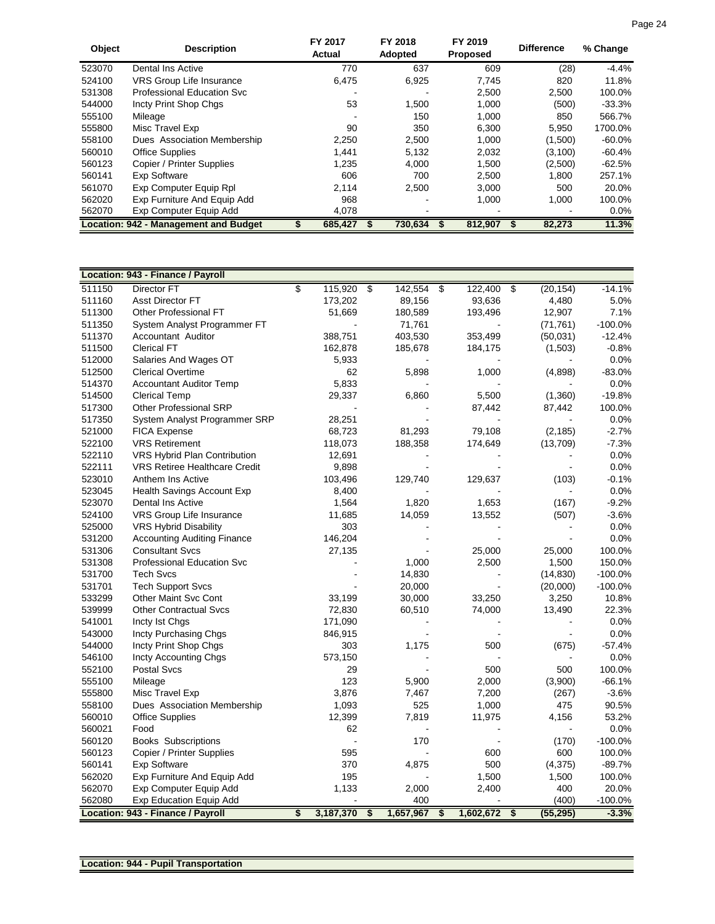| Object | <b>Description</b>                    | FY 2017<br>Actual | FY 2018<br>Adopted | FY 2019<br><b>Proposed</b> | <b>Difference</b> | % Change  |
|--------|---------------------------------------|-------------------|--------------------|----------------------------|-------------------|-----------|
| 523070 | Dental Ins Active                     | 770               | 637                | 609                        | (28)              | $-4.4%$   |
| 524100 | VRS Group Life Insurance              | 6,475             | 6,925              | 7,745                      | 820               | 11.8%     |
| 531308 | Professional Education Svc            |                   |                    | 2,500                      | 2,500             | 100.0%    |
| 544000 | Incty Print Shop Chgs                 | 53                | 1,500              | 1,000                      | (500)             | $-33.3%$  |
| 555100 | Mileage                               |                   | 150                | 1,000                      | 850               | 566.7%    |
| 555800 | Misc Travel Exp                       | 90                | 350                | 6,300                      | 5,950             | 1700.0%   |
| 558100 | Dues Association Membership           | 2,250             | 2,500              | 1,000                      | (1,500)           | $-60.0\%$ |
| 560010 | <b>Office Supplies</b>                | 1.441             | 5.132              | 2,032                      | (3, 100)          | $-60.4%$  |
| 560123 | Copier / Printer Supplies             | 1,235             | 4.000              | 1,500                      | (2,500)           | -62.5%    |
| 560141 | <b>Exp Software</b>                   | 606               | 700                | 2,500                      | 1,800             | 257.1%    |
| 561070 | Exp Computer Equip Rpl                | 2.114             | 2.500              | 3,000                      | 500               | 20.0%     |
| 562020 | Exp Furniture And Equip Add           | 968               |                    | 1.000                      | 1,000             | 100.0%    |
| 562070 | Exp Computer Equip Add                | 4,078             |                    |                            |                   | $0.0\%$   |
|        | Location: 942 - Management and Budget | 685.427           | 730.634            | 812.907                    | 82,273            | 11.3%     |

|        | Location: 943 - Finance / Payroll    |    |           |                          |           |                 |                 |           |
|--------|--------------------------------------|----|-----------|--------------------------|-----------|-----------------|-----------------|-----------|
| 511150 | <b>Director FT</b>                   | s  | 115,920   | $\overline{\mathcal{S}}$ | 142,554   | S<br>122,400    | \$<br>(20, 154) | $-14.1%$  |
| 511160 | <b>Asst Director FT</b>              |    | 173,202   |                          | 89,156    | 93,636          | 4,480           | 5.0%      |
| 511300 | <b>Other Professional FT</b>         |    | 51,669    |                          | 180,589   | 193,496         | 12,907          | 7.1%      |
| 511350 | System Analyst Programmer FT         |    |           |                          | 71,761    |                 | (71, 761)       | $-100.0%$ |
| 511370 | Accountant Auditor                   |    | 388,751   |                          | 403,530   | 353,499         | (50,031)        | $-12.4%$  |
| 511500 | <b>Clerical FT</b>                   |    | 162,878   |                          | 185,678   | 184,175         | (1,503)         | $-0.8%$   |
| 512000 | Salaries And Wages OT                |    | 5,933     |                          |           |                 |                 | 0.0%      |
| 512500 | <b>Clerical Overtime</b>             |    | 62        |                          | 5,898     | 1,000           | (4,898)         | $-83.0%$  |
| 514370 | <b>Accountant Auditor Temp</b>       |    | 5,833     |                          |           |                 |                 | 0.0%      |
| 514500 | <b>Clerical Temp</b>                 |    | 29,337    |                          | 6,860     | 5,500           | (1,360)         | $-19.8%$  |
| 517300 | <b>Other Professional SRP</b>        |    |           |                          |           | 87,442          | 87,442          | 100.0%    |
| 517350 | System Analyst Programmer SRP        |    | 28,251    |                          |           |                 |                 | 0.0%      |
| 521000 | <b>FICA Expense</b>                  |    | 68,723    |                          | 81,293    | 79,108          | (2, 185)        | $-2.7%$   |
| 522100 | <b>VRS Retirement</b>                |    | 118,073   |                          | 188,358   | 174,649         | (13,709)        | $-7.3%$   |
| 522110 | VRS Hybrid Plan Contribution         |    | 12,691    |                          |           |                 |                 | 0.0%      |
| 522111 | <b>VRS Retiree Healthcare Credit</b> |    | 9,898     |                          |           |                 |                 | 0.0%      |
| 523010 | Anthem Ins Active                    |    | 103,496   |                          | 129,740   | 129,637         | (103)           | $-0.1%$   |
| 523045 | Health Savings Account Exp           |    | 8,400     |                          |           |                 |                 | 0.0%      |
| 523070 | Dental Ins Active                    |    | 1,564     |                          | 1,820     | 1,653           | (167)           | $-9.2%$   |
| 524100 | VRS Group Life Insurance             |    | 11,685    |                          | 14,059    | 13,552          | (507)           | $-3.6%$   |
| 525000 | VRS Hybrid Disability                |    | 303       |                          |           |                 |                 | 0.0%      |
| 531200 | <b>Accounting Auditing Finance</b>   |    | 146,204   |                          |           |                 |                 | 0.0%      |
| 531306 | <b>Consultant Svcs</b>               |    | 27,135    |                          |           | 25,000          | 25,000          | 100.0%    |
| 531308 | <b>Professional Education Svc</b>    |    |           |                          | 1,000     | 2,500           | 1,500           | 150.0%    |
| 531700 | <b>Tech Svcs</b>                     |    |           |                          | 14,830    |                 | (14, 830)       | $-100.0%$ |
| 531701 | <b>Tech Support Svcs</b>             |    |           |                          | 20,000    |                 | (20,000)        | $-100.0%$ |
| 533299 | <b>Other Maint Svc Cont</b>          |    | 33,199    |                          | 30,000    | 33,250          | 3,250           | 10.8%     |
| 539999 | <b>Other Contractual Svcs</b>        |    | 72,830    |                          | 60,510    | 74,000          | 13,490          | 22.3%     |
| 541001 | Incty Ist Chgs                       |    | 171,090   |                          |           |                 |                 | 0.0%      |
| 543000 | Incty Purchasing Chgs                |    | 846,915   |                          |           |                 |                 | 0.0%      |
| 544000 | Incty Print Shop Chgs                |    | 303       |                          | 1,175     | 500             | (675)           | $-57.4%$  |
| 546100 | Incty Accounting Chgs                |    | 573,150   |                          |           |                 |                 | 0.0%      |
| 552100 | Postal Svcs                          |    | 29        |                          |           | 500             | 500             | 100.0%    |
| 555100 | Mileage                              |    | 123       |                          | 5,900     | 2,000           | (3,900)         | $-66.1%$  |
| 555800 | Misc Travel Exp                      |    | 3,876     |                          | 7,467     | 7,200           | (267)           | $-3.6%$   |
| 558100 | Dues Association Membership          |    | 1,093     |                          | 525       | 1,000           | 475             | 90.5%     |
| 560010 | <b>Office Supplies</b>               |    | 12,399    |                          | 7,819     | 11,975          | 4,156           | 53.2%     |
| 560021 | Food                                 |    | 62        |                          |           |                 | $\blacksquare$  | 0.0%      |
| 560120 | <b>Books Subscriptions</b>           |    |           |                          | 170       |                 | (170)           | $-100.0%$ |
| 560123 | Copier / Printer Supplies            |    | 595       |                          |           | 600             | 600             | 100.0%    |
| 560141 | <b>Exp Software</b>                  |    | 370       |                          | 4,875     | 500             | (4, 375)        | $-89.7%$  |
| 562020 | Exp Furniture And Equip Add          |    | 195       |                          |           | 1,500           | 1,500           | 100.0%    |
| 562070 | Exp Computer Equip Add               |    | 1,133     |                          | 2,000     | 2,400           | 400             | 20.0%     |
| 562080 | Exp Education Equip Add              |    |           |                          | 400       |                 | (400)           | $-100.0%$ |
|        | Location: 943 - Finance / Payroll    | \$ | 3,187,370 | \$                       | 1,657,967 | \$<br>1,602,672 | \$<br>(55, 295) | $-3.3%$   |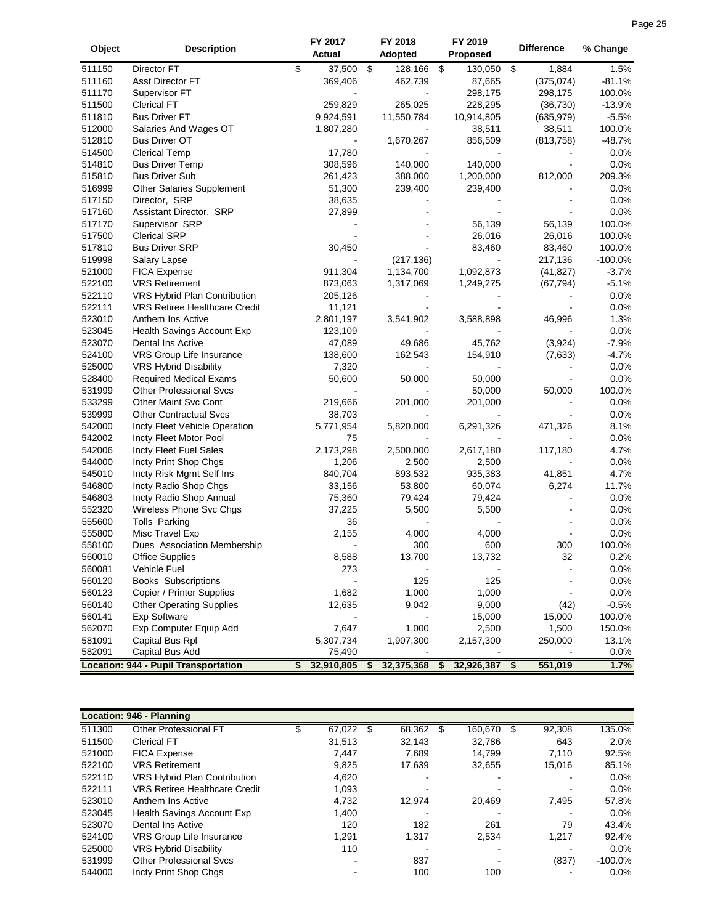|        |                                             | FY 2017          | FY 2018          | FY 2019          |                   |            |
|--------|---------------------------------------------|------------------|------------------|------------------|-------------------|------------|
| Object | <b>Description</b>                          | Actual           | Adopted          | Proposed         | <b>Difference</b> | % Change   |
| 511150 | Director FT                                 | \$<br>37,500     | \$<br>128,166    | \$<br>130,050    | \$<br>1,884       | 1.5%       |
| 511160 | Asst Director FT                            | 369,406          | 462,739          | 87,665           | (375, 074)        | $-81.1%$   |
| 511170 | Supervisor FT                               |                  |                  | 298,175          | 298,175           | 100.0%     |
| 511500 | <b>Clerical FT</b>                          | 259,829          | 265,025          | 228,295          | (36, 730)         | $-13.9%$   |
| 511810 | <b>Bus Driver FT</b>                        | 9,924,591        | 11,550,784       | 10,914,805       | (635, 979)        | $-5.5%$    |
| 512000 | Salaries And Wages OT                       | 1,807,280        |                  | 38,511           | 38,511            | 100.0%     |
| 512810 | <b>Bus Driver OT</b>                        |                  | 1,670,267        | 856,509          | (813, 758)        | $-48.7%$   |
| 514500 | <b>Clerical Temp</b>                        | 17,780           |                  |                  |                   | 0.0%       |
| 514810 | <b>Bus Driver Temp</b>                      | 308,596          | 140,000          | 140,000          |                   | 0.0%       |
| 515810 | <b>Bus Driver Sub</b>                       | 261,423          | 388,000          | 1,200,000        | 812,000           | 209.3%     |
| 516999 | <b>Other Salaries Supplement</b>            | 51,300           | 239,400          | 239,400          |                   | $0.0\%$    |
| 517150 | Director, SRP                               | 38,635           |                  |                  |                   | 0.0%       |
| 517160 | Assistant Director, SRP                     | 27,899           |                  |                  |                   | 0.0%       |
| 517170 | Supervisor SRP                              |                  |                  | 56,139           | 56,139            | 100.0%     |
| 517500 | <b>Clerical SRP</b>                         |                  |                  | 26,016           | 26,016            | 100.0%     |
| 517810 | <b>Bus Driver SRP</b>                       | 30,450           |                  | 83,460           | 83,460            | 100.0%     |
| 519998 | Salary Lapse                                |                  | (217, 136)       |                  | 217,136           | $-100.0\%$ |
| 521000 | <b>FICA Expense</b>                         | 911,304          | 1,134,700        | 1,092,873        | (41, 827)         | $-3.7%$    |
| 522100 | <b>VRS Retirement</b>                       | 873,063          | 1,317,069        | 1,249,275        | (67, 794)         | $-5.1%$    |
| 522110 | VRS Hybrid Plan Contribution                | 205,126          |                  |                  |                   | 0.0%       |
| 522111 | <b>VRS Retiree Healthcare Credit</b>        | 11,121           |                  |                  |                   | 0.0%       |
| 523010 | Anthem Ins Active                           | 2,801,197        | 3,541,902        | 3,588,898        | 46,996            | 1.3%       |
| 523045 | Health Savings Account Exp                  | 123,109          |                  |                  |                   | 0.0%       |
| 523070 | Dental Ins Active                           | 47,089           | 49,686           | 45,762           | (3,924)           | $-7.9%$    |
| 524100 | VRS Group Life Insurance                    | 138,600          | 162,543          | 154,910          | (7,633)           | $-4.7%$    |
| 525000 | VRS Hybrid Disability                       | 7,320            |                  |                  |                   | 0.0%       |
| 528400 | <b>Required Medical Exams</b>               | 50,600           | 50,000           | 50,000           |                   | 0.0%       |
| 531999 | <b>Other Professional Svcs</b>              |                  |                  | 50,000           | 50,000            | 100.0%     |
| 533299 | Other Maint Svc Cont                        | 219,666          | 201,000          | 201,000          |                   | 0.0%       |
| 539999 | <b>Other Contractual Svcs</b>               | 38,703           |                  |                  |                   | 0.0%       |
| 542000 | Incty Fleet Vehicle Operation               | 5,771,954        | 5,820,000        | 6,291,326        | 471,326           | 8.1%       |
| 542002 | Incty Fleet Motor Pool                      | 75               |                  |                  |                   | 0.0%       |
| 542006 | Incty Fleet Fuel Sales                      | 2,173,298        | 2,500,000        | 2,617,180        | 117,180           | 4.7%       |
| 544000 | Incty Print Shop Chgs                       | 1,206            | 2,500            | 2,500            |                   | 0.0%       |
| 545010 | Incty Risk Mgmt Self Ins                    | 840,704          | 893,532          | 935,383          | 41,851            | 4.7%       |
| 546800 | Incty Radio Shop Chgs                       | 33,156           | 53,800           | 60,074           | 6,274             | 11.7%      |
| 546803 | Incty Radio Shop Annual                     | 75,360           | 79,424           | 79,424           |                   | 0.0%       |
| 552320 | Wireless Phone Svc Chgs                     | 37,225           | 5,500            | 5,500            |                   | 0.0%       |
|        |                                             | 36               |                  |                  |                   | 0.0%       |
| 555600 | Tolls Parking                               |                  |                  |                  |                   |            |
| 555800 | Misc Travel Exp                             | 2,155            | 4,000            | 4,000            |                   | 0.0%       |
| 558100 | Dues Association Membership                 |                  | 300              | 600              | 300<br>32         | 100.0%     |
| 560010 | <b>Office Supplies</b>                      | 8,588            | 13,700           | 13,732           |                   | 0.2%       |
| 560081 | Vehicle Fuel                                | 273              |                  |                  |                   | 0.0%       |
| 560120 | <b>Books Subscriptions</b>                  |                  | 125              | 125              |                   | 0.0%       |
| 560123 | Copier / Printer Supplies                   | 1,682            | 1,000            | 1,000            |                   | 0.0%       |
| 560140 | <b>Other Operating Supplies</b>             | 12,635           | 9,042            | 9,000            | (42)              | $-0.5%$    |
| 560141 | <b>Exp Software</b>                         |                  |                  | 15,000           | 15,000            | 100.0%     |
| 562070 | Exp Computer Equip Add                      | 7,647            | 1,000            | 2,500            | 1,500             | 150.0%     |
| 581091 | Capital Bus Rpl                             | 5,307,734        | 1,907,300        | 2,157,300        | 250,000           | 13.1%      |
| 582091 | Capital Bus Add                             | 75,490           |                  |                  |                   | 0.0%       |
|        | <b>Location: 944 - Pupil Transportation</b> | \$<br>32,910,805 | \$<br>32,375,368 | \$<br>32,926,387 | \$<br>551,019     | 1.7%       |

|        | <b>Location: 946 - Planning</b>      |        |              |   |         |              |            |
|--------|--------------------------------------|--------|--------------|---|---------|--------------|------------|
| 511300 | <b>Other Professional FT</b>         | 67,022 | \$<br>68,362 | S | 160,670 | \$<br>92,308 | 135.0%     |
| 511500 | <b>Clerical FT</b>                   | 31,513 | 32,143       |   | 32.786  | 643          | 2.0%       |
| 521000 | <b>FICA Expense</b>                  | 7.447  | 7.689        |   | 14.799  | 7.110        | 92.5%      |
| 522100 | <b>VRS Retirement</b>                | 9.825  | 17.639       |   | 32.655  | 15.016       | 85.1%      |
| 522110 | <b>VRS Hybrid Plan Contribution</b>  | 4,620  |              |   |         |              | $0.0\%$    |
| 522111 | <b>VRS Retiree Healthcare Credit</b> | 1,093  |              |   |         | -            | $0.0\%$    |
| 523010 | Anthem Ins Active                    | 4.732  | 12.974       |   | 20.469  | 7,495        | 57.8%      |
| 523045 | <b>Health Savings Account Exp</b>    | 1,400  |              |   |         |              | $0.0\%$    |
| 523070 | Dental Ins Active                    | 120    | 182          |   | 261     | 79           | 43.4%      |
| 524100 | <b>VRS Group Life Insurance</b>      | 1,291  | 1,317        |   | 2,534   | 1,217        | 92.4%      |
| 525000 | <b>VRS Hybrid Disability</b>         | 110    |              |   |         |              | $0.0\%$    |
| 531999 | <b>Other Professional Sycs</b>       | -      | 837          |   |         | (837)        | $-100.0\%$ |
| 544000 | Incty Print Shop Chgs                |        | 100          |   | 100     |              | $0.0\%$    |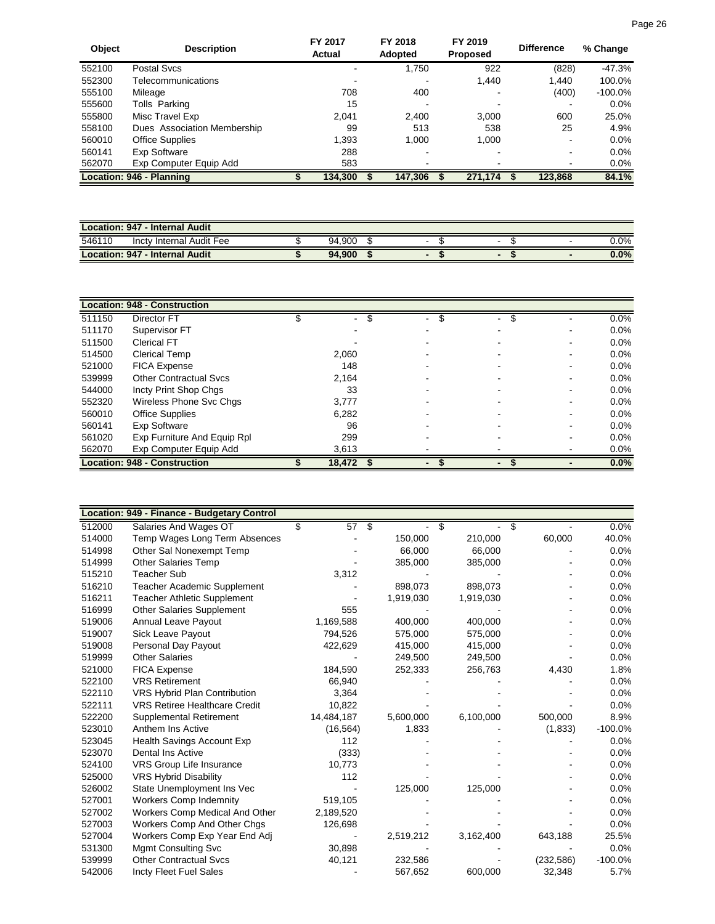| Object | <b>Description</b>              | FY 2017<br>Actual | FY 2018<br>Adopted | FY 2019<br><b>Proposed</b> | <b>Difference</b> | % Change   |
|--------|---------------------------------|-------------------|--------------------|----------------------------|-------------------|------------|
| 552100 | Postal Sycs                     |                   | 1,750              | 922                        | (828)             | $-47.3%$   |
| 552300 | Telecommunications              |                   |                    | 1,440                      | 1,440             | 100.0%     |
| 555100 | Mileage                         | 708               | 400                |                            | (400)             | $-100.0\%$ |
| 555600 | Tolls Parking                   | 15                |                    |                            |                   | 0.0%       |
| 555800 | Misc Travel Exp                 | 2.041             | 2,400              | 3,000                      | 600               | 25.0%      |
| 558100 | Dues Association Membership     | 99                | 513                | 538                        | 25                | 4.9%       |
| 560010 | <b>Office Supplies</b>          | 1,393             | 1,000              | 1,000                      | $\blacksquare$    | 0.0%       |
| 560141 | Exp Software                    | 288               | -                  |                            | $\blacksquare$    | 0.0%       |
| 562070 | Exp Computer Equip Add          | 583               |                    |                            | $\blacksquare$    | 0.0%       |
|        | <b>Location: 946 - Planning</b> | 134.300           | 147.306            | 271.174                    | 123,868           | 84.1%      |

| <b>Location: 947 - Internal Audit</b> |  |        |  |   |   |         |  |  |  |  |
|---------------------------------------|--|--------|--|---|---|---------|--|--|--|--|
| 546110<br>Incty Internal Audit Fee    |  | 94.900 |  | - | - | $0.0\%$ |  |  |  |  |
| Location: 947 - Internal Audit        |  | 94.900 |  |   |   | 0.0%    |  |  |  |  |

|        | <b>Location: 948 - Construction</b> |         |   |                      |         |
|--------|-------------------------------------|---------|---|----------------------|---------|
| 511150 | Director FT                         | S<br>۰. | S | \$<br>$\blacksquare$ | 0.0%    |
| 511170 | Supervisor FT                       |         |   |                      | $0.0\%$ |
| 511500 | <b>Clerical FT</b>                  |         |   |                      | $0.0\%$ |
| 514500 | <b>Clerical Temp</b>                | 2,060   |   |                      | $0.0\%$ |
| 521000 | <b>FICA Expense</b>                 | 148     |   |                      | $0.0\%$ |
| 539999 | <b>Other Contractual Sycs</b>       | 2,164   |   |                      | $0.0\%$ |
| 544000 | Incty Print Shop Chgs               | 33      |   |                      | $0.0\%$ |
| 552320 | Wireless Phone Svc Chgs             | 3,777   |   |                      | $0.0\%$ |
| 560010 | <b>Office Supplies</b>              | 6,282   |   |                      | $0.0\%$ |
| 560141 | Exp Software                        | 96      |   |                      | $0.0\%$ |
| 561020 | Exp Furniture And Equip Rpl         | 299     |   |                      | $0.0\%$ |
| 562070 | Exp Computer Equip Add              | 3,613   |   |                      | $0.0\%$ |
|        | <b>Location: 948 - Construction</b> | 18,472  |   |                      | 0.0%    |

|        | Location: 949 - Finance - Budgetary Control |   |                 |   |           |           |            |           |
|--------|---------------------------------------------|---|-----------------|---|-----------|-----------|------------|-----------|
| 512000 | Salaries And Wages OT                       | S | $\overline{57}$ | க |           | \$        | \$         | $0.0\%$   |
| 514000 | Temp Wages Long Term Absences               |   |                 |   | 150,000   | 210,000   | 60,000     | 40.0%     |
| 514998 | Other Sal Nonexempt Temp                    |   |                 |   | 66,000    | 66,000    |            | 0.0%      |
| 514999 | <b>Other Salaries Temp</b>                  |   |                 |   | 385,000   | 385,000   |            | 0.0%      |
| 515210 | <b>Teacher Sub</b>                          |   | 3,312           |   |           |           |            | 0.0%      |
| 516210 | Teacher Academic Supplement                 |   |                 |   | 898,073   | 898,073   |            | 0.0%      |
| 516211 | <b>Teacher Athletic Supplement</b>          |   |                 |   | 1,919,030 | 1,919,030 |            | 0.0%      |
| 516999 | <b>Other Salaries Supplement</b>            |   | 555             |   |           |           |            | 0.0%      |
| 519006 | Annual Leave Payout                         |   | 1,169,588       |   | 400,000   | 400,000   |            | 0.0%      |
| 519007 | Sick Leave Payout                           |   | 794,526         |   | 575,000   | 575,000   |            | 0.0%      |
| 519008 | Personal Day Payout                         |   | 422,629         |   | 415,000   | 415,000   |            | 0.0%      |
| 519999 | <b>Other Salaries</b>                       |   |                 |   | 249,500   | 249,500   |            | 0.0%      |
| 521000 | <b>FICA Expense</b>                         |   | 184,590         |   | 252,333   | 256,763   | 4,430      | 1.8%      |
| 522100 | <b>VRS Retirement</b>                       |   | 66,940          |   |           |           |            | 0.0%      |
| 522110 | VRS Hybrid Plan Contribution                |   | 3,364           |   |           |           |            | 0.0%      |
| 522111 | <b>VRS Retiree Healthcare Credit</b>        |   | 10,822          |   |           |           |            | 0.0%      |
| 522200 | Supplemental Retirement                     |   | 14,484,187      |   | 5,600,000 | 6,100,000 | 500,000    | 8.9%      |
| 523010 | Anthem Ins Active                           |   | (16, 564)       |   | 1,833     |           | (1,833)    | $-100.0%$ |
| 523045 | Health Savings Account Exp                  |   | 112             |   |           |           |            | 0.0%      |
| 523070 | Dental Ins Active                           |   | (333)           |   |           |           |            | 0.0%      |
| 524100 | VRS Group Life Insurance                    |   | 10,773          |   |           |           |            | 0.0%      |
| 525000 | <b>VRS Hybrid Disability</b>                |   | 112             |   |           |           |            | 0.0%      |
| 526002 | State Unemployment Ins Vec                  |   |                 |   | 125,000   | 125,000   |            | 0.0%      |
| 527001 | <b>Workers Comp Indemnity</b>               |   | 519,105         |   |           |           |            | 0.0%      |
| 527002 | Workers Comp Medical And Other              |   | 2,189,520       |   |           |           |            | 0.0%      |
| 527003 | Workers Comp And Other Chgs                 |   | 126,698         |   |           |           |            | 0.0%      |
| 527004 | Workers Comp Exp Year End Adj               |   |                 |   | 2,519,212 | 3,162,400 | 643,188    | 25.5%     |
| 531300 | <b>Mgmt Consulting Svc</b>                  |   | 30,898          |   |           |           |            | 0.0%      |
| 539999 | <b>Other Contractual Svcs</b>               |   | 40,121          |   | 232,586   |           | (232, 586) | $-100.0%$ |
| 542006 | <b>Incty Fleet Fuel Sales</b>               |   |                 |   | 567,652   | 600,000   | 32,348     | 5.7%      |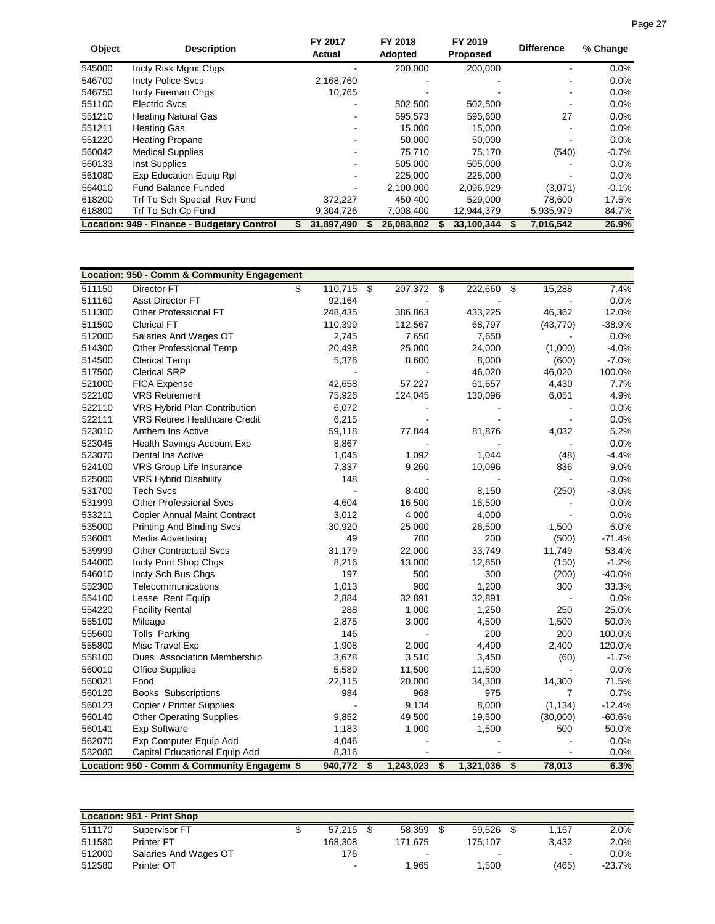| <b>Object</b> | <b>Description</b>                          | FY 2017<br>Actual | FY 2018<br>Adopted | FY 2019<br><b>Proposed</b> | <b>Difference</b> | % Change |
|---------------|---------------------------------------------|-------------------|--------------------|----------------------------|-------------------|----------|
| 545000        | Incty Risk Mgmt Chgs                        |                   | 200,000            | 200,000                    |                   | $0.0\%$  |
| 546700        | <b>Incty Police Svcs</b>                    | 2,168,760         |                    |                            |                   | $0.0\%$  |
| 546750        | Incty Fireman Chgs                          | 10,765            |                    |                            |                   | 0.0%     |
| 551100        | Electric Sycs                               |                   | 502.500            | 502,500                    |                   | 0.0%     |
| 551210        | <b>Heating Natural Gas</b>                  |                   | 595,573            | 595,600                    | 27                | 0.0%     |
| 551211        | <b>Heating Gas</b>                          |                   | 15,000             | 15,000                     |                   | $0.0\%$  |
| 551220        | <b>Heating Propane</b>                      |                   | 50.000             | 50,000                     |                   | 0.0%     |
| 560042        | <b>Medical Supplies</b>                     |                   | 75.710             | 75.170                     | (540)             | $-0.7%$  |
| 560133        | Inst Supplies                               |                   | 505,000            | 505,000                    |                   | $0.0\%$  |
| 561080        | Exp Education Equip Rpl                     |                   | 225.000            | 225,000                    |                   | 0.0%     |
| 564010        | <b>Fund Balance Funded</b>                  |                   | 2.100.000          | 2,096,929                  | (3.071)           | $-0.1%$  |
| 618200        | Trf To Sch Special Rev Fund                 | 372,227           | 450.400            | 529.000                    | 78.600            | 17.5%    |
| 618800        | Trf To Sch Cp Fund                          | 9,304,726         | 7,008,400          | 12,944,379                 | 5,935,979         | 84.7%    |
|               | Location: 949 - Finance - Budgetary Control | 31,897,490        | 26.083.802         | 33.100.344                 | 7,016,542         | 26.9%    |

|        | Location: 950 - Comm & Community Engagement |               |                          |           |                             |           |                             |           |          |
|--------|---------------------------------------------|---------------|--------------------------|-----------|-----------------------------|-----------|-----------------------------|-----------|----------|
| 511150 | <b>Director FT</b>                          | \$<br>110,715 | $\overline{\mathcal{S}}$ | 207,372   | \$                          | 222,660   | \$                          | 15,288    | 7.4%     |
| 511160 | Asst Director FT                            | 92,164        |                          |           |                             |           |                             |           | 0.0%     |
| 511300 | Other Professional FT                       | 248,435       |                          | 386,863   |                             | 433,225   |                             | 46,362    | 12.0%    |
| 511500 | <b>Clerical FT</b>                          | 110,399       |                          | 112,567   |                             | 68,797    |                             | (43, 770) | $-38.9%$ |
| 512000 | Salaries And Wages OT                       | 2,745         |                          | 7,650     |                             | 7,650     |                             |           | 0.0%     |
| 514300 | <b>Other Professional Temp</b>              | 20,498        |                          | 25,000    |                             | 24,000    |                             | (1,000)   | $-4.0%$  |
| 514500 | <b>Clerical Temp</b>                        | 5,376         |                          | 8,600     |                             | 8,000     |                             | (600)     | $-7.0%$  |
| 517500 | <b>Clerical SRP</b>                         |               |                          |           |                             | 46,020    |                             | 46,020    | 100.0%   |
| 521000 | <b>FICA Expense</b>                         | 42,658        |                          | 57,227    |                             | 61,657    |                             | 4,430     | 7.7%     |
| 522100 | <b>VRS Retirement</b>                       | 75,926        |                          | 124,045   |                             | 130,096   |                             | 6,051     | 4.9%     |
| 522110 | VRS Hybrid Plan Contribution                | 6,072         |                          |           |                             |           |                             |           | 0.0%     |
| 522111 | <b>VRS Retiree Healthcare Credit</b>        | 6,215         |                          |           |                             |           |                             |           | 0.0%     |
| 523010 | Anthem Ins Active                           | 59,118        |                          | 77,844    |                             | 81,876    |                             | 4,032     | 5.2%     |
| 523045 | Health Savings Account Exp                  | 8,867         |                          |           |                             |           |                             |           | 0.0%     |
| 523070 | Dental Ins Active                           | 1,045         |                          | 1,092     |                             | 1,044     |                             | (48)      | $-4.4%$  |
| 524100 | VRS Group Life Insurance                    | 7,337         |                          | 9,260     |                             | 10,096    |                             | 836       | 9.0%     |
| 525000 | <b>VRS Hybrid Disability</b>                | 148           |                          |           |                             |           |                             |           | 0.0%     |
| 531700 | <b>Tech Svcs</b>                            |               |                          | 8,400     |                             | 8,150     |                             | (250)     | $-3.0%$  |
| 531999 | <b>Other Professional Svcs</b>              | 4,604         |                          | 16,500    |                             | 16,500    |                             |           | 0.0%     |
| 533211 | <b>Copier Annual Maint Contract</b>         | 3,012         |                          | 4,000     |                             | 4,000     |                             |           | 0.0%     |
| 535000 | <b>Printing And Binding Svcs</b>            | 30,920        |                          | 25,000    |                             | 26,500    |                             | 1,500     | 6.0%     |
| 536001 | <b>Media Advertising</b>                    | 49            |                          | 700       |                             | 200       |                             | (500)     | $-71.4%$ |
| 539999 | <b>Other Contractual Svcs</b>               | 31,179        |                          | 22,000    |                             | 33,749    |                             | 11,749    | 53.4%    |
| 544000 | Incty Print Shop Chgs                       | 8,216         |                          | 13,000    |                             | 12,850    |                             | (150)     | $-1.2%$  |
| 546010 | Incty Sch Bus Chgs                          | 197           |                          | 500       |                             | 300       |                             | (200)     | $-40.0%$ |
| 552300 | Telecommunications                          | 1,013         |                          | 900       |                             | 1,200     |                             | 300       | 33.3%    |
| 554100 | Lease Rent Equip                            | 2,884         |                          | 32,891    |                             | 32,891    |                             |           | 0.0%     |
| 554220 | <b>Facility Rental</b>                      | 288           |                          | 1,000     |                             | 1,250     |                             | 250       | 25.0%    |
| 555100 | Mileage                                     | 2,875         |                          | 3,000     |                             | 4,500     |                             | 1,500     | 50.0%    |
| 555600 | <b>Tolls Parking</b>                        | 146           |                          |           |                             | 200       |                             | 200       | 100.0%   |
| 555800 | Misc Travel Exp                             | 1,908         |                          | 2,000     |                             | 4,400     |                             | 2,400     | 120.0%   |
| 558100 | Dues Association Membership                 | 3,678         |                          | 3,510     |                             | 3,450     |                             | (60)      | $-1.7%$  |
| 560010 | <b>Office Supplies</b>                      | 5,589         |                          | 11,500    |                             | 11,500    |                             |           | 0.0%     |
| 560021 | Food                                        | 22,115        |                          | 20,000    |                             | 34,300    |                             | 14,300    | 71.5%    |
| 560120 | <b>Books Subscriptions</b>                  | 984           |                          | 968       |                             | 975       |                             | 7         | 0.7%     |
| 560123 | Copier / Printer Supplies                   |               |                          | 9,134     |                             | 8,000     |                             | (1, 134)  | $-12.4%$ |
| 560140 | <b>Other Operating Supplies</b>             | 9,852         |                          | 49,500    |                             | 19,500    |                             | (30,000)  | $-60.6%$ |
| 560141 | <b>Exp Software</b>                         | 1,183         |                          | 1,000     |                             | 1,500     |                             | 500       | 50.0%    |
| 562070 | Exp Computer Equip Add                      | 4,046         |                          |           |                             |           |                             |           | 0.0%     |
| 582080 | Capital Educational Equip Add               | 8,316         |                          |           |                             |           |                             |           | 0.0%     |
|        | Location: 950 - Comm & Community Engagem \$ | 940,772       | \$                       | 1,243,023 | $\boldsymbol{\hat{\theta}}$ | 1,321,036 | $\boldsymbol{\hat{\theta}}$ | 78,013    | 6.3%     |

| <b>Location: 951 - Print Shop</b> |                       |  |                          |  |         |  |                |  |                |          |  |
|-----------------------------------|-----------------------|--|--------------------------|--|---------|--|----------------|--|----------------|----------|--|
| 511170                            | Supervisor FT         |  | 57.215                   |  | 58.359  |  | 59.526         |  | 1.167          | 2.0%     |  |
| 511580                            | Printer FT            |  | 168.308                  |  | 171.675 |  | 175.107        |  | 3.432          | $2.0\%$  |  |
| 512000                            | Salaries And Wages OT |  | 176                      |  | $\sim$  |  | $\blacksquare$ |  | $\blacksquare$ | $0.0\%$  |  |
| 512580                            | Printer OT            |  | $\overline{\phantom{a}}$ |  | 1.965   |  | ,500           |  | (465)          | $-23.7%$ |  |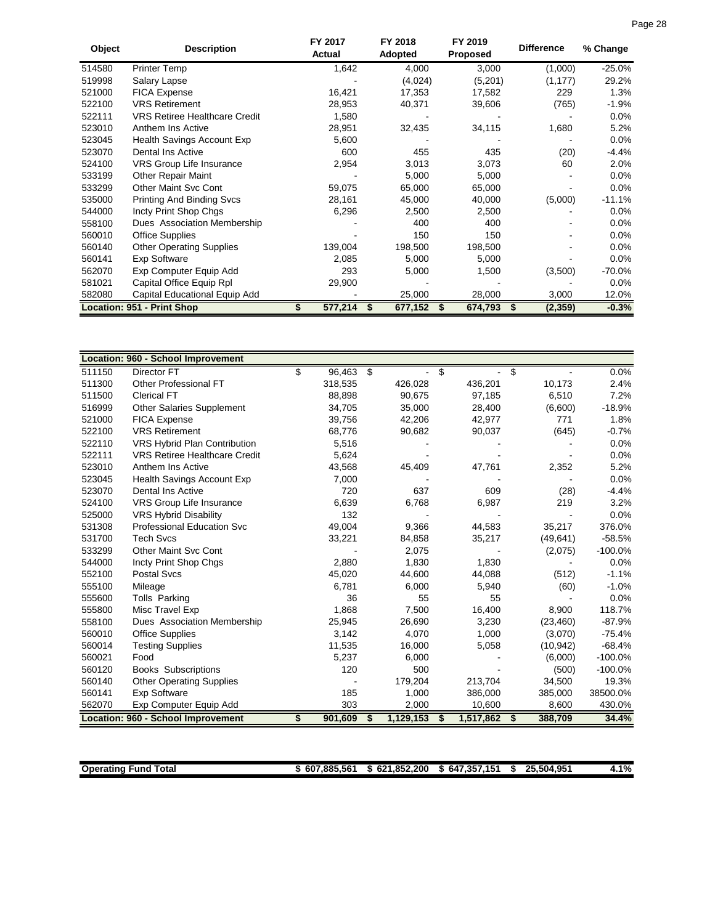| Object | <b>Description</b>                   | FY 2017<br>Actual | FY 2018<br>Adopted | FY 2019<br><b>Proposed</b> | <b>Difference</b> | % Change  |
|--------|--------------------------------------|-------------------|--------------------|----------------------------|-------------------|-----------|
| 514580 | <b>Printer Temp</b>                  | 1,642             | 4,000              | 3,000                      | (1,000)           | $-25.0%$  |
| 519998 | Salary Lapse                         |                   | (4,024)            | (5,201)                    | (1, 177)          | 29.2%     |
| 521000 | <b>FICA Expense</b>                  | 16,421            | 17,353             | 17,582                     | 229               | 1.3%      |
| 522100 | <b>VRS Retirement</b>                | 28,953            | 40,371             | 39,606                     | (765)             | $-1.9%$   |
| 522111 | <b>VRS Retiree Healthcare Credit</b> | 1,580             |                    |                            |                   | 0.0%      |
| 523010 | Anthem Ins Active                    | 28,951            | 32,435             | 34,115                     | 1,680             | 5.2%      |
| 523045 | Health Savings Account Exp           | 5,600             |                    |                            |                   | 0.0%      |
| 523070 | Dental Ins Active                    | 600               | 455                | 435                        | (20)              | $-4.4%$   |
| 524100 | VRS Group Life Insurance             | 2,954             | 3,013              | 3,073                      | 60                | $2.0\%$   |
| 533199 | <b>Other Repair Maint</b>            |                   | 5,000              | 5,000                      |                   | 0.0%      |
| 533299 | <b>Other Maint Svc Cont</b>          | 59,075            | 65,000             | 65,000                     |                   | $0.0\%$   |
| 535000 | <b>Printing And Binding Svcs</b>     | 28,161            | 45,000             | 40,000                     | (5,000)           | $-11.1%$  |
| 544000 | Incty Print Shop Chgs                | 6,296             | 2,500              | 2,500                      |                   | 0.0%      |
| 558100 | Dues Association Membership          |                   | 400                | 400                        |                   | $0.0\%$   |
| 560010 | <b>Office Supplies</b>               |                   | 150                | 150                        |                   | $0.0\%$   |
| 560140 | <b>Other Operating Supplies</b>      | 139,004           | 198,500            | 198,500                    |                   | $0.0\%$   |
| 560141 | <b>Exp Software</b>                  | 2,085             | 5,000              | 5,000                      |                   | $0.0\%$   |
| 562070 | Exp Computer Equip Add               | 293               | 5,000              | 1,500                      | (3,500)           | $-70.0\%$ |
| 581021 | Capital Office Equip Rpl             | 29,900            |                    |                            |                   | $0.0\%$   |
| 582080 | Capital Educational Equip Add        |                   | 25,000             | 28,000                     | 3,000             | 12.0%     |
|        | Location: 951 - Print Shop           | 577,214           | 677,152            | 674,793                    | (2, 359)<br>\$    | $-0.3%$   |

|        | <b>Location: 960 - School Improvement</b> |   |         |                 |                |    |           |           |
|--------|-------------------------------------------|---|---------|-----------------|----------------|----|-----------|-----------|
| 511150 | Director FT                               | S | 96,463  | \$              | S              | \$ |           | 0.0%      |
| 511300 | Other Professional FT                     |   | 318,535 | 426,028         | 436,201        |    | 10,173    | 2.4%      |
| 511500 | <b>Clerical FT</b>                        |   | 88,898  | 90,675          | 97,185         |    | 6,510     | 7.2%      |
| 516999 | <b>Other Salaries Supplement</b>          |   | 34,705  | 35,000          | 28,400         |    | (6,600)   | $-18.9%$  |
| 521000 | <b>FICA Expense</b>                       |   | 39,756  | 42,206          | 42,977         |    | 771       | 1.8%      |
| 522100 | <b>VRS Retirement</b>                     |   | 68,776  | 90,682          | 90,037         |    | (645)     | $-0.7%$   |
| 522110 | VRS Hybrid Plan Contribution              |   | 5,516   |                 |                |    |           | 0.0%      |
| 522111 | <b>VRS Retiree Healthcare Credit</b>      |   | 5,624   |                 |                |    |           | 0.0%      |
| 523010 | Anthem Ins Active                         |   | 43,568  | 45,409          | 47,761         |    | 2,352     | 5.2%      |
| 523045 | <b>Health Savings Account Exp</b>         |   | 7,000   |                 |                |    |           | 0.0%      |
| 523070 | <b>Dental Ins Active</b>                  |   | 720     | 637             | 609            |    | (28)      | $-4.4%$   |
| 524100 | VRS Group Life Insurance                  |   | 6,639   | 6,768           | 6,987          |    | 219       | 3.2%      |
| 525000 | <b>VRS Hybrid Disability</b>              |   | 132     |                 |                |    |           | 0.0%      |
| 531308 | <b>Professional Education Svc</b>         |   | 49,004  | 9,366           | 44,583         |    | 35,217    | 376.0%    |
| 531700 | <b>Tech Svcs</b>                          |   | 33,221  | 84,858          | 35,217         |    | (49, 641) | $-58.5%$  |
| 533299 | <b>Other Maint Svc Cont</b>               |   |         | 2,075           |                |    | (2,075)   | $-100.0%$ |
| 544000 | Incty Print Shop Chgs                     |   | 2,880   | 1,830           | 1,830          |    |           | 0.0%      |
| 552100 | <b>Postal Svcs</b>                        |   | 45,020  | 44,600          | 44,088         |    | (512)     | $-1.1%$   |
| 555100 | Mileage                                   |   | 6,781   | 6,000           | 5,940          |    | (60)      | $-1.0%$   |
| 555600 | Tolls Parking                             |   | 36      | 55              | 55             |    |           | 0.0%      |
| 555800 | Misc Travel Exp                           |   | 1,868   | 7,500           | 16,400         |    | 8,900     | 118.7%    |
| 558100 | Dues Association Membership               |   | 25,945  | 26,690          | 3,230          |    | (23, 460) | $-87.9%$  |
| 560010 | <b>Office Supplies</b>                    |   | 3,142   | 4,070           | 1,000          |    | (3,070)   | $-75.4%$  |
| 560014 | <b>Testing Supplies</b>                   |   | 11,535  | 16,000          | 5,058          |    | (10, 942) | $-68.4%$  |
| 560021 | Food                                      |   | 5,237   | 6,000           |                |    | (6,000)   | $-100.0%$ |
| 560120 | <b>Books Subscriptions</b>                |   | 120     | 500             |                |    | (500)     | $-100.0%$ |
| 560140 | <b>Other Operating Supplies</b>           |   |         | 179,204         | 213,704        |    | 34,500    | 19.3%     |
| 560141 | <b>Exp Software</b>                       |   | 185     | 1,000           | 386,000        |    | 385,000   | 38500.0%  |
| 562070 | Exp Computer Equip Add                    |   | 303     | 2,000           | 10,600         |    | 8,600     | 430.0%    |
|        | Location: 960 - School Improvement        | S | 901,609 | \$<br>1,129,153 | 1,517,862<br>S | S. | 388,709   | 34.4%     |

| <b>Operating</b><br>otal<br>Func | 0.885.56<br><b>ECA</b><br>.607 | 1.852.200<br>624<br>0Z<br>-13 | .357.151<br>- -<br>64.<br>.п. | 25.504.951<br><b>OF</b> | 4.1% |
|----------------------------------|--------------------------------|-------------------------------|-------------------------------|-------------------------|------|
|                                  |                                |                               |                               |                         |      |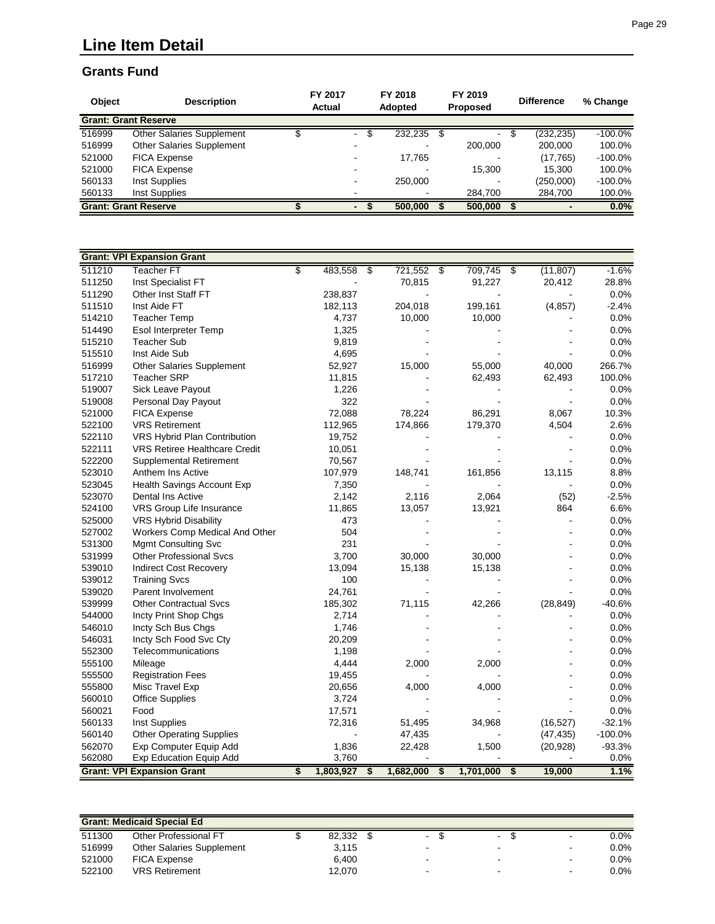# **Line Item Detail**

#### **Grants Fund**

| <b>Object</b> | <b>Description</b>               | FY 2017<br>Actual |                               | FY 2018<br><b>Adopted</b> | FY 2019<br><b>Proposed</b> | <b>Difference</b>  | % Change   |
|---------------|----------------------------------|-------------------|-------------------------------|---------------------------|----------------------------|--------------------|------------|
|               | <b>Grant: Grant Reserve</b>      |                   |                               |                           |                            |                    |            |
| 516999        | <b>Other Salaries Supplement</b> |                   | \$<br>$\sim 100$ km s $^{-1}$ | 232,235                   | -\$<br>$\sim$              | (232, 235)<br>- \$ | $-100.0\%$ |
| 516999        | <b>Other Salaries Supplement</b> |                   |                               |                           | 200.000                    | 200.000            | 100.0%     |
| 521000        | <b>FICA Expense</b>              |                   |                               | 17.765                    |                            | (17, 765)          | $-100.0\%$ |
| 521000        | <b>FICA Expense</b>              |                   |                               |                           | 15.300                     | 15.300             | 100.0%     |
| 560133        | Inst Supplies                    |                   |                               | 250,000                   |                            | (250,000)          | $-100.0\%$ |
| 560133        | Inst Supplies                    |                   |                               |                           | 284.700                    | 284,700            | 100.0%     |
|               | <b>Grant: Grant Reserve</b>      |                   |                               | 500,000                   | 500,000                    |                    | 0.0%       |

|        | <b>Grant: VPI Expansion Grant</b>    |    |           |    |           |                                      |           |                                      |           |           |
|--------|--------------------------------------|----|-----------|----|-----------|--------------------------------------|-----------|--------------------------------------|-----------|-----------|
| 511210 | <b>Teacher FT</b>                    | S  | 483,558   | s, | 721,552   | s)                                   | 709,745   | \$                                   | (11, 807) | $-1.6%$   |
| 511250 | Inst Specialist FT                   |    |           |    | 70,815    |                                      | 91,227    |                                      | 20,412    | 28.8%     |
| 511290 | Other Inst Staff FT                  |    | 238,837   |    |           |                                      |           |                                      |           | 0.0%      |
| 511510 | Inst Aide FT                         |    | 182,113   |    | 204,018   |                                      | 199,161   |                                      | (4, 857)  | $-2.4%$   |
| 514210 | <b>Teacher Temp</b>                  |    | 4,737     |    | 10,000    |                                      | 10,000    |                                      |           | 0.0%      |
| 514490 | Esol Interpreter Temp                |    | 1,325     |    |           |                                      |           |                                      |           | 0.0%      |
| 515210 | <b>Teacher Sub</b>                   |    | 9,819     |    |           |                                      |           |                                      |           | 0.0%      |
| 515510 | Inst Aide Sub                        |    | 4,695     |    |           |                                      |           |                                      |           | 0.0%      |
| 516999 | Other Salaries Supplement            |    | 52,927    |    | 15,000    |                                      | 55,000    |                                      | 40,000    | 266.7%    |
| 517210 | <b>Teacher SRP</b>                   |    | 11,815    |    |           |                                      | 62,493    |                                      | 62,493    | 100.0%    |
| 519007 | Sick Leave Payout                    |    | 1,226     |    |           |                                      |           |                                      |           | 0.0%      |
| 519008 | Personal Day Payout                  |    | 322       |    |           |                                      |           |                                      |           | 0.0%      |
| 521000 | <b>FICA Expense</b>                  |    | 72,088    |    | 78,224    |                                      | 86,291    |                                      | 8,067     | 10.3%     |
| 522100 | <b>VRS Retirement</b>                |    | 112,965   |    | 174,866   |                                      | 179,370   |                                      | 4,504     | 2.6%      |
| 522110 | VRS Hybrid Plan Contribution         |    | 19,752    |    |           |                                      |           |                                      |           | 0.0%      |
| 522111 | <b>VRS Retiree Healthcare Credit</b> |    | 10,051    |    |           |                                      |           |                                      |           | 0.0%      |
| 522200 | <b>Supplemental Retirement</b>       |    | 70,567    |    |           |                                      |           |                                      |           | 0.0%      |
| 523010 | Anthem Ins Active                    |    | 107,979   |    | 148,741   |                                      | 161,856   |                                      | 13,115    | 8.8%      |
| 523045 | Health Savings Account Exp           |    | 7,350     |    |           |                                      |           |                                      |           | 0.0%      |
| 523070 | Dental Ins Active                    |    | 2,142     |    | 2,116     |                                      | 2,064     |                                      | (52)      | $-2.5%$   |
| 524100 | VRS Group Life Insurance             |    | 11,865    |    | 13,057    |                                      | 13,921    |                                      | 864       | 6.6%      |
| 525000 | <b>VRS Hybrid Disability</b>         |    | 473       |    |           |                                      |           |                                      |           | 0.0%      |
| 527002 | Workers Comp Medical And Other       |    | 504       |    |           |                                      |           |                                      |           | 0.0%      |
| 531300 | <b>Mgmt Consulting Svc</b>           |    | 231       |    |           |                                      |           |                                      |           | 0.0%      |
| 531999 | <b>Other Professional Svcs</b>       |    | 3,700     |    | 30,000    |                                      | 30,000    |                                      |           | 0.0%      |
| 539010 | <b>Indirect Cost Recovery</b>        |    | 13,094    |    | 15,138    |                                      | 15,138    |                                      |           | 0.0%      |
| 539012 | <b>Training Svcs</b>                 |    | 100       |    |           |                                      |           |                                      |           | 0.0%      |
| 539020 | Parent Involvement                   |    | 24,761    |    |           |                                      |           |                                      |           | 0.0%      |
| 539999 | <b>Other Contractual Svcs</b>        |    | 185,302   |    | 71,115    |                                      | 42,266    |                                      | (28, 849) | $-40.6%$  |
| 544000 | Incty Print Shop Chgs                |    | 2,714     |    |           |                                      |           |                                      |           | 0.0%      |
| 546010 | Incty Sch Bus Chgs                   |    | 1,746     |    |           |                                      |           |                                      |           | 0.0%      |
| 546031 | Incty Sch Food Svc Cty               |    | 20,209    |    |           |                                      |           |                                      |           | 0.0%      |
| 552300 | Telecommunications                   |    | 1,198     |    |           |                                      |           |                                      |           | 0.0%      |
| 555100 | Mileage                              |    | 4,444     |    | 2,000     |                                      | 2,000     |                                      |           | 0.0%      |
| 555500 | <b>Registration Fees</b>             |    | 19,455    |    |           |                                      |           |                                      |           | 0.0%      |
| 555800 | Misc Travel Exp                      |    | 20,656    |    | 4,000     |                                      | 4,000     |                                      |           | 0.0%      |
| 560010 | <b>Office Supplies</b>               |    | 3,724     |    |           |                                      |           |                                      |           | 0.0%      |
| 560021 | Food                                 |    | 17,571    |    |           |                                      |           |                                      |           | 0.0%      |
| 560133 | Inst Supplies                        |    | 72,316    |    | 51,495    |                                      | 34,968    |                                      | (16, 527) | $-32.1%$  |
| 560140 | <b>Other Operating Supplies</b>      |    |           |    | 47,435    |                                      |           |                                      | (47, 435) | $-100.0%$ |
| 562070 | Exp Computer Equip Add               |    | 1,836     |    | 22,428    |                                      | 1,500     |                                      | (20, 928) | $-93.3%$  |
| 562080 | Exp Education Equip Add              |    | 3,760     |    |           |                                      |           |                                      |           | 0.0%      |
|        | <b>Grant: VPI Expansion Grant</b>    | \$ | 1,803,927 | \$ | 1,682,000 | $\overline{\boldsymbol{\mathsf{s}}}$ | 1,701,000 | $\overline{\boldsymbol{\mathsf{s}}}$ | 19,000    | 1.1%      |

| <b>Grant: Medicaid Special Ed.</b> |                                  |  |        |  |                          |  |                |  |        |         |  |
|------------------------------------|----------------------------------|--|--------|--|--------------------------|--|----------------|--|--------|---------|--|
| 511300                             | Other Professional FT            |  | 82.332 |  | $\sim$                   |  | $\sim$         |  | $\sim$ | $0.0\%$ |  |
| 516999                             | <b>Other Salaries Supplement</b> |  | 3.115  |  | -                        |  | $\blacksquare$ |  | -      | $0.0\%$ |  |
| 521000                             | <b>FICA Expense</b>              |  | 6.400  |  |                          |  | $\blacksquare$ |  |        | 0.0%    |  |
| 522100                             | <b>VRS Retirement</b>            |  | 12.070 |  | $\overline{\phantom{0}}$ |  | $\sim$         |  | -      | $0.0\%$ |  |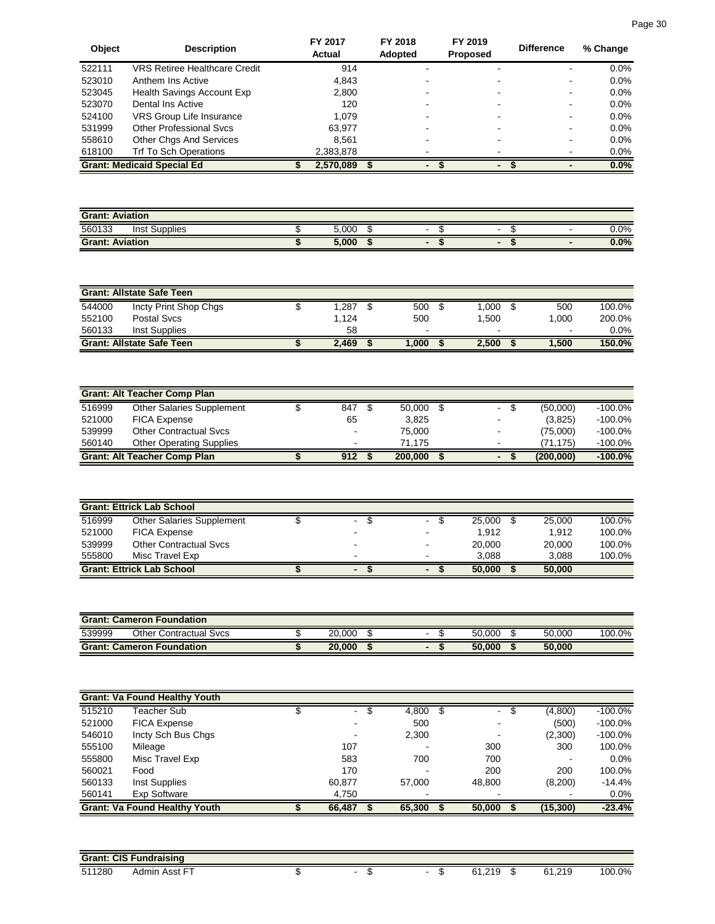| <b>Object</b> | <b>Description</b>                   | FY 2017<br>Actual | FY 2018<br>Adopted | FY 2019<br><b>Proposed</b> | <b>Difference</b> | % Change |
|---------------|--------------------------------------|-------------------|--------------------|----------------------------|-------------------|----------|
| 522111        | <b>VRS Retiree Healthcare Credit</b> | 914               |                    |                            |                   | $0.0\%$  |
| 523010        | Anthem Ins Active                    | 4,843             |                    |                            | $\blacksquare$    | $0.0\%$  |
| 523045        | Health Savings Account Exp           | 2,800             |                    |                            | ۰.                | $0.0\%$  |
| 523070        | Dental Ins Active                    | 120               |                    |                            | $\blacksquare$    | 0.0%     |
| 524100        | VRS Group Life Insurance             | 1.079             |                    |                            | $\blacksquare$    | $0.0\%$  |
| 531999        | Other Professional Sycs              | 63.977            |                    |                            | $\blacksquare$    | 0.0%     |
| 558610        | <b>Other Chgs And Services</b>       | 8.561             |                    |                            | $\blacksquare$    | 0.0%     |
| 618100        | Trf To Sch Operations                | 2,383,878         |                    |                            |                   | $0.0\%$  |
|               | <b>Grant: Medicaid Special Ed</b>    | 2,570,089         |                    | -                          |                   | 0.0%     |

| <b>Grant: Aviation</b>     |       |   |                          |                          |               |
|----------------------------|-------|---|--------------------------|--------------------------|---------------|
| 560133<br>Supplies<br>Inst | 5,000 | - | $\overline{\phantom{0}}$ | $\overline{\phantom{0}}$ | $\sqrt{.0\%}$ |
| <b>Grant: Aviation</b>     | 5,000 |   |                          |                          | 0.0%          |

| <b>Grant: Allstate Safe Teen</b> |                                  |  |       |  |       |  |                          |  |        |         |  |
|----------------------------------|----------------------------------|--|-------|--|-------|--|--------------------------|--|--------|---------|--|
| 544000                           | Incty Print Shop Chgs            |  | ,287  |  | 500   |  | .000                     |  | 500    | 100.0%  |  |
| 552100                           | Postal Sycs                      |  | 1.124 |  | 500   |  | .500                     |  | .000   | 200.0%  |  |
| 560133                           | Inst Supplies                    |  | 58    |  |       |  | $\overline{\phantom{0}}$ |  | $\sim$ | $0.0\%$ |  |
|                                  | <b>Grant: Allstate Safe Teen</b> |  | 2.469 |  | 1.000 |  | 2.500                    |  | 1.500  | 150.0%  |  |

| <b>Grant: Alt Teacher Comp Plan</b> |                                     |  |     |  |         |  |                          |  |            |            |
|-------------------------------------|-------------------------------------|--|-----|--|---------|--|--------------------------|--|------------|------------|
| 516999                              | <b>Other Salaries Supplement</b>    |  | 847 |  | 50,000  |  | $\blacksquare$           |  | (50.000)   | $-100.0\%$ |
| 521000                              | <b>FICA Expense</b>                 |  | 65  |  | 3.825   |  | $\blacksquare$           |  | (3,825)    | $-100.0\%$ |
| 539999                              | <b>Other Contractual Sycs</b>       |  | -   |  | 75.000  |  | $\overline{\phantom{0}}$ |  | (75.000)   | $-100.0\%$ |
| 560140                              | <b>Other Operating Supplies</b>     |  | -   |  | 71.175  |  | $\,$                     |  | (71.175)   | $-100.0\%$ |
|                                     | <b>Grant: Alt Teacher Comp Plan</b> |  | 912 |  | 200,000 |  | $\blacksquare$           |  | (200, 000) | $-100.0%$  |

| <b>Grant: Ettrick Lab School</b> |                                  |  |                |  |        |        |        |  |  |  |  |
|----------------------------------|----------------------------------|--|----------------|--|--------|--------|--------|--|--|--|--|
| 516999                           | Other Salaries Supplement        |  | Ξ.             |  | 25.000 | 25,000 | 100.0% |  |  |  |  |
| 521000                           | <b>FICA Expense</b>              |  |                |  | 1.912  | 1.912  | 100.0% |  |  |  |  |
| 539999                           | <b>Other Contractual Svcs</b>    |  | -              |  | 20,000 | 20,000 | 100.0% |  |  |  |  |
| 555800                           | Misc Travel Exp                  |  |                |  | 3.088  | 3.088  | 100.0% |  |  |  |  |
|                                  | <b>Grant: Ettrick Lab School</b> |  | $\blacksquare$ |  | 50.000 | 50,000 |        |  |  |  |  |

| <b>Grant: Cameron Foundation</b> |                                  |  |        |  |   |  |        |  |        |        |  |
|----------------------------------|----------------------------------|--|--------|--|---|--|--------|--|--------|--------|--|
| 539999                           | <b>Other Contractual Sycs</b>    |  | 20.000 |  | - |  | 50.000 |  | 50.000 | 100.0% |  |
|                                  | <b>Grant: Cameron Foundation</b> |  | 20.000 |  |   |  | 50.000 |  | 50.000 |        |  |

|        | <b>Grant: Va Found Healthy Youth</b> |        |      |        |                |   |                          |            |
|--------|--------------------------------------|--------|------|--------|----------------|---|--------------------------|------------|
| 515210 | Teacher Sub                          | $\sim$ | - 95 | 4,800  | $\blacksquare$ | Ъ | (4,800)                  | $-100.0\%$ |
| 521000 | <b>FICA Expense</b>                  |        |      | 500    | ۰              |   | (500)                    | $-100.0\%$ |
| 546010 | Incty Sch Bus Chgs                   |        |      | 2,300  |                |   | (2,300)                  | $-100.0\%$ |
| 555100 | Mileage                              | 107    |      |        | 300            |   | 300                      | 100.0%     |
| 555800 | Misc Travel Exp                      | 583    |      | 700    | 700            |   | $\overline{\phantom{0}}$ | $0.0\%$    |
| 560021 | Food                                 | 170    |      |        | 200            |   | 200                      | 100.0%     |
| 560133 | Inst Supplies                        | 60.877 |      | 57.000 | 48,800         |   | (8,200)                  | $-14.4%$   |
| 560141 | Exp Software                         | 4,750  |      |        |                |   |                          | $0.0\%$    |
|        | <b>Grant: Va Found Healthy Youth</b> | 66,487 |      | 65,300 | 50,000         |   | (15,300)                 | $-23.4%$   |

|        | <b>Grant: CIS Fundraising</b> |  |  |  |                    |    |                           |        |  |  |  |  |
|--------|-------------------------------|--|--|--|--------------------|----|---------------------------|--------|--|--|--|--|
| 511280 | $-$<br>Admin<br>Asst          |  |  |  | 240<br>61.2<br>. . | ۰D | 210<br>61<br><b>UILLU</b> | 100.0% |  |  |  |  |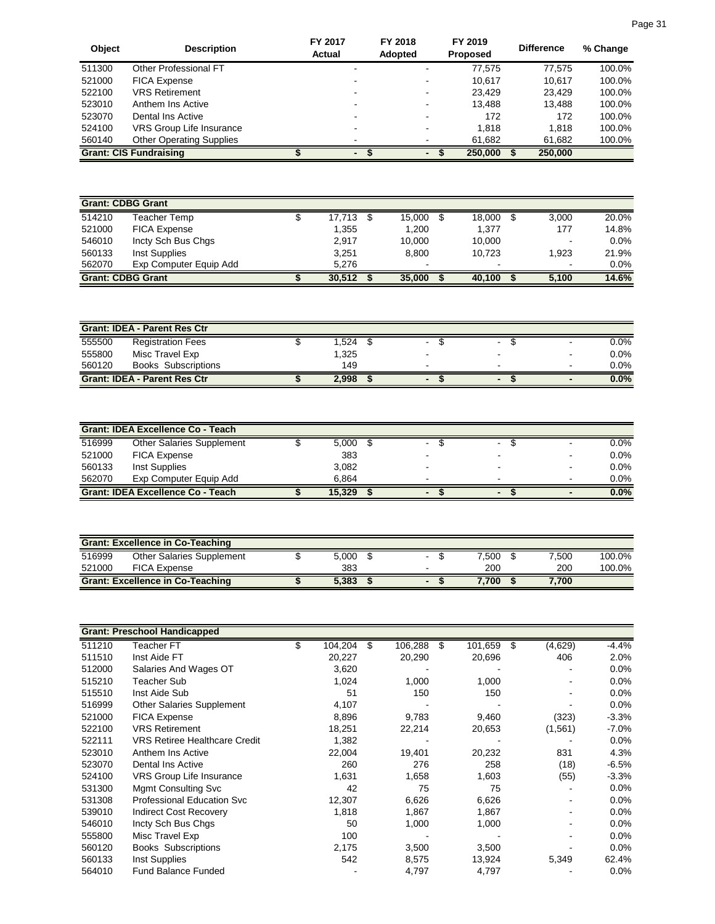| Object | <b>Description</b>              | FY 2017<br>Actual | FY 2018<br><b>Adopted</b> |   | FY 2019<br><b>Proposed</b> | <b>Difference</b> | % Change |
|--------|---------------------------------|-------------------|---------------------------|---|----------------------------|-------------------|----------|
| 511300 | Other Professional FT           |                   |                           |   | 77.575                     | 77,575            | 100.0%   |
| 521000 | <b>FICA Expense</b>             |                   |                           |   | 10.617                     | 10.617            | 100.0%   |
| 522100 | <b>VRS Retirement</b>           |                   |                           |   | 23.429                     | 23.429            | 100.0%   |
| 523010 | Anthem Ins Active               |                   |                           |   | 13.488                     | 13.488            | 100.0%   |
| 523070 | Dental Ins Active               |                   | -                         | - | 172                        | 172               | 100.0%   |
| 524100 | VRS Group Life Insurance        |                   |                           |   | 1.818                      | 1.818             | 100.0%   |
| 560140 | <b>Other Operating Supplies</b> |                   | -                         |   | 61,682                     | 61,682            | 100.0%   |
|        | <b>Grant: CIS Fundraising</b>   |                   | $\blacksquare$            |   | 250,000                    | 250,000           |          |

|        | <b>Grant: CDBG Grant</b> |        |                          |                          |   |       |         |
|--------|--------------------------|--------|--------------------------|--------------------------|---|-------|---------|
| 514210 | Teacher Temp             | 17.713 | 15.000                   | 18.000                   | S | 3.000 | 20.0%   |
| 521000 | <b>FICA Expense</b>      | 1,355  | 1.200                    | 1.377                    |   | 177   | 14.8%   |
| 546010 | Incty Sch Bus Chgs       | 2.917  | 10.000                   | 10.000                   |   | -     | $0.0\%$ |
| 560133 | Inst Supplies            | 3.251  | 8.800                    | 10.723                   |   | 1.923 | 21.9%   |
| 562070 | Exp Computer Equip Add   | 5.276  | $\overline{\phantom{a}}$ | $\overline{\phantom{a}}$ |   |       | 0.0%    |
|        | <b>Grant: CDBG Grant</b> | 30.512 | 35,000                   | 40.100                   |   | 5.100 | 14.6%   |

|        | <b>Grant: IDEA - Parent Res Ctr</b> |       |                |                          |                |         |
|--------|-------------------------------------|-------|----------------|--------------------------|----------------|---------|
| 555500 | <b>Registration Fees</b>            | .524  |                | $\blacksquare$           |                | 0.0%    |
| 555800 | Misc Travel Exp                     | 1,325 |                | $\overline{\phantom{0}}$ |                | $0.0\%$ |
| 560120 | <b>Books Subscriptions</b>          | 149   | -              | $\blacksquare$           | $\blacksquare$ | $0.0\%$ |
|        | <b>Grant: IDEA - Parent Res Ctr</b> | 2,998 | $\blacksquare$ | $\overline{\phantom{0}}$ |                | $0.0\%$ |

|        | <b>Grant: IDEA Excellence Co - Teach</b> |        |                |                          |                          |         |
|--------|------------------------------------------|--------|----------------|--------------------------|--------------------------|---------|
| 516999 | <b>Other Salaries Supplement</b>         | 5,000  | $\blacksquare$ | $\blacksquare$           |                          | 0.0%    |
| 521000 | <b>FICA Expense</b>                      | 383    |                | $\overline{\phantom{a}}$ | $\blacksquare$           | $0.0\%$ |
| 560133 | Inst Supplies                            | 3,082  |                | -                        | $\overline{\phantom{0}}$ | 0.0%    |
| 562070 | Exp Computer Equip Add                   | 6.864  |                | $\overline{\phantom{a}}$ | $\blacksquare$           | 0.0%    |
|        | <b>Grant: IDEA Excellence Co - Teach</b> | 15.329 |                | $\overline{\phantom{0}}$ |                          | 0.0%    |

|        | <b>Grant: Excellence in Co-Teaching</b> |       |  |       |       |        |
|--------|-----------------------------------------|-------|--|-------|-------|--------|
| 516999 | Other Salaries Supplement               | 5.000 |  | 7.500 | 7.500 | 100.0% |
| 521000 | <b>FICA Expense</b>                     | 383   |  | 200   | 200   | 100.0% |
|        | <b>Grant: Excellence in Co-Teaching</b> | 5,383 |  | 7.700 | 7.700 |        |

|        | <b>Grant: Preschool Handicapped</b>  |               |   |         |     |         |   |         |          |
|--------|--------------------------------------|---------------|---|---------|-----|---------|---|---------|----------|
| 511210 | Teacher FT                           | \$<br>104,204 | S | 106,288 | \$. | 101,659 | S | (4,629) | $-4.4%$  |
| 511510 | Inst Aide FT                         | 20,227        |   | 20,290  |     | 20,696  |   | 406     | 2.0%     |
| 512000 | Salaries And Wages OT                | 3,620         |   |         |     |         |   |         | $0.0\%$  |
| 515210 | Teacher Sub                          | 1,024         |   | 1,000   |     | 1,000   |   |         | $0.0\%$  |
| 515510 | Inst Aide Sub                        | 51            |   | 150     |     | 150     |   |         | $0.0\%$  |
| 516999 | Other Salaries Supplement            | 4,107         |   |         |     |         |   |         | 0.0%     |
| 521000 | FICA Expense                         | 8,896         |   | 9,783   |     | 9,460   |   | (323)   | $-3.3%$  |
| 522100 | <b>VRS Retirement</b>                | 18,251        |   | 22,214  |     | 20,653  |   | (1,561) | $-7.0\%$ |
| 522111 | <b>VRS Retiree Healthcare Credit</b> | 1,382         |   |         |     |         |   |         | $0.0\%$  |
| 523010 | Anthem Ins Active                    | 22,004        |   | 19,401  |     | 20,232  |   | 831     | 4.3%     |
| 523070 | Dental Ins Active                    | 260           |   | 276     |     | 258     |   | (18)    | $-6.5%$  |
| 524100 | <b>VRS Group Life Insurance</b>      | 1,631         |   | 1,658   |     | 1,603   |   | (55)    | $-3.3%$  |
| 531300 | <b>Mgmt Consulting Svc</b>           | 42            |   | 75      |     | 75      |   |         | 0.0%     |
| 531308 | <b>Professional Education Svc</b>    | 12,307        |   | 6,626   |     | 6,626   |   |         | $0.0\%$  |
| 539010 | <b>Indirect Cost Recovery</b>        | 1,818         |   | 1,867   |     | 1,867   |   | ۰       | 0.0%     |
| 546010 | Incty Sch Bus Chgs                   | 50            |   | 1,000   |     | 1,000   |   |         | $0.0\%$  |
| 555800 | Misc Travel Exp                      | 100           |   |         |     |         |   |         | $0.0\%$  |
| 560120 | <b>Books Subscriptions</b>           | 2,175         |   | 3,500   |     | 3,500   |   |         | $0.0\%$  |
| 560133 | Inst Supplies                        | 542           |   | 8,575   |     | 13,924  |   | 5,349   | 62.4%    |
| 564010 | <b>Fund Balance Funded</b>           |               |   | 4,797   |     | 4,797   |   |         | $0.0\%$  |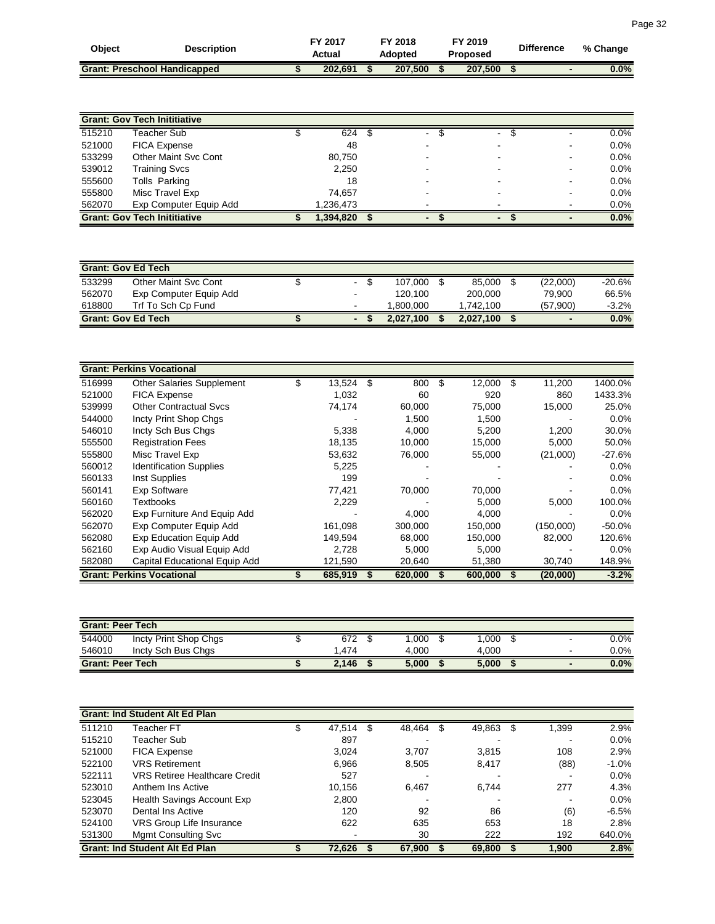| Obiect | <b>Description</b>                  | FY 2017<br>Actual | FY 2018<br>Adopted | FY 2019<br><b>Proposed</b> | <b>Difference</b> | % Change |
|--------|-------------------------------------|-------------------|--------------------|----------------------------|-------------------|----------|
|        | <b>Grant: Preschool Handicapped</b> | 202.691           | 207.500            | 207.500                    |                   | 0.0%     |

|        | <b>Grant: Gov Tech Inititiative</b> |           |  |                          |                          |         |
|--------|-------------------------------------|-----------|--|--------------------------|--------------------------|---------|
| 515210 | Teacher Sub                         | 624       |  | $\blacksquare$           | $\overline{\phantom{0}}$ | 0.0%    |
| 521000 | <b>FICA Expense</b>                 | 48        |  | $\overline{\phantom{0}}$ | $\blacksquare$           | 0.0%    |
| 533299 | Other Maint Svc Cont                | 80,750    |  |                          | $\,$                     | $0.0\%$ |
| 539012 | <b>Training Svcs</b>                | 2,250     |  |                          | $\,$                     | 0.0%    |
| 555600 | Tolls Parking                       | 18        |  |                          | -                        | $0.0\%$ |
| 555800 | Misc Travel Exp                     | 74.657    |  |                          | $\,$                     | $0.0\%$ |
| 562070 | Exp Computer Equip Add              | 1,236,473 |  |                          |                          | $0.0\%$ |
|        | <b>Grant: Gov Tech Inititiative</b> | ,394,820  |  |                          |                          | 0.0%    |

| <b>Grant: Gov Ed Tech</b> |                        |                |           |           |                          |           |
|---------------------------|------------------------|----------------|-----------|-----------|--------------------------|-----------|
| 533299                    | Other Maint Svc Cont   | ۰.             | 107.000   | 85.000    | (22,000)                 | $-20.6\%$ |
| 562070                    | Exp Computer Equip Add |                | 120.100   | 200.000   | 79.900                   | 66.5%     |
| 618800                    | Trf To Sch Cp Fund     | $\sim$         | 1.800.000 | 1.742.100 | (57,900)                 | $-3.2\%$  |
| <b>Grant: Gov Ed Tech</b> |                        | $\blacksquare$ | 2.027.100 | 2.027.100 | $\overline{\phantom{0}}$ | 0.0%      |

|        | <b>Grant: Perkins Vocational</b> |   |         |           |   |         |   |           |           |
|--------|----------------------------------|---|---------|-----------|---|---------|---|-----------|-----------|
| 516999 | <b>Other Salaries Supplement</b> | S | 13,524  | \$<br>800 | S | 12,000  | S | 11,200    | 1400.0%   |
| 521000 | <b>FICA Expense</b>              |   | 1,032   | 60        |   | 920     |   | 860       | 1433.3%   |
| 539999 | <b>Other Contractual Sycs</b>    |   | 74,174  | 60,000    |   | 75,000  |   | 15,000    | 25.0%     |
| 544000 | Incty Print Shop Chgs            |   |         | 1,500     |   | 1,500   |   |           | $0.0\%$   |
| 546010 | Incty Sch Bus Chgs               |   | 5,338   | 4,000     |   | 5,200   |   | 1,200     | 30.0%     |
| 555500 | <b>Registration Fees</b>         |   | 18,135  | 10.000    |   | 15,000  |   | 5,000     | 50.0%     |
| 555800 | Misc Travel Exp                  |   | 53,632  | 76,000    |   | 55,000  |   | (21,000)  | $-27.6%$  |
| 560012 | <b>Identification Supplies</b>   |   | 5,225   |           |   |         |   |           | $0.0\%$   |
| 560133 | Inst Supplies                    |   | 199     |           |   |         |   |           | 0.0%      |
| 560141 | <b>Exp Software</b>              |   | 77,421  | 70,000    |   | 70,000  |   |           | $0.0\%$   |
| 560160 | Textbooks                        |   | 2,229   |           |   | 5,000   |   | 5,000     | 100.0%    |
| 562020 | Exp Furniture And Equip Add      |   |         | 4,000     |   | 4,000   |   |           | $0.0\%$   |
| 562070 | Exp Computer Equip Add           |   | 161,098 | 300,000   |   | 150,000 |   | (150,000) | $-50.0\%$ |
| 562080 | Exp Education Equip Add          |   | 149,594 | 68,000    |   | 150,000 |   | 82,000    | 120.6%    |
| 562160 | Exp Audio Visual Equip Add       |   | 2,728   | 5.000     |   | 5,000   |   |           | $0.0\%$   |
| 582080 | Capital Educational Equip Add    |   | 121,590 | 20,640    |   | 51,380  |   | 30,740    | 148.9%    |
|        | <b>Grant: Perkins Vocational</b> |   | 685,919 | 620,000   |   | 600,000 |   | (20,000)  | $-3.2%$   |

| <b>Grant: Peer Tech</b> |                       |       |       |       |                          |         |
|-------------------------|-----------------------|-------|-------|-------|--------------------------|---------|
| 544000                  | Incty Print Shop Chgs | 672   | .000  | .000  | $\overline{\phantom{0}}$ | $0.0\%$ |
| 546010                  | Incty Sch Bus Chas    | .474  | 4.000 | 4.000 | $\overline{\phantom{0}}$ | $0.0\%$ |
| <b>Grant: Peer Tech</b> |                       | 2,146 | 5.000 | 5,000 | $\blacksquare$           | 0.0%    |

|        | <b>Grant: Ind Student Alt Ed Plan</b> |        |        |        |   |       |         |
|--------|---------------------------------------|--------|--------|--------|---|-------|---------|
| 511210 | Teacher $\overline{\mathsf{FT}}$      | 47,514 | 48,464 | 49,863 | S | 1,399 | 2.9%    |
| 515210 | Teacher Sub                           | 897    |        |        |   |       | 0.0%    |
| 521000 | <b>FICA Expense</b>                   | 3,024  | 3.707  | 3,815  |   | 108   | 2.9%    |
| 522100 | <b>VRS Retirement</b>                 | 6,966  | 8,505  | 8,417  |   | (88)  | $-1.0%$ |
| 522111 | <b>VRS Retiree Healthcare Credit</b>  | 527    |        |        |   |       | $0.0\%$ |
| 523010 | Anthem Ins Active                     | 10,156 | 6.467  | 6,744  |   | 277   | 4.3%    |
| 523045 | Health Savings Account Exp            | 2,800  |        |        |   |       | $0.0\%$ |
| 523070 | Dental Ins Active                     | 120    | 92     | 86     |   | (6)   | $-6.5%$ |
| 524100 | VRS Group Life Insurance              | 622    | 635    | 653    |   | 18    | 2.8%    |
| 531300 | <b>Mgmt Consulting Svc</b>            |        | 30     | 222    |   | 192   | 640.0%  |
|        | <b>Grant: Ind Student Alt Ed Plan</b> | 72,626 | 67,900 | 69,800 |   | 1,900 | 2.8%    |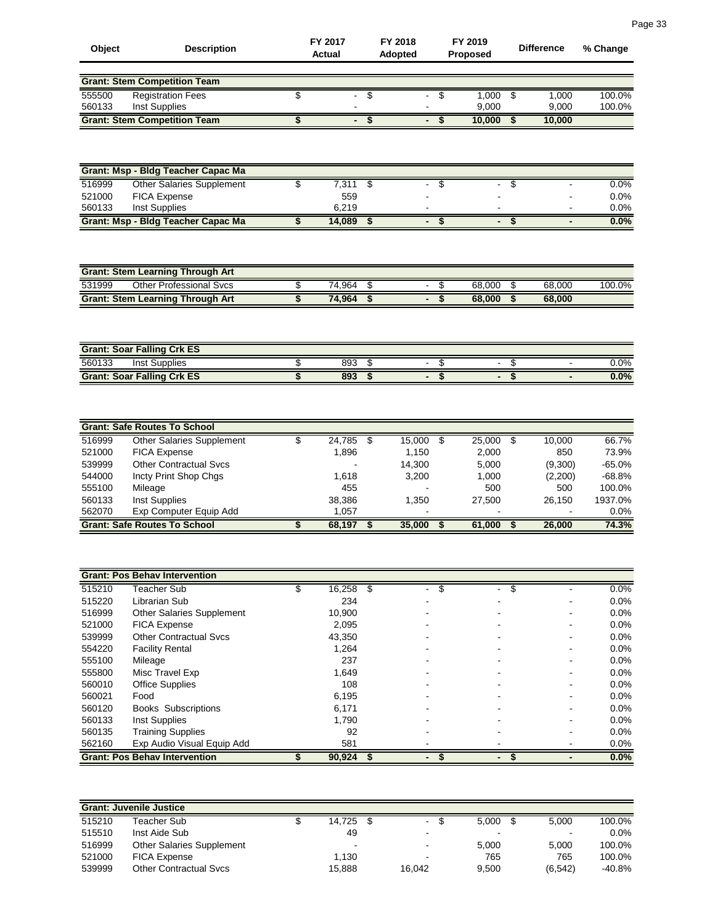| Object | <b>Description</b>                  | FY 2017<br>Actual |                | <b>FY 2018</b><br><b>Adopted</b> |  | FY 2019<br><b>Proposed</b> | <b>Difference</b> | % Change |
|--------|-------------------------------------|-------------------|----------------|----------------------------------|--|----------------------------|-------------------|----------|
|        | <b>Grant: Stem Competition Team</b> |                   |                |                                  |  |                            |                   |          |
| 555500 | <b>Registration Fees</b>            |                   | ۰.             |                                  |  | 1.000                      | 1,000             | 100.0%   |
| 560133 | Inst Supplies                       |                   |                |                                  |  | 9.000                      | 9.000             | 100.0%   |
|        | <b>Grant: Stem Competition Team</b> |                   | $\blacksquare$ |                                  |  | 10.000                     | 10.000            |          |

|        | Grant: Msp - Bldg Teacher Capac Ma        |        |   |                          |                          |         |
|--------|-------------------------------------------|--------|---|--------------------------|--------------------------|---------|
| 516999 | Other Salaries Supplement                 | 7.311  |   | $\overline{\phantom{a}}$ | $\overline{\phantom{0}}$ | 0.0%    |
| 521000 | <b>FICA Expense</b>                       | 559    |   |                          | $\blacksquare$           | $0.0\%$ |
| 560133 | Inst Supplies                             | 6.219  |   | $\overline{\phantom{0}}$ | $\overline{\phantom{0}}$ | $0.0\%$ |
|        | <b>Grant: Msp - Bidg Teacher Capac Ma</b> | 14.089 | - | $\blacksquare$           | $\overline{\phantom{0}}$ | $0.0\%$ |

| <b>Grant: Stem Learning Through Art</b> |  |        |  |  |  |        |  |        |        |  |  |
|-----------------------------------------|--|--------|--|--|--|--------|--|--------|--------|--|--|
| 531999<br>Other Professional Sycs       |  | 74.964 |  |  |  | 68,000 |  | 68,000 | 100.0% |  |  |
| <b>Grant: Stem Learning Through Art</b> |  | 74.964 |  |  |  | 68.000 |  | 68,000 |        |  |  |

| <b>Grant: Soar Falling Crk ES</b> |     |  |         |
|-----------------------------------|-----|--|---------|
| 560133<br>Inst Supplies           | 893 |  | $0.0\%$ |
| <b>Grant: Soar Falling Crk ES</b> | 893 |  | 0.0%    |

|        | <b>Grant: Safe Routes To School</b> |        |        |        |         |          |
|--------|-------------------------------------|--------|--------|--------|---------|----------|
| 516999 | <b>Other Salaries Supplement</b>    | 24,785 | 15,000 | 25,000 | 10.000  | 66.7%    |
| 521000 | <b>FICA Expense</b>                 | 1,896  | 1.150  | 2,000  | 850     | 73.9%    |
| 539999 | <b>Other Contractual Sycs</b>       |        | 14.300 | 5,000  | (9,300) | $-65.0%$ |
| 544000 | Incty Print Shop Chgs               | 1.618  | 3.200  | 1.000  | (2,200) | $-68.8%$ |
| 555100 | Mileage                             | 455    |        | 500    | 500     | 100.0%   |
| 560133 | Inst Supplies                       | 38,386 | 1.350  | 27.500 | 26.150  | 1937.0%  |
| 562070 | Exp Computer Equip Add              | 1.057  |        | $\,$   |         | 0.0%     |
|        | <b>Grant: Safe Routes To School</b> | 68,197 | 35,000 | 61.000 | 26,000  | 74.3%    |

|        | <b>Grant: Pos Behav Intervention</b> |        |   |                               |                     |   |         |
|--------|--------------------------------------|--------|---|-------------------------------|---------------------|---|---------|
| 515210 | <b>Feacher Sub</b>                   | 16,258 | S | S<br>$\overline{\phantom{0}}$ | S<br>$\blacksquare$ |   | 0.0%    |
| 515220 | Librarian Sub                        | 234    |   |                               |                     |   | $0.0\%$ |
| 516999 | <b>Other Salaries Supplement</b>     | 10,900 |   |                               |                     |   | 0.0%    |
| 521000 | <b>FICA Expense</b>                  | 2,095  |   |                               |                     | - | $0.0\%$ |
| 539999 | <b>Other Contractual Sycs</b>        | 43,350 |   |                               |                     |   | 0.0%    |
| 554220 | <b>Facility Rental</b>               | 1,264  |   |                               |                     |   | $0.0\%$ |
| 555100 | Mileage                              | 237    |   |                               |                     |   | $0.0\%$ |
| 555800 | Misc Travel Exp                      | 1,649  |   |                               |                     |   | $0.0\%$ |
| 560010 | <b>Office Supplies</b>               | 108    |   |                               |                     |   | $0.0\%$ |
| 560021 | Food                                 | 6,195  |   |                               |                     |   | $0.0\%$ |
| 560120 | <b>Books Subscriptions</b>           | 6,171  |   |                               |                     |   | $0.0\%$ |
| 560133 | Inst Supplies                        | 1,790  |   |                               |                     |   | $0.0\%$ |
| 560135 | <b>Training Supplies</b>             | 92     |   |                               |                     |   | $0.0\%$ |
| 562160 | Exp Audio Visual Equip Add           | 581    |   |                               |                     |   | 0.0%    |
|        | <b>Grant: Pos Behav Intervention</b> | 90,924 |   |                               |                     |   | $0.0\%$ |

|        | <b>Grant: Juvenile Justice</b>   |        |        |                |                |          |
|--------|----------------------------------|--------|--------|----------------|----------------|----------|
| 515210 | Teacher Sub                      | 14.725 |        | 5.000          | 5.000          | 100.0%   |
| 515510 | Inst Aide Sub                    | 49     |        | $\blacksquare$ | $\blacksquare$ | $0.0\%$  |
| 516999 | <b>Other Salaries Supplement</b> | $\sim$ |        | 5.000          | 5.000          | 100.0%   |
| 521000 | <b>FICA Expense</b>              | 1.130  | $\,$   | 765            | 765            | 100.0%   |
| 539999 | <b>Other Contractual Sycs</b>    | 15.888 | 16.042 | 9.500          | (6, 542)       | $-40.8%$ |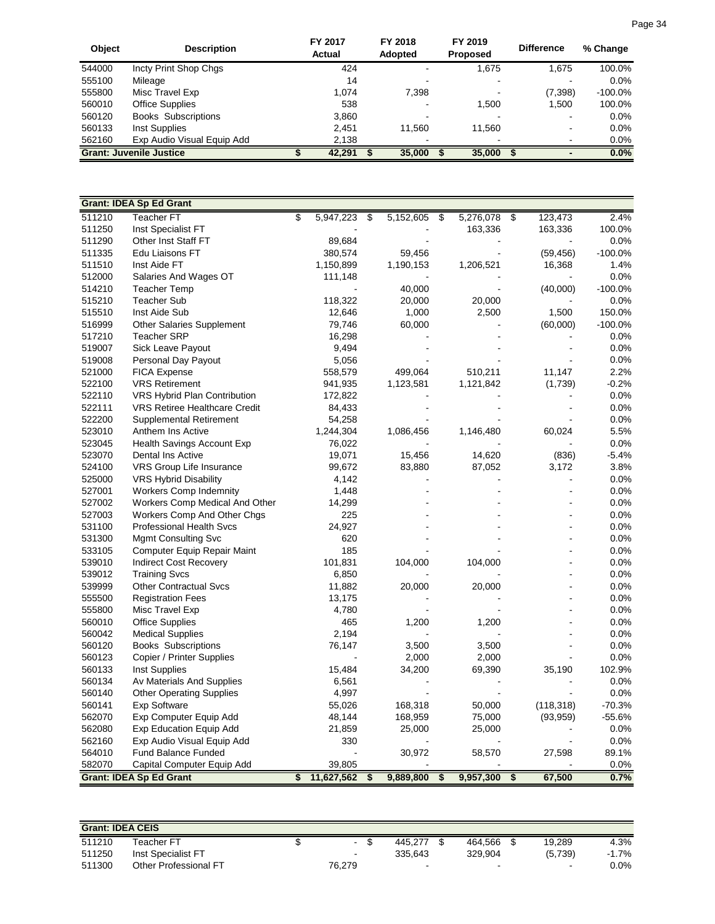| Object | <b>Description</b>             | FY 2017<br>Actual | FY 2018<br><b>Adopted</b> | FY 2019<br><b>Proposed</b> | <b>Difference</b>        | % Change   |
|--------|--------------------------------|-------------------|---------------------------|----------------------------|--------------------------|------------|
| 544000 | Incty Print Shop Chgs          | 424               |                           | 1,675                      | 1.675                    | 100.0%     |
| 555100 | Mileage                        | 14                |                           | $\overline{\phantom{0}}$   |                          | $0.0\%$    |
| 555800 | Misc Travel Exp                | 1.074             | 7,398                     | $\blacksquare$             | (7,398)                  | $-100.0\%$ |
| 560010 | <b>Office Supplies</b>         | 538               |                           | 1.500                      | 1,500                    | 100.0%     |
| 560120 | <b>Books Subscriptions</b>     | 3,860             |                           |                            |                          | $0.0\%$    |
| 560133 | Inst Supplies                  | 2.451             | 11.560                    | 11.560                     | $\overline{\phantom{0}}$ | $0.0\%$    |
| 562160 | Exp Audio Visual Equip Add     | 2,138             |                           | $\,$                       |                          | $0.0\%$    |
|        | <b>Grant: Juvenile Justice</b> | 42,291            | 35,000                    | 35,000                     |                          | $0.0\%$    |

|        | <b>Grant: IDEA Sp Ed Grant</b>       |                  |                         |           |                 |                          |            |           |
|--------|--------------------------------------|------------------|-------------------------|-----------|-----------------|--------------------------|------------|-----------|
| 511210 | <b>Teacher FT</b>                    | \$<br>5,947,223  | $\overline{\mathbb{S}}$ | 5,152,605 | \$<br>5,276,078 | $\overline{\mathcal{S}}$ | 123,473    | 2.4%      |
| 511250 | Inst Specialist FT                   |                  |                         |           | 163,336         |                          | 163,336    | 100.0%    |
| 511290 | Other Inst Staff FT                  | 89,684           |                         |           |                 |                          |            | 0.0%      |
| 511335 | Edu Liaisons FT                      | 380,574          |                         | 59,456    |                 |                          | (59, 456)  | $-100.0%$ |
| 511510 | Inst Aide FT                         | 1,150,899        |                         | 1,190,153 | 1,206,521       |                          | 16,368     | 1.4%      |
| 512000 | Salaries And Wages OT                | 111,148          |                         |           |                 |                          |            | 0.0%      |
| 514210 | <b>Teacher Temp</b>                  |                  |                         | 40,000    |                 |                          | (40,000)   | $-100.0%$ |
| 515210 | <b>Teacher Sub</b>                   | 118,322          |                         | 20,000    | 20,000          |                          |            | 0.0%      |
| 515510 | Inst Aide Sub                        | 12,646           |                         | 1,000     | 2,500           |                          | 1,500      | 150.0%    |
| 516999 | Other Salaries Supplement            | 79,746           |                         | 60,000    |                 |                          | (60,000)   | $-100.0%$ |
| 517210 | <b>Teacher SRP</b>                   | 16,298           |                         |           |                 |                          |            | 0.0%      |
| 519007 | Sick Leave Payout                    | 9,494            |                         |           |                 |                          |            | 0.0%      |
| 519008 | Personal Day Payout                  | 5,056            |                         |           |                 |                          |            | 0.0%      |
| 521000 | <b>FICA Expense</b>                  | 558,579          |                         | 499,064   | 510,211         |                          | 11,147     | 2.2%      |
| 522100 | <b>VRS Retirement</b>                | 941,935          |                         | 1,123,581 | 1,121,842       |                          | (1,739)    | $-0.2%$   |
| 522110 | VRS Hybrid Plan Contribution         | 172,822          |                         |           |                 |                          |            | 0.0%      |
| 522111 | <b>VRS Retiree Healthcare Credit</b> | 84,433           |                         |           |                 |                          |            | 0.0%      |
| 522200 | Supplemental Retirement              | 54,258           |                         |           |                 |                          |            | 0.0%      |
| 523010 | Anthem Ins Active                    | 1,244,304        |                         | 1,086,456 | 1,146,480       |                          | 60,024     | 5.5%      |
| 523045 | Health Savings Account Exp           | 76,022           |                         |           |                 |                          |            | 0.0%      |
| 523070 | Dental Ins Active                    | 19,071           |                         | 15,456    | 14,620          |                          | (836)      | $-5.4%$   |
| 524100 | VRS Group Life Insurance             | 99,672           |                         | 83,880    | 87,052          |                          | 3,172      | 3.8%      |
| 525000 | <b>VRS Hybrid Disability</b>         | 4,142            |                         |           |                 |                          |            | 0.0%      |
| 527001 | <b>Workers Comp Indemnity</b>        | 1,448            |                         |           |                 |                          |            | 0.0%      |
| 527002 | Workers Comp Medical And Other       | 14,299           |                         |           |                 |                          |            | 0.0%      |
| 527003 | Workers Comp And Other Chgs          | 225              |                         |           |                 |                          |            | 0.0%      |
| 531100 | <b>Professional Health Svcs</b>      | 24,927           |                         |           |                 |                          |            | 0.0%      |
| 531300 | <b>Mgmt Consulting Svc</b>           | 620              |                         |           |                 |                          |            | 0.0%      |
| 533105 | Computer Equip Repair Maint          | 185              |                         |           |                 |                          |            | 0.0%      |
| 539010 | <b>Indirect Cost Recovery</b>        | 101,831          |                         | 104,000   | 104,000         |                          |            | 0.0%      |
| 539012 | <b>Training Svcs</b>                 | 6,850            |                         |           |                 |                          |            | 0.0%      |
| 539999 | <b>Other Contractual Svcs</b>        | 11,882           |                         | 20,000    | 20,000          |                          |            | 0.0%      |
| 555500 | <b>Registration Fees</b>             | 13,175           |                         |           |                 |                          |            | 0.0%      |
| 555800 | Misc Travel Exp                      | 4,780            |                         |           |                 |                          |            | 0.0%      |
| 560010 | <b>Office Supplies</b>               | 465              |                         | 1,200     | 1,200           |                          |            | 0.0%      |
| 560042 | <b>Medical Supplies</b>              | 2,194            |                         |           |                 |                          |            | 0.0%      |
| 560120 | <b>Books Subscriptions</b>           | 76,147           |                         | 3,500     | 3,500           |                          |            | 0.0%      |
| 560123 | Copier / Printer Supplies            |                  |                         | 2,000     | 2,000           |                          |            | 0.0%      |
| 560133 | <b>Inst Supplies</b>                 | 15,484           |                         | 34,200    | 69,390          |                          | 35,190     | 102.9%    |
| 560134 | Av Materials And Supplies            | 6,561            |                         |           |                 |                          |            | 0.0%      |
| 560140 | <b>Other Operating Supplies</b>      | 4,997            |                         |           |                 |                          |            | 0.0%      |
| 560141 | <b>Exp Software</b>                  | 55,026           |                         | 168,318   | 50,000          |                          | (118, 318) | $-70.3%$  |
| 562070 | Exp Computer Equip Add               | 48,144           |                         | 168,959   | 75,000          |                          | (93, 959)  | $-55.6%$  |
| 562080 | <b>Exp Education Equip Add</b>       | 21,859           |                         | 25,000    | 25,000          |                          |            | 0.0%      |
| 562160 | Exp Audio Visual Equip Add           | 330              |                         |           |                 |                          |            | 0.0%      |
| 564010 | <b>Fund Balance Funded</b>           |                  |                         | 30,972    | 58,570          |                          | 27,598     | 89.1%     |
| 582070 | Capital Computer Equip Add           | 39,805           |                         |           |                 |                          |            | 0.0%      |
|        | <b>Grant: IDEA Sp Ed Grant</b>       | \$<br>11,627,562 | \$                      | 9,889,800 | \$<br>9,957,300 | \$                       | 67,500     | 0.7%      |

| <b>Grant: IDEA CEIS</b> |                       |        |         |                |                |         |
|-------------------------|-----------------------|--------|---------|----------------|----------------|---------|
| 511210                  | Teacher FT            |        | 445.277 | 464.566        | 19.289         | 4.3%    |
| 511250                  | Inst Specialist FT    | $\sim$ | 335.643 | 329.904        | (5,739)        | $-1.7%$ |
| 511300                  | Other Professional FT | 76,279 | -       | $\blacksquare$ | $\blacksquare$ | 0.0%    |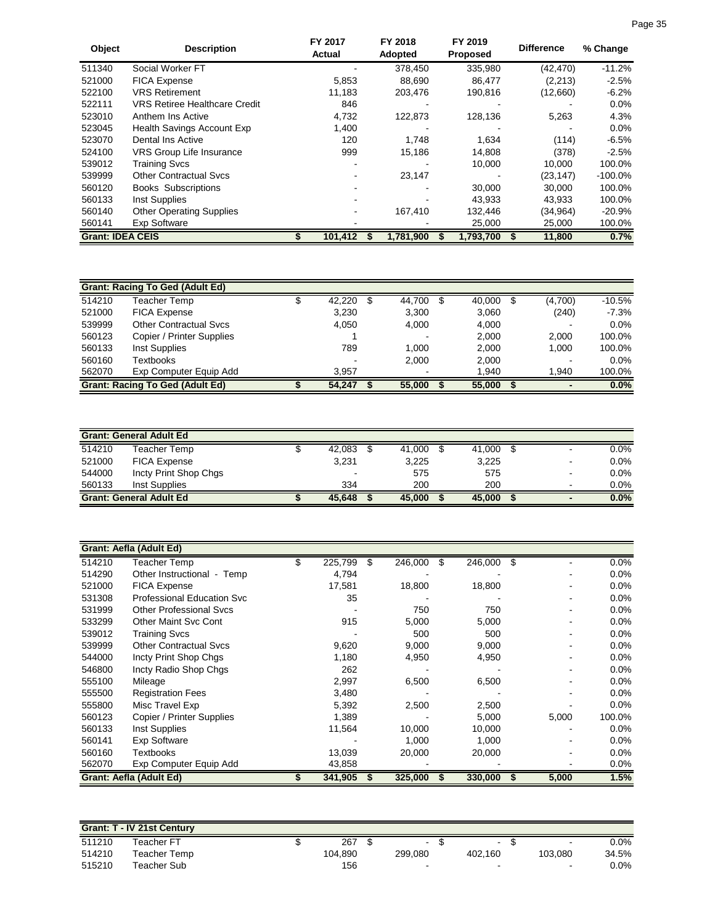| Object                  | <b>Description</b>                   | FY 2017<br>Actual | FY 2018<br>Adopted | FY 2019<br><b>Proposed</b> | <b>Difference</b> | % Change  |
|-------------------------|--------------------------------------|-------------------|--------------------|----------------------------|-------------------|-----------|
| 511340                  | Social Worker FT                     |                   | 378.450            | 335,980                    | (42, 470)         | $-11.2%$  |
| 521000                  | <b>FICA Expense</b>                  | 5,853             | 88,690             | 86,477                     | (2, 213)          | $-2.5%$   |
| 522100                  | <b>VRS Retirement</b>                | 11,183            | 203,476            | 190,816                    | (12,660)          | $-6.2%$   |
| 522111                  | <b>VRS Retiree Healthcare Credit</b> | 846               |                    |                            |                   | $0.0\%$   |
| 523010                  | Anthem Ins Active                    | 4,732             | 122,873            | 128,136                    | 5,263             | 4.3%      |
| 523045                  | Health Savings Account Exp           | 1,400             |                    |                            |                   | $0.0\%$   |
| 523070                  | Dental Ins Active                    | 120               | 1.748              | 1,634                      | (114)             | $-6.5%$   |
| 524100                  | VRS Group Life Insurance             | 999               | 15,186             | 14,808                     | (378)             | $-2.5%$   |
| 539012                  | <b>Training Svcs</b>                 |                   |                    | 10,000                     | 10,000            | 100.0%    |
| 539999                  | <b>Other Contractual Sycs</b>        |                   | 23,147             |                            | (23, 147)         | $-100.0%$ |
| 560120                  | <b>Books Subscriptions</b>           |                   |                    | 30,000                     | 30.000            | 100.0%    |
| 560133                  | Inst Supplies                        |                   |                    | 43,933                     | 43,933            | 100.0%    |
| 560140                  | <b>Other Operating Supplies</b>      |                   | 167,410            | 132,446                    | (34,964)          | $-20.9\%$ |
| 560141                  | Exp Software                         |                   |                    | 25,000                     | 25,000            | 100.0%    |
| <b>Grant: IDEA CEIS</b> |                                      | 101,412           | 1,781,900          | 1,793,700                  | 11,800            | 0.7%      |

|        | <b>Grant: Racing To Ged (Adult Ed)</b> |        |        |        |                          |          |
|--------|----------------------------------------|--------|--------|--------|--------------------------|----------|
| 514210 | Teacher Temp                           | 42,220 | 44,700 | 40,000 | (4,700)                  | $-10.5%$ |
| 521000 | <b>FICA Expense</b>                    | 3,230  | 3.300  | 3,060  | (240)                    | $-7.3%$  |
| 539999 | <b>Other Contractual Sycs</b>          | 4,050  | 4.000  | 4,000  | $\blacksquare$           | 0.0%     |
| 560123 | Copier / Printer Supplies              |        |        | 2,000  | 2,000                    | 100.0%   |
| 560133 | Inst Supplies                          | 789    | 1.000  | 2,000  | 1.000                    | 100.0%   |
| 560160 | Textbooks                              |        | 2.000  | 2,000  | $\overline{\phantom{0}}$ | 0.0%     |
| 562070 | Exp Computer Equip Add                 | 3.957  |        | 1.940  | 1.940                    | 100.0%   |
|        | <b>Grant: Racing To Ged (Adult Ed)</b> | 54.247 | 55,000 | 55,000 |                          | 0.0%     |

|        | <b>Grant: General Adult Ed</b>  |        |        |        |                |         |
|--------|---------------------------------|--------|--------|--------|----------------|---------|
| 514210 | Teacher Temp                    | 42,083 | 41.000 | 41,000 | $\blacksquare$ | 0.0%    |
| 521000 | <b>FICA Expense</b>             | 3.231  | 3.225  | 3,225  | $\blacksquare$ | $0.0\%$ |
| 544000 | Incty Print Shop Chgs           | $\sim$ | 575    | 575    | $\blacksquare$ | $0.0\%$ |
| 560133 | Inst Supplies                   | 334    | 200    | 200    |                | 0.0%    |
|        | <b>Grant: General Adult Ed.</b> | 45.648 | 45,000 | 45,000 | $\blacksquare$ | $0.0\%$ |

|        | Grant: Aefla (Adult Ed)        |               |   |         |               |     |       |         |
|--------|--------------------------------|---------------|---|---------|---------------|-----|-------|---------|
| 514210 | Teacher Temp                   | \$<br>225,799 | S | 246,000 | 246,000<br>S. | -\$ |       | $0.0\%$ |
| 514290 | Other Instructional - Temp     | 4,794         |   |         |               |     |       | $0.0\%$ |
| 521000 | <b>FICA Expense</b>            | 17,581        |   | 18,800  | 18,800        |     |       | 0.0%    |
| 531308 | Professional Education Svc     | 35            |   |         |               |     |       | 0.0%    |
| 531999 | <b>Other Professional Svcs</b> |               |   | 750     | 750           |     |       | 0.0%    |
| 533299 | <b>Other Maint Svc Cont</b>    | 915           |   | 5,000   | 5,000         |     |       | 0.0%    |
| 539012 | Training Svcs                  |               |   | 500     | 500           |     |       | 0.0%    |
| 539999 | <b>Other Contractual Sycs</b>  | 9,620         |   | 9,000   | 9,000         |     |       | 0.0%    |
| 544000 | Incty Print Shop Chgs          | 1,180         |   | 4,950   | 4,950         |     |       | 0.0%    |
| 546800 | Incty Radio Shop Chgs          | 262           |   |         |               |     |       | $0.0\%$ |
| 555100 | Mileage                        | 2,997         |   | 6,500   | 6,500         |     |       | 0.0%    |
| 555500 | <b>Registration Fees</b>       | 3,480         |   |         |               |     |       | $0.0\%$ |
| 555800 | Misc Travel Exp                | 5,392         |   | 2,500   | 2,500         |     |       | 0.0%    |
| 560123 | Copier / Printer Supplies      | 1,389         |   |         | 5,000         |     | 5,000 | 100.0%  |
| 560133 | Inst Supplies                  | 11,564        |   | 10,000  | 10,000        |     |       | $0.0\%$ |
| 560141 | <b>Exp Software</b>            |               |   | 1,000   | 1,000         |     |       | $0.0\%$ |
| 560160 | Textbooks                      | 13,039        |   | 20,000  | 20,000        |     |       | $0.0\%$ |
| 562070 | Exp Computer Equip Add         | 43,858        |   |         |               |     |       | 0.0%    |
|        | <b>Grant: Aefla (Adult Ed)</b> | 341,905       |   | 325,000 | 330,000       | £.  | 5,000 | 1.5%    |

|        | <b>Grant: T - IV 21st Century</b> |         |         |                |                |         |
|--------|-----------------------------------|---------|---------|----------------|----------------|---------|
| 511210 | ⊺eacher FT                        | 267     | $\sim$  | $\blacksquare$ | $\sim$         | 0.0%    |
| 514210 | Teacher Temp                      | 104.890 | 299.080 | 402.160        | 103.080        | 34.5%   |
| 515210 | Teacher Sub                       | 156     |         | $\blacksquare$ | $\blacksquare$ | $0.0\%$ |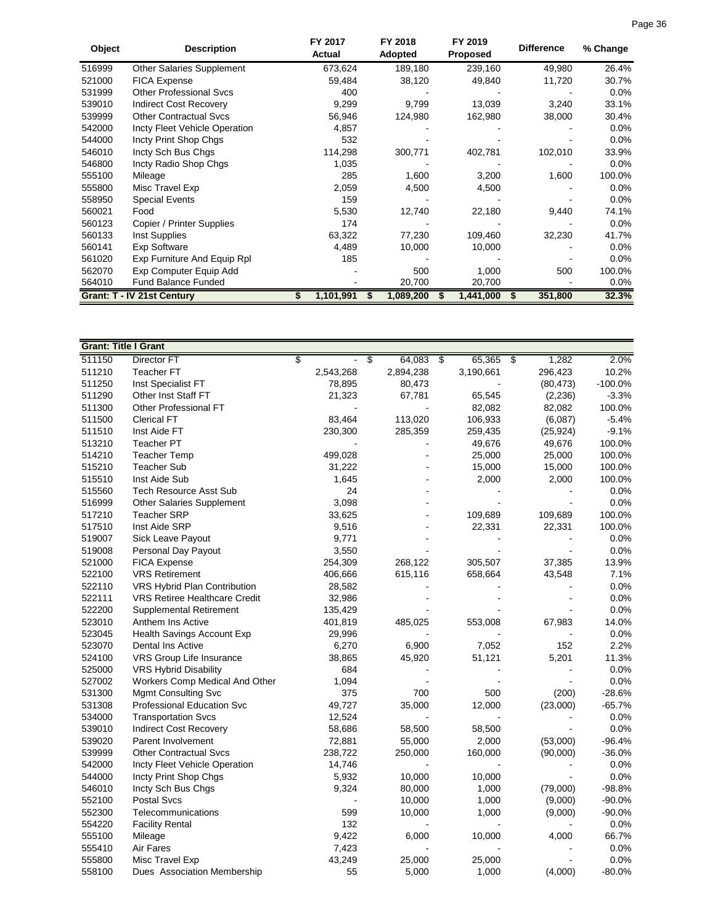| Object | <b>Description</b>             | FY 2017<br>Actual | FY 2018<br>Adopted | FY 2019<br><b>Proposed</b> | <b>Difference</b> | % Change |
|--------|--------------------------------|-------------------|--------------------|----------------------------|-------------------|----------|
| 516999 | Other Salaries Supplement      | 673,624           | 189,180            | 239,160                    | 49,980            | 26.4%    |
| 521000 | <b>FICA Expense</b>            | 59,484            | 38,120             | 49,840                     | 11,720            | 30.7%    |
| 531999 | <b>Other Professional Svcs</b> | 400               |                    |                            |                   | $0.0\%$  |
| 539010 | <b>Indirect Cost Recovery</b>  | 9,299             | 9,799              | 13,039                     | 3,240             | 33.1%    |
| 539999 | <b>Other Contractual Sycs</b>  | 56,946            | 124,980            | 162,980                    | 38,000            | 30.4%    |
| 542000 | Incty Fleet Vehicle Operation  | 4,857             |                    |                            |                   | $0.0\%$  |
| 544000 | Incty Print Shop Chgs          | 532               |                    |                            |                   | $0.0\%$  |
| 546010 | Incty Sch Bus Chgs             | 114,298           | 300,771            | 402,781                    | 102,010           | 33.9%    |
| 546800 | Incty Radio Shop Chgs          | 1,035             |                    |                            |                   | $0.0\%$  |
| 555100 | Mileage                        | 285               | 1,600              | 3,200                      | 1,600             | 100.0%   |
| 555800 | Misc Travel Exp                | 2,059             | 4,500              | 4,500                      |                   | $0.0\%$  |
| 558950 | <b>Special Events</b>          | 159               |                    |                            |                   | $0.0\%$  |
| 560021 | Food                           | 5,530             | 12,740             | 22,180                     | 9,440             | 74.1%    |
| 560123 | Copier / Printer Supplies      | 174               |                    |                            |                   | $0.0\%$  |
| 560133 | Inst Supplies                  | 63,322            | 77,230             | 109,460                    | 32,230            | 41.7%    |
| 560141 | Exp Software                   | 4,489             | 10,000             | 10,000                     |                   | 0.0%     |
| 561020 | Exp Furniture And Equip Rpl    | 185               |                    |                            |                   | $0.0\%$  |
| 562070 | Exp Computer Equip Add         |                   | 500                | 1,000                      | 500               | 100.0%   |
| 564010 | <b>Fund Balance Funded</b>     |                   | 20,700             | 20,700                     |                   | 0.0%     |
|        | Grant: T - IV 21st Century     | 1,101,991         | 1,089,200          | 1,441,000                  | 351,800           | 32.3%    |

| <b>Grant: Title I Grant</b> |                                      |                 |               |                 |           |                          |           |                 |           |           |
|-----------------------------|--------------------------------------|-----------------|---------------|-----------------|-----------|--------------------------|-----------|-----------------|-----------|-----------|
| 511150                      | Director FT                          | $\overline{\$}$ | $\frac{1}{2}$ | $\overline{\$}$ | 64,083    | $\overline{\mathcal{S}}$ | 65,365    | $\overline{\$}$ | 1,282     | 2.0%      |
| 511210                      | <b>Teacher FT</b>                    |                 | 2,543,268     |                 | 2,894,238 |                          | 3,190,661 |                 | 296,423   | 10.2%     |
| 511250                      | Inst Specialist FT                   |                 | 78,895        |                 | 80,473    |                          |           |                 | (80, 473) | $-100.0%$ |
| 511290                      | Other Inst Staff FT                  |                 | 21,323        |                 | 67,781    |                          | 65,545    |                 | (2,236)   | $-3.3%$   |
| 511300                      | Other Professional FT                |                 |               |                 |           |                          | 82,082    |                 | 82,082    | 100.0%    |
| 511500                      | <b>Clerical FT</b>                   |                 | 83,464        |                 | 113,020   |                          | 106,933   |                 | (6,087)   | $-5.4%$   |
| 511510                      | Inst Aide FT                         |                 | 230,300       |                 | 285,359   |                          | 259,435   |                 | (25, 924) | $-9.1%$   |
| 513210                      | <b>Teacher PT</b>                    |                 |               |                 |           |                          | 49,676    |                 | 49,676    | 100.0%    |
| 514210                      | <b>Teacher Temp</b>                  |                 | 499,028       |                 |           |                          | 25,000    |                 | 25,000    | 100.0%    |
| 515210                      | <b>Teacher Sub</b>                   |                 | 31,222        |                 |           |                          | 15,000    |                 | 15,000    | 100.0%    |
| 515510                      | Inst Aide Sub                        |                 | 1,645         |                 |           |                          | 2,000     |                 | 2,000     | 100.0%    |
| 515560                      | <b>Tech Resource Asst Sub</b>        |                 | 24            |                 |           |                          |           |                 |           | 0.0%      |
| 516999                      | Other Salaries Supplement            |                 | 3,098         |                 |           |                          |           |                 |           | 0.0%      |
| 517210                      | <b>Teacher SRP</b>                   |                 | 33,625        |                 |           |                          | 109,689   |                 | 109,689   | 100.0%    |
| 517510                      | Inst Aide SRP                        |                 | 9,516         |                 |           |                          | 22,331    |                 | 22,331    | 100.0%    |
| 519007                      | Sick Leave Payout                    |                 | 9,771         |                 |           |                          |           |                 |           | 0.0%      |
| 519008                      | Personal Day Payout                  |                 | 3,550         |                 |           |                          |           |                 |           | 0.0%      |
| 521000                      | <b>FICA Expense</b>                  |                 | 254,309       |                 | 268,122   |                          | 305,507   |                 | 37,385    | 13.9%     |
| 522100                      | <b>VRS Retirement</b>                |                 | 406,666       |                 | 615,116   |                          | 658,664   |                 | 43,548    | 7.1%      |
| 522110                      | VRS Hybrid Plan Contribution         |                 | 28,582        |                 |           |                          |           |                 |           | 0.0%      |
| 522111                      | <b>VRS Retiree Healthcare Credit</b> |                 | 32,986        |                 |           |                          |           |                 |           | 0.0%      |
| 522200                      | Supplemental Retirement              |                 | 135,429       |                 |           |                          |           |                 |           | 0.0%      |
| 523010                      | Anthem Ins Active                    |                 | 401,819       |                 | 485,025   |                          | 553,008   |                 | 67,983    | 14.0%     |
| 523045                      | Health Savings Account Exp           |                 | 29,996        |                 |           |                          |           |                 |           | 0.0%      |
| 523070                      | Dental Ins Active                    |                 | 6,270         |                 | 6,900     |                          | 7,052     |                 | 152       | 2.2%      |
| 524100                      | VRS Group Life Insurance             |                 | 38,865        |                 | 45,920    |                          | 51,121    |                 | 5,201     | 11.3%     |
| 525000                      | VRS Hybrid Disability                |                 | 684           |                 |           |                          |           |                 |           | 0.0%      |
| 527002                      | Workers Comp Medical And Other       |                 | 1,094         |                 |           |                          |           |                 |           | 0.0%      |
| 531300                      | <b>Mgmt Consulting Svc</b>           |                 | 375           |                 | 700       |                          | 500       |                 | (200)     | $-28.6%$  |
| 531308                      | Professional Education Svc           |                 | 49,727        |                 | 35,000    |                          | 12,000    |                 | (23,000)  | $-65.7%$  |
| 534000                      | <b>Transportation Svcs</b>           |                 | 12,524        |                 |           |                          |           |                 |           | 0.0%      |
| 539010                      | <b>Indirect Cost Recovery</b>        |                 | 58,686        |                 | 58,500    |                          | 58,500    |                 |           | 0.0%      |
| 539020                      | Parent Involvement                   |                 | 72,881        |                 | 55,000    |                          | 2,000     |                 | (53,000)  | $-96.4%$  |
| 539999                      | <b>Other Contractual Svcs</b>        |                 | 238,722       |                 | 250,000   |                          | 160,000   |                 | (90,000)  | $-36.0%$  |
| 542000                      | Incty Fleet Vehicle Operation        |                 | 14,746        |                 |           |                          |           |                 |           | 0.0%      |
| 544000                      | Incty Print Shop Chgs                |                 | 5,932         |                 | 10,000    |                          | 10,000    |                 |           | 0.0%      |
| 546010                      | Incty Sch Bus Chgs                   |                 | 9,324         |                 | 80,000    |                          | 1,000     |                 | (79,000)  | $-98.8%$  |
| 552100                      | <b>Postal Svcs</b>                   |                 |               |                 | 10,000    |                          | 1,000     |                 | (9,000)   | $-90.0%$  |
| 552300                      | Telecommunications                   |                 | 599           |                 | 10,000    |                          | 1,000     |                 | (9,000)   | $-90.0%$  |
| 554220                      | <b>Facility Rental</b>               |                 | 132           |                 |           |                          |           |                 |           | 0.0%      |
| 555100                      | Mileage                              |                 | 9,422         |                 | 6,000     |                          | 10,000    |                 | 4,000     | 66.7%     |
| 555410                      | Air Fares                            |                 | 7,423         |                 |           |                          |           |                 |           | 0.0%      |
| 555800                      | Misc Travel Exp                      |                 | 43,249        |                 | 25,000    |                          | 25,000    |                 |           | 0.0%      |
| 558100                      | Dues Association Membership          |                 | 55            |                 | 5,000     |                          | 1,000     |                 | (4,000)   | $-80.0%$  |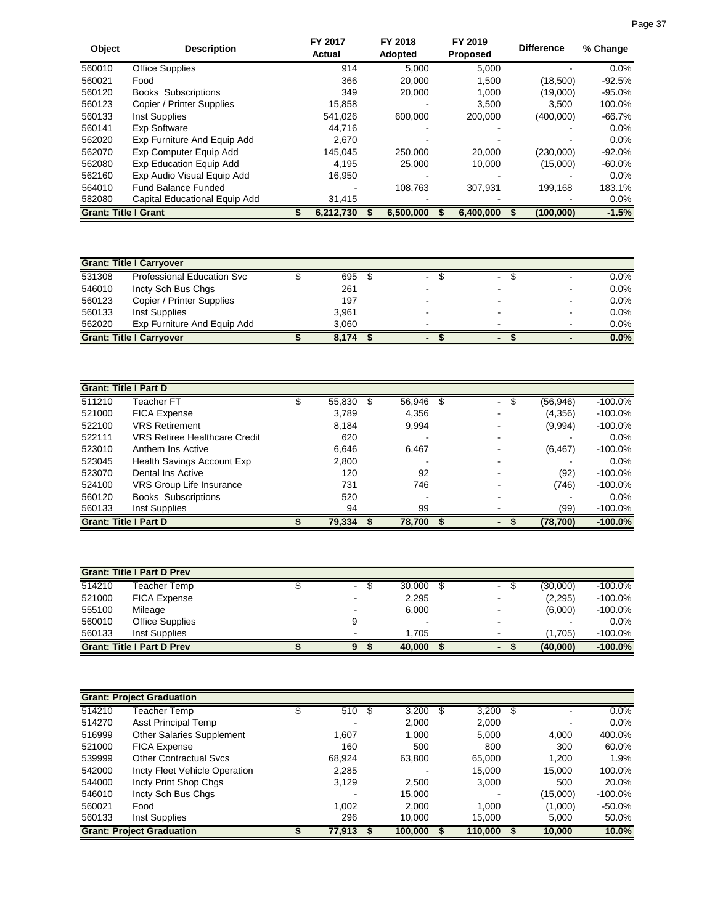| <b>Object</b>               | <b>Description</b>            | FY 2017<br>Actual | FY 2018<br>Adopted | FY 2019<br><b>Proposed</b> | <b>Difference</b> | % Change  |
|-----------------------------|-------------------------------|-------------------|--------------------|----------------------------|-------------------|-----------|
| 560010                      | <b>Office Supplies</b>        | 914               | 5.000              | 5,000                      |                   | $0.0\%$   |
| 560021                      | Food                          | 366               | 20,000             | 1.500                      | (18,500)          | $-92.5%$  |
| 560120                      | <b>Books Subscriptions</b>    | 349               | 20,000             | 1.000                      | (19,000)          | $-95.0%$  |
| 560123                      | Copier / Printer Supplies     | 15.858            |                    | 3.500                      | 3.500             | 100.0%    |
| 560133                      | Inst Supplies                 | 541.026           | 600,000            | 200,000                    | (400,000)         | $-66.7%$  |
| 560141                      | Exp Software                  | 44.716            |                    |                            |                   | $0.0\%$   |
| 562020                      | Exp Furniture And Equip Add   | 2.670             |                    |                            |                   | $0.0\%$   |
| 562070                      | Exp Computer Equip Add        | 145.045           | 250,000            | 20,000                     | (230.000)         | $-92.0%$  |
| 562080                      | Exp Education Equip Add       | 4.195             | 25,000             | 10.000                     | (15,000)          | $-60.0\%$ |
| 562160                      | Exp Audio Visual Equip Add    | 16.950            |                    |                            |                   | $0.0\%$   |
| 564010                      | <b>Fund Balance Funded</b>    |                   | 108.763            | 307.931                    | 199.168           | 183.1%    |
| 582080                      | Capital Educational Equip Add | 31,415            |                    |                            |                   | $0.0\%$   |
| <b>Grant: Title I Grant</b> |                               | 6,212,730         | 6,500,000          | 6,400,000                  | (100, 000)        | $-1.5%$   |

|        | <b>Grant: Title I Carryover</b>   |       |    |                          |                |         |
|--------|-----------------------------------|-------|----|--------------------------|----------------|---------|
| 531308 | <b>Professional Education Svc</b> | 695   | ۰. | $\blacksquare$           |                | $0.0\%$ |
| 546010 | Incty Sch Bus Chgs                | 261   |    | $\overline{\phantom{0}}$ |                | 0.0%    |
| 560123 | Copier / Printer Supplies         | 197   |    |                          | -              | 0.0%    |
| 560133 | Inst Supplies                     | 3.961 |    |                          | $\blacksquare$ | 0.0%    |
| 562020 | Exp Furniture And Equip Add       | 3.060 |    |                          | $\blacksquare$ | $0.0\%$ |
|        | <b>Grant: Title I Carryover</b>   | 8.174 |    | $\blacksquare$           |                | 0.0%    |

| <b>Grant: Title I Part D</b> |                                      |        |   |        |     |                          |                 |            |
|------------------------------|--------------------------------------|--------|---|--------|-----|--------------------------|-----------------|------------|
| 511210                       | <b>Feacher FT</b>                    | 55,830 | S | 56,946 | \$. | $\blacksquare$           | \$<br>(56, 946) | $-100.0\%$ |
| 521000                       | <b>FICA Expense</b>                  | 3,789  |   | 4,356  |     |                          | (4,356)         | $-100.0\%$ |
| 522100                       | <b>VRS Retirement</b>                | 8.184  |   | 9.994  |     |                          | (9,994)         | $-100.0\%$ |
| 522111                       | <b>VRS Retiree Healthcare Credit</b> | 620    |   |        |     |                          |                 | $0.0\%$    |
| 523010                       | Anthem Ins Active                    | 6,646  |   | 6,467  |     |                          | (6, 467)        | $-100.0\%$ |
| 523045                       | Health Savings Account Exp           | 2,800  |   |        |     |                          |                 | $0.0\%$    |
| 523070                       | Dental Ins Active                    | 120    |   | 92     |     |                          | (92)            | $-100.0\%$ |
| 524100                       | VRS Group Life Insurance             | 731    |   | 746    |     |                          | (746)           | $-100.0\%$ |
| 560120                       | <b>Books Subscriptions</b>           | 520    |   |        |     |                          |                 | $0.0\%$    |
| 560133                       | Inst Supplies                        | 94     |   | 99     |     |                          | (99)            | $-100.0\%$ |
| <b>Grant: Title I Part D</b> |                                      | 79.334 |   | 78.700 |     | $\overline{\phantom{0}}$ | (78, 700)       | $-100.0%$  |

|        | <b>Grant: Title I Part D Prev</b> |  |   |  |                          |  |                          |  |          |            |  |
|--------|-----------------------------------|--|---|--|--------------------------|--|--------------------------|--|----------|------------|--|
| 514210 | Teacher Temp                      |  | ٠ |  | 30.000                   |  | $\blacksquare$           |  | (30,000) | $-100.0\%$ |  |
| 521000 | <b>FICA Expense</b>               |  |   |  | 2,295                    |  | $\overline{\phantom{0}}$ |  | (2, 295) | $-100.0\%$ |  |
| 555100 | Mileage                           |  |   |  | 6.000                    |  |                          |  | (6,000)  | $-100.0\%$ |  |
| 560010 | <b>Office Supplies</b>            |  |   |  | $\overline{\phantom{0}}$ |  | $\overline{\phantom{0}}$ |  | -        | $0.0\%$    |  |
| 560133 | Inst Supplies                     |  |   |  | 1.705                    |  |                          |  | (1,705)  | $-100.0\%$ |  |
|        | <b>Grant: Title I Part D Prev</b> |  |   |  | 40.000                   |  | $\blacksquare$           |  | (40,000) | $-100.0%$  |  |

|        | <b>Grant: Project Graduation</b> |   |        |      |         |      |         |          |            |
|--------|----------------------------------|---|--------|------|---------|------|---------|----------|------------|
| 514210 | Teacher Temp                     | S | 510    | - \$ | 3,200   | - \$ | 3,200   | \$       | 0.0%       |
| 514270 | Asst Principal Temp              |   |        |      | 2.000   |      | 2,000   |          | $0.0\%$    |
| 516999 | <b>Other Salaries Supplement</b> |   | 1.607  |      | 1.000   |      | 5.000   | 4,000    | 400.0%     |
| 521000 | <b>FICA Expense</b>              |   | 160    |      | 500     |      | 800     | 300      | 60.0%      |
| 539999 | <b>Other Contractual Sycs</b>    |   | 68,924 |      | 63,800  |      | 65,000  | 1,200    | 1.9%       |
| 542000 | Incty Fleet Vehicle Operation    |   | 2,285  |      |         |      | 15,000  | 15,000   | 100.0%     |
| 544000 | Incty Print Shop Chgs            |   | 3,129  |      | 2.500   |      | 3,000   | 500      | 20.0%      |
| 546010 | Incty Sch Bus Chgs               |   |        |      | 15.000  |      |         | (15,000) | $-100.0\%$ |
| 560021 | Food                             |   | 1,002  |      | 2.000   |      | 1.000   | (1,000)  | $-50.0%$   |
| 560133 | Inst Supplies                    |   | 296    |      | 10.000  |      | 15,000  | 5,000    | 50.0%      |
|        | <b>Grant: Project Graduation</b> |   | 77,913 |      | 100,000 |      | 110,000 | 10,000   | 10.0%      |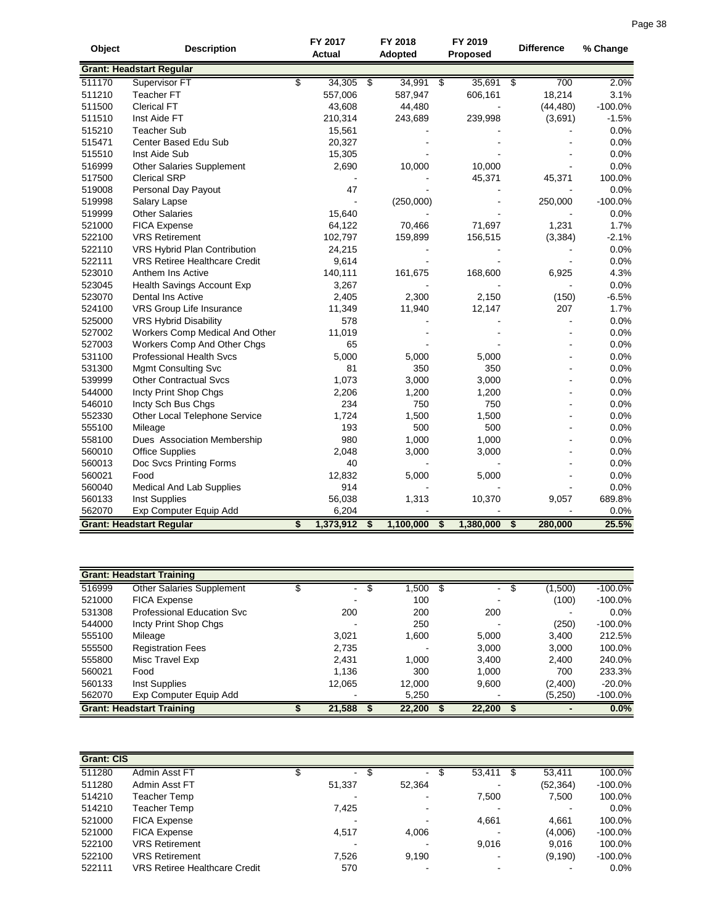| Object | <b>Description</b>                   | FY 2017<br><b>Actual</b> |                 | FY 2018<br>Adopted | FY 2019<br>Proposed                               | <b>Difference</b> | % Change  |
|--------|--------------------------------------|--------------------------|-----------------|--------------------|---------------------------------------------------|-------------------|-----------|
|        | <b>Grant: Headstart Regular</b>      |                          |                 |                    |                                                   |                   |           |
| 511170 | Supervisor FT                        | \$<br>34,305             | $\overline{\$}$ | 34,991             | 35,691 \$<br>\$                                   | 700               | 2.0%      |
| 511210 | <b>Teacher FT</b>                    | 557,006                  |                 | 587,947            | 606,161                                           | 18,214            | 3.1%      |
| 511500 | <b>Clerical FT</b>                   | 43,608                   |                 | 44,480             |                                                   | (44, 480)         | $-100.0%$ |
| 511510 | Inst Aide FT                         | 210,314                  |                 | 243,689            | 239,998                                           | (3,691)           | $-1.5%$   |
| 515210 | <b>Teacher Sub</b>                   | 15,561                   |                 |                    |                                                   |                   | 0.0%      |
| 515471 | Center Based Edu Sub                 | 20,327                   |                 |                    |                                                   |                   | 0.0%      |
| 515510 | Inst Aide Sub                        | 15,305                   |                 |                    |                                                   |                   | 0.0%      |
| 516999 | <b>Other Salaries Supplement</b>     | 2,690                    |                 | 10,000             | 10,000                                            |                   | 0.0%      |
| 517500 | <b>Clerical SRP</b>                  |                          |                 |                    | 45,371                                            | 45,371            | 100.0%    |
| 519008 | Personal Day Payout                  | 47                       |                 |                    |                                                   |                   | 0.0%      |
| 519998 | Salary Lapse                         | $\blacksquare$           |                 | (250,000)          |                                                   | 250,000           | $-100.0%$ |
| 519999 | <b>Other Salaries</b>                | 15,640                   |                 |                    |                                                   |                   | 0.0%      |
| 521000 | <b>FICA Expense</b>                  | 64,122                   |                 | 70,466             | 71,697                                            | 1,231             | 1.7%      |
| 522100 | <b>VRS Retirement</b>                | 102,797                  |                 | 159,899            | 156,515                                           | (3, 384)          | $-2.1%$   |
| 522110 | VRS Hybrid Plan Contribution         | 24,215                   |                 |                    |                                                   |                   | 0.0%      |
| 522111 | <b>VRS Retiree Healthcare Credit</b> | 9,614                    |                 |                    |                                                   |                   | 0.0%      |
| 523010 | Anthem Ins Active                    | 140,111                  |                 | 161,675            | 168,600                                           | 6,925             | 4.3%      |
| 523045 | Health Savings Account Exp           | 3,267                    |                 |                    |                                                   |                   | 0.0%      |
| 523070 | Dental Ins Active                    | 2,405                    |                 | 2,300              | 2,150                                             | (150)             | $-6.5%$   |
| 524100 | VRS Group Life Insurance             | 11,349                   |                 | 11,940             | 12,147                                            | 207               | 1.7%      |
| 525000 | <b>VRS Hybrid Disability</b>         | 578                      |                 |                    |                                                   |                   | 0.0%      |
| 527002 | Workers Comp Medical And Other       | 11,019                   |                 |                    |                                                   |                   | 0.0%      |
| 527003 | Workers Comp And Other Chgs          | 65                       |                 |                    |                                                   |                   | 0.0%      |
| 531100 | <b>Professional Health Svcs</b>      | 5,000                    |                 | 5,000              | 5,000                                             |                   | 0.0%      |
| 531300 | <b>Mgmt Consulting Svc</b>           | 81                       |                 | 350                | 350                                               |                   | 0.0%      |
| 539999 | <b>Other Contractual Svcs</b>        | 1,073                    |                 | 3,000              | 3,000                                             |                   | 0.0%      |
| 544000 | Incty Print Shop Chgs                | 2,206                    |                 | 1,200              | 1,200                                             |                   | 0.0%      |
| 546010 | Incty Sch Bus Chgs                   | 234                      |                 | 750                | 750                                               | $\blacksquare$    | 0.0%      |
| 552330 | Other Local Telephone Service        | 1,724                    |                 | 1,500              | 1,500                                             |                   | 0.0%      |
| 555100 | Mileage                              | 193                      |                 | 500                | 500                                               |                   | 0.0%      |
| 558100 | Dues Association Membership          | 980                      |                 | 1,000              | 1,000                                             |                   | 0.0%      |
| 560010 | <b>Office Supplies</b>               | 2,048                    |                 | 3,000              | 3,000                                             |                   | 0.0%      |
| 560013 | Doc Svcs Printing Forms              | 40                       |                 |                    |                                                   |                   | 0.0%      |
| 560021 | Food                                 | 12,832                   |                 | 5,000              | 5,000                                             |                   | 0.0%      |
| 560040 | Medical And Lab Supplies             | 914                      |                 |                    |                                                   |                   | 0.0%      |
| 560133 | <b>Inst Supplies</b>                 | 56,038                   |                 | 1,313              | 10,370                                            | 9,057             | 689.8%    |
| 562070 | Exp Computer Equip Add               | 6,204                    |                 |                    |                                                   |                   | 0.0%      |
|        | <b>Grant: Headstart Regular</b>      | \$<br>1,373,912          | \$              | 1,100,000          | 1,380,000<br>$\overline{\boldsymbol{\mathsf{s}}}$ | -\$<br>280,000    | 25.5%     |

|        | <b>Grant: Headstart Training</b> |        |    |        |                |     |         |            |
|--------|----------------------------------|--------|----|--------|----------------|-----|---------|------------|
| 516999 | Other Salaries Supplement        | ۰.     | S. | ,500   | $\blacksquare$ | -95 | (1,500) | $-100.0\%$ |
| 521000 | <b>FICA Expense</b>              |        |    | 100    |                |     | (100)   | $-100.0\%$ |
| 531308 | Professional Education Svc       | 200    |    | 200    | 200            |     |         | 0.0%       |
| 544000 | Incty Print Shop Chgs            |        |    | 250    |                |     | (250)   | $-100.0\%$ |
| 555100 | Mileage                          | 3,021  |    | 1,600  | 5,000          |     | 3,400   | 212.5%     |
| 555500 | <b>Registration Fees</b>         | 2,735  |    |        | 3,000          |     | 3,000   | 100.0%     |
| 555800 | Misc Travel Exp                  | 2.431  |    | 1.000  | 3,400          |     | 2,400   | 240.0%     |
| 560021 | Food                             | 1.136  |    | 300    | 1.000          |     | 700     | 233.3%     |
| 560133 | Inst Supplies                    | 12,065 |    | 12,000 | 9,600          |     | (2,400) | $-20.0%$   |
| 562070 | Exp Computer Equip Add           |        |    | 5,250  |                |     | (5,250) | $-100.0\%$ |
|        | <b>Grant: Headstart Training</b> | 21,588 |    | 22,200 | 22,200         |     |         | 0.0%       |

| <b>Grant: CIS</b> |                               |        |     |                |                          |           |            |
|-------------------|-------------------------------|--------|-----|----------------|--------------------------|-----------|------------|
| 511280            | Admin Asst FT                 | $\sim$ | \$. | $\blacksquare$ | 53,411                   | 53.411    | 100.0%     |
| 511280            | Admin Asst FT                 | 51.337 |     | 52,364         |                          | (52, 364) | $-100.0\%$ |
| 514210            | Teacher Temp                  |        |     |                | 7,500                    | 7,500     | 100.0%     |
| 514210            | Teacher Temp                  | 7,425  |     |                |                          |           | 0.0%       |
| 521000            | <b>FICA Expense</b>           |        |     |                | 4,661                    | 4,661     | 100.0%     |
| 521000            | <b>FICA Expense</b>           | 4.517  |     | 4,006          |                          | (4,006)   | $-100.0%$  |
| 522100            | <b>VRS Retirement</b>         |        |     |                | 9.016                    | 9,016     | 100.0%     |
| 522100            | <b>VRS Retirement</b>         | 7.526  |     | 9.190          | $\overline{\phantom{0}}$ | (9, 190)  | $-100.0%$  |
| 522111            | VRS Retiree Healthcare Credit | 570    |     |                |                          |           | 0.0%       |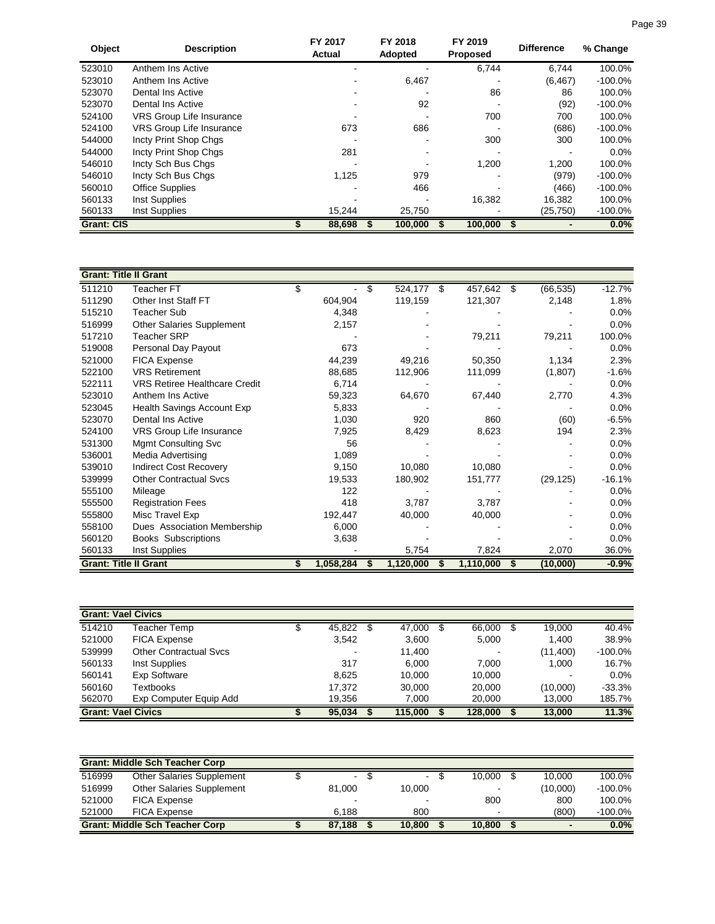| Object            | <b>Description</b>              | FY 2017<br>Actual | FY 2018<br>Adopted | FY 2019<br><b>Proposed</b> | <b>Difference</b> | % Change   |
|-------------------|---------------------------------|-------------------|--------------------|----------------------------|-------------------|------------|
| 523010            | Anthem Ins Active               |                   |                    | 6,744                      | 6.744             | 100.0%     |
| 523010            | Anthem Ins Active               |                   | 6,467              |                            | (6, 467)          | $-100.0\%$ |
| 523070            | Dental Ins Active               |                   |                    | 86                         | 86                | 100.0%     |
| 523070            | Dental Ins Active               |                   | 92                 |                            | (92)              | $-100.0\%$ |
| 524100            | <b>VRS Group Life Insurance</b> |                   |                    | 700                        | 700               | 100.0%     |
| 524100            | <b>VRS Group Life Insurance</b> | 673               | 686                |                            | (686)             | $-100.0\%$ |
| 544000            | Incty Print Shop Chgs           |                   |                    | 300                        | 300               | 100.0%     |
| 544000            | Incty Print Shop Chgs           | 281               |                    |                            |                   | 0.0%       |
| 546010            | Incty Sch Bus Chgs              |                   |                    | 1,200                      | 1,200             | 100.0%     |
| 546010            | Incty Sch Bus Chgs              | 1,125             | 979                |                            | (979)             | $-100.0\%$ |
| 560010            | <b>Office Supplies</b>          |                   | 466                |                            | (466)             | $-100.0\%$ |
| 560133            | Inst Supplies                   |                   |                    | 16,382                     | 16,382            | 100.0%     |
| 560133            | Inst Supplies                   | 15,244            | 25,750             |                            | (25, 750)         | $-100.0\%$ |
| <b>Grant: CIS</b> |                                 | 88,698            | 100,000            | 100,000                    |                   | 0.0%       |

| <b>Grant: Title II Grant</b> |                                      |           |               |               |      |           |          |
|------------------------------|--------------------------------------|-----------|---------------|---------------|------|-----------|----------|
| 511210                       | Teacher FT                           | \$        | \$<br>524,177 | \$<br>457,642 | - \$ | (66, 535) | $-12.7%$ |
| 511290                       | Other Inst Staff FT                  | 604,904   | 119,159       | 121,307       |      | 2,148     | 1.8%     |
| 515210                       | <b>Teacher Sub</b>                   | 4,348     |               |               |      |           | 0.0%     |
| 516999                       | Other Salaries Supplement            | 2,157     |               |               |      |           | 0.0%     |
| 517210                       | <b>Teacher SRP</b>                   |           |               | 79,211        |      | 79,211    | 100.0%   |
| 519008                       | Personal Day Payout                  | 673       |               |               |      |           | 0.0%     |
| 521000                       | FICA Expense                         | 44,239    | 49,216        | 50,350        |      | 1,134     | 2.3%     |
| 522100                       | <b>VRS Retirement</b>                | 88,685    | 112,906       | 111,099       |      | (1,807)   | $-1.6%$  |
| 522111                       | <b>VRS Retiree Healthcare Credit</b> | 6,714     |               |               |      |           | 0.0%     |
| 523010                       | Anthem Ins Active                    | 59,323    | 64,670        | 67,440        |      | 2,770     | 4.3%     |
| 523045                       | Health Savings Account Exp           | 5,833     |               |               |      |           | 0.0%     |
| 523070                       | Dental Ins Active                    | 1,030     | 920           | 860           |      | (60)      | $-6.5%$  |
| 524100                       | VRS Group Life Insurance             | 7,925     | 8,429         | 8,623         |      | 194       | 2.3%     |
| 531300                       | <b>Mgmt Consulting Svc</b>           | 56        |               |               |      |           | 0.0%     |
| 536001                       | Media Advertising                    | 1,089     |               |               |      |           | 0.0%     |
| 539010                       | <b>Indirect Cost Recovery</b>        | 9,150     | 10,080        | 10,080        |      |           | 0.0%     |
| 539999                       | <b>Other Contractual Svcs</b>        | 19,533    | 180,902       | 151,777       |      | (29, 125) | $-16.1%$ |
| 555100                       | Mileage                              | 122       |               |               |      |           | 0.0%     |
| 555500                       | <b>Registration Fees</b>             | 418       | 3,787         | 3,787         |      |           | 0.0%     |
| 555800                       | Misc Travel Exp                      | 192,447   | 40,000        | 40,000        |      |           | 0.0%     |
| 558100                       | Dues Association Membership          | 6,000     |               |               |      |           | 0.0%     |
| 560120                       | <b>Books Subscriptions</b>           | 3,638     |               |               |      |           | 0.0%     |
| 560133                       | Inst Supplies                        |           | 5,754         | 7,824         |      | 2,070     | 36.0%    |
| <b>Grant: Title II Grant</b> |                                      | 1,058,284 | 1,120,000     | 1,110,000     |      | (10,000)  | $-0.9%$  |

| <b>Grant: Vael Civics</b> |                               |        |         |                          |           |            |
|---------------------------|-------------------------------|--------|---------|--------------------------|-----------|------------|
| 514210                    | Teacher Temp                  | 45,822 | 47,000  | 66,000                   | 19,000    | 40.4%      |
| 521000                    | <b>FICA Expense</b>           | 3,542  | 3,600   | 5,000                    | 1,400     | 38.9%      |
| 539999                    | <b>Other Contractual Sycs</b> |        | 11.400  | $\overline{\phantom{0}}$ | (11, 400) | $-100.0\%$ |
| 560133                    | Inst Supplies                 | 317    | 6.000   | 7.000                    | 1.000     | 16.7%      |
| 560141                    | Exp Software                  | 8,625  | 10.000  | 10,000                   |           | $0.0\%$    |
| 560160                    | Textbooks                     | 17.372 | 30,000  | 20,000                   | (10,000)  | $-33.3%$   |
| 562070                    | Exp Computer Equip Add        | 19,356 | 7,000   | 20,000                   | 13,000    | 185.7%     |
| <b>Grant: Vael Civics</b> |                               | 95,034 | 115,000 | 128,000                  | 13,000    | 11.3%      |

| <b>Grant: Middle Sch Teacher Corp.</b> |                                        |  |                |  |        |  |                          |  |                          |            |
|----------------------------------------|----------------------------------------|--|----------------|--|--------|--|--------------------------|--|--------------------------|------------|
| 516999                                 | Other Salaries Supplement              |  | $\blacksquare$ |  | ۰.     |  | 10.000                   |  | 10.000                   | 100.0%     |
| 516999                                 | Other Salaries Supplement              |  | 81.000         |  | 10.000 |  | $\overline{\phantom{0}}$ |  | (10,000)                 | $-100.0\%$ |
| 521000                                 | FICA Expense                           |  | -              |  |        |  | 800                      |  | 800                      | 100.0%     |
| 521000                                 | <b>FICA Expense</b>                    |  | 6.188          |  | 800    |  | $\blacksquare$           |  | (800)                    | $-100.0\%$ |
|                                        | <b>Grant: Middle Sch Teacher Corp.</b> |  | 87.188         |  | 10.800 |  | 10.800                   |  | $\overline{\phantom{0}}$ | 0.0%       |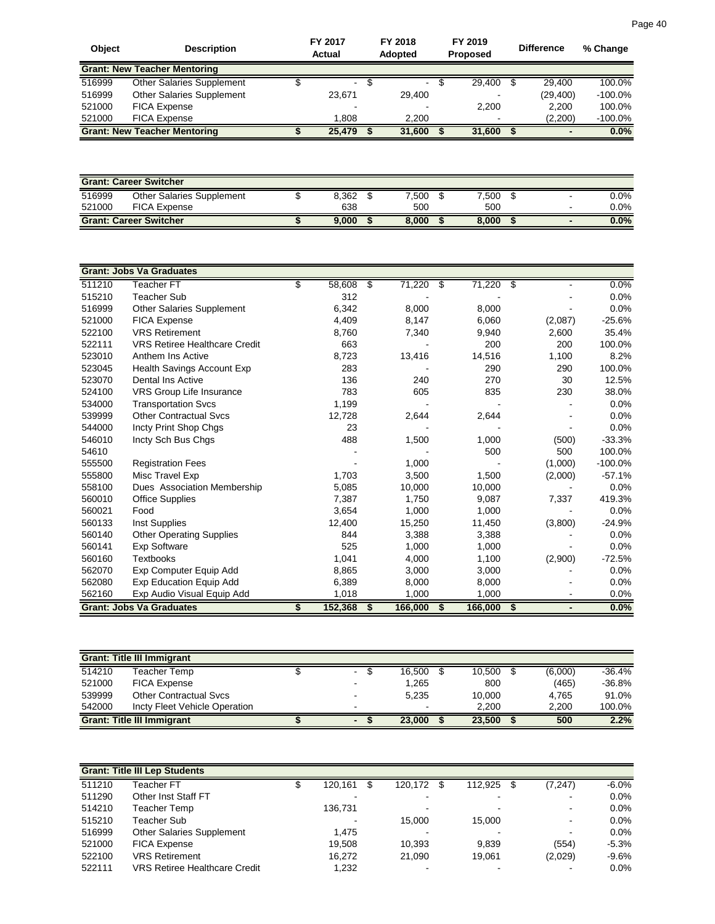| <b>Object</b> | <b>Description</b>                  | FY 2017<br><b>Actual</b> | FY 2018<br><b>Adopted</b> | FY 2019<br><b>Proposed</b> |     | <b>Difference</b> | % Change   |
|---------------|-------------------------------------|--------------------------|---------------------------|----------------------------|-----|-------------------|------------|
|               | <b>Grant: New Teacher Mentoring</b> |                          |                           |                            |     |                   |            |
| 516999        | <b>Other Salaries Supplement</b>    | ۰.                       | $\blacksquare$            | 29.400                     | \$. | 29.400            | 100.0%     |
| 516999        | Other Salaries Supplement           | 23.671                   | 29.400                    |                            |     | (29, 400)         | $-100.0\%$ |
| 521000        | <b>FICA Expense</b>                 |                          |                           | 2.200                      |     | 2.200             | 100.0%     |
| 521000        | <b>FICA Expense</b>                 | 1.808                    | 2.200                     | $\overline{\phantom{a}}$   |     | (2,200)           | $-100.0\%$ |
|               | <b>Grant: New Teacher Mentoring</b> | 25.479                   | 31,600                    | 31,600                     |     |                   | 0.0%       |

| <b>Grant: Career Switcher</b> |                               |  |       |  |       |  |       |  |   |         |
|-------------------------------|-------------------------------|--|-------|--|-------|--|-------|--|---|---------|
| 516999                        | Other Salaries Supplement     |  | 8.362 |  | 7.500 |  | 7.500 |  | - | $0.0\%$ |
| 521000                        | <b>FICA Expense</b>           |  | 638   |  | 500   |  | 500   |  |   | $0.0\%$ |
|                               | <b>Grant: Career Switcher</b> |  | 9.000 |  | 8.000 |  | 8.000 |  | - | $0.0\%$ |

|        | <b>Grant: Jobs Va Graduates</b>      |               |    |         |                 |         |           |
|--------|--------------------------------------|---------------|----|---------|-----------------|---------|-----------|
| 511210 | Teacher FT                           | \$<br>58,608  | \$ | 71,220  | 71,220 \$<br>\$ |         | 0.0%      |
| 515210 | Teacher Sub                          | 312           |    |         |                 |         | 0.0%      |
| 516999 | <b>Other Salaries Supplement</b>     | 6,342         |    | 8,000   | 8,000           |         | 0.0%      |
| 521000 | <b>FICA Expense</b>                  | 4,409         |    | 8,147   | 6,060           | (2,087) | $-25.6%$  |
| 522100 | <b>VRS Retirement</b>                | 8,760         |    | 7,340   | 9,940           | 2,600   | 35.4%     |
| 522111 | <b>VRS Retiree Healthcare Credit</b> | 663           |    |         | 200             | 200     | 100.0%    |
| 523010 | Anthem Ins Active                    | 8,723         |    | 13,416  | 14,516          | 1,100   | 8.2%      |
| 523045 | Health Savings Account Exp           | 283           |    |         | 290             | 290     | 100.0%    |
| 523070 | Dental Ins Active                    | 136           |    | 240     | 270             | 30      | 12.5%     |
| 524100 | VRS Group Life Insurance             | 783           |    | 605     | 835             | 230     | 38.0%     |
| 534000 | <b>Transportation Svcs</b>           | 1,199         |    |         |                 |         | 0.0%      |
| 539999 | <b>Other Contractual Svcs</b>        | 12,728        |    | 2,644   | 2,644           |         | 0.0%      |
| 544000 | Incty Print Shop Chgs                | 23            |    |         |                 |         | 0.0%      |
| 546010 | Incty Sch Bus Chgs                   | 488           |    | 1,500   | 1,000           | (500)   | $-33.3%$  |
| 54610  |                                      |               |    |         | 500             | 500     | 100.0%    |
| 555500 | <b>Registration Fees</b>             |               |    | 1,000   |                 | (1,000) | $-100.0%$ |
| 555800 | Misc Travel Exp                      | 1,703         |    | 3,500   | 1,500           | (2,000) | $-57.1%$  |
| 558100 | Dues Association Membership          | 5,085         |    | 10,000  | 10,000          |         | 0.0%      |
| 560010 | <b>Office Supplies</b>               | 7,387         |    | 1,750   | 9,087           | 7,337   | 419.3%    |
| 560021 | Food                                 | 3,654         |    | 1,000   | 1,000           |         | 0.0%      |
| 560133 | Inst Supplies                        | 12,400        |    | 15,250  | 11,450          | (3,800) | $-24.9%$  |
| 560140 | <b>Other Operating Supplies</b>      | 844           |    | 3,388   | 3,388           |         | 0.0%      |
| 560141 | <b>Exp Software</b>                  | 525           |    | 1,000   | 1,000           |         | 0.0%      |
| 560160 | <b>Textbooks</b>                     | 1,041         |    | 4,000   | 1,100           | (2,900) | $-72.5%$  |
| 562070 | Exp Computer Equip Add               | 8,865         |    | 3,000   | 3,000           |         | 0.0%      |
| 562080 | Exp Education Equip Add              | 6,389         |    | 8,000   | 8,000           |         | 0.0%      |
| 562160 | Exp Audio Visual Equip Add           | 1,018         |    | 1,000   | 1,000           |         | $0.0\%$   |
|        | <b>Grant: Jobs Va Graduates</b>      | \$<br>152,368 | S  | 166,000 | 166,000<br>S    | \$      | 0.0%      |

|        | <b>Grant: Title III Immigrant</b> |  |                          |        |  |        |     |         |          |  |  |  |
|--------|-----------------------------------|--|--------------------------|--------|--|--------|-----|---------|----------|--|--|--|
| 514210 | Teacher Temp                      |  | $\sim$                   | 16.500 |  | 10.500 | \$. | (6,000) | $-36.4%$ |  |  |  |
| 521000 | <b>FICA Expense</b>               |  | $-$                      | 1,265  |  | 800    |     | (465)   | $-36.8%$ |  |  |  |
| 539999 | <b>Other Contractual Sycs</b>     |  |                          | 5.235  |  | 10.000 |     | 4.765   | 91.0%    |  |  |  |
| 542000 | Incty Fleet Vehicle Operation     |  |                          | $\sim$ |  | 2.200  |     | 2.200   | 100.0%   |  |  |  |
|        | <b>Grant: Title III Immigrant</b> |  | $\overline{\phantom{0}}$ | 23.000 |  | 23.500 |     | 500     | 2.2%     |  |  |  |

|        | <b>Grant: Title III Lep Students</b> |                          |         |                          |                |         |
|--------|--------------------------------------|--------------------------|---------|--------------------------|----------------|---------|
| 511210 | Teacher FT                           | 120,161                  | 120,172 | 112,925                  | (7, 247)       | $-6.0%$ |
| 511290 | Other Inst Staff FT                  | $\overline{\phantom{0}}$ |         | $\overline{\phantom{a}}$ | $\,$           | 0.0%    |
| 514210 | Teacher Temp                         | 136.731                  |         | $\,$                     | $\blacksquare$ | 0.0%    |
| 515210 | Teacher Sub                          | $\overline{\phantom{a}}$ | 15.000  | 15,000                   | $\blacksquare$ | 0.0%    |
| 516999 | <b>Other Salaries Supplement</b>     | 1.475                    |         |                          | $\blacksquare$ | 0.0%    |
| 521000 | <b>FICA Expense</b>                  | 19.508                   | 10.393  | 9,839                    | (554)          | $-5.3%$ |
| 522100 | <b>VRS Retirement</b>                | 16.272                   | 21.090  | 19.061                   | (2,029)        | $-9.6%$ |
| 522111 | <b>VRS Retiree Healthcare Credit</b> | 1,232                    |         | $\,$ $\,$                | $\blacksquare$ | $0.0\%$ |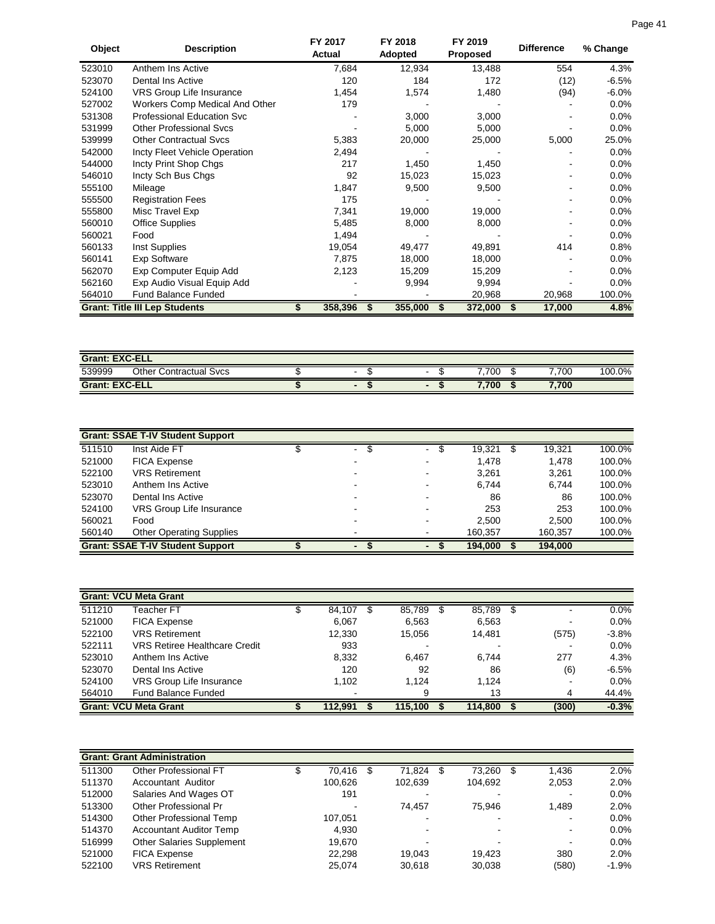| Object | <b>Description</b>                   | FY 2017<br>Actual | <b>FY 2018</b><br>Adopted | FY 2019<br><b>Proposed</b> | <b>Difference</b> | % Change |
|--------|--------------------------------------|-------------------|---------------------------|----------------------------|-------------------|----------|
| 523010 | Anthem Ins Active                    | 7,684             | 12,934                    | 13,488                     | 554               | 4.3%     |
| 523070 | Dental Ins Active                    | 120               | 184                       | 172                        | (12)              | $-6.5%$  |
| 524100 | VRS Group Life Insurance             | 1,454             | 1,574                     | 1,480                      | (94)              | $-6.0\%$ |
| 527002 | Workers Comp Medical And Other       | 179               |                           |                            |                   | $0.0\%$  |
| 531308 | <b>Professional Education Svc</b>    |                   | 3,000                     | 3,000                      |                   | $0.0\%$  |
| 531999 | <b>Other Professional Sycs</b>       |                   | 5,000                     | 5,000                      |                   | $0.0\%$  |
| 539999 | <b>Other Contractual Svcs</b>        | 5,383             | 20,000                    | 25,000                     | 5,000             | 25.0%    |
| 542000 | Incty Fleet Vehicle Operation        | 2,494             |                           |                            |                   | $0.0\%$  |
| 544000 | Incty Print Shop Chgs                | 217               | 1,450                     | 1,450                      |                   | $0.0\%$  |
| 546010 | Incty Sch Bus Chgs                   | 92                | 15,023                    | 15,023                     |                   | $0.0\%$  |
| 555100 | Mileage                              | 1,847             | 9,500                     | 9,500                      |                   | $0.0\%$  |
| 555500 | <b>Registration Fees</b>             | 175               |                           |                            |                   | $0.0\%$  |
| 555800 | Misc Travel Exp                      | 7,341             | 19,000                    | 19,000                     |                   | $0.0\%$  |
| 560010 | <b>Office Supplies</b>               | 5,485             | 8,000                     | 8,000                      |                   | $0.0\%$  |
| 560021 | Food                                 | 1,494             |                           |                            |                   | $0.0\%$  |
| 560133 | Inst Supplies                        | 19,054            | 49,477                    | 49,891                     | 414               | 0.8%     |
| 560141 | Exp Software                         | 7,875             | 18,000                    | 18,000                     |                   | 0.0%     |
| 562070 | Exp Computer Equip Add               | 2,123             | 15,209                    | 15,209                     |                   | $0.0\%$  |
| 562160 | Exp Audio Visual Equip Add           |                   | 9,994                     | 9,994                      |                   | $0.0\%$  |
| 564010 | <b>Fund Balance Funded</b>           |                   |                           | 20,968                     | 20,968            | 100.0%   |
|        | <b>Grant: Title III Lep Students</b> | 358,396           | 355,000                   | 372,000                    | 17,000            | 4.8%     |

| <b>Grant: EXC-ELL</b> |                               |  |  |  |       |       |        |  |  |  |  |
|-----------------------|-------------------------------|--|--|--|-------|-------|--------|--|--|--|--|
| 539999                | <b>Other Contractual Sycs</b> |  |  |  | 7.700 | ,700  | 100.0% |  |  |  |  |
| <b>Grant: EXC-ELL</b> |                               |  |  |  | 7.700 | 7,700 |        |  |  |  |  |

|        | <b>Grant: SSAE T-IV Student Support</b> |           |                               |         |         |        |
|--------|-----------------------------------------|-----------|-------------------------------|---------|---------|--------|
| 511510 | Inst Aide FT                            | \$.<br>۰. | $\overline{\phantom{0}}$<br>Ж | 19,321  | 19,321  | 100.0% |
| 521000 | <b>FICA Expense</b>                     |           |                               | 1.478   | 1.478   | 100.0% |
| 522100 | <b>VRS Retirement</b>                   |           |                               | 3,261   | 3,261   | 100.0% |
| 523010 | Anthem Ins Active                       | -         |                               | 6.744   | 6.744   | 100.0% |
| 523070 | Dental Ins Active                       |           |                               | 86      | 86      | 100.0% |
| 524100 | VRS Group Life Insurance                |           |                               | 253     | 253     | 100.0% |
| 560021 | Food                                    |           |                               | 2.500   | 2,500   | 100.0% |
| 560140 | <b>Other Operating Supplies</b>         | -         |                               | 160.357 | 160,357 | 100.0% |
|        | <b>Grant: SSAE T-IV Student Support</b> |           |                               | 194,000 | 194,000 |        |

|        | <b>Grant: VCU Meta Grant</b>  |         |    |         |         |      |                |         |
|--------|-------------------------------|---------|----|---------|---------|------|----------------|---------|
| 511210 | Teacher FT                    | 84,107  | æ. | 85,789  | 85,789  | - \$ | -              | 0.0%    |
| 521000 | <b>FICA Expense</b>           | 6,067   |    | 6,563   | 6,563   |      | $\blacksquare$ | $0.0\%$ |
| 522100 | <b>VRS Retirement</b>         | 12,330  |    | 15.056  | 14.481  |      | (575)          | $-3.8%$ |
| 522111 | VRS Retiree Healthcare Credit | 933     |    |         |         |      | $\blacksquare$ | $0.0\%$ |
| 523010 | Anthem Ins Active             | 8,332   |    | 6.467   | 6.744   |      | 277            | 4.3%    |
| 523070 | Dental Ins Active             | 120     |    | 92      | 86      |      | (6)            | $-6.5%$ |
| 524100 | VRS Group Life Insurance      | 1.102   |    | 1.124   | 1.124   |      | $\blacksquare$ | $0.0\%$ |
| 564010 | <b>Fund Balance Funded</b>    |         |    | 9       | 13      |      | 4              | 44.4%   |
|        | <b>Grant: VCU Meta Grant</b>  | 112,991 |    | 115.100 | 114.800 |      | (300)          | $-0.3%$ |

|        | <b>Grant: Grant Administration</b> |                |   |         |         |      |       |                        |
|--------|------------------------------------|----------------|---|---------|---------|------|-------|------------------------|
| 511300 | Other Professional FT              | 70.416         | S | 71,824  | 73,260  | - \$ | 1,436 | 2.0%                   |
| 511370 | Accountant Auditor                 | 100.626        |   | 102.639 | 104.692 |      | 2,053 | 2.0%                   |
| 512000 | Salaries And Wages OT              | 191            |   |         |         |      |       | 0.0%<br>$\,$           |
| 513300 | Other Professional Pr              | $\blacksquare$ |   | 74.457  | 75.946  |      | 1,489 | 2.0%                   |
| 514300 | Other Professional Temp            | 107.051        |   |         |         |      |       | 0.0%<br>$\blacksquare$ |
| 514370 | <b>Accountant Auditor Temp</b>     | 4,930          |   |         |         |      |       | 0.0%<br>$\blacksquare$ |
| 516999 | <b>Other Salaries Supplement</b>   | 19.670         |   |         |         |      |       | 0.0%<br>$\blacksquare$ |
| 521000 | <b>FICA Expense</b>                | 22.298         |   | 19.043  | 19.423  |      | 380   | 2.0%                   |
| 522100 | <b>VRS Retirement</b>              | 25.074         |   | 30.618  | 30.038  |      | (580) | $-1.9%$                |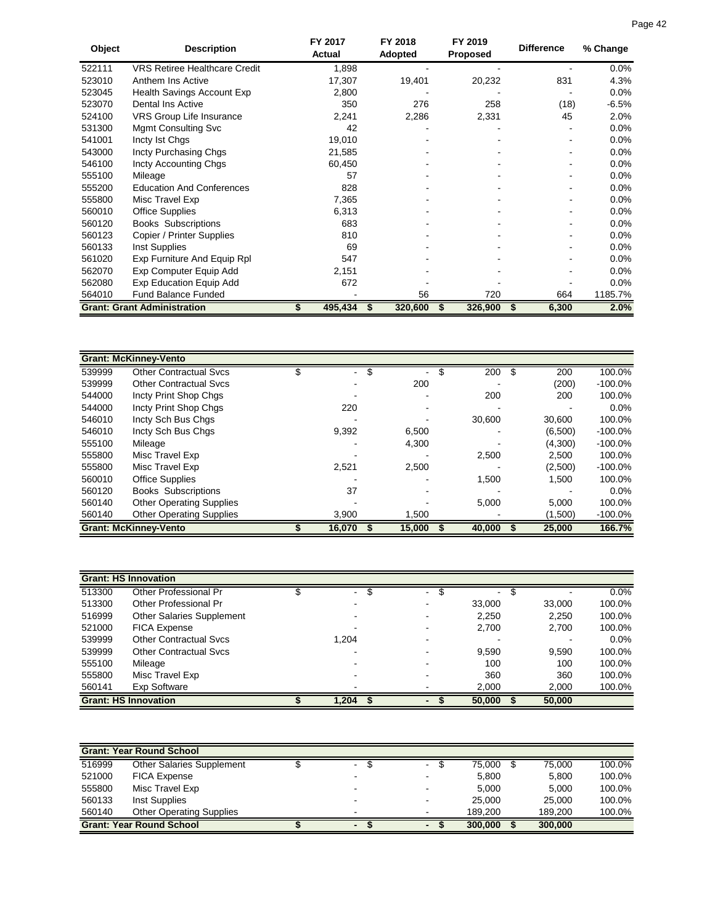| Object | <b>Description</b>                   | FY 2017<br>Actual | FY 2018<br>Adopted | FY 2019<br><b>Proposed</b> | <b>Difference</b> | % Change |
|--------|--------------------------------------|-------------------|--------------------|----------------------------|-------------------|----------|
| 522111 | <b>VRS Retiree Healthcare Credit</b> | 1,898             |                    |                            |                   | $0.0\%$  |
| 523010 | Anthem Ins Active                    | 17,307            | 19,401             | 20,232                     | 831               | 4.3%     |
| 523045 | Health Savings Account Exp           | 2,800             |                    |                            |                   | $0.0\%$  |
| 523070 | <b>Dental Ins Active</b>             | 350               | 276                | 258                        | (18)              | $-6.5%$  |
| 524100 | VRS Group Life Insurance             | 2,241             | 2,286              | 2,331                      | 45                | 2.0%     |
| 531300 | <b>Mgmt Consulting Svc</b>           | 42                |                    |                            |                   | $0.0\%$  |
| 541001 | Incty Ist Chas                       | 19,010            |                    |                            |                   | 0.0%     |
| 543000 | Incty Purchasing Chgs                | 21,585            |                    |                            |                   | 0.0%     |
| 546100 | Incty Accounting Chgs                | 60,450            |                    |                            |                   | 0.0%     |
| 555100 | Mileage                              | 57                |                    |                            |                   | 0.0%     |
| 555200 | <b>Education And Conferences</b>     | 828               |                    |                            |                   | 0.0%     |
| 555800 | Misc Travel Exp                      | 7,365             |                    |                            |                   | 0.0%     |
| 560010 | <b>Office Supplies</b>               | 6,313             |                    |                            |                   | 0.0%     |
| 560120 | <b>Books Subscriptions</b>           | 683               |                    |                            |                   | 0.0%     |
| 560123 | Copier / Printer Supplies            | 810               |                    |                            |                   | 0.0%     |
| 560133 | Inst Supplies                        | 69                |                    |                            |                   | $0.0\%$  |
| 561020 | Exp Furniture And Equip Rpl          | 547               |                    |                            |                   | 0.0%     |
| 562070 | Exp Computer Equip Add               | 2,151             |                    |                            |                   | 0.0%     |
| 562080 | <b>Exp Education Equip Add</b>       | 672               |                    |                            |                   | 0.0%     |
| 564010 | <b>Fund Balance Funded</b>           |                   | 56                 | 720                        | 664               | 1185.7%  |
|        | <b>Grant: Grant Administration</b>   | 495,434           | 320,600            | 326,900                    | 6,300<br>\$       | 2.0%     |

|        | <b>Grant: McKinney-Vento</b>    |                          |   |        |        |         |            |
|--------|---------------------------------|--------------------------|---|--------|--------|---------|------------|
| 539999 | Other Contractual Svcs          | $\overline{\phantom{0}}$ | S |        | 200    | 200     | 100.0%     |
| 539999 | <b>Other Contractual Sycs</b>   |                          |   | 200    |        | (200)   | $-100.0\%$ |
| 544000 | Incty Print Shop Chgs           |                          |   |        | 200    | 200     | 100.0%     |
| 544000 | Incty Print Shop Chgs           | 220                      |   |        |        |         | 0.0%       |
| 546010 | Incty Sch Bus Chgs              |                          |   |        | 30,600 | 30.600  | 100.0%     |
| 546010 | Incty Sch Bus Chgs              | 9,392                    |   | 6,500  |        | (6,500) | $-100.0\%$ |
| 555100 | Mileage                         |                          |   | 4,300  |        | (4,300) | $-100.0\%$ |
| 555800 | Misc Travel Exp                 |                          |   |        | 2,500  | 2.500   | 100.0%     |
| 555800 | Misc Travel Exp                 | 2,521                    |   | 2.500  |        | (2,500) | $-100.0\%$ |
| 560010 | <b>Office Supplies</b>          |                          |   |        | 1.500  | 1,500   | 100.0%     |
| 560120 | <b>Books Subscriptions</b>      | 37                       |   |        |        |         | 0.0%       |
| 560140 | <b>Other Operating Supplies</b> |                          |   |        | 5,000  | 5,000   | 100.0%     |
| 560140 | <b>Other Operating Supplies</b> | 3,900                    |   | 1,500  |        | (1,500) | $-100.0\%$ |
|        | <b>Grant: McKinney-Vento</b>    | 16,070                   |   | 15,000 | 40,000 | 25,000  | 166.7%     |

|        | <b>Grant: HS Innovation</b>   |                                |        |                |        |         |
|--------|-------------------------------|--------------------------------|--------|----------------|--------|---------|
| 513300 | Other Professional Pr         | \$<br>$\overline{\phantom{0}}$ | $\sim$ | $\blacksquare$ | \$     | $0.0\%$ |
| 513300 | <b>Other Professional Pr</b>  |                                |        | 33,000         | 33,000 | 100.0%  |
| 516999 | Other Salaries Supplement     |                                |        | 2,250          | 2,250  | 100.0%  |
| 521000 | <b>FICA Expense</b>           |                                |        | 2,700          | 2,700  | 100.0%  |
| 539999 | <b>Other Contractual Sycs</b> | 1.204                          |        |                |        | $0.0\%$ |
| 539999 | <b>Other Contractual Sycs</b> |                                |        | 9,590          | 9,590  | 100.0%  |
| 555100 | Mileage                       |                                |        | 100            | 100    | 100.0%  |
| 555800 | Misc Travel Exp               |                                |        | 360            | 360    | 100.0%  |
| 560141 | Exp Software                  |                                |        | 2,000          | 2,000  | 100.0%  |
|        | <b>Grant: HS Innovation</b>   | 1,204                          |        | 50,000         | 50,000 |         |

|        | <b>Grant: Year Round School</b> |                |                          |         |         |        |
|--------|---------------------------------|----------------|--------------------------|---------|---------|--------|
| 516999 | Other Salaries Supplement       | $\blacksquare$ |                          | 75.000  | 75.000  | 100.0% |
| 521000 | <b>FICA Expense</b>             |                |                          | 5.800   | 5,800   | 100.0% |
| 555800 | Misc Travel Exp                 |                |                          | 5.000   | 5.000   | 100.0% |
| 560133 | Inst Supplies                   |                | $\overline{\phantom{0}}$ | 25.000  | 25,000  | 100.0% |
| 560140 | <b>Other Operating Supplies</b> |                |                          | 189.200 | 189.200 | 100.0% |
|        | <b>Grant: Year Round School</b> | $\blacksquare$ |                          | 300,000 | 300,000 |        |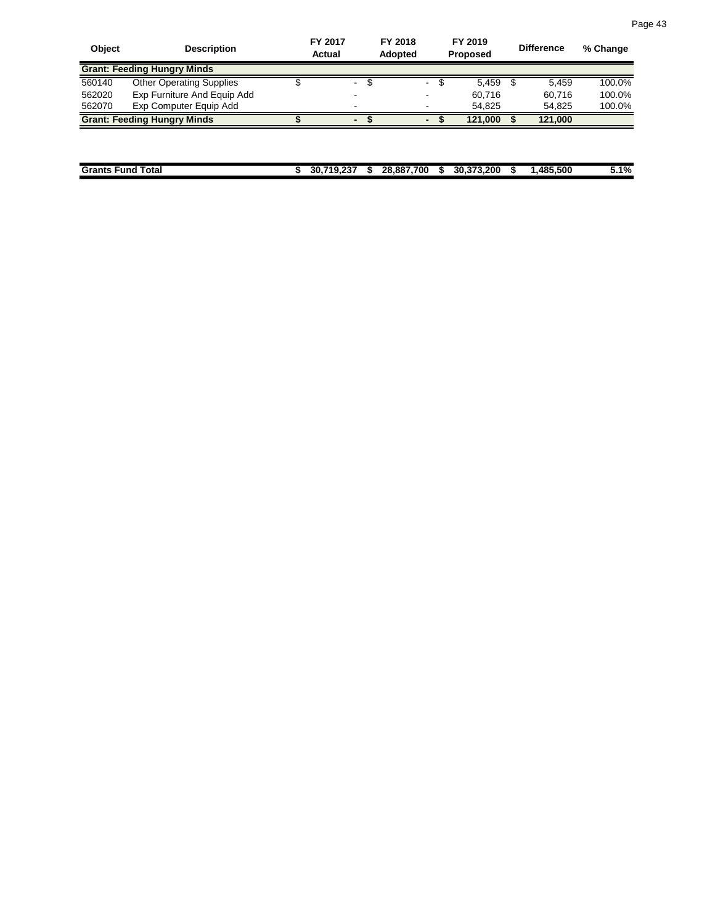| <b>Object</b> | <b>Description</b>                 | FY 2017<br><b>Actual</b> | <b>FY 2018</b><br><b>Adopted</b> |                |     | FY 2019<br><b>Proposed</b> | <b>Difference</b> | % Change |
|---------------|------------------------------------|--------------------------|----------------------------------|----------------|-----|----------------------------|-------------------|----------|
|               | <b>Grant: Feeding Hungry Minds</b> |                          |                                  |                |     |                            |                   |          |
| 560140        | <b>Other Operating Supplies</b>    | -                        |                                  | $\blacksquare$ | \$. | 5.459                      | 5.459             | 100.0%   |
| 562020        | Exp Furniture And Equip Add        |                          |                                  | $\blacksquare$ |     | 60.716                     | 60.716            | 100.0%   |
| 562070        | Exp Computer Equip Add             |                          |                                  | -              |     | 54.825                     | 54.825            | 100.0%   |
|               | <b>Grant: Feeding Hungry Minds</b> |                          |                                  | $\blacksquare$ |     | 121.000                    | 121.000           |          |

| Grants<br>Total<br>.-und | 710.227<br>30.<br> | ۰в. | 28.887.700 | 30.373.200 | <b>AR5</b><br>.485.500 | 5.1% |
|--------------------------|--------------------|-----|------------|------------|------------------------|------|
|                          |                    |     |            |            |                        |      |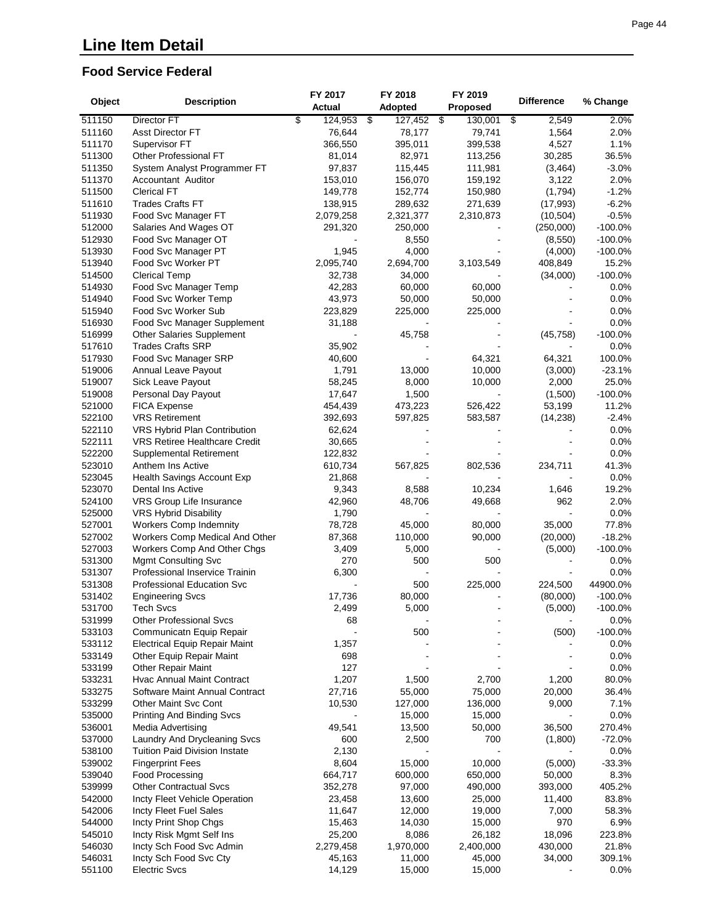#### **Food Service Federal**

|        |                                                       | FY 2017       | FY 2018             | FY 2019         |                   |            |
|--------|-------------------------------------------------------|---------------|---------------------|-----------------|-------------------|------------|
| Object | <b>Description</b>                                    | Actual        | Adopted             | <b>Proposed</b> | <b>Difference</b> | % Change   |
| 511150 | Director FT                                           | \$<br>124,953 | -\$<br>$127,452$ \$ | 130,001         | 2,549<br>\$       | 2.0%       |
| 511160 | <b>Asst Director FT</b>                               | 76,644        | 78,177              | 79,741          | 1,564             | 2.0%       |
| 511170 | Supervisor FT                                         | 366,550       | 395,011             | 399,538         | 4,527             | 1.1%       |
| 511300 | Other Professional FT                                 | 81,014        | 82,971              | 113,256         | 30,285            | 36.5%      |
| 511350 | System Analyst Programmer FT                          | 97,837        | 115,445             | 111,981         | (3, 464)          | $-3.0%$    |
| 511370 | Accountant Auditor                                    | 153,010       | 156,070             | 159,192         | 3,122             | 2.0%       |
| 511500 | <b>Clerical FT</b>                                    | 149,778       | 152,774             | 150,980         | (1,794)           | $-1.2%$    |
| 511610 | <b>Trades Crafts FT</b>                               | 138,915       | 289,632             | 271,639         | (17, 993)         | $-6.2%$    |
| 511930 | Food Svc Manager FT                                   | 2,079,258     | 2,321,377           | 2,310,873       | (10, 504)         | $-0.5%$    |
| 512000 | Salaries And Wages OT                                 | 291,320       | 250,000             |                 | (250,000)         | $-100.0%$  |
| 512930 |                                                       |               |                     |                 |                   | $-100.0%$  |
| 513930 | Food Svc Manager OT                                   | 1,945         | 8,550<br>4,000      |                 | (8,550)           |            |
|        | Food Svc Manager PT                                   |               |                     |                 | (4,000)           | $-100.0%$  |
| 513940 | Food Svc Worker PT                                    | 2,095,740     | 2,694,700           | 3,103,549       | 408,849           | 15.2%      |
| 514500 | <b>Clerical Temp</b>                                  | 32,738        | 34,000              |                 | (34,000)          | $-100.0%$  |
| 514930 | Food Svc Manager Temp                                 | 42,283        | 60,000              | 60,000          |                   | 0.0%       |
| 514940 | Food Svc Worker Temp                                  | 43,973        | 50,000              | 50,000          |                   | 0.0%       |
| 515940 | Food Svc Worker Sub                                   | 223,829       | 225,000             | 225,000         |                   | 0.0%       |
| 516930 | Food Svc Manager Supplement                           | 31,188        |                     |                 |                   | 0.0%       |
| 516999 | Other Salaries Supplement                             |               | 45,758              |                 | (45, 758)         | $-100.0%$  |
| 517610 | <b>Trades Crafts SRP</b>                              | 35,902        |                     |                 |                   | 0.0%       |
| 517930 | Food Svc Manager SRP                                  | 40,600        |                     | 64,321          | 64,321            | 100.0%     |
| 519006 | Annual Leave Payout                                   | 1,791         | 13,000              | 10,000          | (3,000)           | $-23.1%$   |
| 519007 | Sick Leave Payout                                     | 58,245        | 8,000               | 10,000          | 2,000             | 25.0%      |
| 519008 | Personal Day Payout                                   | 17,647        | 1,500               |                 | (1,500)           | $-100.0\%$ |
| 521000 | <b>FICA Expense</b>                                   | 454,439       | 473,223             | 526,422         | 53,199            | 11.2%      |
| 522100 | <b>VRS Retirement</b>                                 | 392,693       | 597,825             | 583,587         | (14, 238)         | $-2.4%$    |
| 522110 | VRS Hybrid Plan Contribution                          | 62,624        |                     |                 |                   | 0.0%       |
| 522111 | VRS Retiree Healthcare Credit                         | 30,665        |                     |                 |                   | 0.0%       |
| 522200 | Supplemental Retirement                               | 122,832       |                     |                 |                   | 0.0%       |
| 523010 | Anthem Ins Active                                     | 610,734       | 567,825             | 802,536         | 234,711           | 41.3%      |
| 523045 | Health Savings Account Exp                            | 21,868        |                     |                 |                   | 0.0%       |
| 523070 | Dental Ins Active                                     | 9,343         | 8,588               | 10,234          | 1,646             | 19.2%      |
| 524100 | VRS Group Life Insurance                              | 42,960        | 48,706              | 49,668          | 962               | 2.0%       |
| 525000 | VRS Hybrid Disability                                 | 1,790         |                     |                 |                   | 0.0%       |
| 527001 | <b>Workers Comp Indemnity</b>                         | 78,728        | 45,000              | 80,000          | 35,000            | 77.8%      |
| 527002 | Workers Comp Medical And Other                        | 87,368        | 110,000             | 90,000          | (20,000)          | $-18.2%$   |
| 527003 | Workers Comp And Other Chgs                           | 3,409         | 5,000               |                 | (5,000)           | $-100.0%$  |
| 531300 | <b>Mgmt Consulting Svc</b>                            | 270           | 500                 | 500             |                   | 0.0%       |
| 531307 | Professional Inservice Trainin                        | 6,300         |                     |                 |                   | 0.0%       |
| 531308 | Professional Education Svc                            |               | 500                 | 225,000         | 224,500           | 44900.0%   |
| 531402 | <b>Engineering Svcs</b>                               | 17,736        | 80,000              |                 | (80,000)          | $-100.0%$  |
| 531700 | <b>Tech Svcs</b>                                      | 2,499         | 5,000               |                 | (5,000)           | $-100.0%$  |
| 531999 | <b>Other Professional Svcs</b>                        | 68            |                     |                 | L.                | 0.0%       |
| 533103 | Communicatn Equip Repair                              |               | 500                 |                 | (500)             | $-100.0%$  |
| 533112 | <b>Electrical Equip Repair Maint</b>                  | 1,357         |                     |                 |                   | 0.0%       |
| 533149 |                                                       | 698           |                     |                 |                   | 0.0%       |
| 533199 | Other Equip Repair Maint<br><b>Other Repair Maint</b> | 127           |                     |                 |                   | 0.0%       |
|        | <b>Hvac Annual Maint Contract</b>                     |               |                     | 2,700           |                   |            |
| 533231 |                                                       | 1,207         | 1,500               |                 | 1,200             | 80.0%      |
| 533275 | Software Maint Annual Contract                        | 27,716        | 55,000              | 75,000          | 20,000            | 36.4%      |
| 533299 | <b>Other Maint Svc Cont</b>                           | 10,530        | 127,000             | 136,000         | 9,000             | 7.1%       |
| 535000 | <b>Printing And Binding Svcs</b>                      |               | 15,000              | 15,000          |                   | 0.0%       |
| 536001 | Media Advertising                                     | 49,541        | 13,500              | 50,000          | 36,500            | 270.4%     |
| 537000 | Laundry And Drycleaning Svcs                          | 600           | 2,500               | 700             | (1,800)           | $-72.0%$   |
| 538100 | Tuition Paid Division Instate                         | 2,130         |                     |                 |                   | 0.0%       |
| 539002 | <b>Fingerprint Fees</b>                               | 8,604         | 15,000              | 10,000          | (5,000)           | $-33.3%$   |
| 539040 | Food Processing                                       | 664,717       | 600,000             | 650,000         | 50,000            | 8.3%       |
| 539999 | <b>Other Contractual Svcs</b>                         | 352,278       | 97,000              | 490,000         | 393,000           | 405.2%     |
| 542000 | Incty Fleet Vehicle Operation                         | 23,458        | 13,600              | 25,000          | 11,400            | 83.8%      |
| 542006 | Incty Fleet Fuel Sales                                | 11,647        | 12,000              | 19,000          | 7,000             | 58.3%      |
| 544000 | Incty Print Shop Chgs                                 | 15,463        | 14,030              | 15,000          | 970               | 6.9%       |
| 545010 | Incty Risk Mgmt Self Ins                              | 25,200        | 8,086               | 26,182          | 18,096            | 223.8%     |
| 546030 | Incty Sch Food Svc Admin                              | 2,279,458     | 1,970,000           | 2,400,000       | 430,000           | 21.8%      |
| 546031 | Incty Sch Food Svc Cty                                | 45,163        | 11,000              | 45,000          | 34,000            | 309.1%     |
| 551100 | <b>Electric Svcs</b>                                  | 14,129        | 15,000              | 15,000          | $\blacksquare$    | 0.0%       |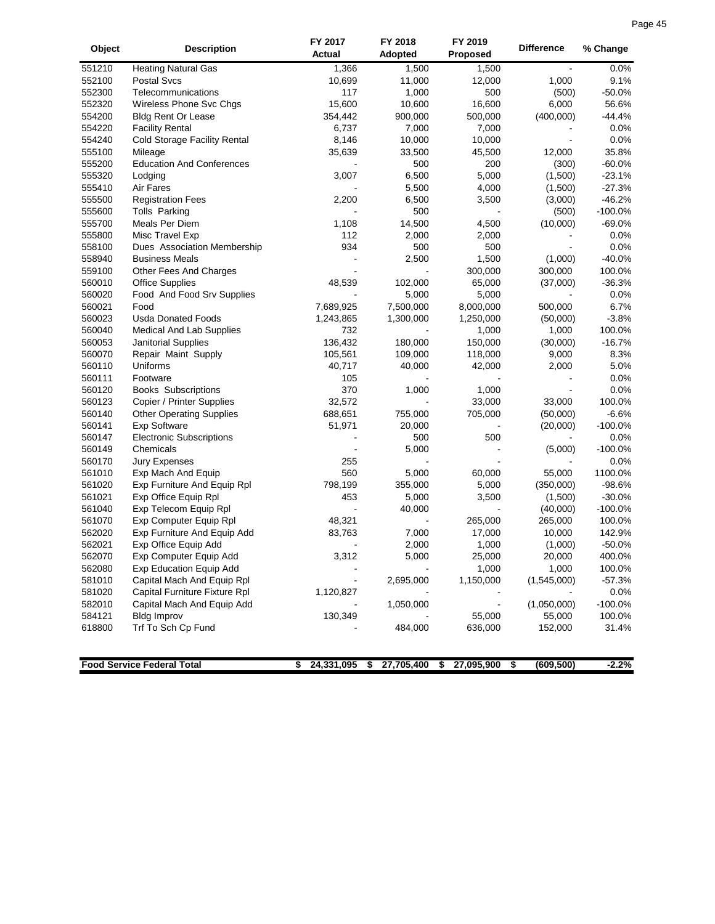| Page 45 |  |
|---------|--|
|         |  |

| Object           | <b>Description</b>                | FY 2017<br>Actual | FY 2018<br>Adopted | FY 2019<br>Proposed | <b>Difference</b> | % Change  |
|------------------|-----------------------------------|-------------------|--------------------|---------------------|-------------------|-----------|
| 551210           | <b>Heating Natural Gas</b>        | 1,366             | 1,500              | 1,500               |                   | 0.0%      |
| 552100           | <b>Postal Svcs</b>                | 10,699            | 11,000             | 12,000              | 1,000             | 9.1%      |
| 552300           | Telecommunications                | 117               | 1,000              | 500                 | (500)             | $-50.0%$  |
| 552320           | Wireless Phone Svc Chgs           | 15,600            | 10,600             | 16,600              | 6,000             | 56.6%     |
| 554200           | <b>Bldg Rent Or Lease</b>         | 354,442           | 900,000            | 500,000             | (400,000)         | $-44.4%$  |
| 554220           | <b>Facility Rental</b>            | 6,737             | 7,000              | 7,000               |                   | 0.0%      |
| 554240           | Cold Storage Facility Rental      | 8,146             | 10,000             | 10,000              |                   | 0.0%      |
| 555100           | Mileage                           | 35,639            | 33,500             | 45,500              | 12,000            | 35.8%     |
| 555200           | <b>Education And Conferences</b>  |                   | 500                | 200                 | (300)             | $-60.0%$  |
| 555320           | Lodging                           | 3,007             | 6,500              | 5,000               | (1,500)           | $-23.1%$  |
| 555410           | Air Fares                         |                   | 5,500              | 4,000               | (1,500)           | $-27.3%$  |
| 555500           | <b>Registration Fees</b>          | 2,200             | 6,500              | 3,500               | (3,000)           | $-46.2%$  |
| 555600           | Tolls Parking                     |                   | 500                |                     | (500)             | $-100.0%$ |
| 555700           | Meals Per Diem                    | 1,108             | 14,500             | 4,500               | (10,000)          | $-69.0%$  |
| 555800           | Misc Travel Exp                   | 112               | 2,000              | 2,000               |                   | 0.0%      |
| 558100           | Dues Association Membership       | 934               | 500                | 500                 |                   | 0.0%      |
| 558940           | <b>Business Meals</b>             |                   | 2,500              | 1,500               | (1,000)           | $-40.0%$  |
| 559100           | Other Fees And Charges            |                   |                    | 300,000             | 300,000           | 100.0%    |
| 560010           | <b>Office Supplies</b>            | 48,539            | 102,000            | 65,000              | (37,000)          | $-36.3%$  |
| 560020           | Food And Food Srv Supplies        |                   | 5,000              | 5,000               |                   | 0.0%      |
| 560021           | Food                              | 7,689,925         | 7,500,000          | 8,000,000           | 500,000           | 6.7%      |
| 560023           | <b>Usda Donated Foods</b>         | 1,243,865         | 1,300,000          | 1,250,000           | (50,000)          | $-3.8%$   |
| 560040           | Medical And Lab Supplies          | 732               |                    | 1,000               | 1,000             | 100.0%    |
| 560053           | Janitorial Supplies               | 136,432           | 180,000            | 150,000             | (30,000)          | $-16.7%$  |
| 560070           | Repair Maint Supply               | 105,561           | 109,000            | 118,000             | 9,000             | 8.3%      |
| 560110           | Uniforms                          | 40,717            | 40,000             | 42,000              | 2,000             | 5.0%      |
| 560111           | Footware                          | 105               |                    |                     |                   | 0.0%      |
| 560120           | <b>Books Subscriptions</b>        | 370               | 1,000              | 1,000               |                   | 0.0%      |
| 560123           | Copier / Printer Supplies         | 32,572            |                    | 33,000              | 33,000            | 100.0%    |
| 560140           | <b>Other Operating Supplies</b>   | 688,651           | 755,000            | 705,000             | (50,000)          | $-6.6%$   |
| 560141           | <b>Exp Software</b>               | 51,971            | 20,000             |                     | (20,000)          | $-100.0%$ |
| 560147           | <b>Electronic Subscriptions</b>   |                   | 500                | 500                 |                   | 0.0%      |
| 560149           | Chemicals                         |                   | 5,000              |                     | (5,000)           | $-100.0%$ |
| 560170           | Jury Expenses                     | 255               |                    |                     |                   | 0.0%      |
| 561010           | Exp Mach And Equip                | 560               | 5,000              | 60,000              | 55,000            | 1100.0%   |
| 561020           | Exp Furniture And Equip Rpl       | 798,199           | 355,000            | 5,000               | (350,000)         | $-98.6%$  |
| 561021           | Exp Office Equip Rpl              | 453               | 5,000              | 3,500               | (1,500)           | $-30.0%$  |
| 561040           | Exp Telecom Equip Rpl             | $\blacksquare$    | 40,000             |                     | (40,000)          | $-100.0%$ |
| 561070           | Exp Computer Equip Rpl            |                   |                    |                     | 265,000           | 100.0%    |
| 562020           | Exp Furniture And Equip Add       | 48,321<br>83,763  | 7,000              | 265,000<br>17,000   | 10,000            | 142.9%    |
| 562021           | Exp Office Equip Add              | ÷,                | 2,000              | 1,000               | (1,000)           | $-50.0%$  |
| 562070           | Exp Computer Equip Add            | 3,312             | 5,000              | 25,000              | 20,000            | 400.0%    |
|                  | <b>Exp Education Equip Add</b>    |                   |                    |                     |                   | 100.0%    |
| 562080<br>581010 | Capital Mach And Equip Rpl        |                   |                    | 1,000<br>1,150,000  | 1,000             | $-57.3%$  |
| 581020           | Capital Furniture Fixture Rpl     |                   | 2,695,000          |                     | (1,545,000)       | 0.0%      |
| 582010           | Capital Mach And Equip Add        | 1,120,827         | 1,050,000          |                     | (1,050,000)       | $-100.0%$ |
|                  |                                   |                   |                    |                     |                   |           |
| 584121           | <b>Bldg Improv</b>                | 130,349           |                    | 55,000              | 55,000            | 100.0%    |
| 618800           | Trf To Sch Cp Fund                |                   | 484,000            | 636,000             | 152,000           | 31.4%     |
|                  | <b>Food Service Federal Total</b> | 24,331,095<br>\$  | 27,705,400<br>\$   | 27,095,900<br>\$    | s,<br>(609, 500)  | $-2.2%$   |